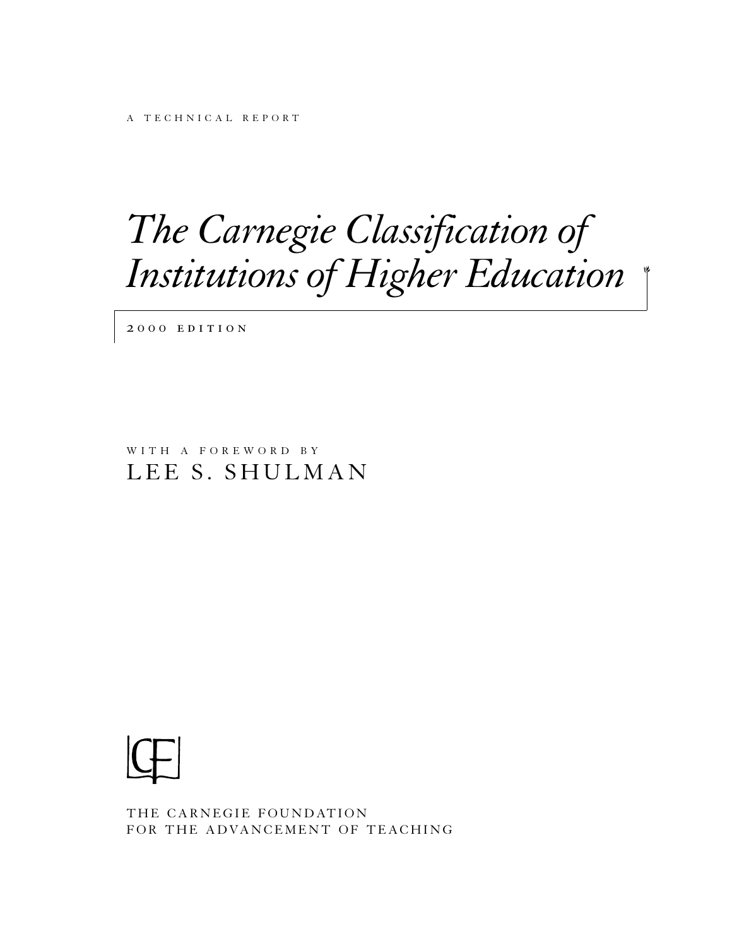# *The Carnegie Classification of Institutions of Higher Education* ۴

2000 edition

## WITH A FOREWORD BY LEE S. SHULMAN



THE CARNEGIE FOUNDATION FOR THE ADVANCEMENT OF TEACHING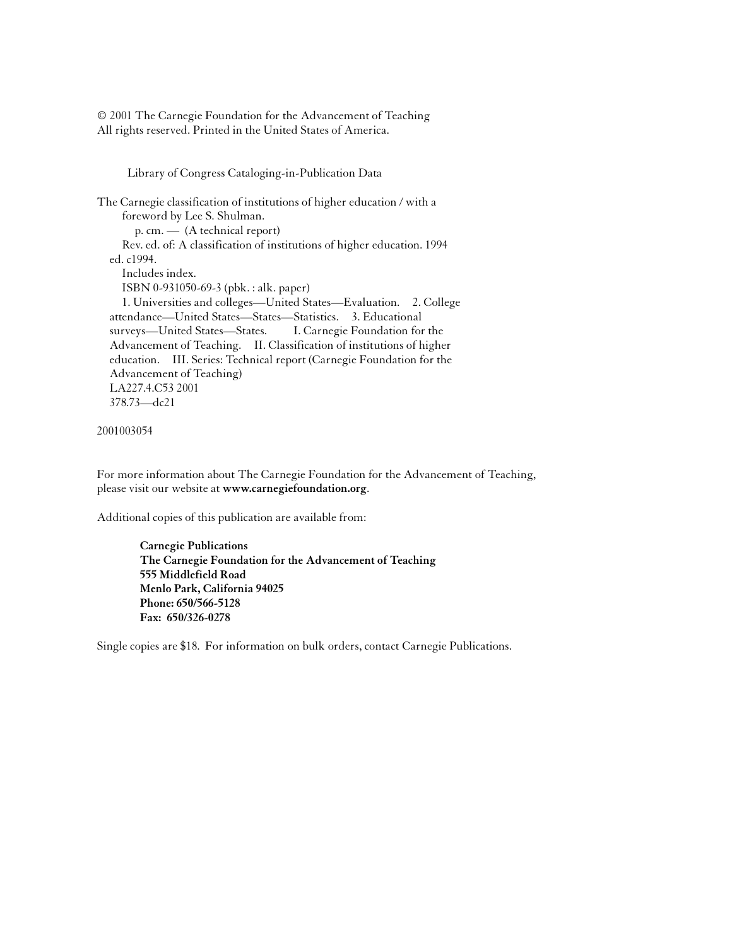© 2001 The Carnegie Foundation for the Advancement of Teaching All rights reserved. Printed in the United States of America.

Library of Congress Cataloging-in-Publication Data

The Carnegie classification of institutions of higher education / with a foreword by Lee S. Shulman. p. cm. — (A technical report) Rev. ed. of: A classification of institutions of higher education. 1994 ed. c1994. Includes index. ISBN 0-931050-69-3 (pbk. : alk. paper) 1. Universities and colleges—United States—Evaluation. 2. College attendance—United States—States—Statistics. 3. Educational surveys—United States—States. I. Carnegie Foundation for the Advancement of Teaching. II. Classification of institutions of higher education. III. Series: Technical report (Carnegie Foundation for the Advancement of Teaching) LA227.4.C53 2001 378.73—dc21

2001003054

For more information about The Carnegie Foundation for the Advancement of Teaching, please visit our website at **www.carnegiefoundation.org**.

Additional copies of this publication are available from:

**Carnegie Publications The Carnegie Foundation for the Advancement of Teaching 555 Middlefield Road Menlo Park, California 94025 Phone: 650/566-5128 Fax: 650/326-0278**

Single copies are \$18. For information on bulk orders, contact Carnegie Publications.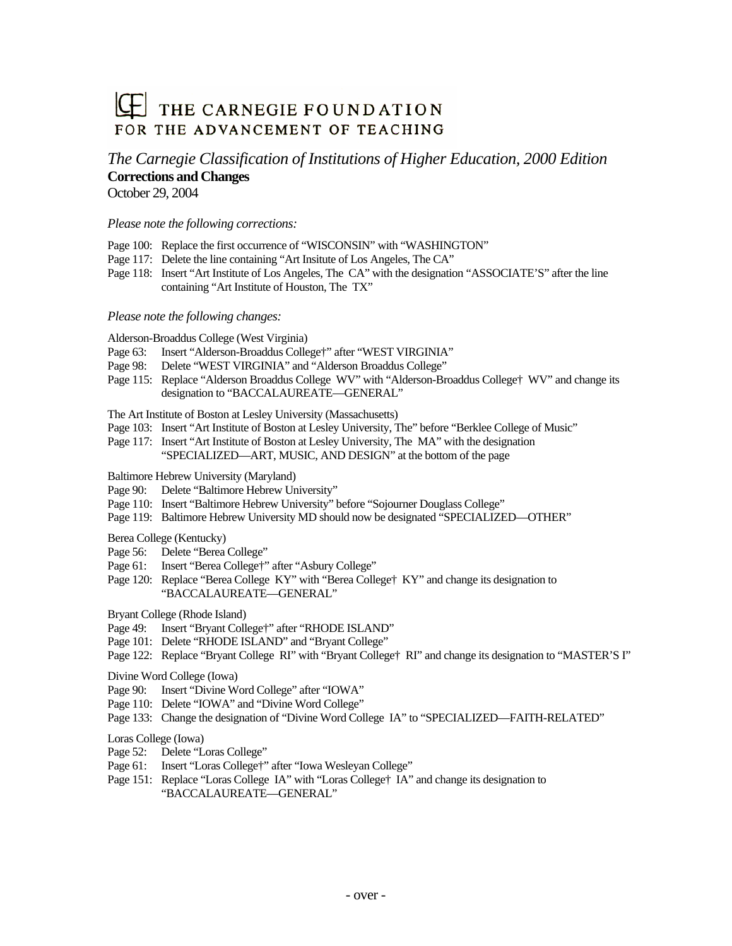# THE CARNEGIE FOUND ATION FOR THE ADVANCEMENT OF TEACHING

### *The Carnegie Classification of Institutions of Higher Education, 2000 Edition*  **Corrections and Changes**

October 29, 2004

#### *Please note the following corrections:*

- Page 100: Replace the first occurrence of "WISCONSIN" with "WASHINGTON"
- Page 117: Delete the line containing "Art Insitute of Los Angeles, The CA"
- Page 118: Insert "Art Institute of Los Angeles, The CA" with the designation "ASSOCIATE'S" after the line containing "Art Institute of Houston, The TX"

#### *Please note the following changes:*

Alderson-Broaddus College (West Virginia)

- Page 63: Insert "Alderson-Broaddus College†" after "WEST VIRGINIA"
- Page 98: Delete "WEST VIRGINIA" and "Alderson Broaddus College"
- Page 115: Replace "Alderson Broaddus College WV" with "Alderson-Broaddus College† WV" and change its designation to "BACCALAUREATE—GENERAL"

The Art Institute of Boston at Lesley University (Massachusetts)

- Page 103: Insert "Art Institute of Boston at Lesley University, The" before "Berklee College of Music"
- Page 117: Insert "Art Institute of Boston at Lesley University, The MA" with the designation "SPECIALIZED—ART, MUSIC, AND DESIGN" at the bottom of the page

Baltimore Hebrew University (Maryland)

- Page 90: Delete "Baltimore Hebrew University"
- Page 110: Insert "Baltimore Hebrew University" before "Sojourner Douglass College"
- Page 119: Baltimore Hebrew University MD should now be designated "SPECIALIZED—OTHER"

Berea College (Kentucky)

- Page 56: Delete "Berea College"
- Page 61: Insert "Berea College†" after "Asbury College"
- Page 120: Replace "Berea College KY" with "Berea College† KY" and change its designation to "BACCALAUREATE—GENERAL"

Bryant College (Rhode Island)

- Page 49: Insert "Bryant College†" after "RHODE ISLAND"
- Page 101: Delete "RHODE ISLAND" and "Bryant College"
- Page 122: Replace "Bryant College RI" with "Bryant College† RI" and change its designation to "MASTER'S I"

Divine Word College (Iowa)

- Page 90: Insert "Divine Word College" after "IOWA"
- Page 110: Delete "IOWA" and "Divine Word College"
- Page 133: Change the designation of "Divine Word College IA" to "SPECIALIZED—FAITH-RELATED"

Loras College (Iowa)

- Page 52: Delete "Loras College"
- Page 61: Insert "Loras College†" after "Iowa Wesleyan College"
- Page 151: Replace "Loras College IA" with "Loras College† IA" and change its designation to "BACCALAUREATE—GENERAL"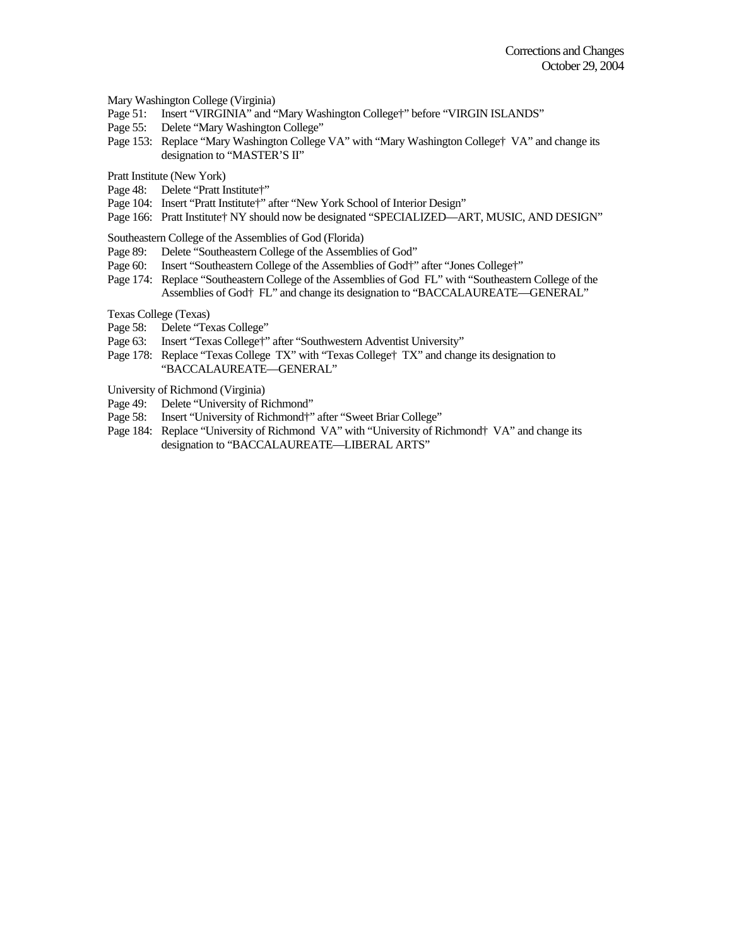- Mary Washington College (Virginia)
- Page 51: Insert "VIRGINIA" and "Mary Washington College†" before "VIRGIN ISLANDS"
- Page 55: Delete "Mary Washington College"
- Page 153: Replace "Mary Washington College VA" with "Mary Washington College† VA" and change its designation to "MASTER'S II"
- Pratt Institute (New York)
- Page 48: Delete "Pratt Institute†"
- Page 104: Insert "Pratt Institute†" after "New York School of Interior Design"
- Page 166: Pratt Institute† NY should now be designated "SPECIALIZED—ART, MUSIC, AND DESIGN"

Southeastern College of the Assemblies of God (Florida)

- Page 89: Delete "Southeastern College of the Assemblies of God"
- Page 60: Insert "Southeastern College of the Assemblies of God†" after "Jones College†"
- Page 174: Replace "Southeastern College of the Assemblies of God FL" with "Southeastern College of the Assemblies of God† FL" and change its designation to "BACCALAUREATE—GENERAL"

Texas College (Texas)

- Page 58: Delete "Texas College"
- Page 63: Insert "Texas College†" after "Southwestern Adventist University"
- Page 178: Replace "Texas College TX" with "Texas College† TX" and change its designation to "BACCALAUREATE—GENERAL"
- University of Richmond (Virginia)
- Page 49: Delete "University of Richmond"
- Page 58: Insert "University of Richmond†" after "Sweet Briar College"
- Page 184: Replace "University of Richmond VA" with "University of Richmond† VA" and change its designation to "BACCALAUREATE—LIBERAL ARTS"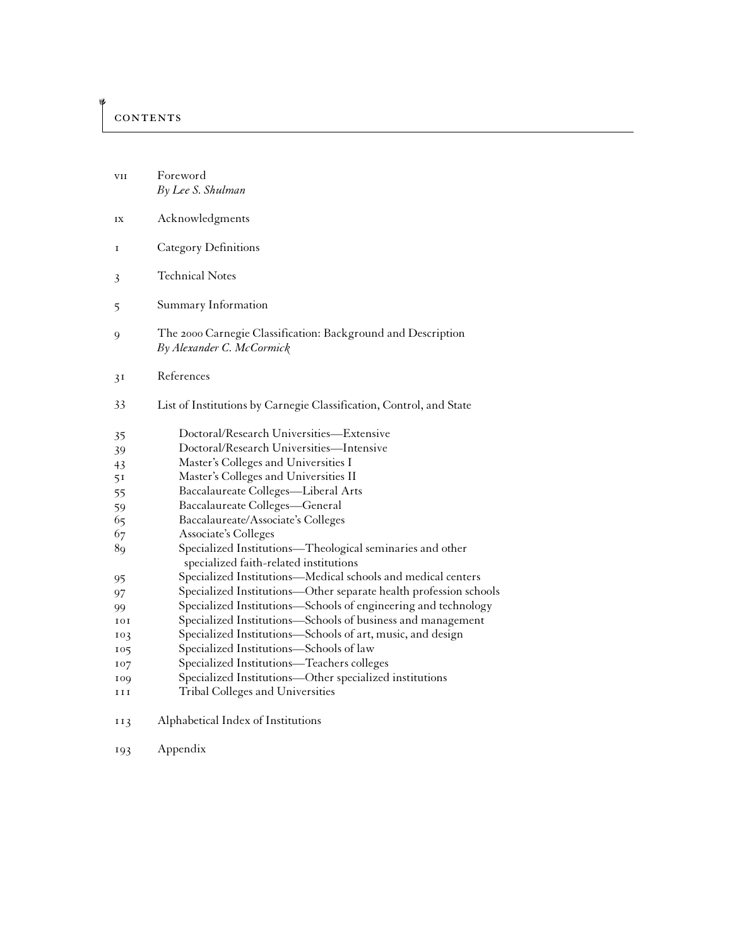vii Foreword

١¢

- *By Lee S. Shulman* ix Acknowledgments Category Definitions Technical Notes Summary Information The 2000 Carnegie Classification: Background and Description *By Alexander C. McCormick* References 33 List of Institutions by Carnegie Classification, Control, and State Doctoral/Research Universities—Extensive Doctoral/Research Universities—Intensive Master's Colleges and Universities I Master's Colleges and Universities II Baccalaureate Colleges—Liberal Arts Baccalaureate Colleges—General Baccalaureate/Associate's Colleges Associate's Colleges Specialized Institutions—Theological seminaries and other specialized faith-related institutions Specialized Institutions—Medical schools and medical centers Specialized Institutions—Other separate health profession schools Specialized Institutions—Schools of engineering and technology Specialized Institutions—Schools of business and management Specialized Institutions—Schools of art, music, and design Specialized Institutions—Schools of law Specialized Institutions—Teachers colleges Specialized Institutions—Other specialized institutions Tribal Colleges and Universities Alphabetical Index of Institutions
- Appendix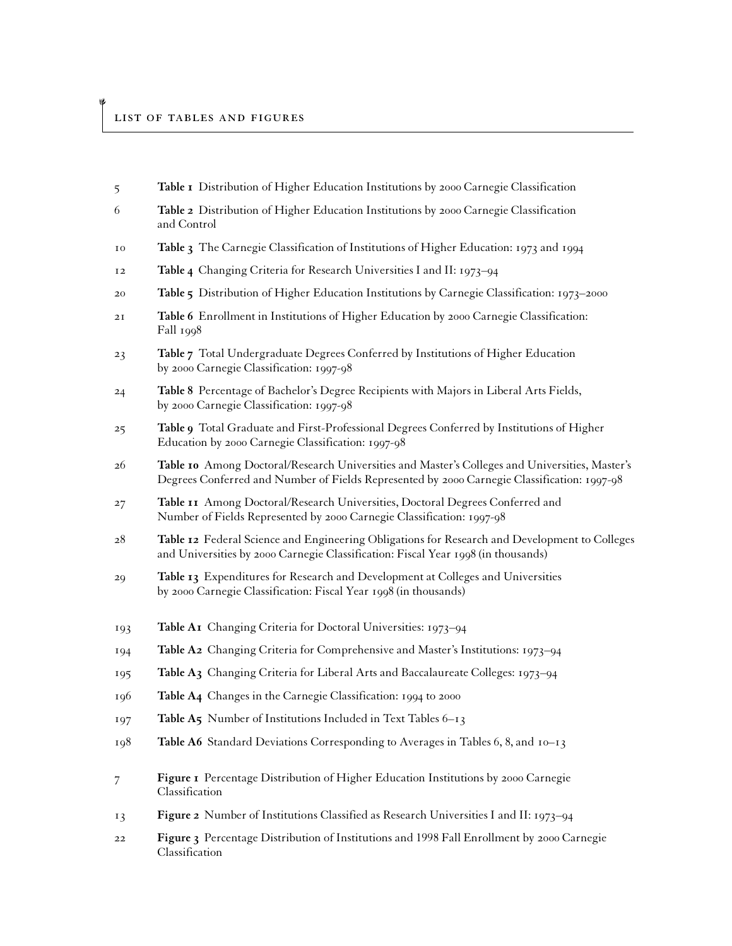١¢

- **Table 1** Distribution of Higher Education Institutions by 2000 Carnegie Classification
- **Table 2** Distribution of Higher Education Institutions by 2000 Carnegie Classification and Control
- **Table 3** The Carnegie Classification of Institutions of Higher Education: 1973 and 1994
- **Table 4** Changing Criteria for Research Universities I and II: 1973–94
- **Table 5** Distribution of Higher Education Institutions by Carnegie Classification: 1973–2000
- **Table 6** Enrollment in Institutions of Higher Education by 2000 Carnegie Classification: Fall 1998
- **Table 7** Total Undergraduate Degrees Conferred by Institutions of Higher Education by 2000 Carnegie Classification: 1997-98
- **Table 8** Percentage of Bachelor's Degree Recipients with Majors in Liberal Arts Fields, by 2000 Carnegie Classification: 1997-98
- **Table 9** Total Graduate and First-Professional Degrees Conferred by Institutions of Higher Education by 2000 Carnegie Classification: 1997-98
- **Table 10** Among Doctoral/Research Universities and Master's Colleges and Universities, Master's Degrees Conferred and Number of Fields Represented by 2000 Carnegie Classification: 1997-98
- **Table 11** Among Doctoral/Research Universities, Doctoral Degrees Conferred and Number of Fields Represented by 2000 Carnegie Classification: 1997-98
- **Table 12** Federal Science and Engineering Obligations for Research and Development to Colleges and Universities by 2000 Carnegie Classification: Fiscal Year 1998 (in thousands)
- **Table 13** Expenditures for Research and Development at Colleges and Universities by 2000 Carnegie Classification: Fiscal Year 1998 (in thousands)
- **Table A1** Changing Criteria for Doctoral Universities: 1973–94
- **Table A2** Changing Criteria for Comprehensive and Master's Institutions: 1973–94
- **Table A3** Changing Criteria for Liberal Arts and Baccalaureate Colleges: 1973–94
- **Table A4** Changes in the Carnegie Classification: 1994 to 2000
- **Table A5** Number of Institutions Included in Text Tables 6–13
- **Table A6** Standard Deviations Corresponding to Averages in Tables 6, 8, and 10–13
- **Figure 1** Percentage Distribution of Higher Education Institutions by 2000 Carnegie Classification
- **Figure 2** Number of Institutions Classified as Research Universities I and II: 1973–94
- **Figure 3** Percentage Distribution of Institutions and 1998 Fall Enrollment by 2000 Carnegie Classification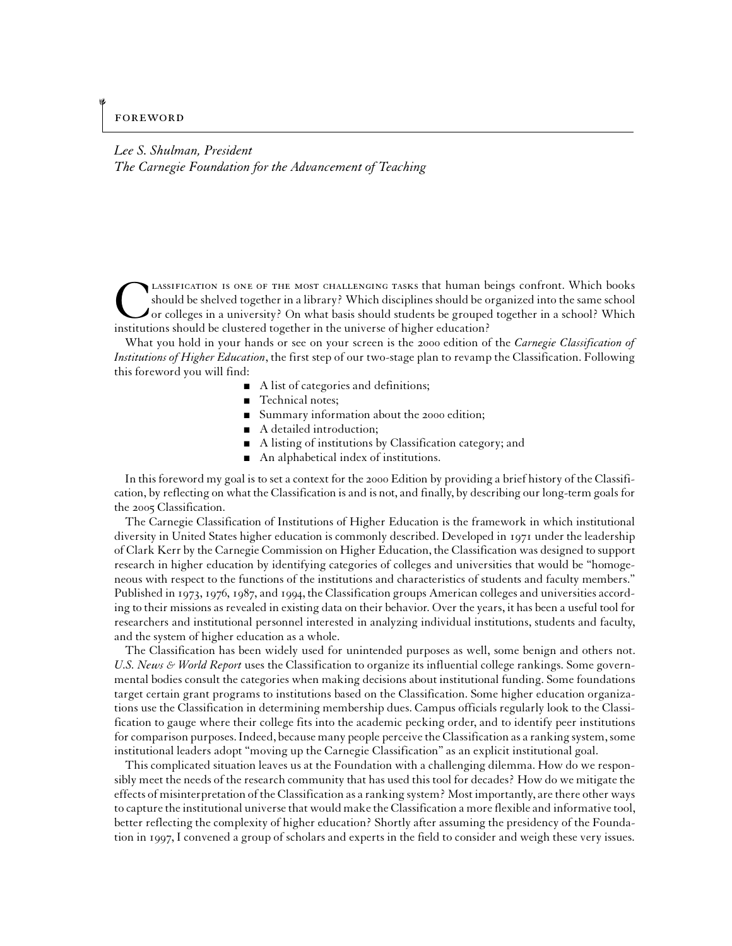foreword

١¢

*Lee S. Shulman, President The Carnegie Foundation for the Advancement of Teaching*

CLASSIFICATION IS ONE OF THE MOST CHALLENGING TASKS that human b should be shelved together in a library? Which disciplines should be of or colleges in a university? On what basis should students be grouped institutions sh lassification is one of the most challenging tasks that human beings confront. Which books should be shelved together in a library? Which disciplines should be organized into the same school or colleges in a university? On what basis should students be grouped together in a school? Which

What you hold in your hands or see on your screen is the 2000 edition of the *Carnegie Classification of Institutions of Higher Education*, the first step of our two-stage plan to revamp the Classification. Following this foreword you will find:

- A list of categories and definitions;
- Technical notes;
- Summary information about the 2000 edition;
- A detailed introduction;
- A listing of institutions by Classification category; and
- $\blacksquare$  An alphabetical index of institutions.

In this foreword my goal is to set a context for the 2000 Edition by providing a brief history of the Classification, by reflecting on what the Classification is and is not, and finally, by describing our long-term goals for the 2005 Classification.

The Carnegie Classification of Institutions of Higher Education is the framework in which institutional diversity in United States higher education is commonly described. Developed in 1971 under the leadership of Clark Kerr by the Carnegie Commission on Higher Education, the Classification was designed to support research in higher education by identifying categories of colleges and universities that would be "homogeneous with respect to the functions of the institutions and characteristics of students and faculty members." Published in 1973, 1976, 1987, and 1994, the Classification groups American colleges and universities according to their missions as revealed in existing data on their behavior. Over the years, it has been a useful tool for researchers and institutional personnel interested in analyzing individual institutions, students and faculty, and the system of higher education as a whole.

The Classification has been widely used for unintended purposes as well, some benign and others not. *U.S. News & World Report* uses the Classification to organize its influential college rankings. Some governmental bodies consult the categories when making decisions about institutional funding. Some foundations target certain grant programs to institutions based on the Classification. Some higher education organizations use the Classification in determining membership dues. Campus officials regularly look to the Classification to gauge where their college fits into the academic pecking order, and to identify peer institutions for comparison purposes. Indeed, because many people perceive the Classification as a ranking system, some institutional leaders adopt "moving up the Carnegie Classification" as an explicit institutional goal.

This complicated situation leaves us at the Foundation with a challenging dilemma. How do we responsibly meet the needs of the research community that has used this tool for decades? How do we mitigate the effects of misinterpretation of the Classification as a ranking system? Most importantly, are there other ways to capture the institutional universe that would make the Classification a more flexible and informative tool, better reflecting the complexity of higher education? Shortly after assuming the presidency of the Foundation in 1997, I convened a group of scholars and experts in the field to consider and weigh these very issues.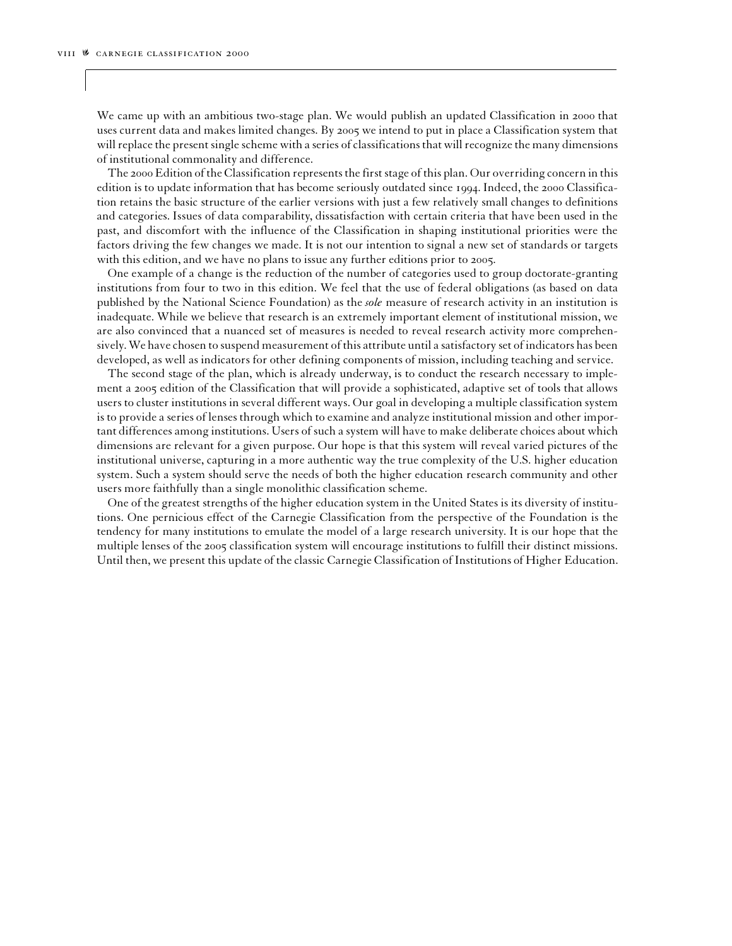We came up with an ambitious two-stage plan. We would publish an updated Classification in 2000 that uses current data and makes limited changes. By 2005 we intend to put in place a Classification system that will replace the present single scheme with a series of classifications that will recognize the many dimensions of institutional commonality and difference.

The 2000 Edition of the Classification represents the first stage of this plan. Our overriding concern in this edition is to update information that has become seriously outdated since 1994. Indeed, the 2000 Classification retains the basic structure of the earlier versions with just a few relatively small changes to definitions and categories. Issues of data comparability, dissatisfaction with certain criteria that have been used in the past, and discomfort with the influence of the Classification in shaping institutional priorities were the factors driving the few changes we made. It is not our intention to signal a new set of standards or targets with this edition, and we have no plans to issue any further editions prior to 2005.

One example of a change is the reduction of the number of categories used to group doctorate-granting institutions from four to two in this edition. We feel that the use of federal obligations (as based on data published by the National Science Foundation) as the *sole* measure of research activity in an institution is inadequate. While we believe that research is an extremely important element of institutional mission, we are also convinced that a nuanced set of measures is needed to reveal research activity more comprehensively. We have chosen to suspend measurement of this attribute until a satisfactory set of indicators has been developed, as well as indicators for other defining components of mission, including teaching and service.

The second stage of the plan, which is already underway, is to conduct the research necessary to implement a 2005 edition of the Classification that will provide a sophisticated, adaptive set of tools that allows users to cluster institutions in several different ways. Our goal in developing a multiple classification system is to provide a series of lenses through which to examine and analyze institutional mission and other important differences among institutions. Users of such a system will have to make deliberate choices about which dimensions are relevant for a given purpose. Our hope is that this system will reveal varied pictures of the institutional universe, capturing in a more authentic way the true complexity of the U.S. higher education system. Such a system should serve the needs of both the higher education research community and other users more faithfully than a single monolithic classification scheme.

One of the greatest strengths of the higher education system in the United States is its diversity of institutions. One pernicious effect of the Carnegie Classification from the perspective of the Foundation is the tendency for many institutions to emulate the model of a large research university. It is our hope that the multiple lenses of the 2005 classification system will encourage institutions to fulfill their distinct missions. Until then, we present this update of the classic Carnegie Classification of Institutions of Higher Education.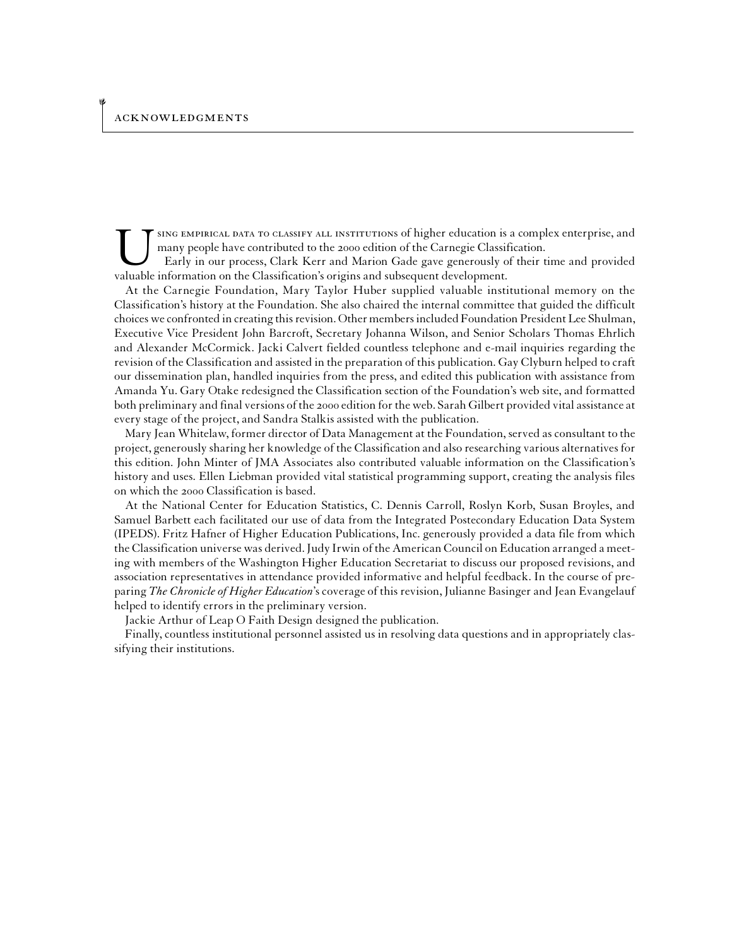١¢

IN SING EMPIRICAL DATA TO CLASSIFY ALL INSTITUTIONS of higher education is<br>many people have contributed to the 2000 edition of the Carnegie Classi:<br>Early in our process, Clark Kerr and Marion Gade gave generously c<br>valuabl sing empirical data to classify all institutions of higher education is a complex enterprise, and many people have contributed to the 2000 edition of the Carnegie Classification.

Early in our process, Clark Kerr and Marion Gade gave generously of their time and provided

At the Carnegie Foundation, Mary Taylor Huber supplied valuable institutional memory on the Classification's history at the Foundation. She also chaired the internal committee that guided the difficult choices we confronted in creating this revision. Other members included Foundation President Lee Shulman, Executive Vice President John Barcroft, Secretary Johanna Wilson, and Senior Scholars Thomas Ehrlich and Alexander McCormick. Jacki Calvert fielded countless telephone and e-mail inquiries regarding the revision of the Classification and assisted in the preparation of this publication. Gay Clyburn helped to craft our dissemination plan, handled inquiries from the press, and edited this publication with assistance from Amanda Yu. Gary Otake redesigned the Classification section of the Foundation's web site, and formatted both preliminary and final versions of the 2000 edition for the web. Sarah Gilbert provided vital assistance at every stage of the project, and Sandra Stalkis assisted with the publication.

Mary Jean Whitelaw, former director of Data Management at the Foundation, served as consultant to the project, generously sharing her knowledge of the Classification and also researching various alternatives for this edition. John Minter of JMA Associates also contributed valuable information on the Classification's history and uses. Ellen Liebman provided vital statistical programming support, creating the analysis files on which the 2000 Classification is based.

At the National Center for Education Statistics, C. Dennis Carroll, Roslyn Korb, Susan Broyles, and Samuel Barbett each facilitated our use of data from the Integrated Postecondary Education Data System (IPEDS). Fritz Hafner of Higher Education Publications, Inc. generously provided a data file from which the Classification universe was derived. Judy Irwin of the American Council on Education arranged a meeting with members of the Washington Higher Education Secretariat to discuss our proposed revisions, and association representatives in attendance provided informative and helpful feedback. In the course of preparing *The Chronicle of Higher Education*'s coverage of this revision, Julianne Basinger and Jean Evangelauf helped to identify errors in the preliminary version.

Jackie Arthur of Leap O Faith Design designed the publication.

Finally, countless institutional personnel assisted us in resolving data questions and in appropriately classifying their institutions.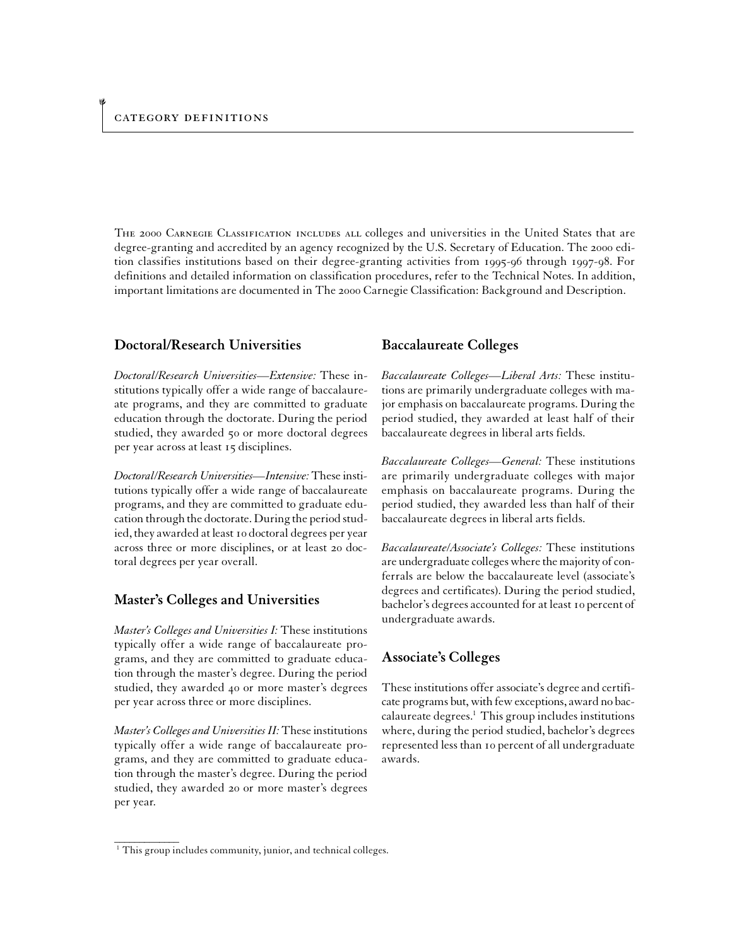١¢

The 2000 Carnegie Classification includes all colleges and universities in the United States that are degree-granting and accredited by an agency recognized by the U.S. Secretary of Education. The 2000 edition classifies institutions based on their degree-granting activities from 1995-96 through 1997-98. For definitions and detailed information on classification procedures, refer to the Technical Notes. In addition, important limitations are documented in The 2000 Carnegie Classification: Background and Description.

### **Doctoral/Research Universities**

*Doctoral/Research Universities—Extensive:* These institutions typically offer a wide range of baccalaureate programs, and they are committed to graduate education through the doctorate. During the period studied, they awarded 50 or more doctoral degrees per year across at least 15 disciplines.

*Doctoral/Research Universities—Intensive:* These institutions typically offer a wide range of baccalaureate programs, and they are committed to graduate education through the doctorate. During the period studied, they awarded at least 10 doctoral degrees per year across three or more disciplines, or at least 20 doctoral degrees per year overall.

#### **Master's Colleges and Universities**

*Master's Colleges and Universities I:* These institutions typically offer a wide range of baccalaureate programs, and they are committed to graduate education through the master's degree. During the period studied, they awarded 40 or more master's degrees per year across three or more disciplines.

*Master's Colleges and Universities II:* These institutions typically offer a wide range of baccalaureate programs, and they are committed to graduate education through the master's degree. During the period studied, they awarded 20 or more master's degrees per year.

#### **Baccalaureate Colleges**

*Baccalaureate Colleges—Liberal Arts:* These institutions are primarily undergraduate colleges with major emphasis on baccalaureate programs. During the period studied, they awarded at least half of their baccalaureate degrees in liberal arts fields.

*Baccalaureate Colleges—General:* These institutions are primarily undergraduate colleges with major emphasis on baccalaureate programs. During the period studied, they awarded less than half of their baccalaureate degrees in liberal arts fields.

*Baccalaureate/Associate's Colleges:* These institutions are undergraduate colleges where the majority of conferrals are below the baccalaureate level (associate's degrees and certificates). During the period studied, bachelor's degrees accounted for at least 10 percent of undergraduate awards.

### **Associate's Colleges**

These institutions offer associate's degree and certificate programs but, with few exceptions, award no baccalaureate degrees.<sup>1</sup> This group includes institutions where, during the period studied, bachelor's degrees represented less than 10 percent of all undergraduate awards.

\_\_\_\_\_\_\_\_\_\_\_\_\_

<sup>&</sup>lt;sup>1</sup> This group includes community, junior, and technical colleges.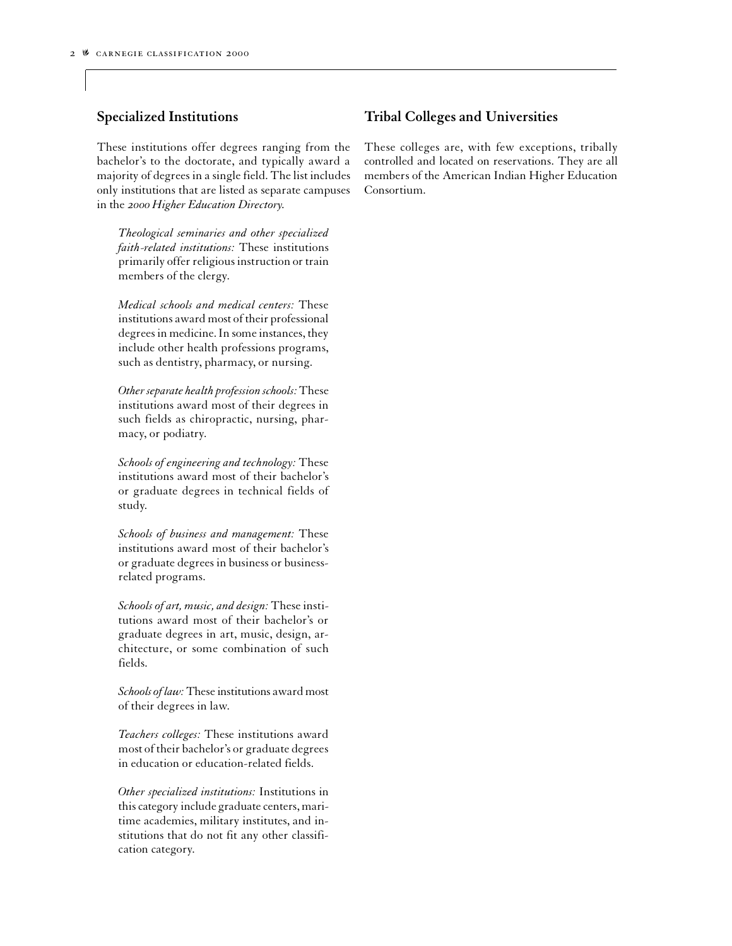#### **Specialized Institutions**

These institutions offer degrees ranging from the bachelor's to the doctorate, and typically award a majority of degrees in a single field. The list includes only institutions that are listed as separate campuses in the *2000 Higher Education Directory.*

*Theological seminaries and other specialized faith-related institutions:* These institutions primarily offer religious instruction or train members of the clergy.

*Medical schools and medical centers:* These institutions award most of their professional degrees in medicine. In some instances, they include other health professions programs, such as dentistry, pharmacy, or nursing.

*Other separate health profession schools:* These institutions award most of their degrees in such fields as chiropractic, nursing, pharmacy, or podiatry.

*Schools of engineering and technology:* These institutions award most of their bachelor's or graduate degrees in technical fields of study.

*Schools of business and management:* These institutions award most of their bachelor's or graduate degrees in business or businessrelated programs.

*Schools of art, music, and design:* These institutions award most of their bachelor's or graduate degrees in art, music, design, architecture, or some combination of such fields.

*Schools of law:* These institutions award most of their degrees in law.

*Teachers colleges:* These institutions award most of their bachelor's or graduate degrees in education or education-related fields.

*Other specialized institutions:* Institutions in this category include graduate centers, maritime academies, military institutes, and institutions that do not fit any other classification category.

#### **Tribal Colleges and Universities**

These colleges are, with few exceptions, tribally controlled and located on reservations. They are all members of the American Indian Higher Education Consortium.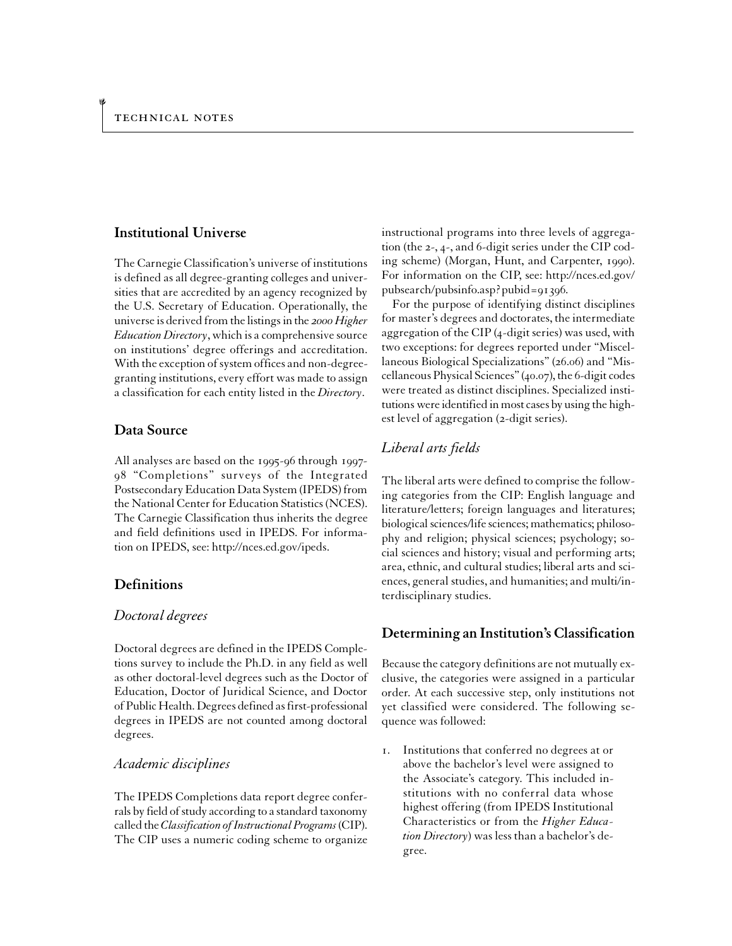١¢

#### **Institutional Universe**

The Carnegie Classification's universe of institutions is defined as all degree-granting colleges and universities that are accredited by an agency recognized by the U.S. Secretary of Education. Operationally, the universe is derived from the listings in the *2000 Higher Education Directory*, which is a comprehensive source on institutions' degree offerings and accreditation. With the exception of system offices and non-degreegranting institutions, every effort was made to assign a classification for each entity listed in the *Directory*.

#### **Data Source**

All analyses are based on the 1995-96 through 1997- 98 "Completions" surveys of the Integrated Postsecondary Education Data System (IPEDS) from the National Center for Education Statistics (NCES). The Carnegie Classification thus inherits the degree and field definitions used in IPEDS. For information on IPEDS, see: http://nces.ed.gov/ipeds.

### **Definitions**

#### *Doctoral degrees*

Doctoral degrees are defined in the IPEDS Completions survey to include the Ph.D. in any field as well as other doctoral-level degrees such as the Doctor of Education, Doctor of Juridical Science, and Doctor of Public Health. Degrees defined as first-professional degrees in IPEDS are not counted among doctoral degrees.

#### *Academic disciplines*

The IPEDS Completions data report degree conferrals by field of study according to a standard taxonomy called the *Classification of Instructional Programs* (CIP). The CIP uses a numeric coding scheme to organize

instructional programs into three levels of aggregation (the 2-, 4-, and 6-digit series under the CIP coding scheme) (Morgan, Hunt, and Carpenter, 1990). For information on the CIP, see: http://nces.ed.gov/ pubsearch/pubsinfo.asp?pubid=91396.

For the purpose of identifying distinct disciplines for master's degrees and doctorates, the intermediate aggregation of the CIP (4-digit series) was used, with two exceptions: for degrees reported under "Miscellaneous Biological Specializations" (26.06) and "Miscellaneous Physical Sciences" (40.07), the 6-digit codes were treated as distinct disciplines. Specialized institutions were identified in most cases by using the highest level of aggregation (2-digit series).

### *Liberal arts fields*

The liberal arts were defined to comprise the following categories from the CIP: English language and literature/letters; foreign languages and literatures; biological sciences/life sciences; mathematics; philosophy and religion; physical sciences; psychology; social sciences and history; visual and performing arts; area, ethnic, and cultural studies; liberal arts and sciences, general studies, and humanities; and multi/interdisciplinary studies.

#### **Determining an Institution's Classification**

Because the category definitions are not mutually exclusive, the categories were assigned in a particular order. At each successive step, only institutions not yet classified were considered. The following sequence was followed:

1. Institutions that conferred no degrees at or above the bachelor's level were assigned to the Associate's category. This included institutions with no conferral data whose highest offering (from IPEDS Institutional Characteristics or from the *Higher Education Directory*) was less than a bachelor's degree.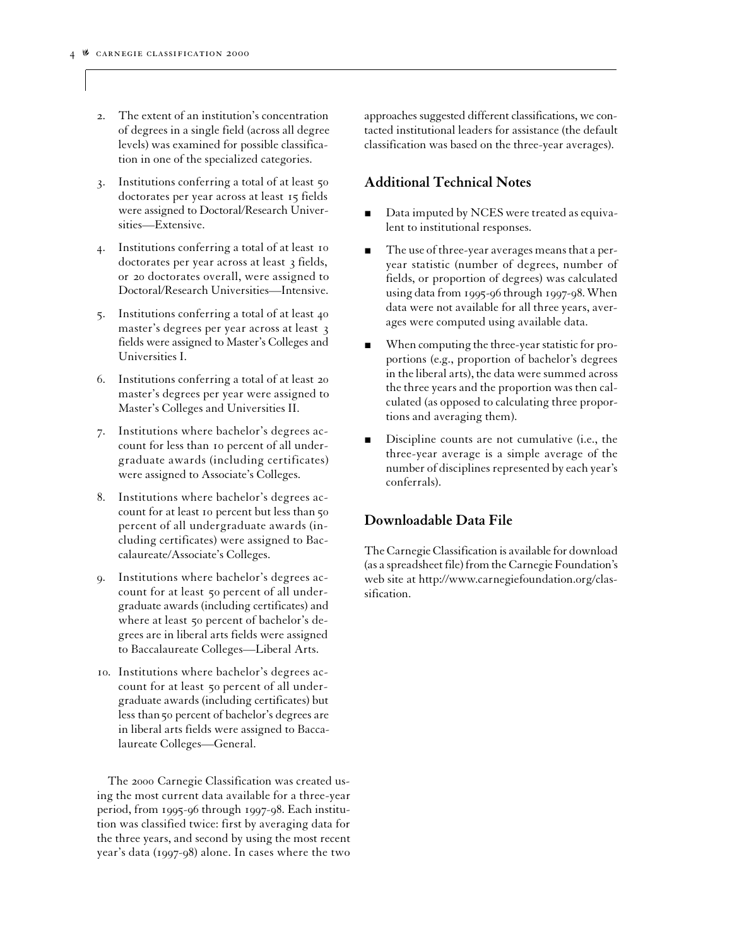- 2. The extent of an institution's concentration of degrees in a single field (across all degree levels) was examined for possible classification in one of the specialized categories.
- 3. Institutions conferring a total of at least 50 doctorates per year across at least 15 fields were assigned to Doctoral/Research Universities—Extensive.
- 4. Institutions conferring a total of at least 10 doctorates per year across at least 3 fields, or 20 doctorates overall, were assigned to Doctoral/Research Universities—Intensive.
- 5. Institutions conferring a total of at least 40 master's degrees per year across at least 3 fields were assigned to Master's Colleges and Universities I.
- 6. Institutions conferring a total of at least 20 master's degrees per year were assigned to Master's Colleges and Universities II.
- 7. Institutions where bachelor's degrees account for less than 10 percent of all undergraduate awards (including certificates) were assigned to Associate's Colleges.
- 8. Institutions where bachelor's degrees account for at least 10 percent but less than 50 percent of all undergraduate awards (including certificates) were assigned to Baccalaureate/Associate's Colleges.
- 9. Institutions where bachelor's degrees account for at least 50 percent of all undergraduate awards (including certificates) and where at least 50 percent of bachelor's degrees are in liberal arts fields were assigned to Baccalaureate Colleges—Liberal Arts.
- 10. Institutions where bachelor's degrees account for at least 50 percent of all undergraduate awards (including certificates) but less than 50 percent of bachelor's degrees are in liberal arts fields were assigned to Baccalaureate Colleges—General.

The 2000 Carnegie Classification was created using the most current data available for a three-year period, from 1995-96 through 1997-98. Each institution was classified twice: first by averaging data for the three years, and second by using the most recent year's data (1997-98) alone. In cases where the two approaches suggested different classifications, we contacted institutional leaders for assistance (the default classification was based on the three-year averages).

### **Additional Technical Notes**

- Data imputed by NCES were treated as equivalent to institutional responses.
- $\blacksquare$  The use of three-year averages means that a peryear statistic (number of degrees, number of fields, or proportion of degrees) was calculated using data from 1995-96 through 1997-98. When data were not available for all three years, averages were computed using available data.
- $\blacksquare$  When computing the three-year statistic for proportions (e.g., proportion of bachelor's degrees in the liberal arts), the data were summed across the three years and the proportion was then calculated (as opposed to calculating three proportions and averaging them).
- **Discipline counts are not cumulative (i.e., the** three-year average is a simple average of the number of disciplines represented by each year's conferrals).

### **Downloadable Data File**

The Carnegie Classification is available for download (as a spreadsheet file) from the Carnegie Foundation's web site at http://www.carnegiefoundation.org/classification.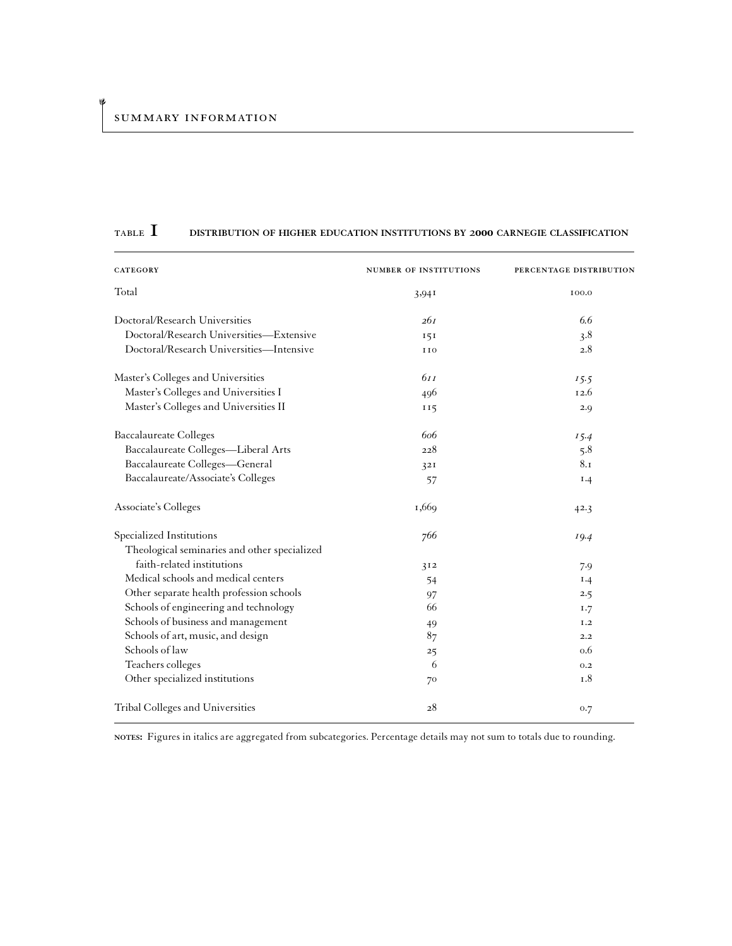١¢

| CATEGORY                                     | NUMBER OF INSTITUTIONS | PERCENTAGE DISTRIBUTION |
|----------------------------------------------|------------------------|-------------------------|
| Total                                        | 3,941                  | 100.0                   |
| Doctoral/Research Universities               | 26I                    | 6.6                     |
| Doctoral/Research Universities-Extensive     | 151                    | 3.8                     |
| Doctoral/Research Universities-Intensive     | 110                    | 2.8                     |
| Master's Colleges and Universities           | 6II                    | 15.5                    |
| Master's Colleges and Universities I         | 496                    | 12.6                    |
| Master's Colleges and Universities II        | 115                    | 2.9                     |
| <b>Baccalaureate Colleges</b>                | 606                    | 15.4                    |
| Baccalaureate Colleges-Liberal Arts          | 228                    | 5.8                     |
| Baccalaureate Colleges-General               | 32I                    | 8.1                     |
| Baccalaureate/Associate's Colleges           | 57                     | I.4                     |
| Associate's Colleges                         | 1,669                  | 42.3                    |
| Specialized Institutions                     | 766                    | 19.4                    |
| Theological seminaries and other specialized |                        |                         |
| faith-related institutions                   | 312                    | 7.9                     |
| Medical schools and medical centers          | 54                     | I.4                     |
| Other separate health profession schools     | 97                     | 2.5                     |
| Schools of engineering and technology        | 66                     | 1.7                     |
| Schools of business and management           | 49                     | I.2                     |
| Schools of art, music, and design            | 8 <sub>7</sub>         | 2.2                     |
| Schools of law                               | 25                     | 0.6                     |
| Teachers colleges                            | 6                      | 0.2                     |
| Other specialized institutions               | 70                     | 1.8                     |
| Tribal Colleges and Universities             | 28                     | 0.7                     |

### table 1 **DISTRIBUTION OF HIGHER EDUCATION INSTITUTIONS BY** <sup>2</sup>**000 CARNEGIE CLASSIFICATION**

**NOTES:** Figures in italics are aggregated from subcategories. Percentage details may not sum to totals due to rounding.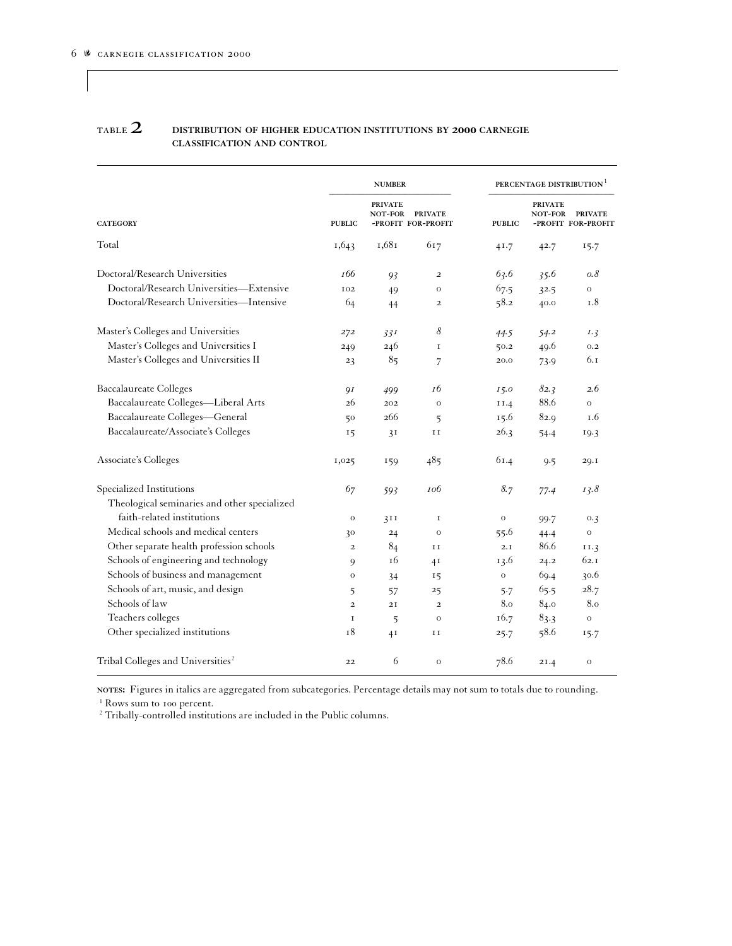|                                               |                | <b>NUMBER</b>                    |                                      |               | PERCENTAGE DISTRIBUTION <sup>1</sup> |                                      |  |
|-----------------------------------------------|----------------|----------------------------------|--------------------------------------|---------------|--------------------------------------|--------------------------------------|--|
| <b>CATEGORY</b>                               | <b>PUBLIC</b>  | <b>PRIVATE</b><br><b>NOT-FOR</b> | <b>PRIVATE</b><br>-PROFIT FOR-PROFIT | <b>PUBLIC</b> | <b>PRIVATE</b><br>NOT-FOR            | <b>PRIVATE</b><br>-PROFIT FOR-PROFIT |  |
| Total                                         | 1,643          | 1,681                            | 617                                  | 41.7          | 42.7                                 | 15.7                                 |  |
| Doctoral/Research Universities                | 166            | 93                               | $\overline{a}$                       | 63.6          | 35.6                                 | 0.8                                  |  |
| Doctoral/Research Universities-Extensive      | 102            | 49                               | $\mathbf{O}$                         | 67.5          | 32.5                                 | $\circ$                              |  |
| Doctoral/Research Universities—Intensive      | 64             | 44                               | $\mathbf{2}$                         | 58.2          | 40.0                                 | 1.8                                  |  |
| Master's Colleges and Universities            | 272            | 33I                              | 8                                    | 44.5          | 54.2                                 | $I.\,$                               |  |
| Master's Colleges and Universities I          | 249            | 246                              | $\mathbf I$                          | 50.2          | 49.6                                 | 0.2                                  |  |
| Master's Colleges and Universities II         | 23             | 85                               | 7                                    | 20.0          | 73.9                                 | 6.1                                  |  |
| Baccalaureate Colleges                        | 91             | 499                              | 16                                   | 15.0          | 82.3                                 | 2.6                                  |  |
| Baccalaureate Colleges-Liberal Arts           | 26             | 202                              | $\circ$                              | II.4          | 88.6                                 | $\Omega$                             |  |
| Baccalaureate Colleges-General                | 50             | 266                              | 5                                    | 15.6          | 82.9                                 | I.6                                  |  |
| Baccalaureate/Associate's Colleges            | 15             | 3I                               | $\mathbf I$ I                        | 26.3          | 54.4                                 | 19.3                                 |  |
| Associate's Colleges                          | 1,025          | 159                              | 485                                  | 61.4          | 9.5                                  | 20.1                                 |  |
| Specialized Institutions                      | 67             | 593                              | 106                                  | 8.7           | 77.4                                 | 13.8                                 |  |
| Theological seminaries and other specialized  |                |                                  |                                      |               |                                      |                                      |  |
| faith-related institutions                    | $\circ$        | 311                              | $\mathbf I$                          | $\mathbf O$   | 99.7                                 | 0.3                                  |  |
| Medical schools and medical centers           | 30             | 24                               | $\mathbf O$                          | 55.6          | 44.4                                 | $\mathbf O$                          |  |
| Other separate health profession schools      | $\overline{2}$ | 84                               | II                                   | 2.1           | 86.6                                 | 11.3                                 |  |
| Schools of engineering and technology         | 9              | 16                               | 4I                                   | 13.6          | 24.2                                 | 62.1                                 |  |
| Schools of business and management            | $\Omega$       | 34                               | 15                                   | $\circ$       | 69.4                                 | 30.6                                 |  |
| Schools of art, music, and design             | 5              | 57                               | 25                                   | 5.7           | 65.5                                 | 28.7                                 |  |
| Schools of law                                | $\overline{2}$ | 2I                               | $\overline{2}$                       | 8.0           | 84.0                                 | 8.0                                  |  |
| Teachers colleges                             | $\mathbf I$    | 5                                | $\mathbf{o}$                         | 16.7          | 83.3                                 | $\circ$                              |  |
| Other specialized institutions                | 18             | 4I                               | $_{II}$                              | 25.7          | 58.6                                 | 15.7                                 |  |
| Tribal Colleges and Universities <sup>2</sup> | 22             | 6                                | $\circ$                              | 78.6          | 21.4                                 | $\mathbf{o}$                         |  |

### table 2 **DISTRIBUTION OF HIGHER EDUCATION INSTITUTIONS BY 2000 CARNEGIE CLASSIFICATION AND CONTROL**

**NOTES:** Figures in italics are aggregated from subcategories. Percentage details may not sum to totals due to rounding.

<sup>1</sup> Rows sum to 100 percent.

<sup>2</sup> Tribally-controlled institutions are included in the Public columns.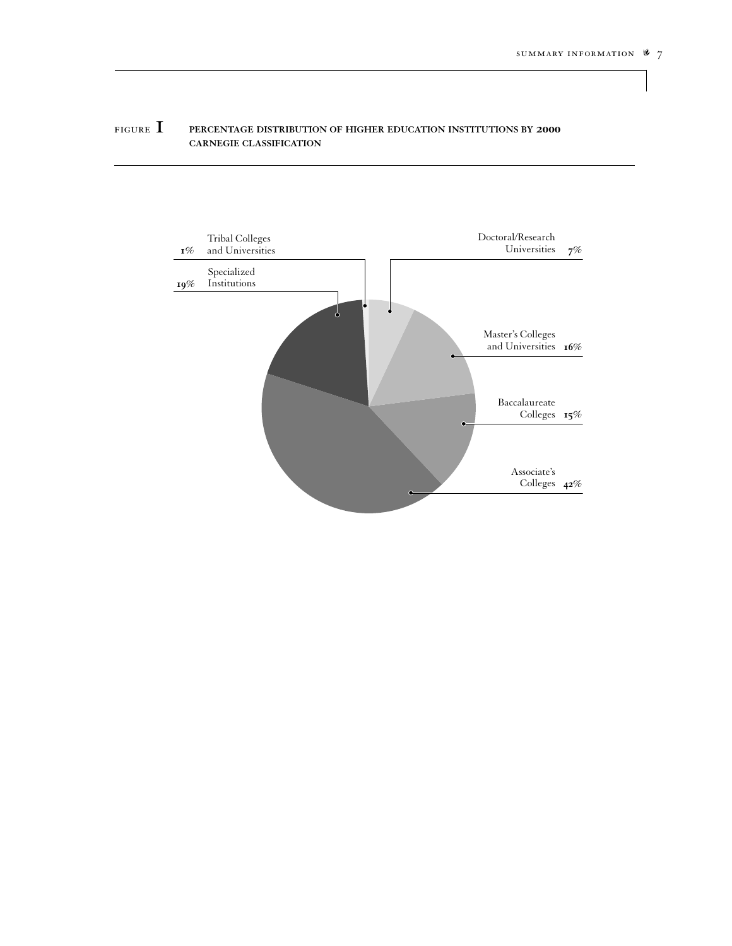### figure 1 **PERCENTAGE DISTRIBUTION OF HIGHER EDUCATION INSTITUTIONS BY 2000 CARNEGIE CLASSIFICATION**

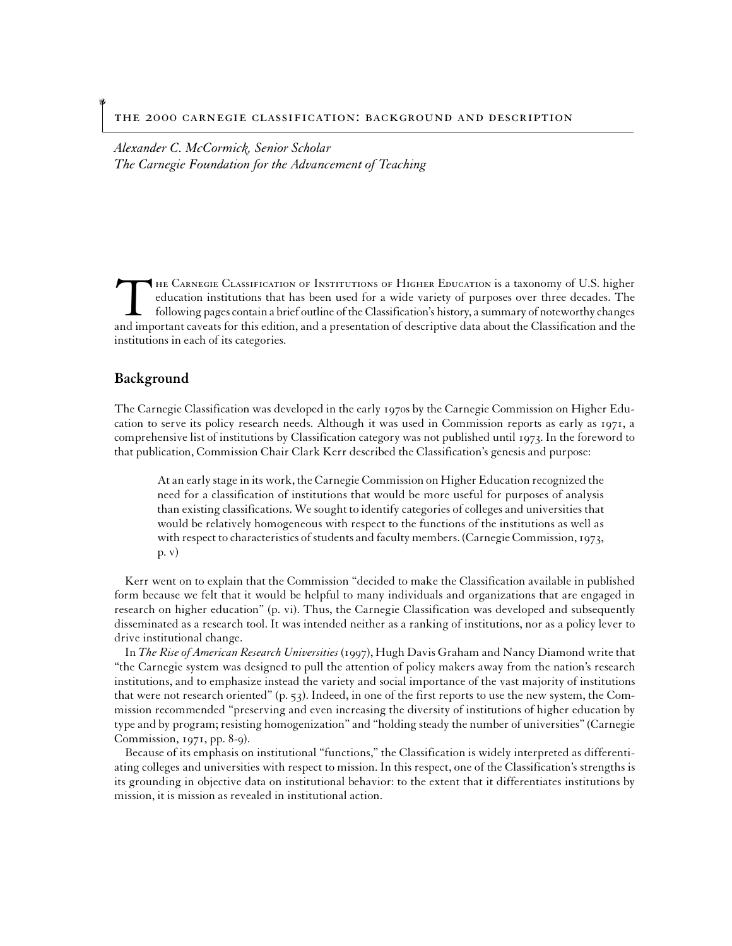*Alexander C. McCormick, Senior Scholar The Carnegie Foundation for the Advancement of Teaching*

THE CARNEGIE CLASSIFICATION OF INSTITUTIONS OF HIGHER EDUCATION is a taxonomy of U.S. higher education institutions that has been used for a wide variety of purposes over three decades. The following pages contain a brief he Carnegie Classification of Institutions of Higher Education is a taxonomy of U.S. higher education institutions that has been used for a wide variety of purposes over three decades. The following pages contain a brief outline of the Classification's history, a summary of noteworthy changes institutions in each of its categories.

#### **Background**

١¢

The Carnegie Classification was developed in the early 1970s by the Carnegie Commission on Higher Education to serve its policy research needs. Although it was used in Commission reports as early as 1971, a comprehensive list of institutions by Classification category was not published until 1973. In the foreword to that publication, Commission Chair Clark Kerr described the Classification's genesis and purpose:

At an early stage in its work, the Carnegie Commission on Higher Education recognized the need for a classification of institutions that would be more useful for purposes of analysis than existing classifications. We sought to identify categories of colleges and universities that would be relatively homogeneous with respect to the functions of the institutions as well as with respect to characteristics of students and faculty members. (Carnegie Commission, 1973, p. v)

Kerr went on to explain that the Commission "decided to make the Classification available in published form because we felt that it would be helpful to many individuals and organizations that are engaged in research on higher education" (p. vi). Thus, the Carnegie Classification was developed and subsequently disseminated as a research tool. It was intended neither as a ranking of institutions, nor as a policy lever to drive institutional change.

In *The Rise of American Research Universities* (1997), Hugh Davis Graham and Nancy Diamond write that "the Carnegie system was designed to pull the attention of policy makers away from the nation's research institutions, and to emphasize instead the variety and social importance of the vast majority of institutions that were not research oriented" (p. 53). Indeed, in one of the first reports to use the new system, the Commission recommended "preserving and even increasing the diversity of institutions of higher education by type and by program; resisting homogenization" and "holding steady the number of universities" (Carnegie Commission, 1971, pp. 8-9).

Because of its emphasis on institutional "functions," the Classification is widely interpreted as differentiating colleges and universities with respect to mission. In this respect, one of the Classification's strengths is its grounding in objective data on institutional behavior: to the extent that it differentiates institutions by mission, it is mission as revealed in institutional action.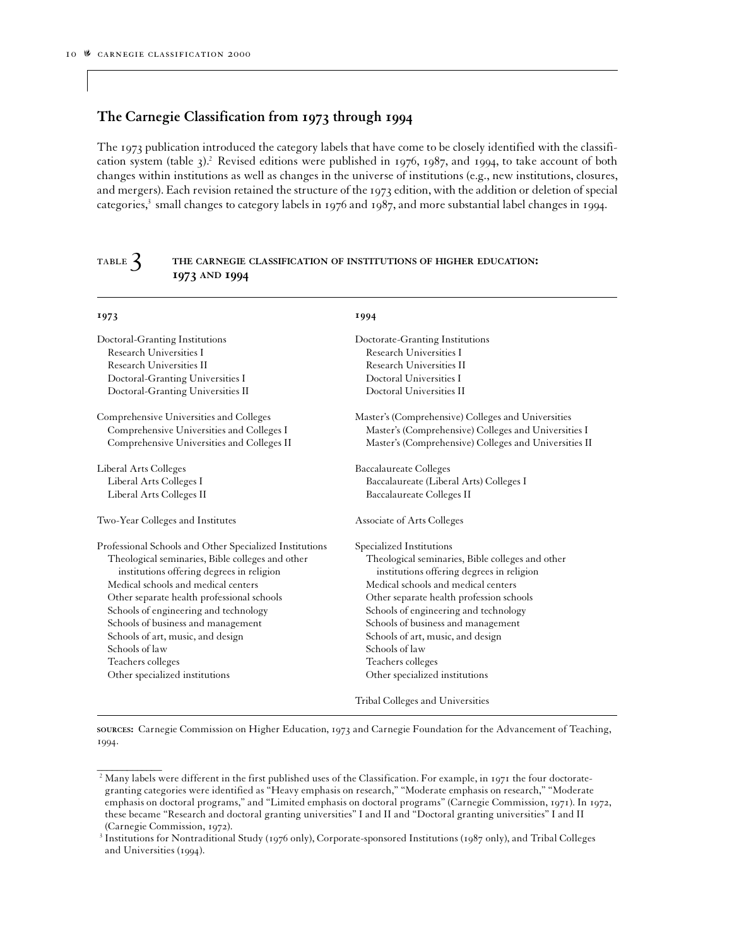\_\_\_\_\_\_\_\_\_\_\_\_\_

#### **The Carnegie Classification from 1973 through 1994**

The 1973 publication introduced the category labels that have come to be closely identified with the classification system (table 3).<sup>2</sup> Revised editions were published in 1976, 1987, and 1994, to take account of both changes within institutions as well as changes in the universe of institutions (e.g., new institutions, closures, and mergers). Each revision retained the structure of the 1973 edition, with the addition or deletion of special categories, $^3$  small changes to category labels in 1976 and 1987, and more substantial label changes in 1994.

### **1973 1994** Doctoral-Granting Institutions Doctorate-Granting Institutions Research Universities I Research Universities I Research Universities II and the Research Universities II and Research Universities II Doctoral-Granting Universities I Doctoral Universities I Doctoral-Granting Universities II Doctoral Universities II Comprehensive Universities and Colleges Master's (Comprehensive) Colleges and Universities Comprehensive Universities and Colleges I Master's (Comprehensive) Colleges and Universities I Comprehensive Universities and Colleges II Master's (Comprehensive) Colleges and Universities II Liberal Arts Colleges Baccalaureate Colleges Liberal Arts Colleges I Baccalaureate (Liberal Arts) Colleges I Liberal Arts Colleges II Baccalaureate Colleges II Two-Year Colleges and Institutes Associate of Arts Colleges Professional Schools and Other Specialized Institutions Specialized Institutions Theological seminaries, Bible colleges and other Theological seminaries, Bible colleges and other institutions offering degrees in religion institutions offering degrees in religion Medical schools and medical centers Medical schools and medical centers Other separate health professional schools Other separate health profession schools Schools of engineering and technology Schools of engineering and technology Schools of business and management Schools of business and management Schools of art, music, and design Schools of art, music, and design Schools of law Schools of law Schools of law Teachers colleges Teachers colleges Other specialized institutions Other specialized institutions

#### table 3 **THE CARNEGIE CLASSIFICATION OF INSTITUTIONS OF HIGHER EDUCATION: 1973 AND 1994**

**SOURCES:** Carnegie Commission on Higher Education, 1973 and Carnegie Foundation for the Advancement of Teaching, 1994.

Tribal Colleges and Universities

<sup>&</sup>lt;sup>2</sup> Many labels were different in the first published uses of the Classification. For example, in 1971 the four doctorategranting categories were identified as "Heavy emphasis on research," "Moderate emphasis on research," "Moderate emphasis on doctoral programs," and "Limited emphasis on doctoral programs" (Carnegie Commission, 1971). In 1972, these became "Research and doctoral granting universities" I and II and "Doctoral granting universities" I and II (Carnegie Commission, 1972).

<sup>3</sup> Institutions for Nontraditional Study (1976 only), Corporate-sponsored Institutions (1987 only), and Tribal Colleges and Universities (1994).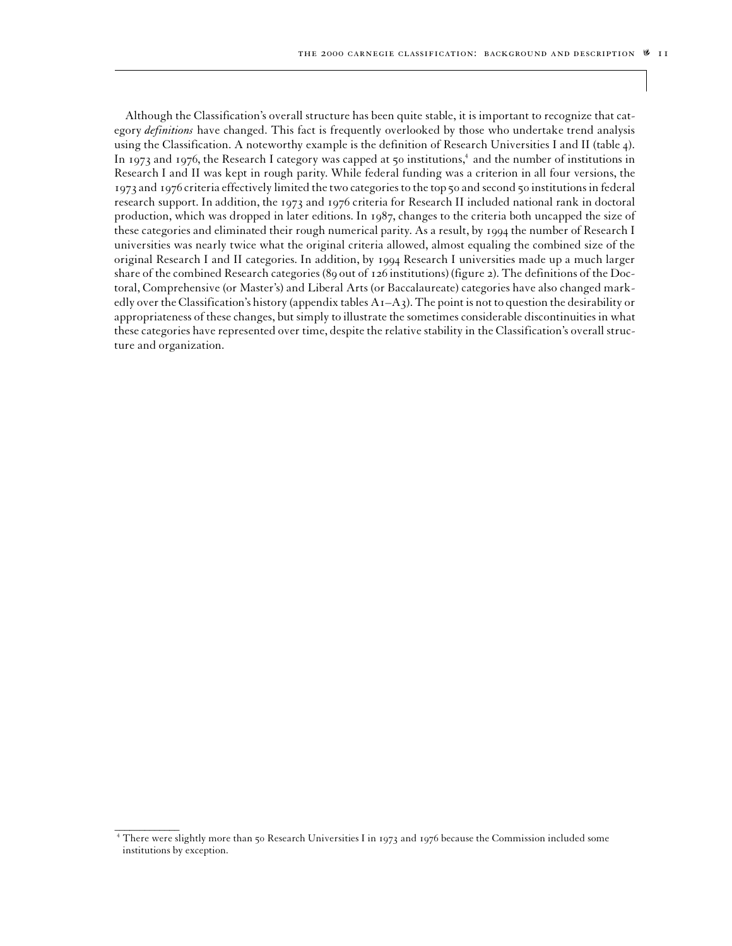Although the Classification's overall structure has been quite stable, it is important to recognize that category *definitions* have changed. This fact is frequently overlooked by those who undertake trend analysis using the Classification. A noteworthy example is the definition of Research Universities I and II (table 4). In 1973 and 1976, the Research I category was capped at 50 institutions, $^4$  and the number of institutions in Research I and II was kept in rough parity. While federal funding was a criterion in all four versions, the 1973 and 1976 criteria effectively limited the two categories to the top 50 and second 50 institutions in federal research support. In addition, the 1973 and 1976 criteria for Research II included national rank in doctoral production, which was dropped in later editions. In 1987, changes to the criteria both uncapped the size of these categories and eliminated their rough numerical parity. As a result, by 1994 the number of Research I universities was nearly twice what the original criteria allowed, almost equaling the combined size of the original Research I and II categories. In addition, by 1994 Research I universities made up a much larger share of the combined Research categories (89 out of 126 institutions) (figure 2). The definitions of the Doctoral, Comprehensive (or Master's) and Liberal Arts (or Baccalaureate) categories have also changed markedly over the Classification's history (appendix tables  $A_1$ – $A_3$ ). The point is not to question the desirability or appropriateness of these changes, but simply to illustrate the sometimes considerable discontinuities in what these categories have represented over time, despite the relative stability in the Classification's overall structure and organization.

\_\_\_\_\_\_\_\_\_\_\_\_\_

<sup>4</sup> There were slightly more than 50 Research Universities I in 1973 and 1976 because the Commission included some institutions by exception.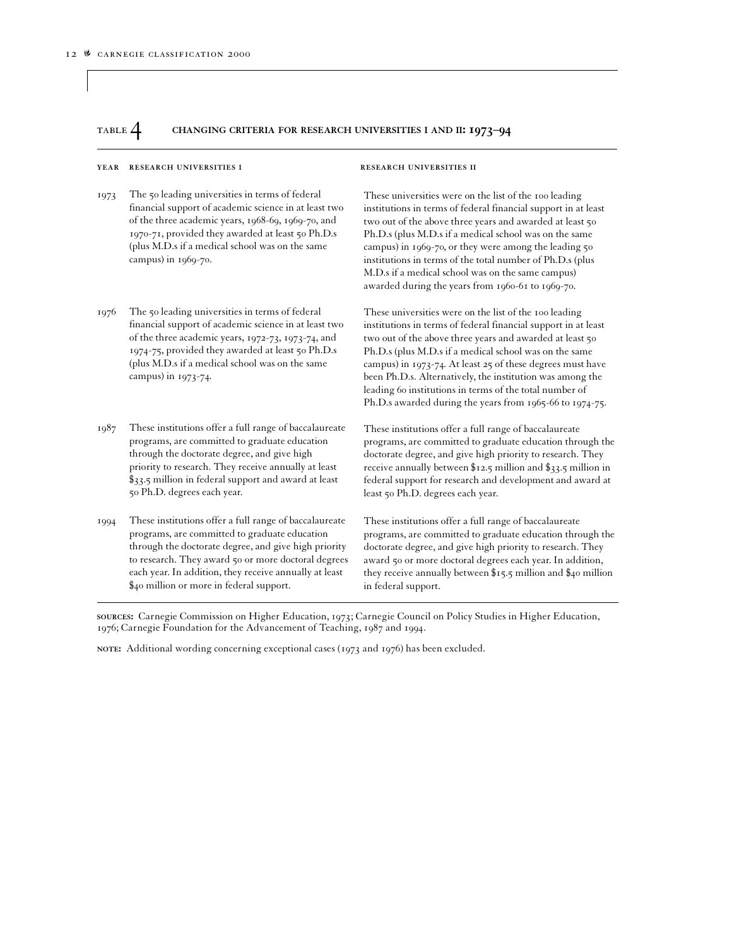#### table 4 **CHANGING CRITERIA FOR RESEARCH UNIVERSITIES <sup>I</sup> AND II: 1973–94**

#### **YEAR RESEARCH UNIVERSITIES I RESEARCH UNIVERSITIES II**

- 1973 The 50 leading universities in terms of federal financial support of academic science in at least two of the three academic years, 1968-69, 1969-70, and 1970-71, provided they awarded at least 50 Ph.D.s (plus M.D.s if a medical school was on the same campus) in 1969-70.
- 1976 The 50 leading universities in terms of federal financial support of academic science in at least two of the three academic years, 1972-73, 1973-74, and 1974-75, provided they awarded at least 50 Ph.D.s (plus M.D.s if a medical school was on the same campus) in 1973-74.
- 1987 These institutions offer a full range of baccalaureate programs, are committed to graduate education through the doctorate degree, and give high priority to research. They receive annually at least \$33.5 million in federal support and award at least 50 Ph.D. degrees each year.
- 1994 These institutions offer a full range of baccalaureate programs, are committed to graduate education through the doctorate degree, and give high priority to research. They award 50 or more doctoral degrees each year. In addition, they receive annually at least \$40 million or more in federal support.

These universities were on the list of the 100 leading institutions in terms of federal financial support in at least two out of the above three years and awarded at least 50 Ph.D.s (plus M.D.s if a medical school was on the same campus) in 1969-70, or they were among the leading 50 institutions in terms of the total number of Ph.D.s (plus M.D.s if a medical school was on the same campus) awarded during the years from 1960-61 to 1969-70.

These universities were on the list of the 100 leading institutions in terms of federal financial support in at least two out of the above three years and awarded at least 50 Ph.D.s (plus M.D.s if a medical school was on the same campus) in 1973-74. At least 25 of these degrees must have been Ph.D.s. Alternatively, the institution was among the leading 60 institutions in terms of the total number of Ph.D.s awarded during the years from 1965-66 to 1974-75.

These institutions offer a full range of baccalaureate programs, are committed to graduate education through the doctorate degree, and give high priority to research. They receive annually between \$12.5 million and \$33.5 million in federal support for research and development and award at least 50 Ph.D. degrees each year.

These institutions offer a full range of baccalaureate programs, are committed to graduate education through the doctorate degree, and give high priority to research. They award 50 or more doctoral degrees each year. In addition, they receive annually between \$15.5 million and \$40 million in federal support.

**SOURCES:** Carnegie Commission on Higher Education, 1973; Carnegie Council on Policy Studies in Higher Education, 1976; Carnegie Foundation for the Advancement of Teaching, 1987 and 1994.

**NOTE:** Additional wording concerning exceptional cases (1973 and 1976) has been excluded.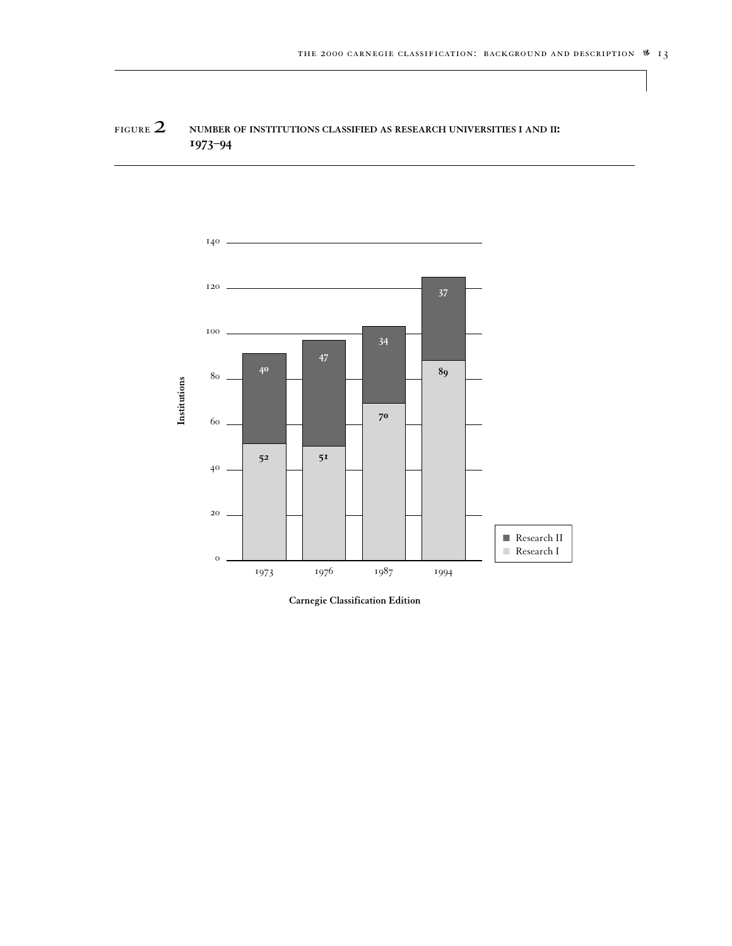



**Carnegie Classification Edition**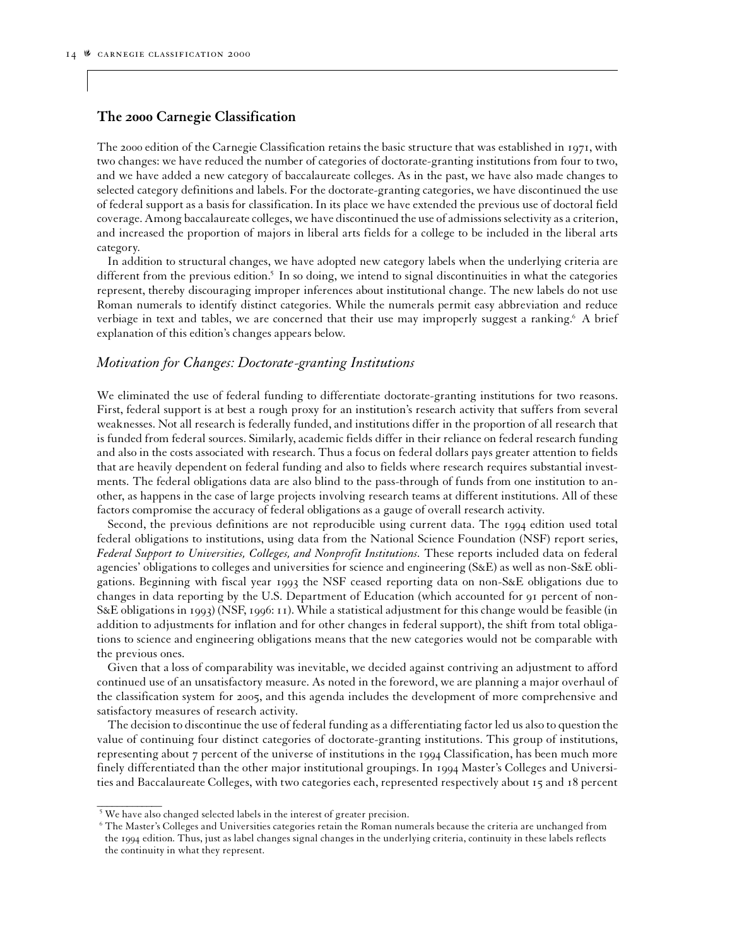#### **The 2000 Carnegie Classification**

The 2000 edition of the Carnegie Classification retains the basic structure that was established in 1971, with two changes: we have reduced the number of categories of doctorate-granting institutions from four to two, and we have added a new category of baccalaureate colleges. As in the past, we have also made changes to selected category definitions and labels. For the doctorate-granting categories, we have discontinued the use of federal support as a basis for classification. In its place we have extended the previous use of doctoral field coverage. Among baccalaureate colleges, we have discontinued the use of admissions selectivity as a criterion, and increased the proportion of majors in liberal arts fields for a college to be included in the liberal arts category.

In addition to structural changes, we have adopted new category labels when the underlying criteria are different from the previous edition.<sup>5</sup> In so doing, we intend to signal discontinuities in what the categories represent, thereby discouraging improper inferences about institutional change. The new labels do not use Roman numerals to identify distinct categories. While the numerals permit easy abbreviation and reduce verbiage in text and tables, we are concerned that their use may improperly suggest a ranking.<sup>6</sup> A brief explanation of this edition's changes appears below.

#### *Motivation for Changes: Doctorate-granting Institutions*

We eliminated the use of federal funding to differentiate doctorate-granting institutions for two reasons. First, federal support is at best a rough proxy for an institution's research activity that suffers from several weaknesses. Not all research is federally funded, and institutions differ in the proportion of all research that is funded from federal sources. Similarly, academic fields differ in their reliance on federal research funding and also in the costs associated with research. Thus a focus on federal dollars pays greater attention to fields that are heavily dependent on federal funding and also to fields where research requires substantial investments. The federal obligations data are also blind to the pass-through of funds from one institution to another, as happens in the case of large projects involving research teams at different institutions. All of these factors compromise the accuracy of federal obligations as a gauge of overall research activity.

Second, the previous definitions are not reproducible using current data. The 1994 edition used total federal obligations to institutions, using data from the National Science Foundation (NSF) report series, *Federal Support to Universities, Colleges, and Nonprofit Institutions.* These reports included data on federal agencies' obligations to colleges and universities for science and engineering (S&E) as well as non-S&E obligations. Beginning with fiscal year 1993 the NSF ceased reporting data on non-S&E obligations due to changes in data reporting by the U.S. Department of Education (which accounted for 91 percent of non-S&E obligations in 1993) (NSF, 1996: 11). While a statistical adjustment for this change would be feasible (in addition to adjustments for inflation and for other changes in federal support), the shift from total obligations to science and engineering obligations means that the new categories would not be comparable with the previous ones.

Given that a loss of comparability was inevitable, we decided against contriving an adjustment to afford continued use of an unsatisfactory measure. As noted in the foreword, we are planning a major overhaul of the classification system for 2005, and this agenda includes the development of more comprehensive and satisfactory measures of research activity.

The decision to discontinue the use of federal funding as a differentiating factor led us also to question the value of continuing four distinct categories of doctorate-granting institutions. This group of institutions, representing about 7 percent of the universe of institutions in the 1994 Classification, has been much more finely differentiated than the other major institutional groupings. In 1994 Master's Colleges and Universities and Baccalaureate Colleges, with two categories each, represented respectively about 15 and 18 percent

\_\_\_\_\_\_\_\_\_\_\_\_\_

<sup>5</sup> We have also changed selected labels in the interest of greater precision.

<sup>6</sup> The Master's Colleges and Universities categories retain the Roman numerals because the criteria are unchanged from the 1994 edition. Thus, just as label changes signal changes in the underlying criteria, continuity in these labels reflects the continuity in what they represent.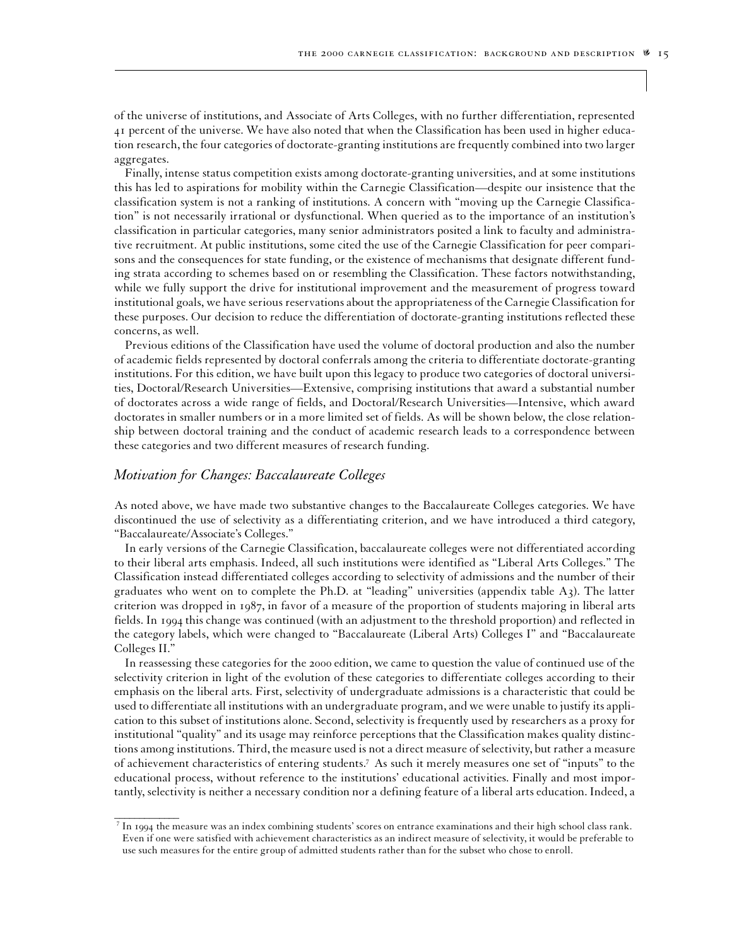of the universe of institutions, and Associate of Arts Colleges, with no further differentiation, represented 41 percent of the universe. We have also noted that when the Classification has been used in higher education research, the four categories of doctorate-granting institutions are frequently combined into two larger aggregates.

Finally, intense status competition exists among doctorate-granting universities, and at some institutions this has led to aspirations for mobility within the Carnegie Classification—despite our insistence that the classification system is not a ranking of institutions. A concern with "moving up the Carnegie Classification" is not necessarily irrational or dysfunctional. When queried as to the importance of an institution's classification in particular categories, many senior administrators posited a link to faculty and administrative recruitment. At public institutions, some cited the use of the Carnegie Classification for peer comparisons and the consequences for state funding, or the existence of mechanisms that designate different funding strata according to schemes based on or resembling the Classification. These factors notwithstanding, while we fully support the drive for institutional improvement and the measurement of progress toward institutional goals, we have serious reservations about the appropriateness of the Carnegie Classification for these purposes. Our decision to reduce the differentiation of doctorate-granting institutions reflected these concerns, as well.

Previous editions of the Classification have used the volume of doctoral production and also the number of academic fields represented by doctoral conferrals among the criteria to differentiate doctorate-granting institutions. For this edition, we have built upon this legacy to produce two categories of doctoral universities, Doctoral/Research Universities—Extensive, comprising institutions that award a substantial number of doctorates across a wide range of fields, and Doctoral/Research Universities—Intensive, which award doctorates in smaller numbers or in a more limited set of fields. As will be shown below, the close relationship between doctoral training and the conduct of academic research leads to a correspondence between these categories and two different measures of research funding.

#### *Motivation for Changes: Baccalaureate Colleges*

\_\_\_\_\_\_\_\_\_\_\_\_\_

As noted above, we have made two substantive changes to the Baccalaureate Colleges categories. We have discontinued the use of selectivity as a differentiating criterion, and we have introduced a third category, "Baccalaureate/Associate's Colleges."

In early versions of the Carnegie Classification, baccalaureate colleges were not differentiated according to their liberal arts emphasis. Indeed, all such institutions were identified as "Liberal Arts Colleges." The Classification instead differentiated colleges according to selectivity of admissions and the number of their graduates who went on to complete the Ph.D. at "leading" universities (appendix table A3). The latter criterion was dropped in  $1987$ , in favor of a measure of the proportion of students majoring in liberal arts fields. In 1994 this change was continued (with an adjustment to the threshold proportion) and reflected in the category labels, which were changed to "Baccalaureate (Liberal Arts) Colleges I" and "Baccalaureate Colleges II."

In reassessing these categories for the 2000 edition, we came to question the value of continued use of the selectivity criterion in light of the evolution of these categories to differentiate colleges according to their emphasis on the liberal arts. First, selectivity of undergraduate admissions is a characteristic that could be used to differentiate all institutions with an undergraduate program, and we were unable to justify its application to this subset of institutions alone. Second, selectivity is frequently used by researchers as a proxy for institutional "quality" and its usage may reinforce perceptions that the Classification makes quality distinctions among institutions. Third, the measure used is not a direct measure of selectivity, but rather a measure of achievement characteristics of entering students.<sup>7</sup> As such it merely measures one set of "inputs" to the educational process, without reference to the institutions' educational activities. Finally and most importantly, selectivity is neither a necessary condition nor a defining feature of a liberal arts education. Indeed, a

 $^7$  In 1994 the measure was an index combining students' scores on entrance examinations and their high school class rank. Even if one were satisfied with achievement characteristics as an indirect measure of selectivity, it would be preferable to use such measures for the entire group of admitted students rather than for the subset who chose to enroll.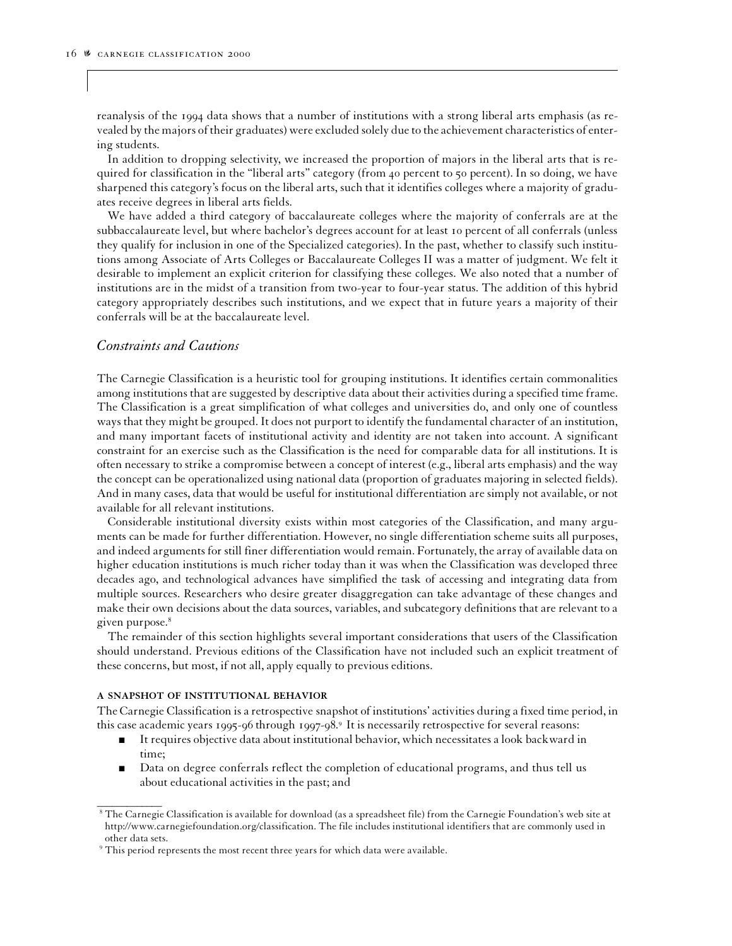reanalysis of the 1994 data shows that a number of institutions with a strong liberal arts emphasis (as revealed by the majors of their graduates) were excluded solely due to the achievement characteristics of entering students.

In addition to dropping selectivity, we increased the proportion of majors in the liberal arts that is required for classification in the "liberal arts" category (from 40 percent to 50 percent). In so doing, we have sharpened this category's focus on the liberal arts, such that it identifies colleges where a majority of graduates receive degrees in liberal arts fields.

We have added a third category of baccalaureate colleges where the majority of conferrals are at the subbaccalaureate level, but where bachelor's degrees account for at least 10 percent of all conferrals (unless they qualify for inclusion in one of the Specialized categories). In the past, whether to classify such institutions among Associate of Arts Colleges or Baccalaureate Colleges II was a matter of judgment. We felt it desirable to implement an explicit criterion for classifying these colleges. We also noted that a number of institutions are in the midst of a transition from two-year to four-year status. The addition of this hybrid category appropriately describes such institutions, and we expect that in future years a majority of their conferrals will be at the baccalaureate level.

#### *Constraints and Cautions*

The Carnegie Classification is a heuristic tool for grouping institutions. It identifies certain commonalities among institutions that are suggested by descriptive data about their activities during a specified time frame. The Classification is a great simplification of what colleges and universities do, and only one of countless ways that they might be grouped. It does not purport to identify the fundamental character of an institution, and many important facets of institutional activity and identity are not taken into account. A significant constraint for an exercise such as the Classification is the need for comparable data for all institutions. It is often necessary to strike a compromise between a concept of interest (e.g., liberal arts emphasis) and the way the concept can be operationalized using national data (proportion of graduates majoring in selected fields). And in many cases, data that would be useful for institutional differentiation are simply not available, or not available for all relevant institutions.

Considerable institutional diversity exists within most categories of the Classification, and many arguments can be made for further differentiation. However, no single differentiation scheme suits all purposes, and indeed arguments for still finer differentiation would remain. Fortunately, the array of available data on higher education institutions is much richer today than it was when the Classification was developed three decades ago, and technological advances have simplified the task of accessing and integrating data from multiple sources. Researchers who desire greater disaggregation can take advantage of these changes and make their own decisions about the data sources, variables, and subcategory definitions that are relevant to a given purpose.<sup>8</sup>

The remainder of this section highlights several important considerations that users of the Classification should understand. Previous editions of the Classification have not included such an explicit treatment of these concerns, but most, if not all, apply equally to previous editions.

#### **A SNAPSHOT OF INSTITUTIONAL BEHAVIOR**

\_\_\_\_\_\_\_\_\_\_\_\_\_

The Carnegie Classification is a retrospective snapshot of institutions' activities during a fixed time period, in this case academic years 1995-96 through 1997-98. 9 It is necessarily retrospective for several reasons:

- It requires objective data about institutional behavior, which necessitates a look backward in time;
- $\Box$  Data on degree conferrals reflect the completion of educational programs, and thus tell us about educational activities in the past; and

 $\rm{^8}$  The Carnegie Classification is available for download (as a spreadsheet file) from the Carnegie Foundation's web site at http://www.carnegiefoundation.org/classification. The file includes institutional identifiers that are commonly used in other data sets.

<sup>&</sup>lt;sup>9</sup> This period represents the most recent three years for which data were available.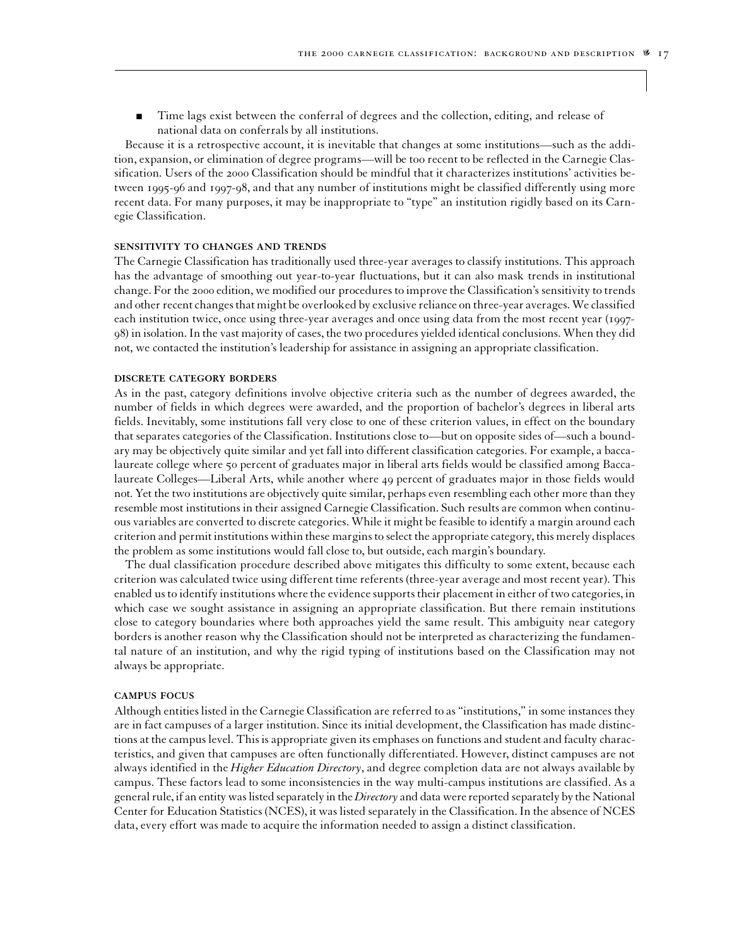Time lags exist between the conferral of degrees and the collection, editing, and release of national data on conferrals by all institutions.

Because it is a retrospective account, it is inevitable that changes at some institutions—such as the addition, expansion, or elimination of degree programs—will be too recent to be reflected in the Carnegie Classification. Users of the 2000 Classification should be mindful that it characterizes institutions' activities between 1995-96 and 1997-98, and that any number of institutions might be classified differently using more recent data. For many purposes, it may be inappropriate to "type" an institution rigidly based on its Carnegie Classification.

#### **SENSITIVITY TO CHANGES AND TRENDS**

The Carnegie Classification has traditionally used three-year averages to classify institutions. This approach has the advantage of smoothing out year-to-year fluctuations, but it can also mask trends in institutional change. For the 2000 edition, we modified our procedures to improve the Classification's sensitivity to trends and other recent changes that might be overlooked by exclusive reliance on three-year averages. We classified each institution twice, once using three-year averages and once using data from the most recent year (1997- 98) in isolation. In the vast majority of cases, the two procedures yielded identical conclusions. When they did not, we contacted the institution's leadership for assistance in assigning an appropriate classification.

#### **DISCRETE CATEGORY BORDERS**

As in the past, category definitions involve objective criteria such as the number of degrees awarded, the number of fields in which degrees were awarded, and the proportion of bachelor's degrees in liberal arts fields. Inevitably, some institutions fall very close to one of these criterion values, in effect on the boundary that separates categories of the Classification. Institutions close to—but on opposite sides of—such a boundary may be objectively quite similar and yet fall into different classification categories. For example, a baccalaureate college where 50 percent of graduates major in liberal arts fields would be classified among Baccalaureate Colleges—Liberal Arts, while another where 49 percent of graduates major in those fields would not. Yet the two institutions are objectively quite similar, perhaps even resembling each other more than they resemble most institutions in their assigned Carnegie Classification. Such results are common when continuous variables are converted to discrete categories. While it might be feasible to identify a margin around each criterion and permit institutions within these margins to select the appropriate category, this merely displaces the problem as some institutions would fall close to, but outside, each margin's boundary.

The dual classification procedure described above mitigates this difficulty to some extent, because each criterion was calculated twice using different time referents (three-year average and most recent year). This enabled us to identify institutions where the evidence supports their placement in either of two categories, in which case we sought assistance in assigning an appropriate classification. But there remain institutions close to category boundaries where both approaches yield the same result. This ambiguity near category borders is another reason why the Classification should not be interpreted as characterizing the fundamental nature of an institution, and why the rigid typing of institutions based on the Classification may not always be appropriate.

#### **CAMPUS FOCUS**

Although entities listed in the Carnegie Classification are referred to as "institutions," in some instances they are in fact campuses of a larger institution. Since its initial development, the Classification has made distinctions at the campus level. This is appropriate given its emphases on functions and student and faculty characteristics, and given that campuses are often functionally differentiated. However, distinct campuses are not always identified in the *Higher Education Directory*, and degree completion data are not always available by campus. These factors lead to some inconsistencies in the way multi-campus institutions are classified. As a general rule, if an entity was listed separately in the *Directory* and data were reported separately by the National Center for Education Statistics (NCES), it was listed separately in the Classification. In the absence of NCES data, every effort was made to acquire the information needed to assign a distinct classification.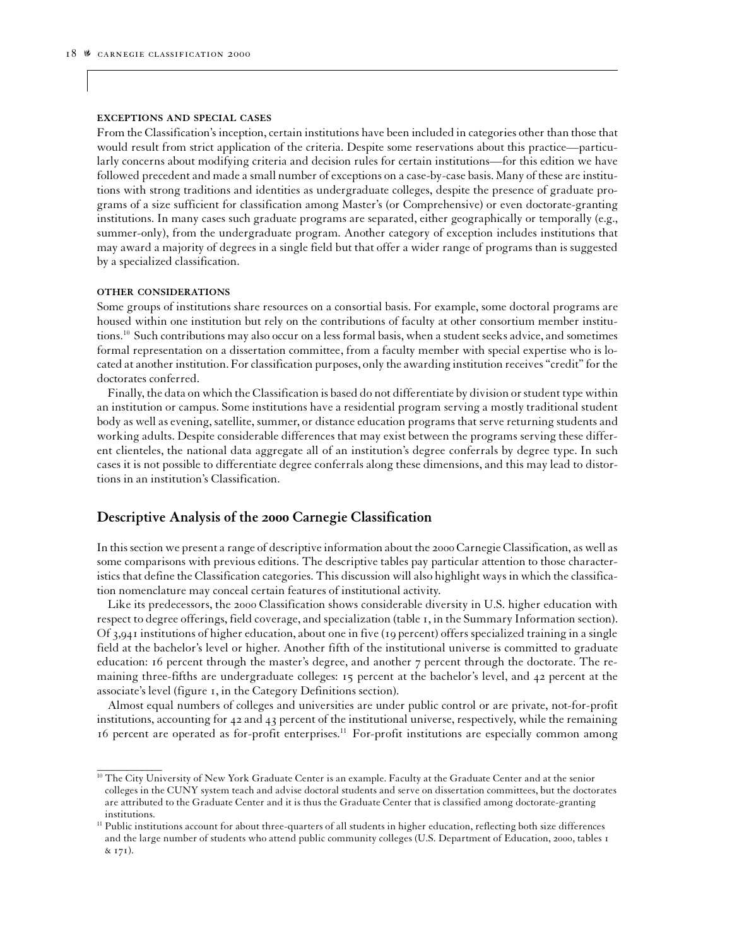#### **EXCEPTIONS AND SPECIAL CASES**

From the Classification's inception, certain institutions have been included in categories other than those that would result from strict application of the criteria. Despite some reservations about this practice—particularly concerns about modifying criteria and decision rules for certain institutions—for this edition we have followed precedent and made a small number of exceptions on a case-by-case basis. Many of these are institutions with strong traditions and identities as undergraduate colleges, despite the presence of graduate programs of a size sufficient for classification among Master's (or Comprehensive) or even doctorate-granting institutions. In many cases such graduate programs are separated, either geographically or temporally (e.g., summer-only), from the undergraduate program. Another category of exception includes institutions that may award a majority of degrees in a single field but that offer a wider range of programs than is suggested by a specialized classification.

#### **OTHER CONSIDERATIONS**

\_\_\_\_\_\_\_\_\_\_\_\_\_

Some groups of institutions share resources on a consortial basis. For example, some doctoral programs are housed within one institution but rely on the contributions of faculty at other consortium member institutions.<sup>10</sup> Such contributions may also occur on a less formal basis, when a student seeks advice, and sometimes formal representation on a dissertation committee, from a faculty member with special expertise who is located at another institution. For classification purposes, only the awarding institution receives "credit" for the doctorates conferred.

Finally, the data on which the Classification is based do not differentiate by division or student type within an institution or campus. Some institutions have a residential program serving a mostly traditional student body as well as evening, satellite, summer, or distance education programs that serve returning students and working adults. Despite considerable differences that may exist between the programs serving these different clienteles, the national data aggregate all of an institution's degree conferrals by degree type. In such cases it is not possible to differentiate degree conferrals along these dimensions, and this may lead to distortions in an institution's Classification.

#### **Descriptive Analysis of the 2000 Carnegie Classification**

In this section we present a range of descriptive information about the 2000 Carnegie Classification, as well as some comparisons with previous editions. The descriptive tables pay particular attention to those characteristics that define the Classification categories. This discussion will also highlight ways in which the classification nomenclature may conceal certain features of institutional activity.

Like its predecessors, the 2000 Classification shows considerable diversity in U.S. higher education with respect to degree offerings, field coverage, and specialization (table 1, in the Summary Information section). Of 3,941 institutions of higher education, about one in five (19 percent) offers specialized training in a single field at the bachelor's level or higher. Another fifth of the institutional universe is committed to graduate education: 16 percent through the master's degree, and another 7 percent through the doctorate. The remaining three-fifths are undergraduate colleges: 15 percent at the bachelor's level, and 42 percent at the associate's level (figure 1, in the Category Definitions section).

Almost equal numbers of colleges and universities are under public control or are private, not-for-profit institutions, accounting for 42 and 43 percent of the institutional universe, respectively, while the remaining 16 percent are operated as for-profit enterprises.11 For-profit institutions are especially common among

<sup>&</sup>lt;sup>10</sup> The City University of New York Graduate Center is an example. Faculty at the Graduate Center and at the senior colleges in the CUNY system teach and advise doctoral students and serve on dissertation committees, but the doctorates are attributed to the Graduate Center and it is thus the Graduate Center that is classified among doctorate-granting institutions.

<sup>&</sup>lt;sup>11</sup> Public institutions account for about three-quarters of all students in higher education, reflecting both size differences and the large number of students who attend public community colleges (U.S. Department of Education, 2000, tables 1 & 171).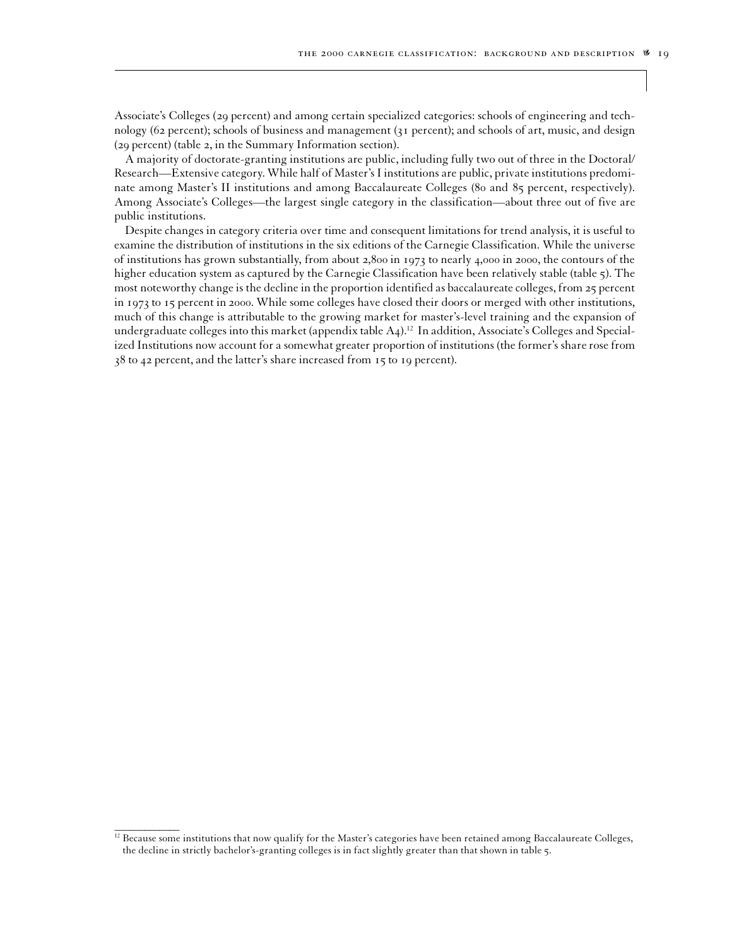Associate's Colleges (29 percent) and among certain specialized categories: schools of engineering and technology (62 percent); schools of business and management (31 percent); and schools of art, music, and design (29 percent) (table 2, in the Summary Information section).

A majority of doctorate-granting institutions are public, including fully two out of three in the Doctoral/ Research—Extensive category. While half of Master's I institutions are public, private institutions predominate among Master's II institutions and among Baccalaureate Colleges (80 and 85 percent, respectively). Among Associate's Colleges—the largest single category in the classification—about three out of five are public institutions.

Despite changes in category criteria over time and consequent limitations for trend analysis, it is useful to examine the distribution of institutions in the six editions of the Carnegie Classification. While the universe of institutions has grown substantially, from about 2,800 in 1973 to nearly 4,000 in 2000, the contours of the higher education system as captured by the Carnegie Classification have been relatively stable (table 5). The most noteworthy change is the decline in the proportion identified as baccalaureate colleges, from 25 percent in 1973 to 15 percent in 2000. While some colleges have closed their doors or merged with other institutions, much of this change is attributable to the growing market for master's-level training and the expansion of undergraduate colleges into this market (appendix table  $A_4$ ).<sup>12</sup> In addition, Associate's Colleges and Specialized Institutions now account for a somewhat greater proportion of institutions (the former's share rose from 38 to 42 percent, and the latter's share increased from 15 to 19 percent).

\_\_\_\_\_\_\_\_\_\_\_\_\_

 $12$  Because some institutions that now qualify for the Master's categories have been retained among Baccalaureate Colleges, the decline in strictly bachelor's-granting colleges is in fact slightly greater than that shown in table 5.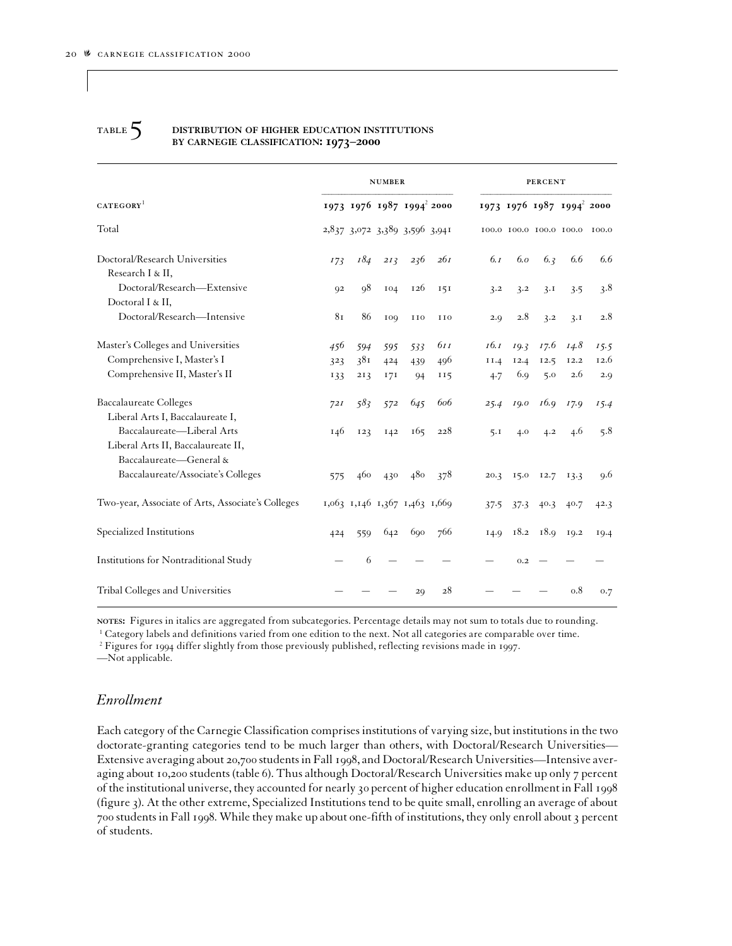|                                                   |                |                                       | <b>NUMBER</b> |     |     |             |      | <b>PERCENT</b> |                                       |      |
|---------------------------------------------------|----------------|---------------------------------------|---------------|-----|-----|-------------|------|----------------|---------------------------------------|------|
| $CATEGORY$ <sup>1</sup>                           |                | 1973 1976 1987 1994 <sup>2</sup> 2000 |               |     |     |             |      |                | 1973 1976 1987 1994 <sup>2</sup> 2000 |      |
| Total                                             |                | 2,837 3,072 3,389 3,596 3,941         |               |     |     |             |      |                | 100.0 100.0 100.0 100.0 100.0         |      |
| Doctoral/Research Universities                    | 173            | 184                                   | 213           | 236 | 261 | 6.1         | 6.0  | 6.3            | 6.6                                   | 6.6  |
| Research I & II,                                  |                |                                       |               |     |     |             |      |                |                                       |      |
| Doctoral/Research-Extensive                       | Q2             | 98                                    | 104           | 126 | 151 | 3.2         | 3.2  | 3.1            | 3.5                                   | 3.8  |
| Doctoral I & II,                                  |                |                                       |               |     |     |             |      |                |                                       |      |
| Doctoral/Research-Intensive                       | 8 <sub>I</sub> | 86                                    | 100           | 110 | 110 | 2.9         | 2.8  | 3.2            | 3.1                                   | 2.8  |
| Master's Colleges and Universities                | 456            | 594                                   | 595           | 533 | 611 | <i>16.1</i> | 19.3 | 17.6           | 14.8                                  | 15.5 |
| Comprehensive I, Master's I                       | 323            | 381                                   | 424           | 439 | 496 | II.4        | 12.4 | 12.5           | 12.2                                  | 12.6 |
| Comprehensive II, Master's II                     | 133            | 213                                   | 171           | 94  | 115 | 4.7         | 6.9  | 5.0            | 2.6                                   | 2.9  |
| <b>Baccalaureate Colleges</b>                     | 72I            | 583                                   | 572           | 645 | 606 | 25.4        | 19.0 | 16.9           | 17.9                                  | 15.4 |
| Liberal Arts I, Baccalaureate I,                  |                |                                       |               |     |     |             |      |                |                                       |      |
| Baccalaureate-Liberal Arts                        | 146            | 123                                   | 142           | 165 | 228 | 5.1         | 4.0  | 4.2            | 4.6                                   | 5.8  |
| Liberal Arts II, Baccalaureate II,                |                |                                       |               |     |     |             |      |                |                                       |      |
| Baccalaureate-General &                           |                |                                       |               |     |     |             |      |                |                                       |      |
| Baccalaureate/Associate's Colleges                | 575            | 460                                   | 430           | 480 | 378 | 20.3        | 15.0 | 12.7           | 13.3                                  | 9.6  |
| Two-year, Associate of Arts, Associate's Colleges |                | 1,063 1,146 1,367 1,463 1,669         |               |     |     | 37.5        | 37.3 | 40.3           | 40.7                                  | 42.3 |
| Specialized Institutions                          | 424            | 559                                   | 642           | 690 | 766 | 14.9        | 18.2 | 18.9           | 19.2                                  | 19.4 |
| Institutions for Nontraditional Study             |                | 6                                     |               |     |     |             | 0.2  |                |                                       |      |
| Tribal Colleges and Universities                  |                |                                       |               | 2Q  | 28  |             |      |                | $_{\rm 0.8}$                          | 0.7  |

#### table 5 **DISTRIBUTION OF HIGHER EDUCATION INSTITUTIONS BY CARNEGIE CLASSIFICATION: 1973–2000**

**NOTES:** Figures in italics are aggregated from subcategories. Percentage details may not sum to totals due to rounding.

<sup>1</sup> Category labels and definitions varied from one edition to the next. Not all categories are comparable over time.

<sup>2</sup> Figures for 1994 differ slightly from those previously published, reflecting revisions made in 1997.

—Not applicable.

#### *Enrollment*

Each category of the Carnegie Classification comprises institutions of varying size, but institutions in the two doctorate-granting categories tend to be much larger than others, with Doctoral/Research Universities— Extensive averaging about 20,700 students in Fall 1998, and Doctoral/Research Universities—Intensive averaging about 10,200 students (table 6). Thus although Doctoral/Research Universities make up only 7 percent of the institutional universe, they accounted for nearly 30 percent of higher education enrollment in Fall 1998 (figure 3). At the other extreme, Specialized Institutions tend to be quite small, enrolling an average of about 700 students in Fall 1998. While they make up about one-fifth of institutions, they only enroll about 3 percent of students.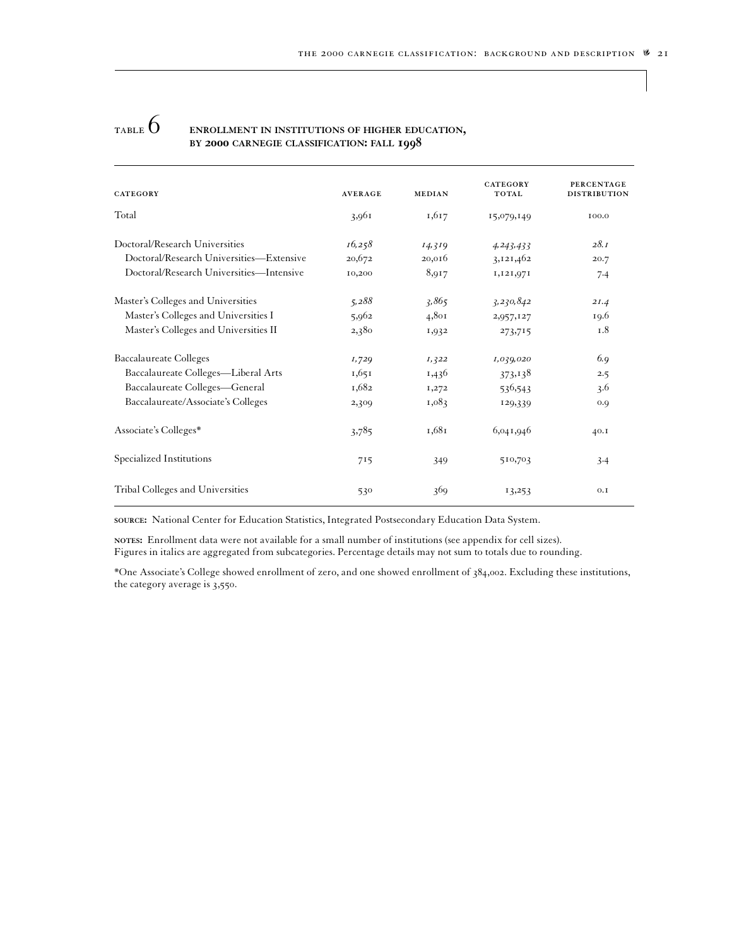| <b>CATEGORY</b>                          | <b>AVERAGE</b> | <b>MEDIAN</b>     | <b>CATEGORY</b><br><b>TOTAL</b> | <b>PERCENTAGE</b><br><b>DISTRIBUTION</b> |
|------------------------------------------|----------------|-------------------|---------------------------------|------------------------------------------|
| Total                                    | 3,961          | 1,617             | 15,079,149                      | 100.0                                    |
| Doctoral/Research Universities           | 16,258         | 14,319            | 4, 243, 433                     | 28.1                                     |
| Doctoral/Research Universities-Extensive | 20,672         | 20,016            | 3,121,462                       | 20.7                                     |
| Doctoral/Research Universities—Intensive | 10,200         | 8,917             | 1,121,971                       | $7-4$                                    |
| Master's Colleges and Universities       | 5,288          | 3,865             | 3, 230, 842                     | 2I.4                                     |
| Master's Colleges and Universities I     | 5,962          | 4,801             | 2,957,127                       | 19.6                                     |
| Master's Colleges and Universities II    | 2,380          | 1,932             | 273,715                         | 1.8                                      |
| <b>Baccalaureate Colleges</b>            | 1,729          | I, 322            | 1,039,020                       | 6.9                                      |
| Baccalaureate Colleges-Liberal Arts      | 1,651          | 1,436             | 373,138                         | 2.5                                      |
| Baccalaureate Colleges-General           | 1,682          | 1,272             | 536,543                         | 3.6                                      |
| Baccalaureate/Associate's Colleges       | 2,309          | 1,083             | 129,339                         | 0.9                                      |
| Associate's Colleges*                    | 3,785          | 1,68 <sub>1</sub> | 6,041,946                       | 40.I                                     |
| Specialized Institutions                 | 715            | 349               | 510,703                         | $3-4$                                    |
| Tribal Colleges and Universities         | 530            | 369               | 13,253                          | 0.I                                      |

### $\sigma_{\text{TABLE}}$  6 **ENROLLMENT** IN INSTITUTIONS OF HIGHER EDUCATION, **BY 2000 CARNEGIE CLASSIFICATION: FALL 1998**

**SOURCE:** National Center for Education Statistics, Integrated Postsecondary Education Data System.

**NOTES:** Enrollment data were not available for a small number of institutions (see appendix for cell sizes). Figures in italics are aggregated from subcategories. Percentage details may not sum to totals due to rounding.

\*One Associate's College showed enrollment of zero, and one showed enrollment of 384,002. Excluding these institutions, the category average is 3,550.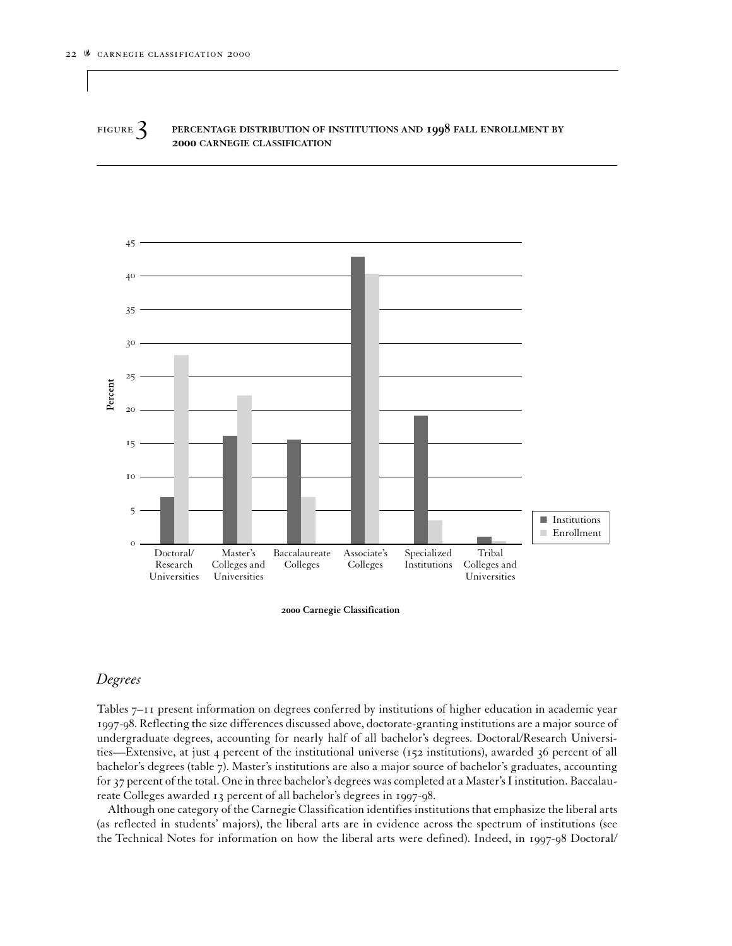#### figure 3 **PERCENTAGE DISTRIBUTION OF INSTITUTIONS AND 1998 FALL ENROLLMENT BY 2000 CARNEGIE CLASSIFICATION**



**2000 Carnegie Classification**

#### *Degrees*

Tables 7– 11 present information on degrees conferred by institutions of higher education in academic year 1997-98. Reflecting the size differences discussed above, doctorate-granting institutions are a major source of undergraduate degrees, accounting for nearly half of all bachelor's degrees. Doctoral/Research Universities— Extensive, at just 4 percent of the institutional universe (152 institutions), awarded 36 percent of all bachelor's degrees (table 7). Master's institutions are also a major source of bachelor's graduates, accounting for 37 percent of the total. One in three bachelor's degrees was completed at a Master's I institution. Baccalaureate Colleges awarded 13 percent of all bachelor's degrees in 1997-98.

Although one category of the Carnegie Classification identifies institutions that emphasize the liberal arts (as reflected in students' majors), the liberal arts are in evidence across the spectrum of institutions (see the Technical Notes for information on how the liberal arts were defined). Indeed, in 1997-98 Doctoral/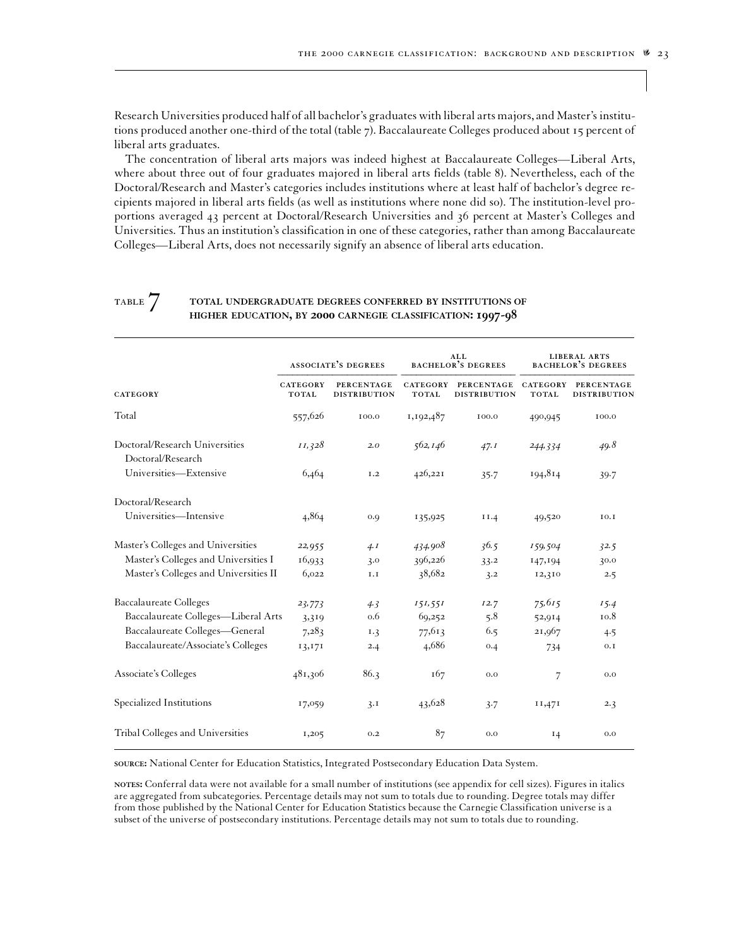Research Universities produced half of all bachelor's graduates with liberal arts majors, and Master's institutions produced another one-third of the total (table 7). Baccalaureate Colleges produced about 15 percent of liberal arts graduates.

The concentration of liberal arts majors was indeed highest at Baccalaureate Colleges—Liberal Arts, where about three out of four graduates majored in liberal arts fields (table 8). Nevertheless, each of the Doctoral/Research and Master's categories includes institutions where at least half of bachelor's degree recipients majored in liberal arts fields (as well as institutions where none did so). The institution-level proportions averaged 43 percent at Doctoral/Research Universities and 36 percent at Master's Colleges and Universities. Thus an institution's classification in one of these categories, rather than among Baccalaureate Colleges—Liberal Arts, does not necessarily signify an absence of liberal arts education.

#### table 7 **TOTAL UNDERGRADUATE DEGREES CONFERRED BY INSTITUTIONS OF HIGHER EDUCATION, BY 2000 CARNEGIE CLASSIFICATION: 1997-98**

|                                                     |                                 | <b>ASSOCIATE'S DEGREES</b>               |                                 | $A$ I.I.<br><b>BACHELOR'S DEGREES</b> | LIBERAL ARTS<br><b>BACHELOR'S DEGREES</b> |                                          |
|-----------------------------------------------------|---------------------------------|------------------------------------------|---------------------------------|---------------------------------------|-------------------------------------------|------------------------------------------|
| <b>CATEGORY</b>                                     | <b>CATEGORY</b><br><b>TOTAL</b> | <b>PERCENTAGE</b><br><b>DISTRIBUTION</b> | <b>CATEGORY</b><br><b>TOTAL</b> | PERCENTAGE<br><b>DISTRIBUTION</b>     | <b>CATEGORY</b><br><b>TOTAL</b>           | <b>PERCENTAGE</b><br><b>DISTRIBUTION</b> |
| Total                                               | 557,626                         | 100.0                                    | 1,192,487                       | 100.0                                 | 490,945                                   | 100.0                                    |
| Doctoral/Research Universities<br>Doctoral/Research | 11,328                          | 2.0                                      | 562,146                         | 47.1                                  | 244,334                                   | 49.8                                     |
| Universities—Extensive                              | 6,464                           | I.2                                      | 426,221                         | 35.7                                  | 194,814                                   | 39.7                                     |
| Doctoral/Research                                   |                                 |                                          |                                 |                                       |                                           |                                          |
| Universities—Intensive                              | 4,864                           | 0.9                                      | 135,925                         | II.4                                  | 49,520                                    | IO.I                                     |
| Master's Colleges and Universities                  | 22,955                          | 4.1                                      | 434,908                         | 36.5                                  | 159,504                                   | 32.5                                     |
| Master's Colleges and Universities I                | 16,933                          | 3.0                                      | 396,226                         | 33.2                                  | 147,194                                   | 30.0                                     |
| Master's Colleges and Universities II               | 6,022                           | I.I                                      | 38,682                          | 3.2                                   | 12,310                                    | 2.5                                      |
| Baccalaureate Colleges                              | 23,773                          | 4.3                                      | 151,551                         | 12.7                                  | 75,615                                    | 15.4                                     |
| Baccalaureate Colleges—Liberal Arts                 | 3,319                           | 0.6                                      | 69,252                          | 5.8                                   | 52,914                                    | 10.8                                     |
| Baccalaureate Colleges-General                      | 7,283                           | I.3                                      | 77,613                          | 6.5                                   | 21,967                                    | 4.5                                      |
| Baccalaureate/Associate's Colleges                  | 13,171                          | 2.4                                      | 4,686                           | 0.4                                   | 734                                       | 0.I                                      |
| Associate's Colleges                                | 481,306                         | 86.3                                     | 167                             | 0.0                                   | 7                                         | 0.0                                      |
| Specialized Institutions                            | 17,059                          | 3.1                                      | 43,628                          | 3.7                                   | 11,471                                    | 2.3                                      |
| Tribal Colleges and Universities                    | 1,205                           | 0.2                                      | 8 <sub>7</sub>                  | 0.0                                   | <b>14</b>                                 | 0.0                                      |

**SOURCE:** National Center for Education Statistics, Integrated Postsecondary Education Data System.

**NOTES:** Conferral data were not available for a small number of institutions (see appendix for cell sizes). Figures in italics are aggregated from subcategories. Percentage details may not sum to totals due to rounding. Degree totals may differ from those published by the National Center for Education Statistics because the Carnegie Classification universe is a subset of the universe of postsecondary institutions. Percentage details may not sum to totals due to rounding.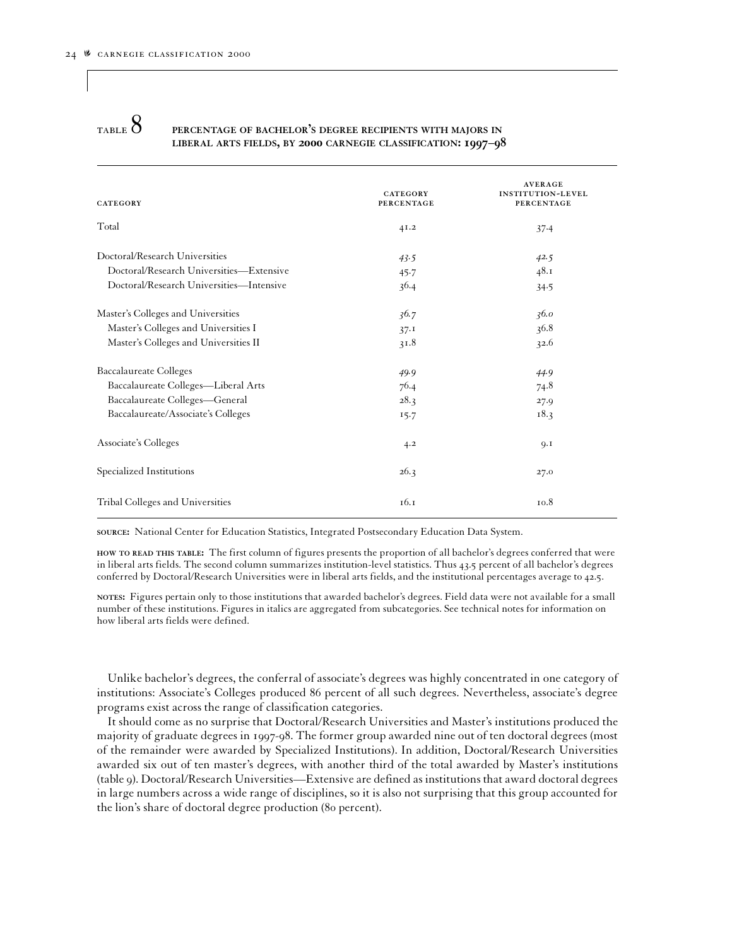## table 8 **PERCENTAGE OF BACHELOR'<sup>S</sup> DEGREE RECIPIENTS WITH MAJORS IN LIBERAL ARTS FIELDS, BY 2000 CARNEGIE CLASSIFICATION: 1997–98**

| <b>CATEGORY</b>                          | CATEGORY<br><b>PERCENTAGE</b> | <b>AVERAGE</b><br><b>INSTITUTION-LEVEL</b><br><b>PERCENTAGE</b> |
|------------------------------------------|-------------------------------|-----------------------------------------------------------------|
| Total                                    | 41.2                          | $37 - 4$                                                        |
| Doctoral/Research Universities           | 43.5                          | 42.5                                                            |
| Doctoral/Research Universities-Extensive | 45.7                          | 48.1                                                            |
| Doctoral/Research Universities—Intensive | 36.4                          | 34.5                                                            |
| Master's Colleges and Universities       | 36.7                          | 36.0                                                            |
| Master's Colleges and Universities I     | 37.1                          | 36.8                                                            |
| Master's Colleges and Universities II    | 31.8                          | 32.6                                                            |
| <b>Baccalaureate Colleges</b>            | 49.9                          | 44.9                                                            |
| Baccalaureate Colleges—Liberal Arts      | 76.4                          | 74.8                                                            |
| Baccalaureate Colleges-General           | 28.3                          | 27.9                                                            |
| Baccalaureate/Associate's Colleges       | 15.7                          | 18.3                                                            |
| Associate's Colleges                     | 4.2                           | Q. I                                                            |
| Specialized Institutions                 | 26.3                          | 27.0                                                            |
| Tribal Colleges and Universities         | 16.1                          | 10.8                                                            |

**SOURCE:** National Center for Education Statistics, Integrated Postsecondary Education Data System.

**HOW TO READ THIS TABLE:** The first column of figures presents the proportion of all bachelor's degrees conferred that were in liberal arts fields. The second column summarizes institution-level statistics. Thus 43.5 percent of all bachelor's degrees conferred by Doctoral/Research Universities were in liberal arts fields, and the institutional percentages average to 42.5.

**NOTES:** Figures pertain only to those institutions that awarded bachelor's degrees. Field data were not available for a small number of these institutions. Figures in italics are aggregated from subcategories. See technical notes for information on how liberal arts fields were defined.

Unlike bachelor's degrees, the conferral of associate's degrees was highly concentrated in one category of institutions: Associate's Colleges produced 86 percent of all such degrees. Nevertheless, associate's degree programs exist across the range of classification categories.

It should come as no surprise that Doctoral/Research Universities and Master's institutions produced the majority of graduate degrees in 1997-98. The former group awarded nine out of ten doctoral degrees (most of the remainder were awarded by Specialized Institutions). In addition, Doctoral/Research Universities awarded six out of ten master's degrees, with another third of the total awarded by Master's institutions (table 9). Doctoral/Research Universities—Extensive are defined as institutions that award doctoral degrees in large numbers across a wide range of disciplines, so it is also not surprising that this group accounted for the lion's share of doctoral degree production (80 percent).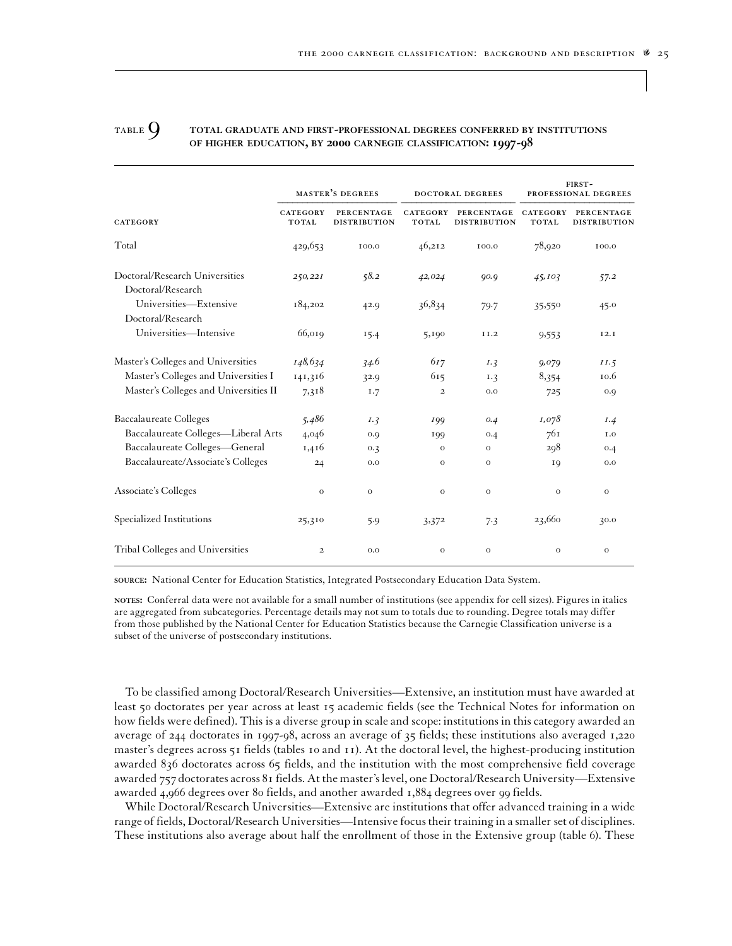|                                                     | MASTER'S DEGREES                |                                          |                          | DOCTORAL DEGREES                         | FIRST-<br>PROFESSIONAL DEGREES  |                                          |
|-----------------------------------------------------|---------------------------------|------------------------------------------|--------------------------|------------------------------------------|---------------------------------|------------------------------------------|
| CATEGORY                                            | <b>CATEGORY</b><br><b>TOTAL</b> | <b>PERCENTAGE</b><br><b>DISTRIBUTION</b> | CATEGORY<br><b>TOTAL</b> | <b>PERCENTAGE</b><br><b>DISTRIBUTION</b> | <b>CATEGORY</b><br><b>TOTAL</b> | <b>PERCENTAGE</b><br><b>DISTRIBUTION</b> |
| Total                                               | 429,653                         | 100.0                                    | 46,212                   | 100.0                                    | 78,920                          | 100.0                                    |
| Doctoral/Research Universities<br>Doctoral/Research | 250,221                         | 58.2                                     | 42,024                   | 90.9                                     | 45,103                          | 57.2                                     |
| Universities-Extensive                              | 184,202                         | 42.9                                     | 36,834                   | 79.7                                     | 35,550                          | 45.0                                     |
| Doctoral/Research                                   |                                 |                                          |                          |                                          |                                 |                                          |
| Universities—Intensive                              | 66,019                          | 15.4                                     | 5,190                    | II.2                                     | 9,553                           | I2.I                                     |
| Master's Colleges and Universities                  | 148,634                         | 34.6                                     | 617                      | $I.\,$                                   | 9,079                           | II.5                                     |
| Master's Colleges and Universities I                | 141,316                         | 32.9                                     | 615                      | I.3                                      | 8,354                           | 10.6                                     |
| Master's Colleges and Universities II               | 7,318                           | 1.7                                      | $\overline{2}$           | 0.0                                      | 725                             | 0.9                                      |
| <b>Baccalaureate Colleges</b>                       | 5,486                           | $I.\,$                                   | 199                      | 0.4                                      | 1,078                           | I.4                                      |
| Baccalaureate Colleges-Liberal Arts                 | 4,046                           | 0.9                                      | 199                      | 0.4                                      | 761                             | 1.0                                      |
| Baccalaureate Colleges-General                      | 1,416                           | 0.3                                      | $\mathbf{O}$             | $\mathbf{O}$                             | 208                             | 0.4                                      |
| Baccalaureate/Associate's Colleges                  | 24                              | 0.0                                      | $\mathbf{O}$             | $\mathbf{O}$                             | IQ                              | 0.0                                      |
| Associate's Colleges                                | $\mathbf{O}$                    | $\mathbf{O}$                             | $\mathbf O$              | $\mathbf{O}$                             | $\mathbf{O}$                    | $\mathbf{O}$                             |
| Specialized Institutions                            | 25,310                          | 5.9                                      | 3,372                    | 7.3                                      | 23,660                          | 30.0                                     |
| Tribal Colleges and Universities                    | $\overline{2}$                  | 0.0                                      | $\mathbf{O}$             | $\circ$                                  | $\mathbf{O}$                    | $\mathbf{O}$                             |

#### table 9 **TOTAL GRADUATE AND FIRST-PROFESSIONAL DEGREES CONFERRED BY INSTITUTIONS OF HIGHER EDUCATION, BY 2000 CARNEGIE CLASSIFICATION: 1997-98**

**SOURCE:** National Center for Education Statistics, Integrated Postsecondary Education Data System.

**NOTES:** Conferral data were not available for a small number of institutions (see appendix for cell sizes). Figures in italics are aggregated from subcategories. Percentage details may not sum to totals due to rounding. Degree totals may differ from those published by the National Center for Education Statistics because the Carnegie Classification universe is a subset of the universe of postsecondary institutions.

To be classified among Doctoral/Research Universities—Extensive, an institution must have awarded at least 50 doctorates per year across at least 15 academic fields (see the Technical Notes for information on how fields were defined). This is a diverse group in scale and scope: institutions in this category awarded an average of 244 doctorates in 1997-98, across an average of 35 fields; these institutions also averaged 1,220 master's degrees across 51 fields (tables 10 and 11). At the doctoral level, the highest-producing institution awarded 836 doctorates across 65 fields, and the institution with the most comprehensive field coverage awarded 757 doctorates across 81 fields. At the master's level, one Doctoral/Research University—Extensive awarded 4,966 degrees over 80 fields, and another awarded 1,884 degrees over 99 fields.

While Doctoral/Research Universities—Extensive are institutions that offer advanced training in a wide range of fields, Doctoral/Research Universities—Intensive focus their training in a smaller set of disciplines. These institutions also average about half the enrollment of those in the Extensive group (table 6). These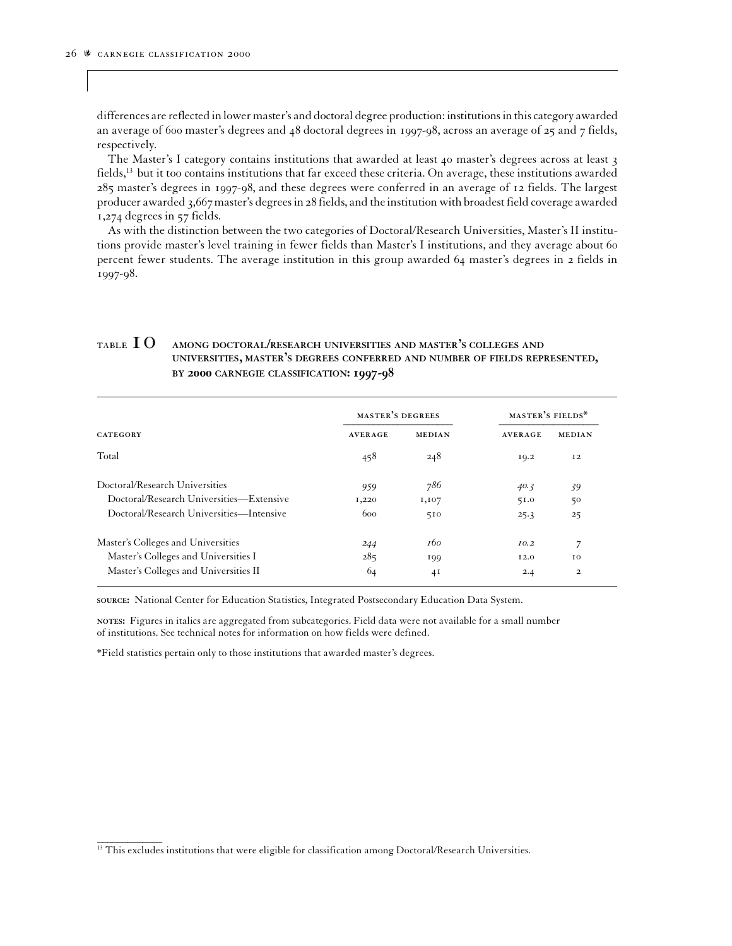differences are reflected in lower master's and doctoral degree production: institutions in this category awarded an average of 600 master's degrees and 48 doctoral degrees in 1997-98, across an average of 25 and 7 fields, respectively.

The Master's I category contains institutions that awarded at least 40 master's degrees across at least 3 fields,<sup>13</sup> but it too contains institutions that far exceed these criteria. On average, these institutions awarded 285 master's degrees in 1997-98, and these degrees were conferred in an average of 12 fields. The largest producer awarded 3,667 master's degrees in 28 fields, and the institution with broadest field coverage awarded 1,274 degrees in 57 fields.

As with the distinction between the two categories of Doctoral/Research Universities, Master's II institutions provide master's level training in fewer fields than Master's I institutions, and they average about 60 percent fewer students. The average institution in this group awarded 64 master's degrees in 2 fields in 1997-98.

### table 10 **AMONG DOCTORAL/RESEARCH UNIVERSITIES AND MASTER'<sup>S</sup> COLLEGES AND UNIVERSITIES, MASTER'<sup>S</sup> DEGREES CONFERRED AND NUMBER OF FIELDS REPRESENTED, BY 2000 CARNEGIE CLASSIFICATION: 1997-98**

|                                          | MASTER'S DEGREES |                | MASTER'S FIELDS* |                |  |
|------------------------------------------|------------------|----------------|------------------|----------------|--|
| <b>CATEGORY</b>                          | <b>AVERAGE</b>   | <b>MEDIAN</b>  | <b>AVERAGE</b>   | <b>MEDIAN</b>  |  |
| Total                                    | 458              | 248            | 19.2             | 12             |  |
| Doctoral/Research Universities           | 959              | 786            | 40.3             | 39             |  |
| Doctoral/Research Universities—Extensive | I,220            | 1,107          | 51.0             | 50             |  |
| Doctoral/Research Universities—Intensive | 600              | 510            | 25.3             | 25             |  |
| Master's Colleges and Universities       | 244              | 160            | $I$ 0.2          | 7              |  |
| Master's Colleges and Universities I     | 285              | 199            | 12.0             | T <sub>0</sub> |  |
| Master's Colleges and Universities II    | 64               | 4 <sup>I</sup> | 2.4              | $\mathbf{2}$   |  |

**SOURCE:** National Center for Education Statistics, Integrated Postsecondary Education Data System.

**NOTES:** Figures in italics are aggregated from subcategories. Field data were not available for a small number of institutions. See technical notes for information on how fields were defined.

\*Field statistics pertain only to those institutions that awarded master's degrees.

\_\_\_\_\_\_\_\_\_\_\_\_\_

<sup>&</sup>lt;sup>13</sup> This excludes institutions that were eligible for classification among Doctoral/Research Universities.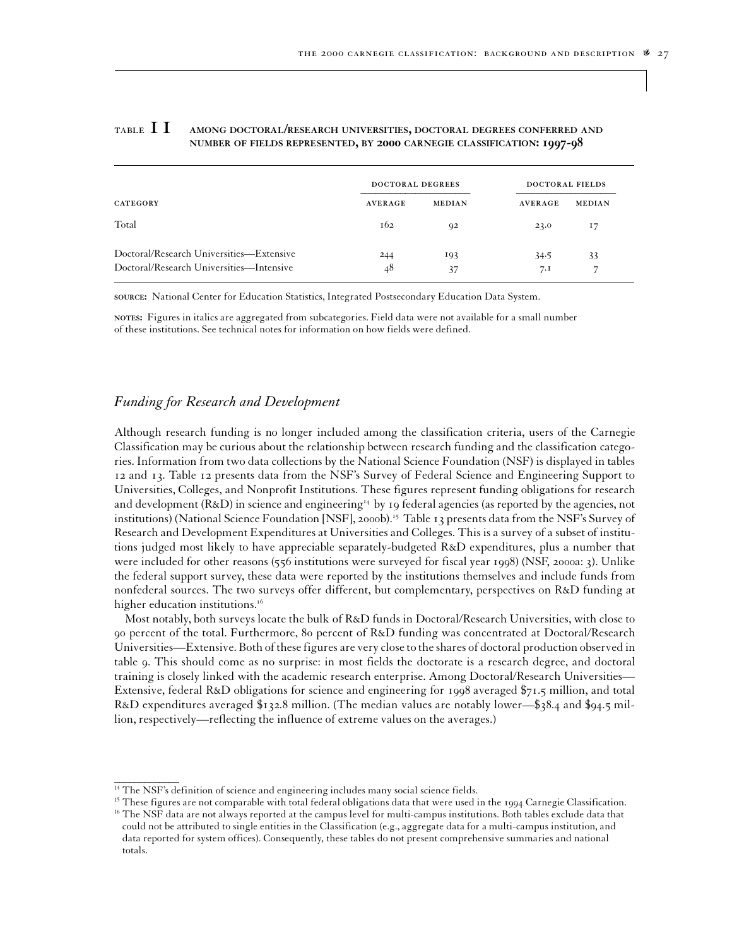|                                                                                      | DOCTORAL DEGREES |               | DOCTORAL FIELDS |               |  |
|--------------------------------------------------------------------------------------|------------------|---------------|-----------------|---------------|--|
| <b>CATEGORY</b>                                                                      | <b>AVERAGE</b>   | <b>MEDIAN</b> | <b>AVERAGE</b>  | <b>MEDIAN</b> |  |
| Total                                                                                | 162              | Q2            | 23.0            | 17            |  |
| Doctoral/Research Universities—Extensive<br>Doctoral/Research Universities—Intensive | 244<br>48        | 193<br>37     | 34.5<br>7.1     | 33<br>ד       |  |

### table 11 **AMONG DOCTORAL/RESEARCH UNIVERSITIES, DOCTORAL DEGREES CONFERRED AND NUMBER OF FIELDS REPRESENTED, BY 2000 CARNEGIE CLASSIFICATION: 1997-98**

**SOURCE:** National Center for Education Statistics, Integrated Postsecondary Education Data System.

**NOTES:** Figures in italics are aggregated from subcategories. Field data were not available for a small number of these institutions. See technical notes for information on how fields were defined.

#### *Funding for Research and Development*

Although research funding is no longer included among the classification criteria, users of the Carnegie Classification may be curious about the relationship between research funding and the classification categories. Information from two data collections by the National Science Foundation (NSF) is displayed in tables 12 and 13. Table 12 presents data from the NSF's Survey of Federal Science and Engineering Support to Universities, Colleges, and Nonprofit Institutions. These figures represent funding obligations for research and development (R&D) in science and engineering<sup>14</sup> by 19 federal agencies (as reported by the agencies, not institutions) (National Science Foundation [NSF], 2000b).<sup>15</sup> Table 13 presents data from the NSF's Survey of Research and Development Expenditures at Universities and Colleges. This is a survey of a subset of institutions judged most likely to have appreciable separately-budgeted R&D expenditures, plus a number that were included for other reasons (556 institutions were surveyed for fiscal year 1998) (NSF, 2000a: 3). Unlike the federal support survey, these data were reported by the institutions themselves and include funds from nonfederal sources. The two surveys offer different, but complementary, perspectives on R&D funding at higher education institutions.<sup>16</sup>

Most notably, both surveys locate the bulk of R&D funds in Doctoral/Research Universities, with close to 90 percent of the total. Furthermore, 80 percent of R&D funding was concentrated at Doctoral/Research Universities—Extensive. Both of these figures are very close to the shares of doctoral production observed in table 9. This should come as no surprise: in most fields the doctorate is a research degree, and doctoral training is closely linked with the academic research enterprise. Among Doctoral/Research Universities— Extensive, federal R&D obligations for science and engineering for 1998 averaged \$71.5 million, and total R&D expenditures averaged \$132.8 million. (The median values are notably lower—\$38.4 and \$94.5 million, respectively—reflecting the influence of extreme values on the averages.)

\_\_\_\_\_\_\_\_\_\_\_\_\_

<sup>15</sup> These figures are not comparable with total federal obligations data that were used in the 1994 Carnegie Classification.  $16$  The NSF data are not always reported at the campus level for multi-campus institutions. Both tables exclude data that could not be attributed to single entities in the Classification (e.g., aggregate data for a multi-campus institution, and

data reported for system offices). Consequently, these tables do not present comprehensive summaries and national totals.

<sup>&</sup>lt;sup>14</sup> The NSF's definition of science and engineering includes many social science fields.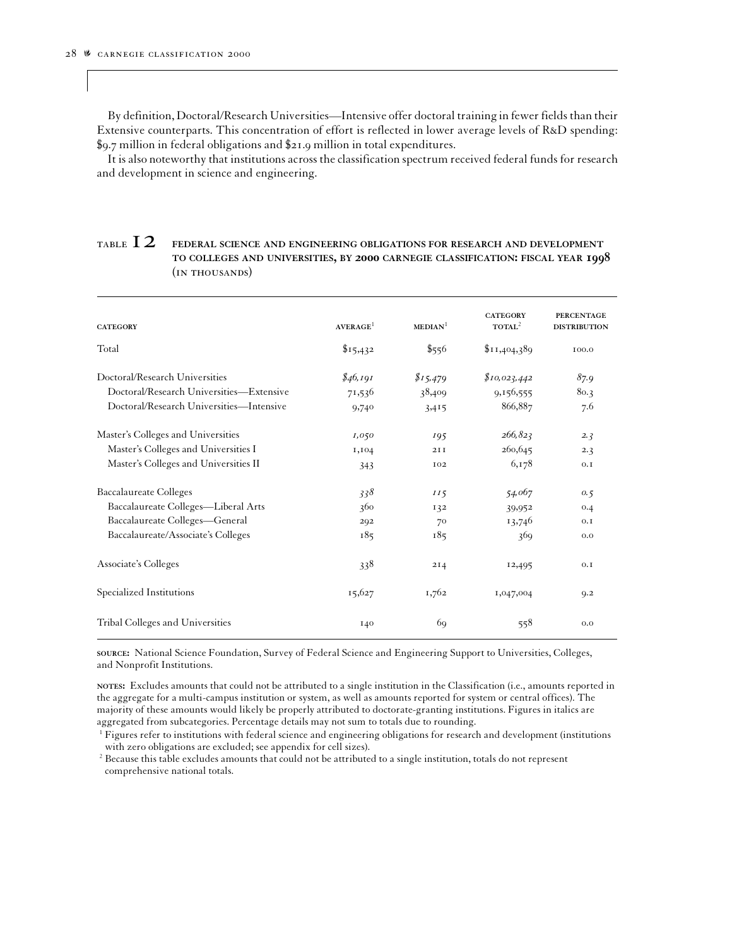By definition, Doctoral/Research Universities—Intensive offer doctoral training in fewer fields than their Extensive counterparts. This concentration of effort is reflected in lower average levels of R&D spending: \$9.7 million in federal obligations and \$21.9 million in total expenditures.

It is also noteworthy that institutions across the classification spectrum received federal funds for research and development in science and engineering.

| TABLE $I2$ FEDERAL SCIENCE AND ENGINEERING OBLIGATIONS FOR RESEARCH AND DEVELOPMENT |
|-------------------------------------------------------------------------------------|
| TO COLLEGES AND UNIVERSITIES, BY 2000 CARNEGIE CLASSIFICATION: FISCAL YEAR 1998     |
| (IN THOUSANDS)                                                                      |

| <b>CATEGORY</b>                          | $AVERAGE^1$ | $\text{MEDIAN}^1$ | <b>CATEGORY</b><br>$TOTAL^2$ | <b>PERCENTAGE</b><br><b>DISTRIBUTION</b> |
|------------------------------------------|-------------|-------------------|------------------------------|------------------------------------------|
| Total                                    | \$15,432    | \$556             | \$11,404,389                 | 100.0                                    |
| Doctoral/Research Universities           | \$46,191    | \$15,479          | \$10,023,442                 | 87.9                                     |
| Doctoral/Research Universities—Extensive | 71,536      | 38,409            | 9,156,555                    | 80.3                                     |
| Doctoral/Research Universities—Intensive | 9,740       | 3,415             | 866,887                      | 7.6                                      |
| Master's Colleges and Universities       | I,050       | 195               | 266,823                      | $2.\,$                                   |
| Master's Colleges and Universities I     | 1,104       | 2I <sub>I</sub>   | 260,645                      | 2.3                                      |
| Master's Colleges and Universities II    | 343         | 102               | 6,178                        | 0.1                                      |
| <b>Baccalaureate Colleges</b>            | 338         | II5               | 54,067                       | 0.5                                      |
| Baccalaureate Colleges—Liberal Arts      | 360         | 132               | 39,952                       | 0.4                                      |
| Baccalaureate Colleges-General           | 202         | 70                | 13,746                       | O.I                                      |
| Baccalaureate/Associate's Colleges       | 185         | 185               | 369                          | 0.0                                      |
| Associate's Colleges                     | 338         | 2I <sub>4</sub>   | 12,495                       | 0.1                                      |
| Specialized Institutions                 | 15,627      | 1,762             | 1,047,004                    | Q.2                                      |
| Tribal Colleges and Universities         | 140         | 69                | 558                          | 0.0                                      |

**SOURCE:** National Science Foundation, Survey of Federal Science and Engineering Support to Universities, Colleges, and Nonprofit Institutions.

**NOTES:** Excludes amounts that could not be attributed to a single institution in the Classification (i.e., amounts reported in the aggregate for a multi-campus institution or system, as well as amounts reported for system or central offices). The majority of these amounts would likely be properly attributed to doctorate-granting institutions. Figures in italics are aggregated from subcategories. Percentage details may not sum to totals due to rounding.

<sup>1</sup> Figures refer to institutions with federal science and engineering obligations for research and development (institutions with zero obligations are excluded; see appendix for cell sizes).

 $^{\rm 2}$  Because this table excludes amounts that could not be attributed to a single institution, totals do not represent comprehensive national totals.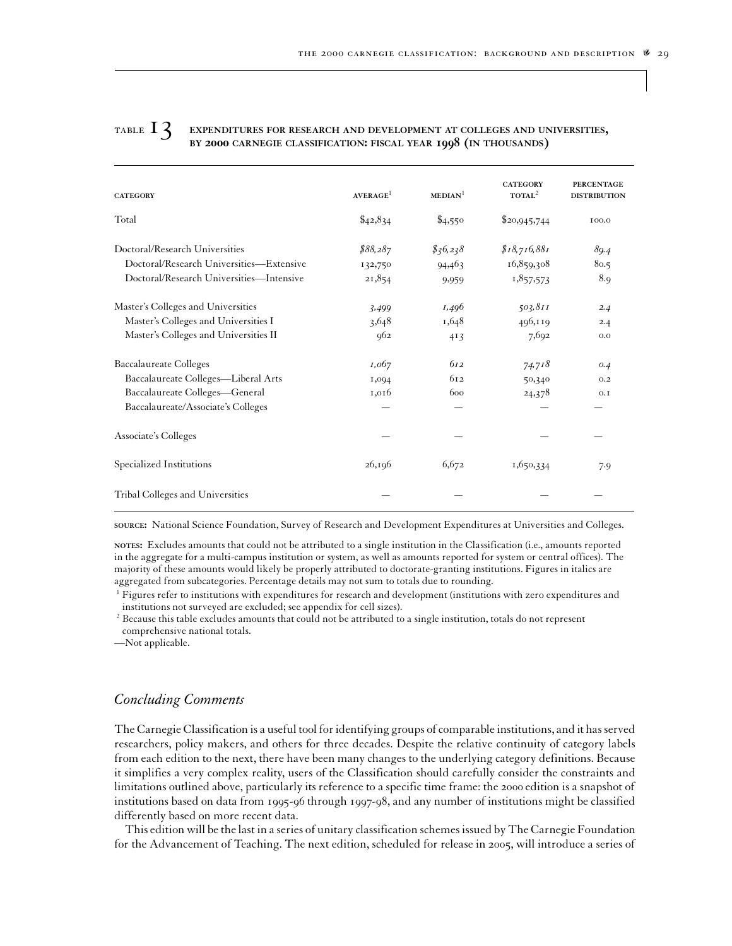| <b>CATEGORY</b>                                                                                                                       | AVERAGE <sup>1</sup>          | $\text{MEDIAN}^1$            | <b>CATEGORY</b><br>$TOTAL^2$            | <b>PERCENTAGE</b><br><b>DISTRIBUTION</b> |
|---------------------------------------------------------------------------------------------------------------------------------------|-------------------------------|------------------------------|-----------------------------------------|------------------------------------------|
| Total                                                                                                                                 | \$42,834                      | \$4,550                      | \$20,945,744                            | 100.0                                    |
| Doctoral/Research Universities<br>Doctoral/Research Universities-Extensive<br>Doctoral/Research Universities-Intensive                | \$88,287<br>132,750<br>21,854 | \$36,238<br>94,463<br>9,959  | \$18,716,881<br>16,859,308<br>1,857,573 | 89.4<br>80.5<br>8.9                      |
| Master's Colleges and Universities<br>Master's Colleges and Universities I<br>Master's Colleges and Universities II                   | 3,499<br>3,648<br>962         | <i>1,496</i><br>1,648<br>413 | 503,811<br>496,119<br>7,692             | 2.4<br>2.4<br>0.0                        |
| Baccalaureate Colleges<br>Baccalaureate Colleges—Liberal Arts<br>Baccalaureate Colleges-General<br>Baccalaureate/Associate's Colleges | 1,067<br>1,094<br>1,016       | 612<br>612<br>600            | 74.718<br>50,340<br>24,378              | 0.4<br>0.2<br>0.1                        |
| Associate's Colleges                                                                                                                  |                               |                              |                                         |                                          |
| Specialized Institutions                                                                                                              | 26,196                        | 6,672                        | 1,650,334                               | 7.9                                      |
| Tribal Colleges and Universities                                                                                                      |                               |                              |                                         |                                          |

# table 13 **EXPENDITURES FOR RESEARCH AND DEVELOPMENT AT COLLEGES AND UNIVERSITIES, BY 2000 CARNEGIE CLASSIFICATION: FISCAL YEAR 1998 (IN THOUSANDS)**

**SOURCE:** National Science Foundation, Survey of Research and Development Expenditures at Universities and Colleges.

**NOTES:** Excludes amounts that could not be attributed to a single institution in the Classification (i.e., amounts reported in the aggregate for a multi-campus institution or system, as well as amounts reported for system or central offices). The majority of these amounts would likely be properly attributed to doctorate-granting institutions. Figures in italics are aggregated from subcategories. Percentage details may not sum to totals due to rounding.

 $^1$  Figures refer to institutions with expenditures for research and development (institutions with zero expenditures and institutions not surveyed are excluded; see appendix for cell sizes).

 $^2$  Because this table excludes amounts that could not be attributed to a single institution, totals do not represent comprehensive national totals.

—Not applicable.

## *Concluding Comments*

The Carnegie Classification is a useful tool for identifying groups of comparable institutions, and it has served researchers, policy makers, and others for three decades. Despite the relative continuity of category labels from each edition to the next, there have been many changes to the underlying category definitions. Because it simplifies a very complex reality, users of the Classification should carefully consider the constraints and limitations outlined above, particularly its reference to a specific time frame: the 2000 edition is a snapshot of institutions based on data from 1995-96 through 1997-98, and any number of institutions might be classified differently based on more recent data.

This edition will be the last in a series of unitary classification schemes issued by The Carnegie Foundation for the Advancement of Teaching. The next edition, scheduled for release in 2005, will introduce a series of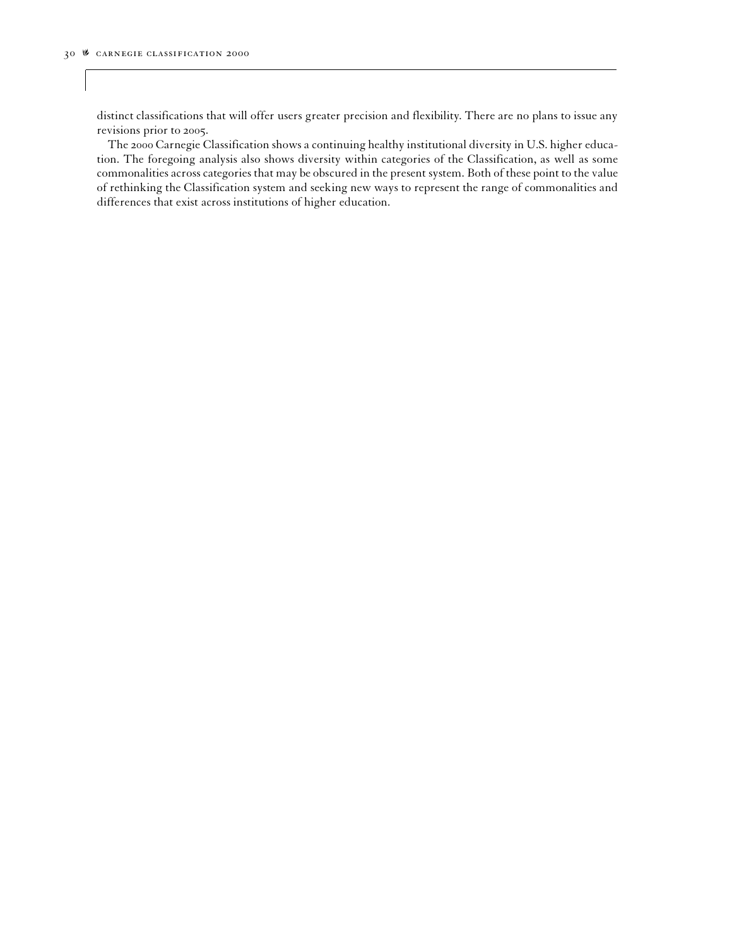distinct classifications that will offer users greater precision and flexibility. There are no plans to issue any revisions prior to 2005.

The 2000 Carnegie Classification shows a continuing healthy institutional diversity in U.S. higher education. The foregoing analysis also shows diversity within categories of the Classification, as well as some commonalities across categories that may be obscured in the present system. Both of these point to the value of rethinking the Classification system and seeking new ways to represent the range of commonalities and differences that exist across institutions of higher education.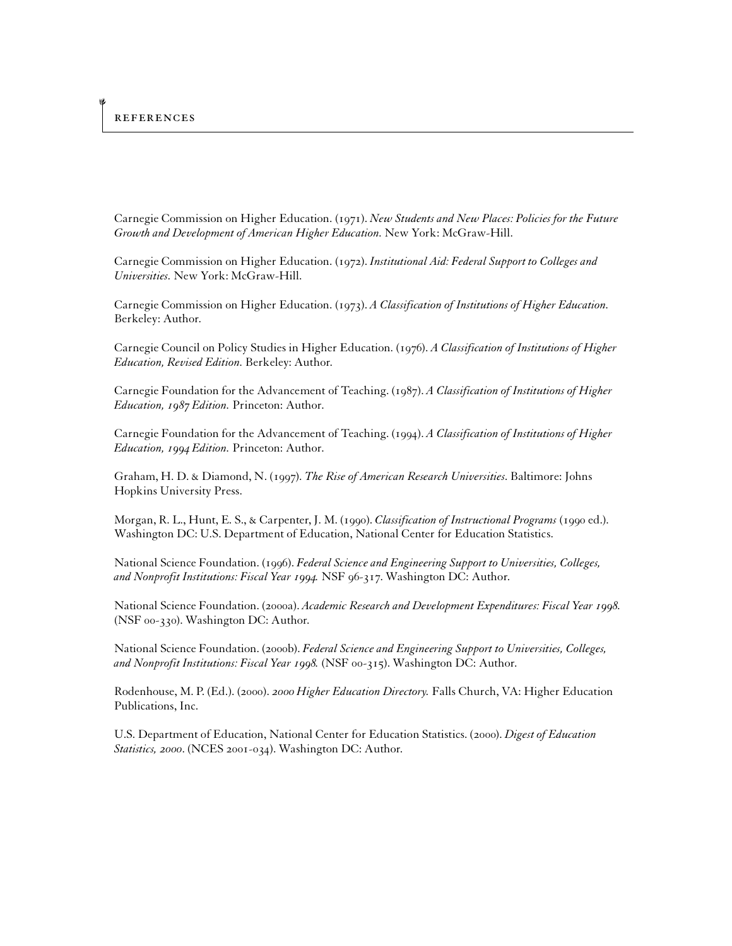١¢

Carnegie Commission on Higher Education. (1971). *New Students and New Places: Policies for the Future Growth and Development of American Higher Education.* New York: McGraw-Hill.

Carnegie Commission on Higher Education. (1972). *Institutional Aid: Federal Support to Colleges and Universities.* New York: McGraw-Hill.

Carnegie Commission on Higher Education. (1973). *A Classification of Institutions of Higher Education.* Berkeley: Author.

Carnegie Council on Policy Studies in Higher Education. (1976). *A Classification of Institutions of Higher Education, Revised Edition.* Berkeley: Author.

Carnegie Foundation for the Advancement of Teaching. (1987). *A Classification of Institutions of Higher Education, 1987 Edition.* Princeton: Author.

Carnegie Foundation for the Advancement of Teaching. (1994). *A Classification of Institutions of Higher Education, 1994 Edition.* Princeton: Author.

Graham, H. D. & Diamond, N. (1997). *The Rise of American Research Universities.* Baltimore: Johns Hopkins University Press.

Morgan, R. L., Hunt, E. S., & Carpenter, J. M. (1990). *Classification of Instructional Programs* (1990 ed.). Washington DC: U.S. Department of Education, National Center for Education Statistics.

National Science Foundation. (1996). *Federal Science and Engineering Support to Universities, Colleges, and Nonprofit Institutions: Fiscal Year 1994.* NSF 96-317. Washington DC: Author.

National Science Foundation. (2000a). *Academic Research and Development Expenditures: Fiscal Year 1998.* (NSF 00-330). Washington DC: Author.

National Science Foundation. (2000b). *Federal Science and Engineering Support to Universities, Colleges, and Nonprofit Institutions: Fiscal Year 1998.* (NSF 00-315). Washington DC: Author.

Rodenhouse, M. P. (Ed.). (2000). *2000 Higher Education Directory.* Falls Church, VA: Higher Education Publications, Inc.

U.S. Department of Education, National Center for Education Statistics. (2000). *Digest of Education Statistics, 2000*. (NCES 2001-034). Washington DC: Author.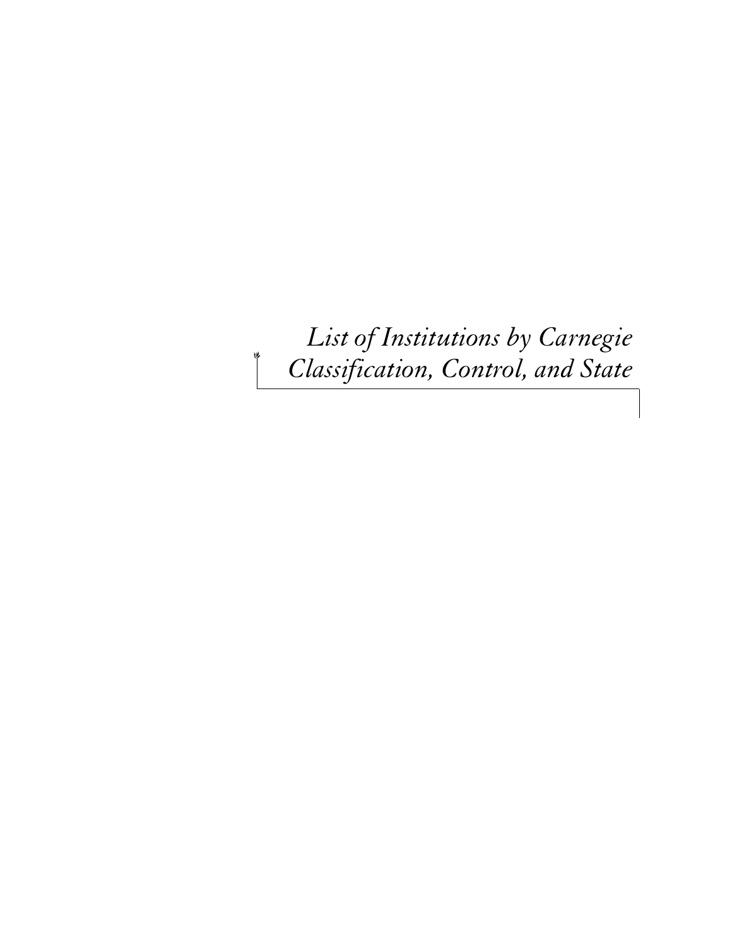*List of Institutions by Carnegie Classification, Control, and State*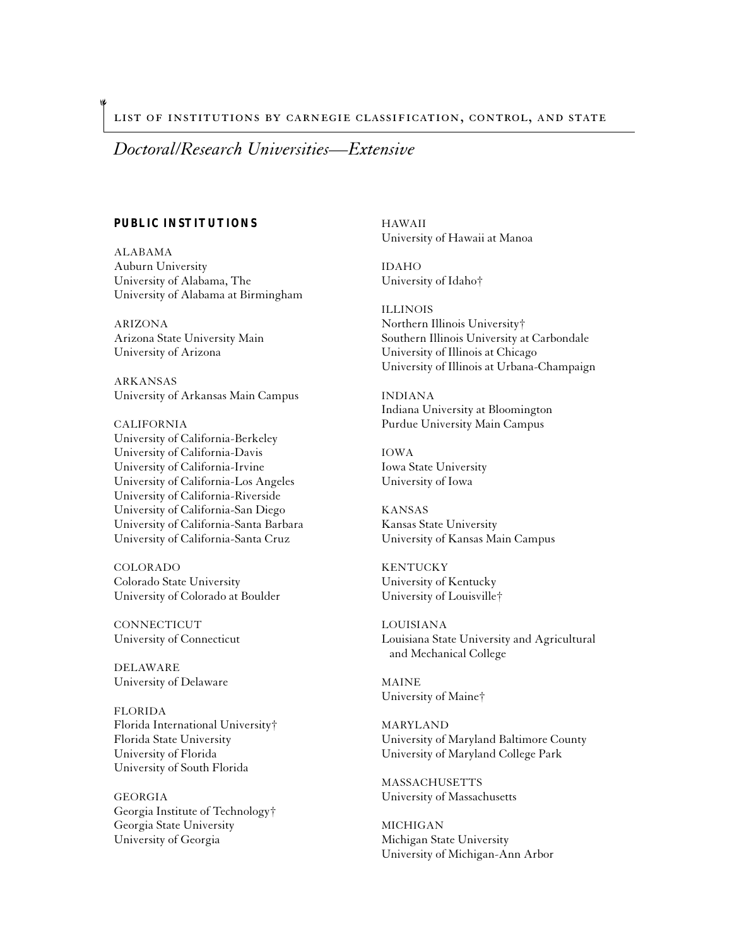# *Doctoral/Research Universities—Extensive*

# **PUBLIC INSTITUTIONS**

۴

ALABAMA Auburn University University of Alabama, The University of Alabama at Birmingham

ARIZONA Arizona State University Main University of Arizona

ARKANSAS University of Arkansas Main Campus

CALIFORNIA University of California-Berkeley University of California-Davis University of California-Irvine University of California-Los Angeles University of California-Riverside University of California-San Diego University of California-Santa Barbara University of California-Santa Cruz

COLORADO Colorado State University University of Colorado at Boulder

**CONNECTICUT** University of Connecticut

DELAWARE University of Delaware

FLORIDA Florida International University† Florida State University University of Florida University of South Florida

GEORGIA Georgia Institute of Technology† Georgia State University University of Georgia

HAWAII University of Hawaii at Manoa

IDAHO University of Idaho†

ILLINOIS Northern Illinois University† Southern Illinois University at Carbondale University of Illinois at Chicago University of Illinois at Urbana-Champaign

INDIANA Indiana University at Bloomington Purdue University Main Campus

IOWA Iowa State University University of Iowa

KANSAS Kansas State University University of Kansas Main Campus

KENTUCKY University of Kentucky University of Louisville†

LOUISIANA Louisiana State University and Agricultural and Mechanical College

MAINE University of Maine†

MARYLAND University of Maryland Baltimore County University of Maryland College Park

MASSACHUSETTS University of Massachusetts

MICHIGAN Michigan State University University of Michigan-Ann Arbor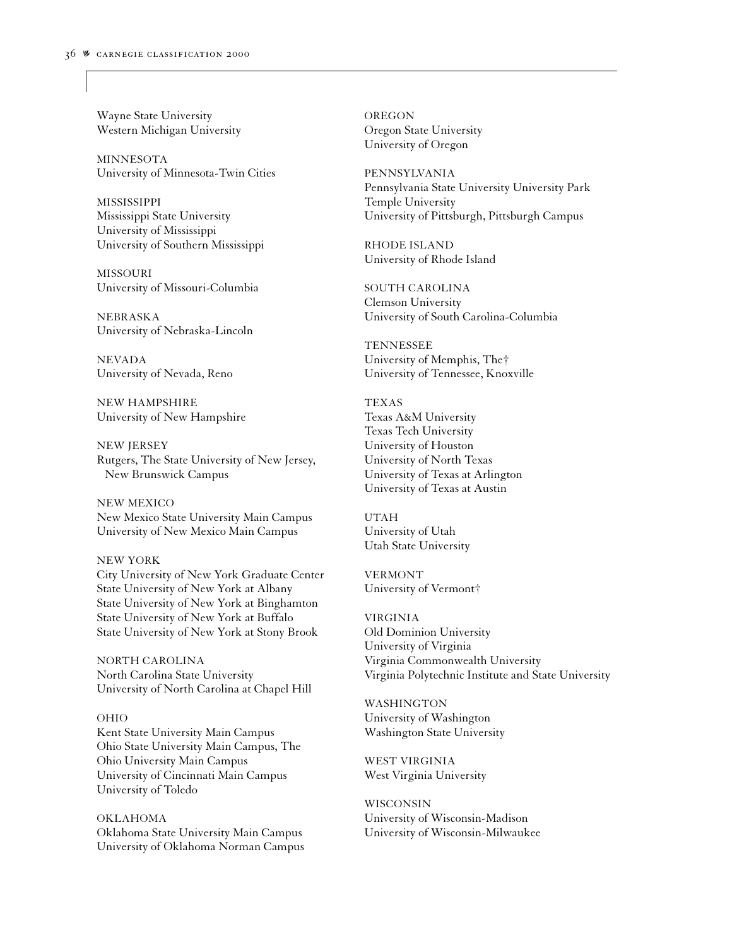Wayne State University Western Michigan University

MINNESOTA University of Minnesota-Twin Cities

MISSISSIPPI Mississippi State University University of Mississippi University of Southern Mississippi

MISSOURI University of Missouri-Columbia

NEBRASKA University of Nebraska-Lincoln

NEVADA University of Nevada, Reno

NEW HAMPSHIRE University of New Hampshire

NEW JERSEY Rutgers, The State University of New Jersey, New Brunswick Campus

NEW MEXICO New Mexico State University Main Campus University of New Mexico Main Campus

#### NEW YORK

City University of New York Graduate Center State University of New York at Albany State University of New York at Binghamton State University of New York at Buffalo State University of New York at Stony Brook

NORTH CAROLINA North Carolina State University University of North Carolina at Chapel Hill

#### OHIO

Kent State University Main Campus Ohio State University Main Campus, The Ohio University Main Campus University of Cincinnati Main Campus University of Toledo

OKLAHOMA Oklahoma State University Main Campus University of Oklahoma Norman Campus OREGON Oregon State University University of Oregon

PENNSYLVANIA Pennsylvania State University University Park Temple University University of Pittsburgh, Pittsburgh Campus

RHODE ISLAND University of Rhode Island

SOUTH CAROLINA Clemson University University of South Carolina-Columbia

TENNESSEE University of Memphis, The† University of Tennessee, Knoxville

TEXAS Texas A&M University Texas Tech University University of Houston University of North Texas University of Texas at Arlington University of Texas at Austin

UTAH University of Utah Utah State University

VERMONT University of Vermont†

VIRGINIA Old Dominion University University of Virginia Virginia Commonwealth University Virginia Polytechnic Institute and State University

WASHINGTON University of Washington Washington State University

WEST VIRGINIA West Virginia University

WISCONSIN University of Wisconsin-Madison University of Wisconsin-Milwaukee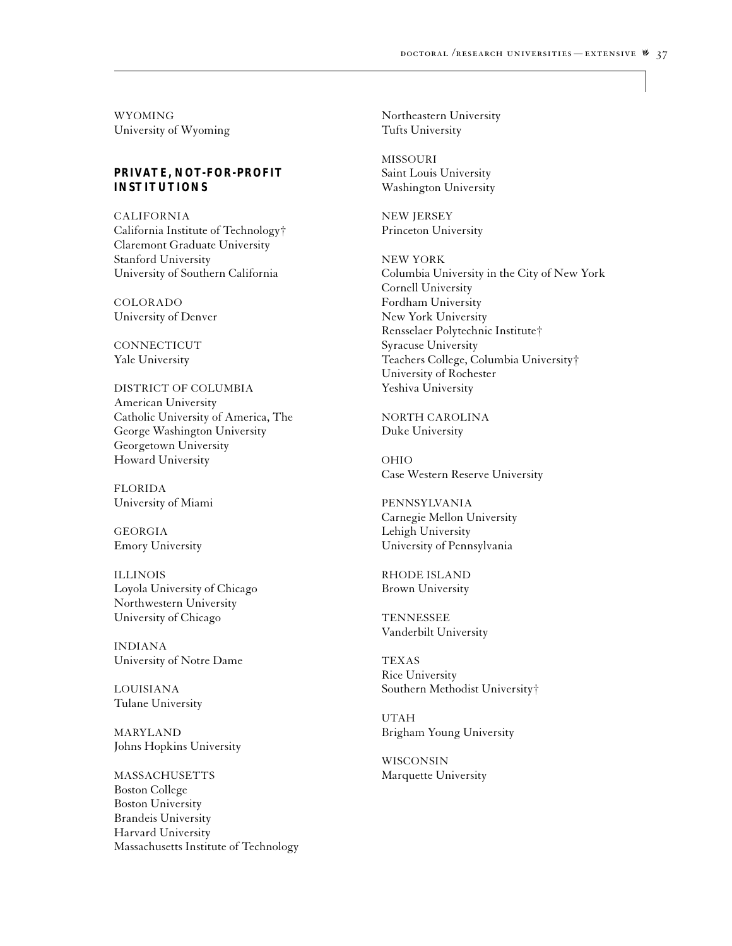WYOMING University of Wyoming

## **PRIVATE, NOT-FOR-PROFIT INSTITUTIONS**

CALIFORNIA California Institute of Technology† Claremont Graduate University Stanford University University of Southern California

COLORADO University of Denver

CONNECTICUT Yale University

DISTRICT OF COLUMBIA American University Catholic University of America, The George Washington University Georgetown University Howard University

FLORIDA University of Miami

GEORGIA Emory University

ILLINOIS Loyola University of Chicago Northwestern University University of Chicago

INDIANA University of Notre Dame

LOUISIANA Tulane University

MARYLAND Johns Hopkins University

MASSACHUSETTS Boston College Boston University Brandeis University Harvard University Massachusetts Institute of Technology Northeastern University Tufts University

MISSOURI Saint Louis University Washington University

NEW JERSEY Princeton University

NEW YORK Columbia University in the City of New York Cornell University Fordham University New York University Rensselaer Polytechnic Institute† Syracuse University Teachers College, Columbia University† University of Rochester Yeshiva University

NORTH CAROLINA Duke University

OHIO Case Western Reserve University

PENNSYLVANIA Carnegie Mellon University Lehigh University University of Pennsylvania

RHODE ISLAND Brown University

TENNESSEE Vanderbilt University

TEXAS Rice University Southern Methodist University†

UTAH Brigham Young University

WISCONSIN Marquette University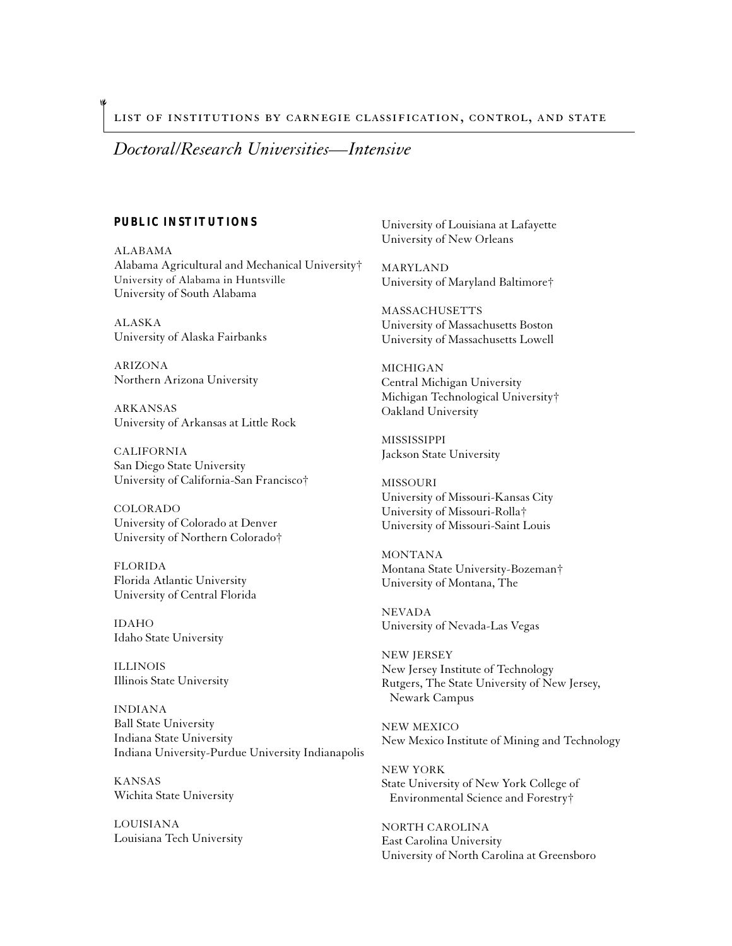# *Doctoral/Research Universities—Intensive*

### **PUBLIC INSTITUTIONS**

۴

ALABAMA Alabama Agricultural and Mechanical University† University of Alabama in Huntsville University of South Alabama

ALASKA University of Alaska Fairbanks

ARIZONA Northern Arizona University

ARKANSAS University of Arkansas at Little Rock

CALIFORNIA San Diego State University University of California-San Francisco†

COLORADO University of Colorado at Denver University of Northern Colorado†

FLORIDA Florida Atlantic University University of Central Florida

IDAHO Idaho State University

ILLINOIS Illinois State University

INDIANA Ball State University Indiana State University Indiana University-Purdue University Indianapolis

KANSAS Wichita State University

LOUISIANA Louisiana Tech University University of Louisiana at Lafayette University of New Orleans

MARYLAND University of Maryland Baltimore†

MASSACHUSETTS University of Massachusetts Boston University of Massachusetts Lowell

MICHIGAN Central Michigan University Michigan Technological University† Oakland University

MISSISSIPPI Jackson State University

MISSOURI University of Missouri-Kansas City University of Missouri-Rolla† University of Missouri-Saint Louis

MONTANA Montana State University-Bozeman† University of Montana, The

NEVADA University of Nevada-Las Vegas

NEW JERSEY New Jersey Institute of Technology Rutgers, The State University of New Jersey, Newark Campus

NEW MEXICO New Mexico Institute of Mining and Technology

NEW YORK State University of New York College of Environmental Science and Forestry†

NORTH CAROLINA East Carolina University University of North Carolina at Greensboro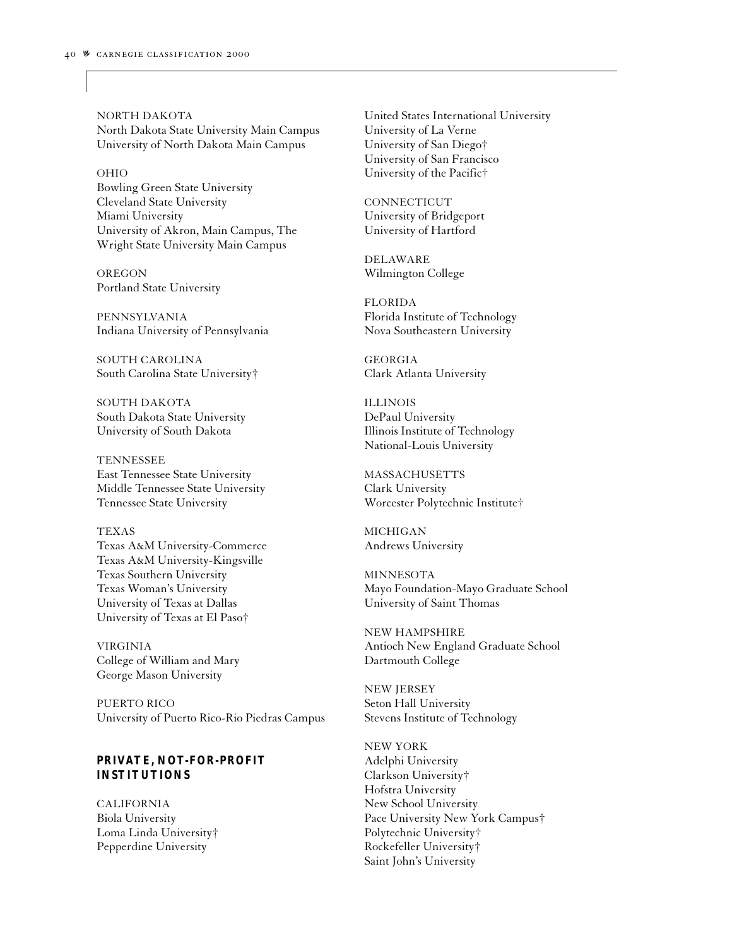NORTH DAKOTA North Dakota State University Main Campus University of North Dakota Main Campus

OHIO Bowling Green State University Cleveland State University Miami University University of Akron, Main Campus, The Wright State University Main Campus

OREGON Portland State University

PENNSYLVANIA Indiana University of Pennsylvania

SOUTH CAROLINA South Carolina State University†

SOUTH DAKOTA South Dakota State University University of South Dakota

TENNESSEE East Tennessee State University Middle Tennessee State University Tennessee State University

TEXAS Texas A&M University-Commerce Texas A&M University-Kingsville Texas Southern University Texas Woman's University University of Texas at Dallas University of Texas at El Paso†

VIRGINIA College of William and Mary George Mason University

PUERTO RICO University of Puerto Rico-Rio Piedras Campus

### **PRIVATE, NOT-FOR-PROFIT INSTITUTIONS**

CALIFORNIA Biola University Loma Linda University† Pepperdine University

United States International University University of La Verne University of San Diego† University of San Francisco University of the Pacific†

CONNECTICUT University of Bridgeport University of Hartford

DELAWARE Wilmington College

FLORIDA Florida Institute of Technology Nova Southeastern University

GEORGIA Clark Atlanta University

ILLINOIS DePaul University Illinois Institute of Technology National-Louis University

MASSACHUSETTS Clark University Worcester Polytechnic Institute†

MICHIGAN Andrews University

MINNESOTA Mayo Foundation-Mayo Graduate School University of Saint Thomas

NEW HAMPSHIRE Antioch New England Graduate School Dartmouth College

NEW JERSEY Seton Hall University Stevens Institute of Technology

NEW YORK Adelphi University Clarkson University† Hofstra University New School University Pace University New York Campus† Polytechnic University† Rockefeller University† Saint John's University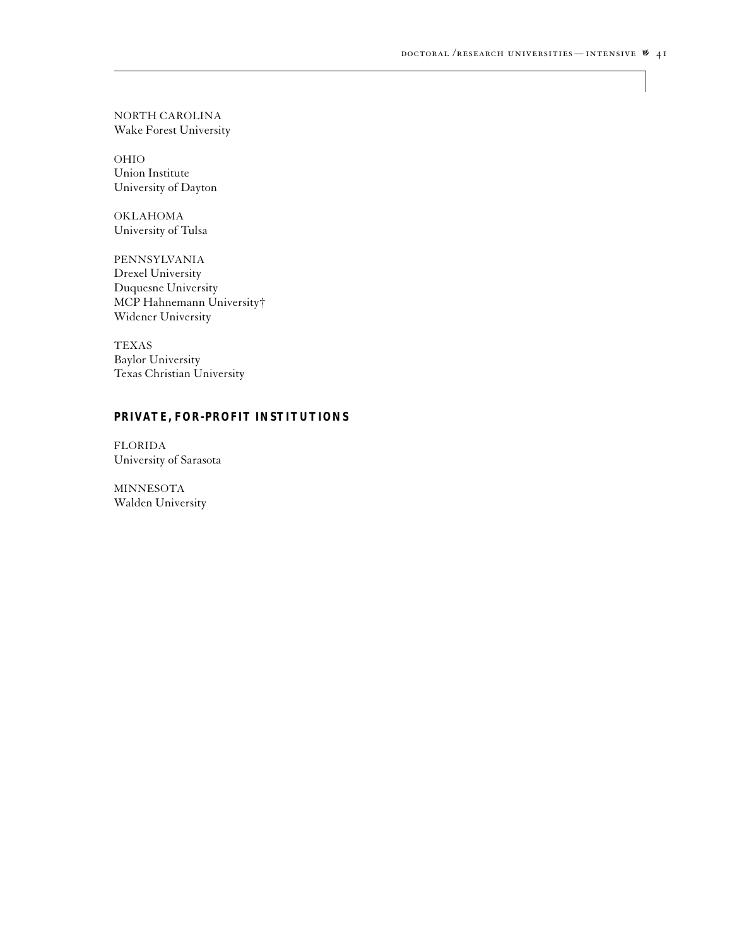NORTH CAROLINA Wake Forest University

OHIO Union Institute University of Dayton

OKLAHOMA University of Tulsa

PENNSYLVANIA Drexel University Duquesne University MCP Hahnemann University† Widener University

TEXAS Baylor University Texas Christian University

# **PRIVATE, FOR-PROFIT INSTITUTIONS**

FLORIDA University of Sarasota

MINNESOTA Walden University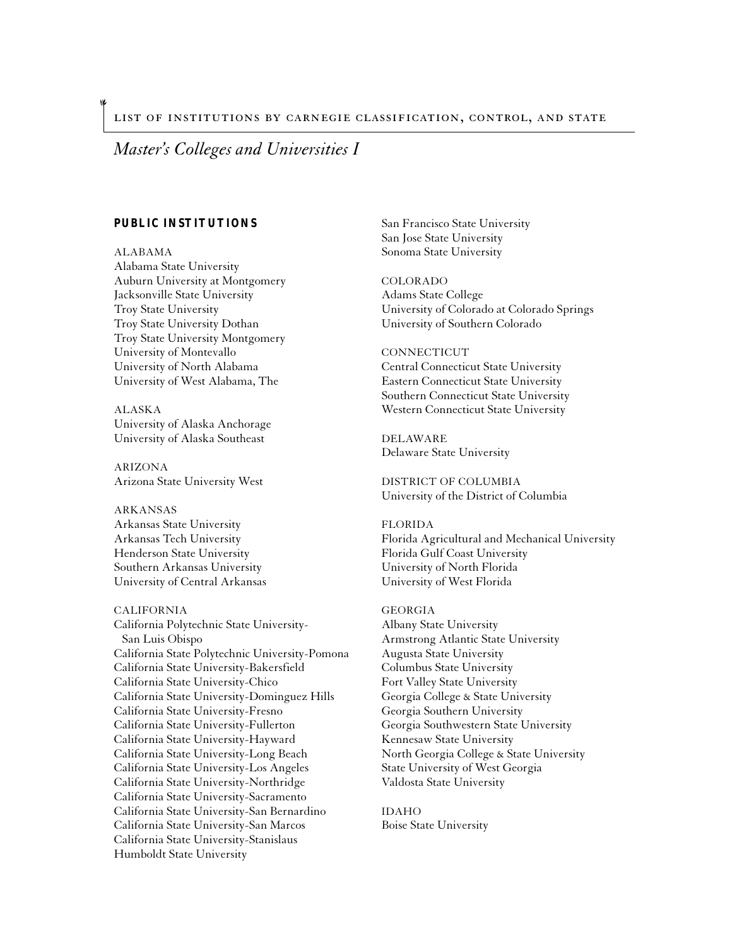# *Master's Colleges and Universities I*

### **PUBLIC INSTITUTIONS**

#### ALABAMA

۴

Alabama State University Auburn University at Montgomery Jacksonville State University Troy State University Troy State University Dothan Troy State University Montgomery University of Montevallo University of North Alabama University of West Alabama, The

ALASKA University of Alaska Anchorage University of Alaska Southeast

ARIZONA Arizona State University West

ARKANSAS Arkansas State University Arkansas Tech University Henderson State University Southern Arkansas University University of Central Arkansas

CALIFORNIA California Polytechnic State University-San Luis Obispo California State Polytechnic University-Pomona California State University-Bakersfield California State University-Chico California State University-Dominguez Hills California State University-Fresno California State University-Fullerton California State University-Hayward California State University-Long Beach California State University-Los Angeles California State University-Northridge California State University-Sacramento California State University-San Bernardino California State University-San Marcos California State University-Stanislaus Humboldt State University

San Francisco State University San Jose State University Sonoma State University

COLORADO Adams State College University of Colorado at Colorado Springs University of Southern Colorado

#### CONNECTICUT

Central Connecticut State University Eastern Connecticut State University Southern Connecticut State University Western Connecticut State University

DELAWARE Delaware State University

DISTRICT OF COLUMBIA University of the District of Columbia

FLORIDA Florida Agricultural and Mechanical University Florida Gulf Coast University University of North Florida University of West Florida

GEORGIA Albany State University Armstrong Atlantic State University Augusta State University Columbus State University Fort Valley State University Georgia College & State University Georgia Southern University Georgia Southwestern State University Kennesaw State University North Georgia College & State University State University of West Georgia Valdosta State University

IDAHO Boise State University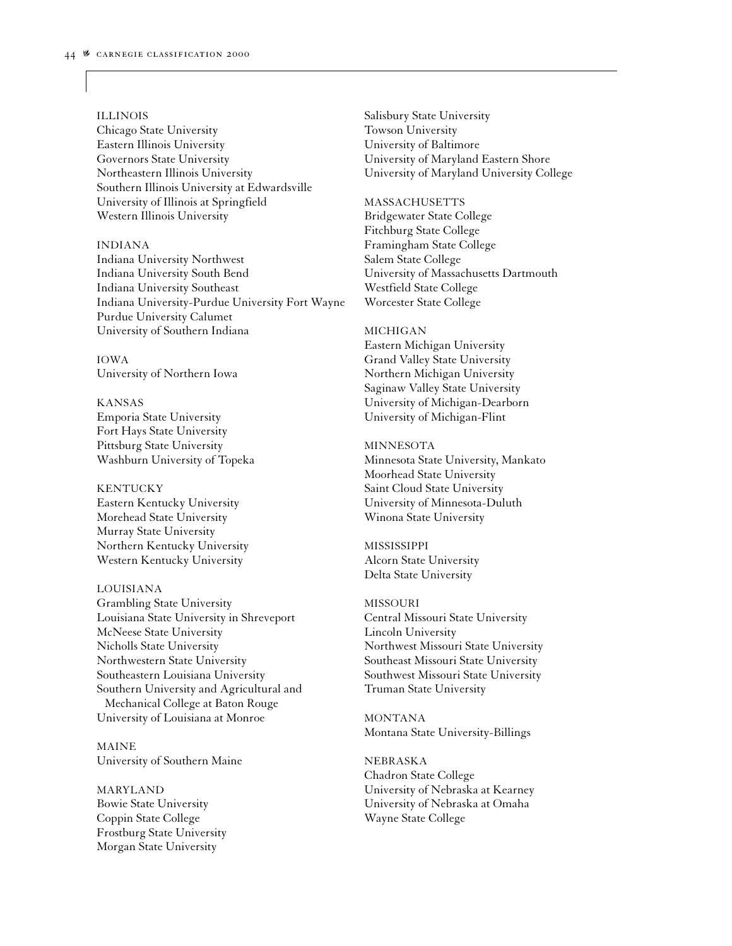ILLINOIS Chicago State University Eastern Illinois University Governors State University Northeastern Illinois University Southern Illinois University at Edwardsville University of Illinois at Springfield Western Illinois University

INDIANA Indiana University Northwest Indiana University South Bend Indiana University Southeast Indiana University-Purdue University Fort Wayne Purdue University Calumet University of Southern Indiana

IOWA University of Northern Iowa

KANSAS Emporia State University Fort Hays State University Pittsburg State University Washburn University of Topeka

KENTUCKY Eastern Kentucky University Morehead State University Murray State University Northern Kentucky University Western Kentucky University

LOUISIANA Grambling State University Louisiana State University in Shreveport McNeese State University Nicholls State University Northwestern State University Southeastern Louisiana University Southern University and Agricultural and Mechanical College at Baton Rouge University of Louisiana at Monroe

MAINE University of Southern Maine

MARYLAND Bowie State University Coppin State College Frostburg State University Morgan State University

Salisbury State University Towson University University of Baltimore University of Maryland Eastern Shore University of Maryland University College

MASSACHUSETTS Bridgewater State College Fitchburg State College Framingham State College Salem State College University of Massachusetts Dartmouth Westfield State College Worcester State College

MICHIGAN Eastern Michigan University Grand Valley State University Northern Michigan University Saginaw Valley State University University of Michigan-Dearborn University of Michigan-Flint

MINNESOTA Minnesota State University, Mankato Moorhead State University Saint Cloud State University University of Minnesota-Duluth Winona State University

MISSISSIPPI Alcorn State University Delta State University

MISSOURI Central Missouri State University Lincoln University Northwest Missouri State University Southeast Missouri State University Southwest Missouri State University Truman State University

MONTANA Montana State University-Billings

NEBRASKA Chadron State College University of Nebraska at Kearney University of Nebraska at Omaha Wayne State College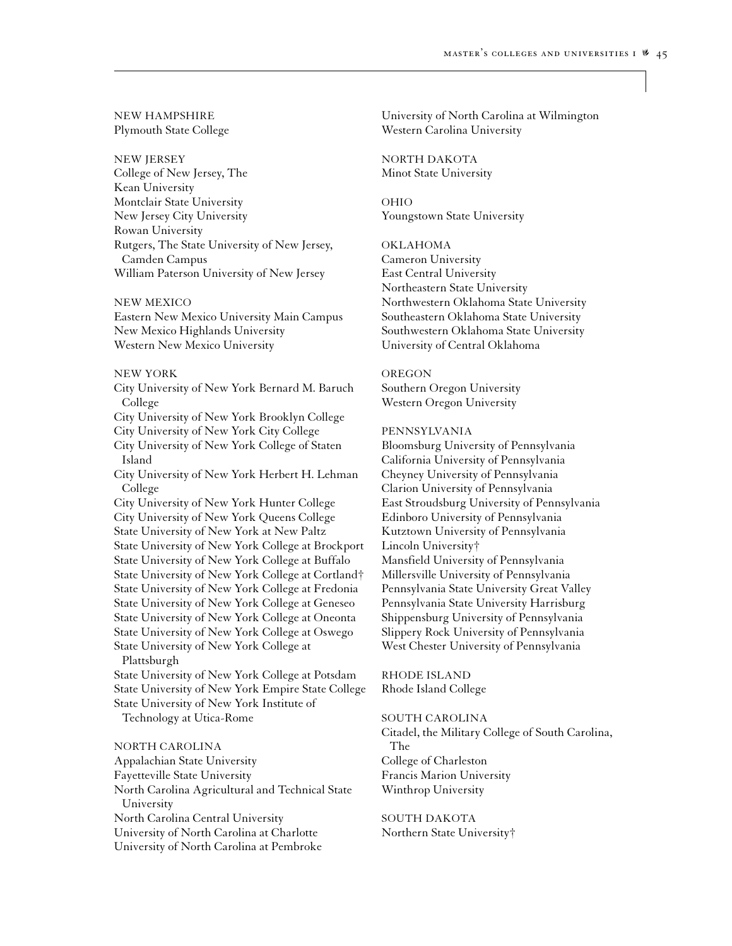### NEW HAMPSHIRE Plymouth State College

NEW JERSEY College of New Jersey, The Kean University Montclair State University New Jersey City University Rowan University Rutgers, The State University of New Jersey, Camden Campus William Paterson University of New Jersey

#### NEW MEXICO

Eastern New Mexico University Main Campus New Mexico Highlands University Western New Mexico University

#### NEW YORK

City University of New York Bernard M. Baruch College City University of New York Brooklyn College City University of New York City College City University of New York College of Staten Island City University of New York Herbert H. Lehman College City University of New York Hunter College City University of New York Queens College State University of New York at New Paltz State University of New York College at Brockport State University of New York College at Buffalo State University of New York College at Cortland† State University of New York College at Fredonia State University of New York College at Geneseo State University of New York College at Oneonta State University of New York College at Oswego State University of New York College at Plattsburgh State University of New York College at Potsdam State University of New York Empire State College State University of New York Institute of Technology at Utica-Rome NORTH CAROLINA

Appalachian State University Fayetteville State University North Carolina Agricultural and Technical State University North Carolina Central University University of North Carolina at Charlotte University of North Carolina at Pembroke

University of North Carolina at Wilmington Western Carolina University

NORTH DAKOTA Minot State University

OHIO Youngstown State University

OKLAHOMA Cameron University East Central University Northeastern State University Northwestern Oklahoma State University Southeastern Oklahoma State University Southwestern Oklahoma State University University of Central Oklahoma

# OREGON

Southern Oregon University Western Oregon University

#### PENNSYLVANIA

Bloomsburg University of Pennsylvania California University of Pennsylvania Cheyney University of Pennsylvania Clarion University of Pennsylvania East Stroudsburg University of Pennsylvania Edinboro University of Pennsylvania Kutztown University of Pennsylvania Lincoln University† Mansfield University of Pennsylvania Millersville University of Pennsylvania Pennsylvania State University Great Valley Pennsylvania State University Harrisburg Shippensburg University of Pennsylvania Slippery Rock University of Pennsylvania West Chester University of Pennsylvania

RHODE ISLAND Rhode Island College

### SOUTH CAROLINA

Citadel, the Military College of South Carolina, The College of Charleston Francis Marion University Winthrop University

## SOUTH DAKOTA

Northern State University†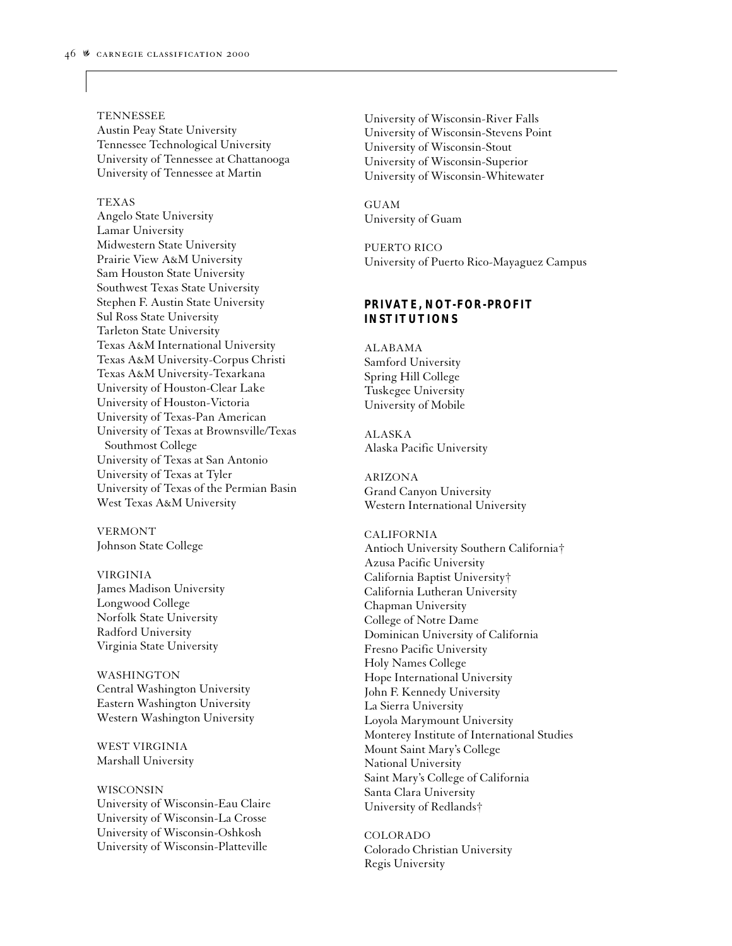TENNESSEE Austin Peay State University Tennessee Technological University University of Tennessee at Chattanooga University of Tennessee at Martin

#### TEXAS

Angelo State University Lamar University Midwestern State University Prairie View A&M University Sam Houston State University Southwest Texas State University Stephen F. Austin State University Sul Ross State University Tarleton State University Texas A&M International University Texas A&M University-Corpus Christi Texas A&M University-Texarkana University of Houston-Clear Lake University of Houston-Victoria University of Texas-Pan American University of Texas at Brownsville/Texas Southmost College University of Texas at San Antonio University of Texas at Tyler University of Texas of the Permian Basin West Texas A&M University

VERMONT Johnson State College

VIRGINIA James Madison University Longwood College Norfolk State University Radford University Virginia State University

WASHINGTON Central Washington University Eastern Washington University Western Washington University

WEST VIRGINIA Marshall University

WISCONSIN University of Wisconsin-Eau Claire University of Wisconsin-La Crosse University of Wisconsin-Oshkosh University of Wisconsin-Platteville

University of Wisconsin-River Falls University of Wisconsin-Stevens Point University of Wisconsin-Stout University of Wisconsin-Superior University of Wisconsin-Whitewater

GUAM University of Guam

PUERTO RICO University of Puerto Rico-Mayaguez Campus

# **PRIVATE, NOT-FOR-PROFIT INSTITUTIONS**

ALABAMA Samford University Spring Hill College Tuskegee University University of Mobile

ALASKA Alaska Pacific University

ARIZONA Grand Canyon University Western International University

CALIFORNIA Antioch University Southern California† Azusa Pacific University California Baptist University† California Lutheran University Chapman University College of Notre Dame Dominican University of California Fresno Pacific University Holy Names College Hope International University John F. Kennedy University La Sierra University Loyola Marymount University Monterey Institute of International Studies Mount Saint Mary's College National University Saint Mary's College of California Santa Clara University University of Redlands†

COLORADO Colorado Christian University Regis University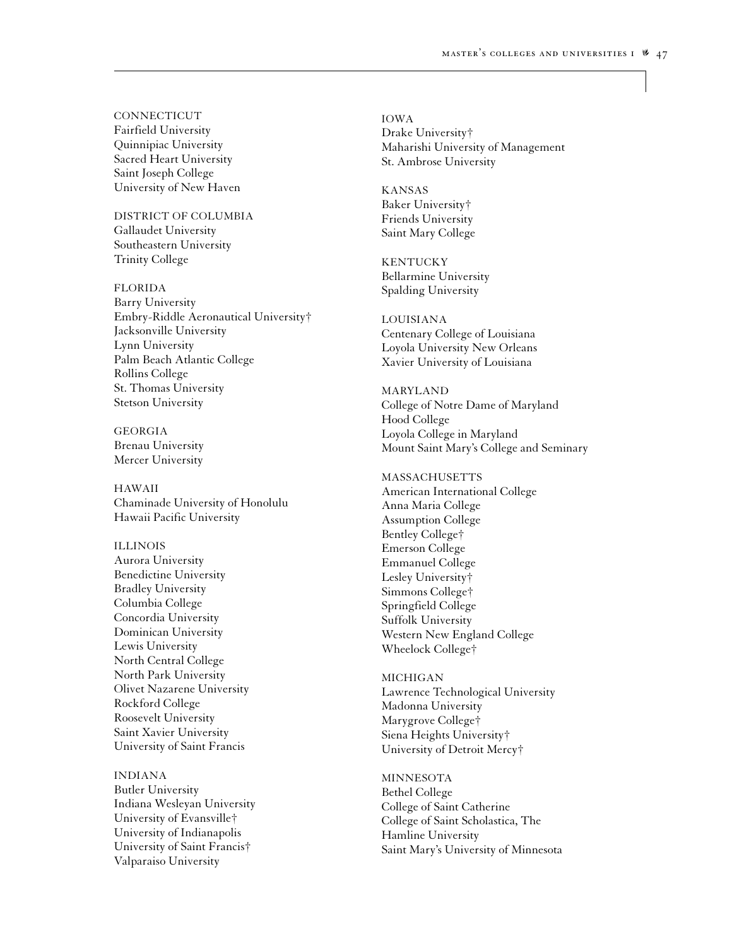CONNECTICUT Fairfield University Quinnipiac University Sacred Heart University Saint Joseph College University of New Haven

DISTRICT OF COLUMBIA Gallaudet University Southeastern University Trinity College

FLORIDA Barry University Embry-Riddle Aeronautical University† Jacksonville University Lynn University Palm Beach Atlantic College Rollins College St. Thomas University Stetson University

GEORGIA Brenau University Mercer University

HAWAII Chaminade University of Honolulu Hawaii Pacific University

ILLINOIS Aurora University Benedictine University Bradley University Columbia College Concordia University Dominican University Lewis University North Central College North Park University Olivet Nazarene University Rockford College Roosevelt University Saint Xavier University University of Saint Francis

INDIANA Butler University Indiana Wesleyan University University of Evansville† University of Indianapolis University of Saint Francis† Valparaiso University

IOWA Drake University† Maharishi University of Management St. Ambrose University

KANSAS Baker University† Friends University Saint Mary College

**KENTUCKY** Bellarmine University Spalding University

LOUISIANA Centenary College of Louisiana Loyola University New Orleans Xavier University of Louisiana

MARYLAND College of Notre Dame of Maryland Hood College Loyola College in Maryland Mount Saint Mary's College and Seminary

MASSACHUSETTS American International College Anna Maria College Assumption College Bentley College† Emerson College Emmanuel College Lesley University† Simmons College† Springfield College Suffolk University Western New England College Wheelock College†

MICHIGAN Lawrence Technological University Madonna University Marygrove College† Siena Heights University† University of Detroit Mercy†

MINNESOTA Bethel College College of Saint Catherine College of Saint Scholastica, The Hamline University Saint Mary's University of Minnesota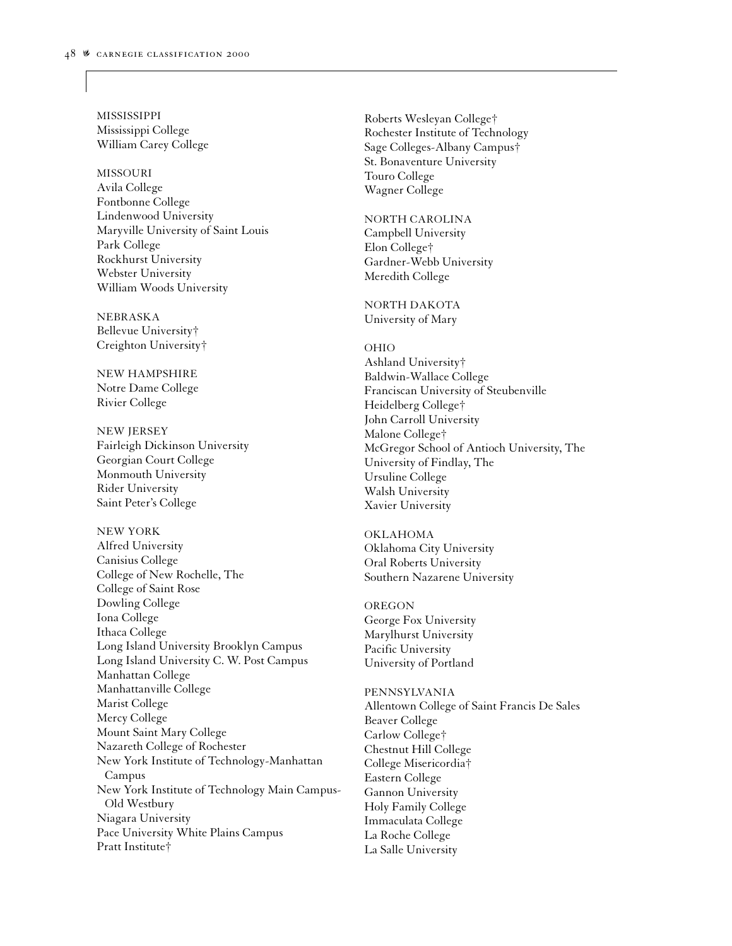MISSISSIPPI Mississippi College William Carey College

MISSOURI Avila College Fontbonne College Lindenwood University Maryville University of Saint Louis Park College Rockhurst University Webster University William Woods University

NEBRASKA Bellevue University† Creighton University†

NEW HAMPSHIRE Notre Dame College Rivier College

NEW JERSEY Fairleigh Dickinson University Georgian Court College Monmouth University Rider University Saint Peter's College

NEW YORK Alfred University Canisius College College of New Rochelle, The College of Saint Rose Dowling College Iona College Ithaca College Long Island University Brooklyn Campus Long Island University C. W. Post Campus Manhattan College Manhattanville College Marist College Mercy College Mount Saint Mary College Nazareth College of Rochester New York Institute of Technology-Manhattan Campus New York Institute of Technology Main Campus-Old Westbury Niagara University Pace University White Plains Campus Pratt Institute†

Roberts Wesleyan College† Rochester Institute of Technology Sage Colleges-Albany Campus† St. Bonaventure University Touro College Wagner College

NORTH CAROLINA Campbell University Elon College† Gardner-Webb University Meredith College

NORTH DAKOTA University of Mary

#### OHIO

Ashland University† Baldwin-Wallace College Franciscan University of Steubenville Heidelberg College† John Carroll University Malone College† McGregor School of Antioch University, The University of Findlay, The Ursuline College Walsh University Xavier University

OKLAHOMA Oklahoma City University Oral Roberts University Southern Nazarene University

OREGON George Fox University Marylhurst University Pacific University University of Portland

PENNSYLVANIA Allentown College of Saint Francis De Sales Beaver College Carlow College† Chestnut Hill College College Misericordia† Eastern College Gannon University Holy Family College Immaculata College La Roche College La Salle University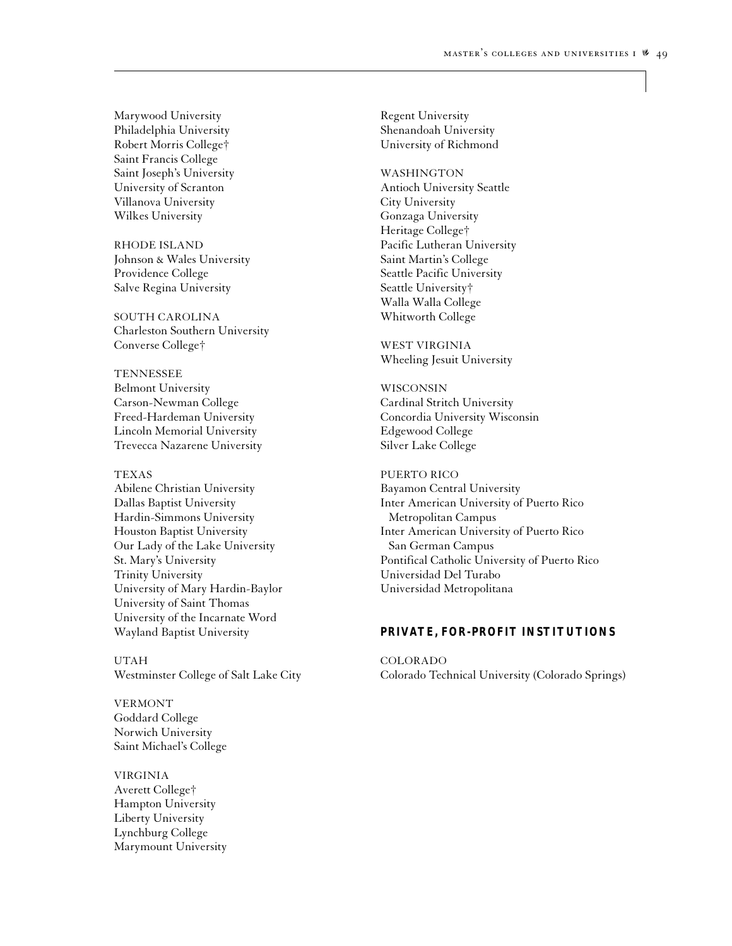Marywood University Philadelphia University Robert Morris College† Saint Francis College Saint Joseph's University University of Scranton Villanova University Wilkes University

RHODE ISLAND Johnson & Wales University Providence College Salve Regina University

SOUTH CAROLINA Charleston Southern University Converse College†

TENNESSEE Belmont University Carson-Newman College Freed-Hardeman University Lincoln Memorial University Trevecca Nazarene University

## TEXAS Abilene Christian University Dallas Baptist University Hardin-Simmons University Houston Baptist University Our Lady of the Lake University St. Mary's University Trinity University University of Mary Hardin-Baylor University of Saint Thomas University of the Incarnate Word Wayland Baptist University

UTAH Westminster College of Salt Lake City

VERMONT Goddard College Norwich University Saint Michael's College

VIRGINIA Averett College† Hampton University Liberty University Lynchburg College Marymount University Regent University Shenandoah University University of Richmond

WASHINGTON Antioch University Seattle City University Gonzaga University Heritage College† Pacific Lutheran University Saint Martin's College Seattle Pacific University Seattle University† Walla Walla College Whitworth College

WEST VIRGINIA Wheeling Jesuit University

WISCONSIN Cardinal Stritch University Concordia University Wisconsin Edgewood College Silver Lake College

PUERTO RICO Bayamon Central University Inter American University of Puerto Rico Metropolitan Campus Inter American University of Puerto Rico San German Campus Pontifical Catholic University of Puerto Rico Universidad Del Turabo Universidad Metropolitana

# **PRIVATE, FOR-PROFIT INSTITUTIONS**

COLORADO Colorado Technical University (Colorado Springs)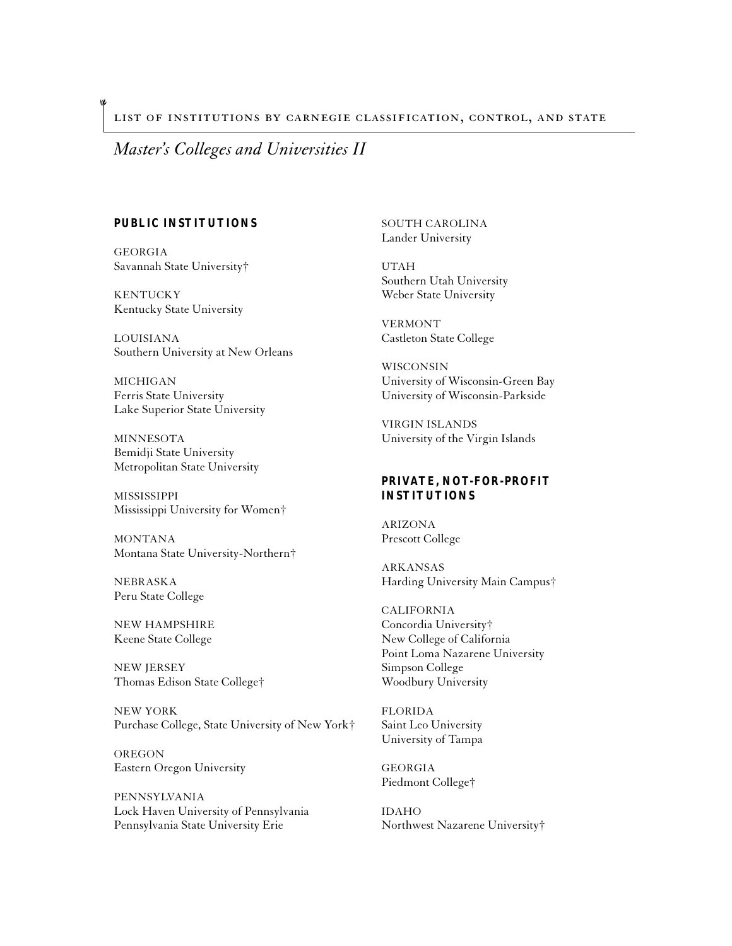list of institutions by carnegie classification, control, and state

# *Master's Colleges and Universities II*

## **PUBLIC INSTITUTIONS**

۴

GEORGIA Savannah State University†

KENTUCKY Kentucky State University

LOUISIANA Southern University at New Orleans

MICHIGAN Ferris State University Lake Superior State University

MINNESOTA Bemidji State University Metropolitan State University

MISSISSIPPI Mississippi University for Women†

MONTANA Montana State University-Northern†

NEBRASKA Peru State College

NEW HAMPSHIRE Keene State College

NEW JERSEY Thomas Edison State College†

NEW YORK Purchase College, State University of New York†

OREGON Eastern Oregon University

PENNSYLVANIA Lock Haven University of Pennsylvania Pennsylvania State University Erie

SOUTH CAROLINA Lander University

UTAH Southern Utah University Weber State University

VERMONT Castleton State College

WISCONSIN University of Wisconsin-Green Bay University of Wisconsin-Parkside

VIRGIN ISLANDS University of the Virgin Islands

# **PRIVATE, NOT-FOR-PROFIT INSTITUTIONS**

ARIZONA Prescott College

ARKANSAS Harding University Main Campus†

CALIFORNIA Concordia University† New College of California Point Loma Nazarene University Simpson College Woodbury University

FLORIDA Saint Leo University University of Tampa

GEORGIA Piedmont College†

IDAHO Northwest Nazarene University†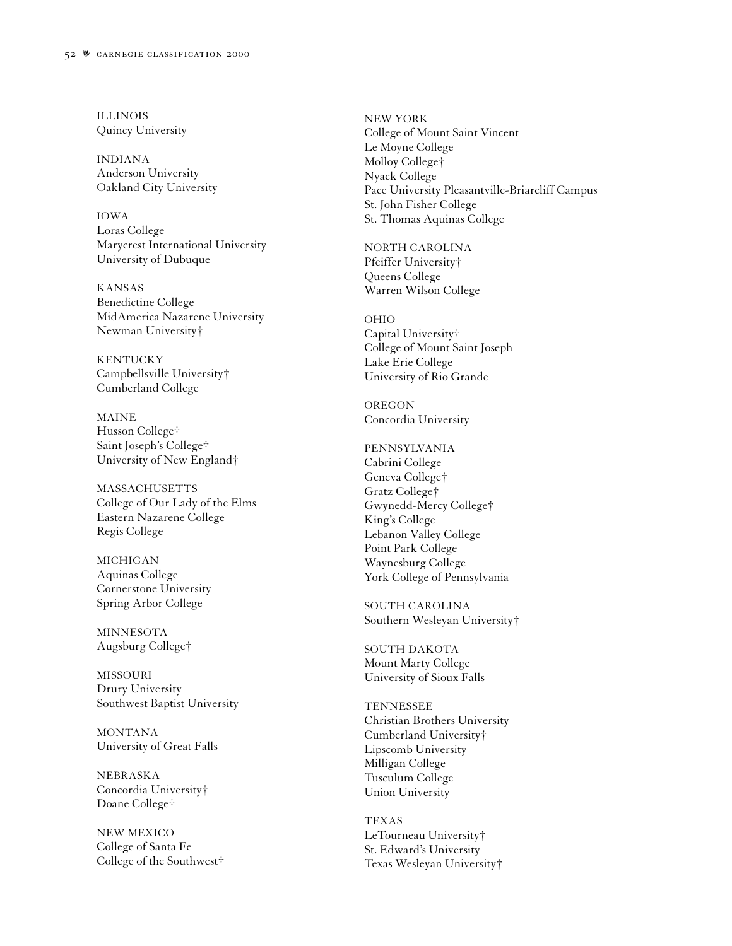ILLINOIS Quincy University

INDIANA Anderson University Oakland City University

IOWA Loras College Marycrest International University University of Dubuque

KANSAS Benedictine College MidAmerica Nazarene University Newman University†

KENTUCKY Campbellsville University† Cumberland College

MAINE Husson College† Saint Joseph's College† University of New England†

MASSACHUSETTS College of Our Lady of the Elms Eastern Nazarene College Regis College

MICHIGAN Aquinas College Cornerstone University Spring Arbor College

MINNESOTA Augsburg College†

MISSOURI Drury University Southwest Baptist University

MONTANA University of Great Falls

NEBRASKA Concordia University† Doane College†

NEW MEXICO College of Santa Fe College of the Southwest† NEW YORK College of Mount Saint Vincent Le Moyne College Molloy College† Nyack College Pace University Pleasantville-Briarcliff Campus St. John Fisher College St. Thomas Aquinas College

NORTH CAROLINA Pfeiffer University† Queens College Warren Wilson College

OHIO Capital University† College of Mount Saint Joseph Lake Erie College University of Rio Grande

OREGON Concordia University

PENNSYLVANIA Cabrini College Geneva College† Gratz College† Gwynedd-Mercy College† King's College Lebanon Valley College Point Park College Waynesburg College York College of Pennsylvania

SOUTH CAROLINA Southern Wesleyan University†

SOUTH DAKOTA Mount Marty College University of Sioux Falls

TENNESSEE Christian Brothers University Cumberland University† Lipscomb University Milligan College Tusculum College Union University

TEXAS LeTourneau University† St. Edward's University Texas Wesleyan University†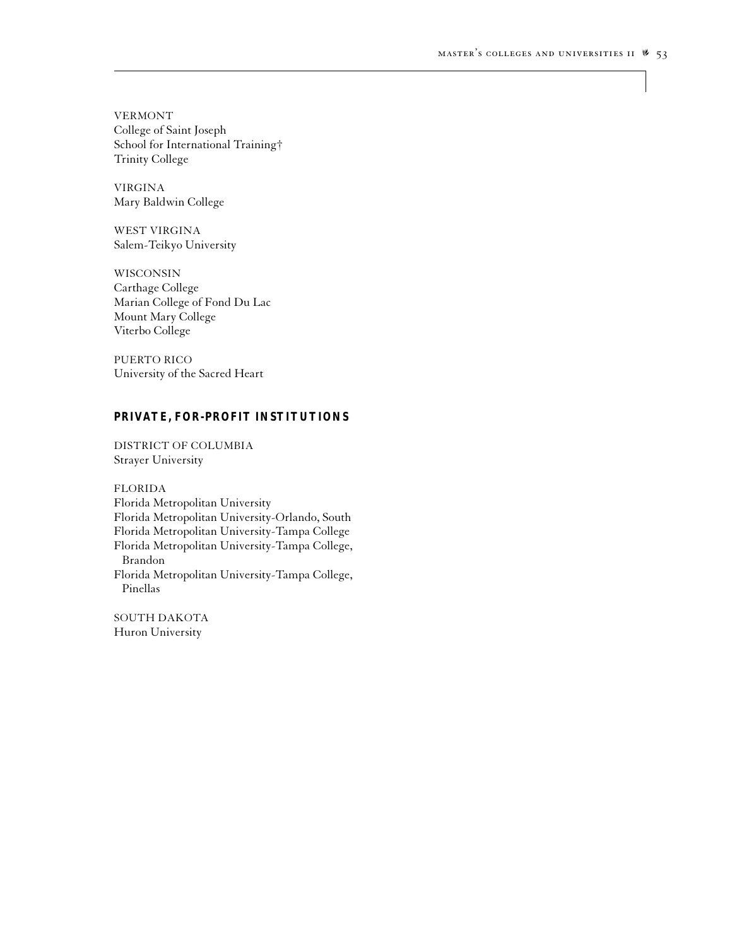VERMONT College of Saint Joseph School for International Training† Trinity College

VIRGINA Mary Baldwin College

WEST VIRGINA Salem-Teikyo University

WISCONSIN Carthage College Marian College of Fond Du Lac Mount Mary College Viterbo College

PUERTO RICO University of the Sacred Heart

# **PRIVATE, FOR-PROFIT INSTITUTIONS**

DISTRICT OF COLUMBIA Strayer University

FLORIDA Florida Metropolitan University Florida Metropolitan University-Orlando, South Florida Metropolitan University-Tampa College Florida Metropolitan University-Tampa College, Brandon Florida Metropolitan University-Tampa College, Pinellas

SOUTH DAKOTA Huron University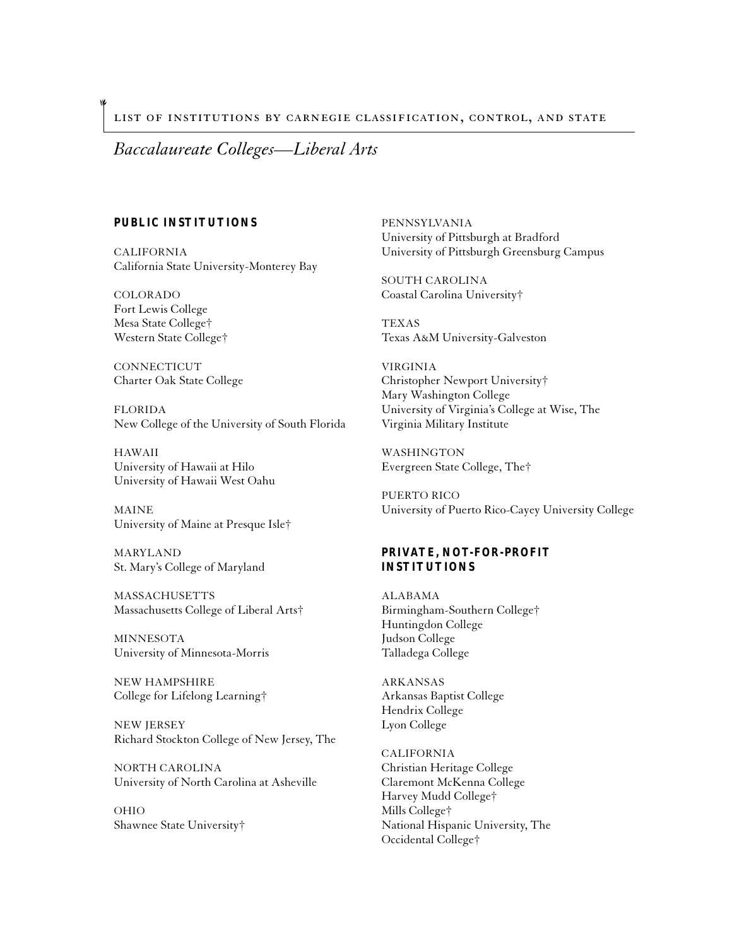list of institutions by carnegie classification, control, and state

# *Baccalaureate Colleges—Liberal Arts*

### **PUBLIC INSTITUTIONS**

۴

CALIFORNIA California State University-Monterey Bay

COLORADO Fort Lewis College Mesa State College† Western State College†

**CONNECTICUT** Charter Oak State College

FLORIDA New College of the University of South Florida

HAWAII University of Hawaii at Hilo University of Hawaii West Oahu

MAINE University of Maine at Presque Isle†

MARYLAND St. Mary's College of Maryland

MASSACHUSETTS Massachusetts College of Liberal Arts†

MINNESOTA University of Minnesota-Morris

NEW HAMPSHIRE College for Lifelong Learning†

NEW JERSEY Richard Stockton College of New Jersey, The

NORTH CAROLINA University of North Carolina at Asheville

OHIO Shawnee State University† PENNSYLVANIA University of Pittsburgh at Bradford University of Pittsburgh Greensburg Campus

SOUTH CAROLINA Coastal Carolina University†

TEXAS Texas A&M University-Galveston

VIRGINIA Christopher Newport University† Mary Washington College University of Virginia's College at Wise, The Virginia Military Institute

WASHINGTON Evergreen State College, The†

PUERTO RICO University of Puerto Rico-Cayey University College

### **PRIVATE, NOT-FOR-PROFIT INSTITUTIONS**

ALABAMA Birmingham-Southern College† Huntingdon College Judson College Talladega College

ARKANSAS Arkansas Baptist College Hendrix College Lyon College

CALIFORNIA Christian Heritage College Claremont McKenna College Harvey Mudd College† Mills College† National Hispanic University, The Occidental College†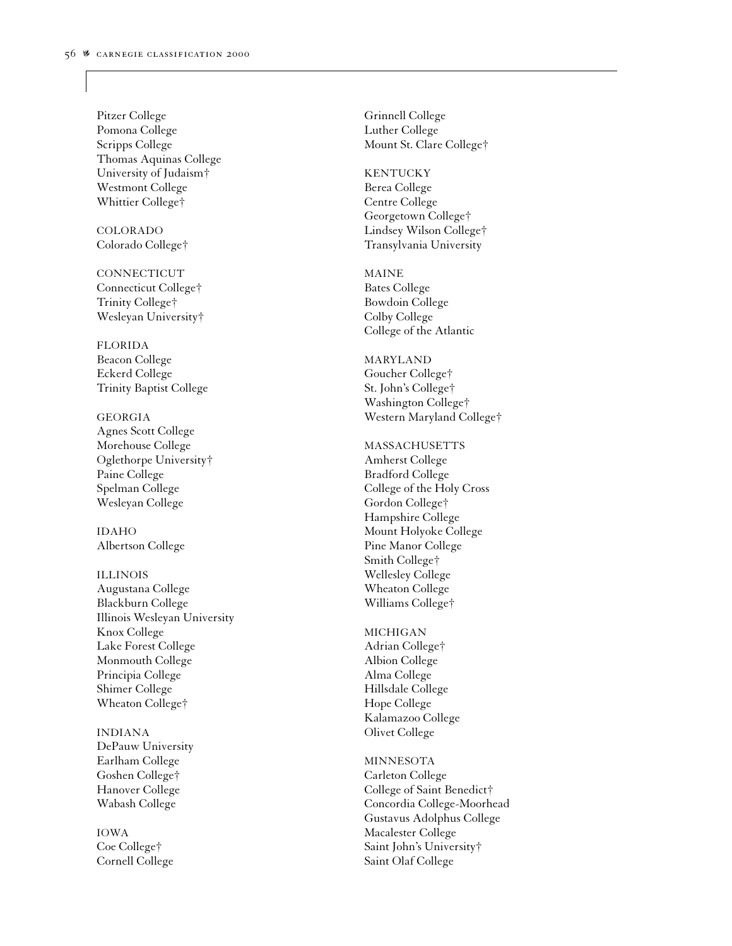Pitzer College Pomona College Scripps College Thomas Aquinas College University of Judaism† Westmont College Whittier College†

COLORADO Colorado College†

CONNECTICUT Connecticut College† Trinity College† Wesleyan University†

FLORIDA Beacon College Eckerd College Trinity Baptist College

GEORGIA Agnes Scott College Morehouse College Oglethorpe University† Paine College Spelman College Wesleyan College

IDAHO Albertson College

ILLINOIS Augustana College Blackburn College Illinois Wesleyan University Knox College Lake Forest College Monmouth College Principia College Shimer College Wheaton College†

INDIANA DePauw University Earlham College Goshen College† Hanover College Wabash College

IOWA Coe College† Cornell College Grinnell College Luther College Mount St. Clare College†

KENTUCKY Berea College Centre College Georgetown College† Lindsey Wilson College† Transylvania University

MAINE Bates College Bowdoin College Colby College College of the Atlantic

MARYLAND Goucher College† St. John's College† Washington College† Western Maryland College†

MASSACHUSETTS Amherst College Bradford College College of the Holy Cross Gordon College† Hampshire College Mount Holyoke College Pine Manor College Smith College† Wellesley College Wheaton College Williams College†

MICHIGAN Adrian College† Albion College Alma College Hillsdale College Hope College Kalamazoo College Olivet College

MINNESOTA Carleton College College of Saint Benedict† Concordia College-Moorhead Gustavus Adolphus College Macalester College Saint John's University† Saint Olaf College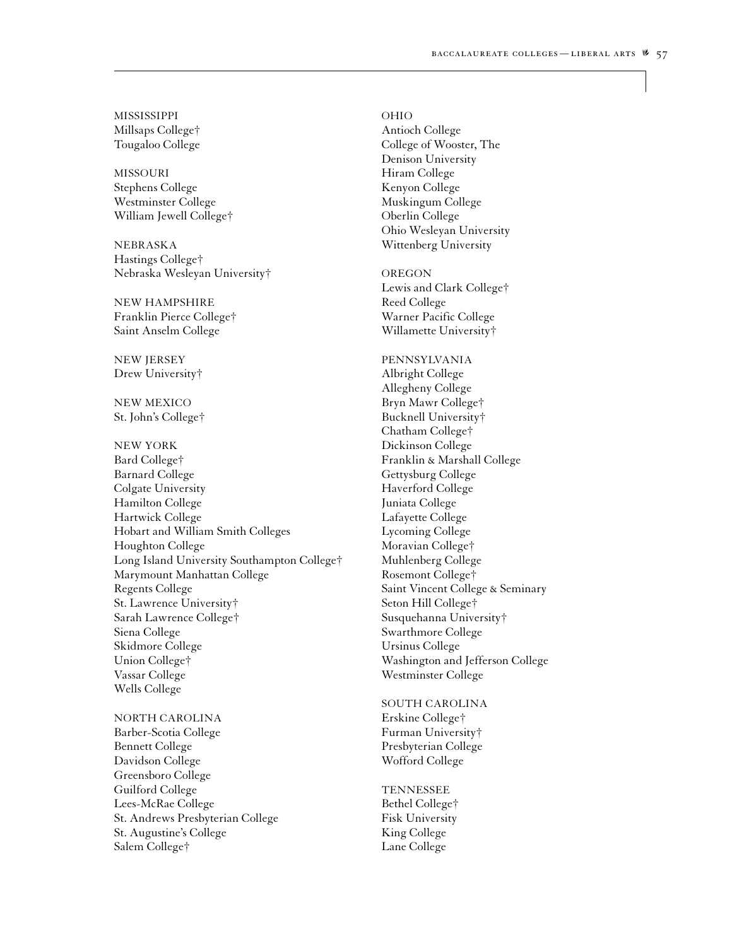MISSISSIPPI Millsaps College† Tougaloo College

MISSOURI Stephens College Westminster College William Jewell College†

NEBRASKA Hastings College† Nebraska Wesleyan University†

NEW HAMPSHIRE Franklin Pierce College† Saint Anselm College

NEW JERSEY Drew University†

NEW MEXICO St. John's College†

NEW YORK Bard College† Barnard College Colgate University Hamilton College Hartwick College Hobart and William Smith Colleges Houghton College Long Island University Southampton College† Marymount Manhattan College Regents College St. Lawrence University† Sarah Lawrence College† Siena College Skidmore College Union College† Vassar College Wells College

NORTH CAROLINA

Barber-Scotia College Bennett College Davidson College Greensboro College Guilford College Lees-McRae College St. Andrews Presbyterian College St. Augustine's College Salem College†

OHIO Antioch College College of Wooster, The Denison University Hiram College Kenyon College Muskingum College Oberlin College Ohio Wesleyan University Wittenberg University OREGON Lewis and Clark College† Reed College Warner Pacific College Willamette University† PENNSYLVANIA Albright College Allegheny College Bryn Mawr College† Bucknell University† Chatham College† Dickinson College Franklin & Marshall College Gettysburg College Haverford College Juniata College Lafayette College Lycoming College Moravian College† Muhlenberg College Rosemont College† Saint Vincent College & Seminary Seton Hill College† Susquehanna University† Swarthmore College Ursinus College

Washington and Jefferson College Westminster College

SOUTH CAROLINA Erskine College† Furman University† Presbyterian College Wofford College

TENNESSEE Bethel College† Fisk University King College Lane College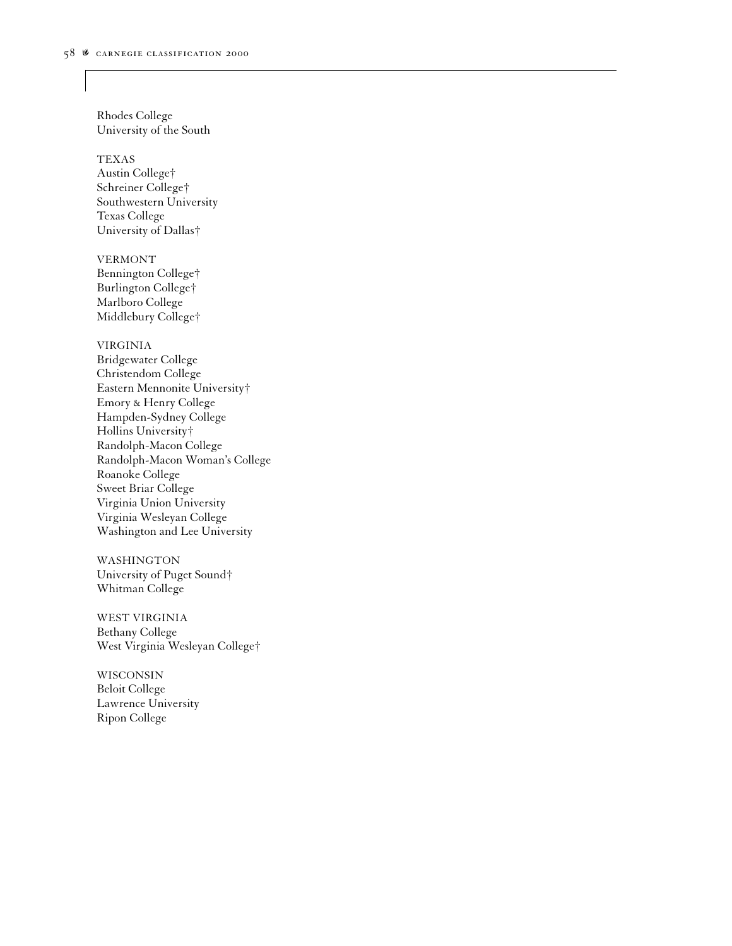Rhodes College University of the South

# TEXAS

Austin College† Schreiner College† Southwestern University Texas College University of Dallas†

VERMONT Bennington College† Burlington College† Marlboro College Middlebury College†

#### VIRGINIA

Bridgewater College Christendom College Eastern Mennonite University† Emory & Henry College Hampden-Sydney College Hollins University† Randolph-Macon College Randolph-Macon Woman's College Roanoke College Sweet Briar College Virginia Union University Virginia Wesleyan College Washington and Lee University

WASHINGTON University of Puget Sound† Whitman College

WEST VIRGINIA Bethany College West Virginia Wesleyan College†

WISCONSIN Beloit College Lawrence University Ripon College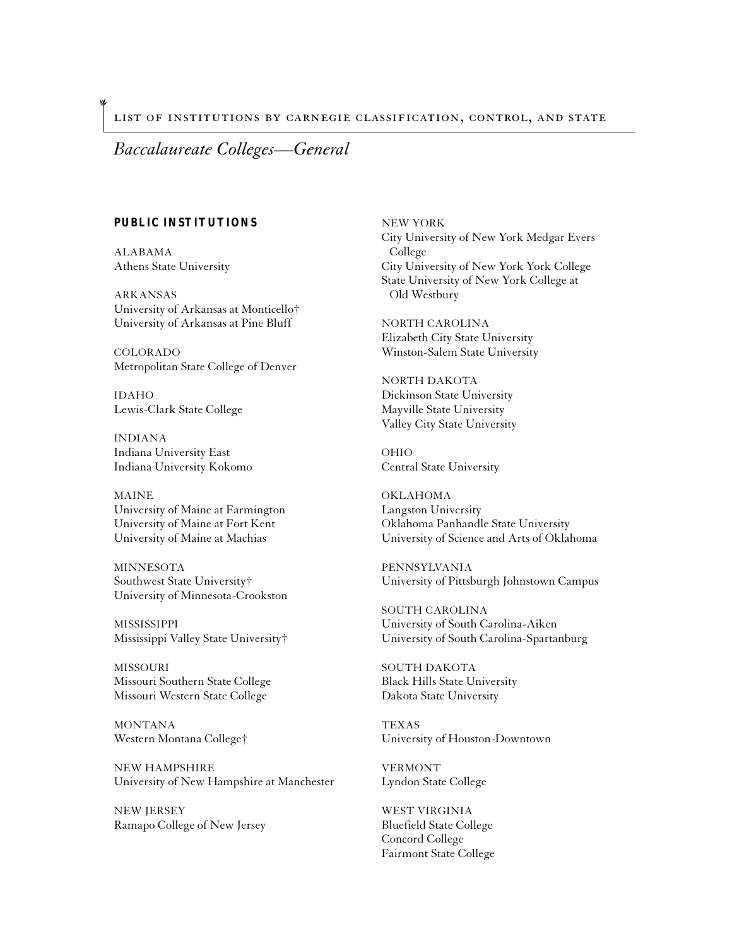# *Baccalaureate Colleges—General*

### **PUBLIC INSTITUTIONS**

ALABAMA Athens State University

۴

ARKANSAS University of Arkansas at Monticello† University of Arkansas at Pine Bluff

COLORADO Metropolitan State College of Denver

IDAHO Lewis-Clark State College

INDIANA Indiana University East Indiana University Kokomo

MAINE University of Maine at Farmington University of Maine at Fort Kent University of Maine at Machias

MINNESOTA Southwest State University† University of Minnesota-Crookston

MISSISSIPPI Mississippi Valley State University†

MISSOURI Missouri Southern State College Missouri Western State College

MONTANA Western Montana College†

NEW HAMPSHIRE University of New Hampshire at Manchester

NEW JERSEY Ramapo College of New Jersey NEW YORK City University of New York Medgar Evers College City University of New York York College State University of New York College at Old Westbury

NORTH CAROLINA Elizabeth City State University Winston-Salem State University

NORTH DAKOTA Dickinson State University Mayville State University Valley City State University

OHIO Central State University

OKLAHOMA Langston University Oklahoma Panhandle State University University of Science and Arts of Oklahoma

PENNSYLVANIA University of Pittsburgh Johnstown Campus

SOUTH CAROLINA University of South Carolina-Aiken University of South Carolina-Spartanburg

SOUTH DAKOTA Black Hills State University Dakota State University

TEXAS University of Houston-Downtown

VERMONT Lyndon State College

WEST VIRGINIA Bluefield State College Concord College Fairmont State College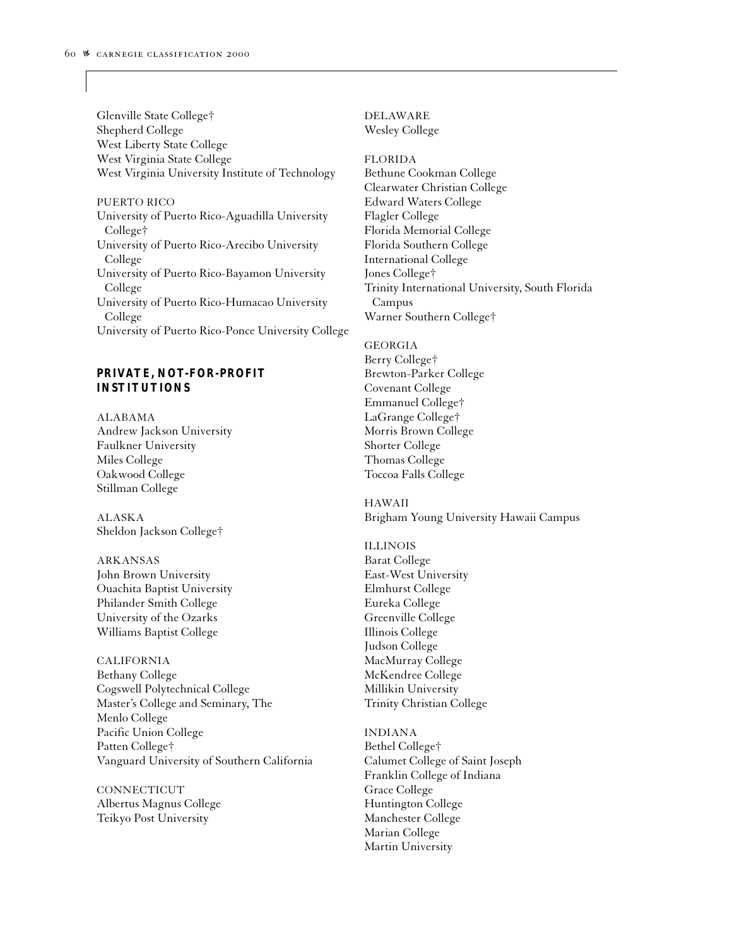Glenville State College† Shepherd College West Liberty State College West Virginia State College West Virginia University Institute of Technology

PUERTO RICO University of Puerto Rico-Aguadilla University College† University of Puerto Rico-Arecibo University College University of Puerto Rico-Bayamon University College University of Puerto Rico-Humacao University College University of Puerto Rico-Ponce University College

# **PRIVATE, NOT-FOR-PROFIT INSTITUTIONS**

ALABAMA Andrew Jackson University Faulkner University Miles College Oakwood College Stillman College

ALASKA Sheldon Jackson College†

ARKANSAS John Brown University Ouachita Baptist University Philander Smith College University of the Ozarks Williams Baptist College

CALIFORNIA Bethany College Cogswell Polytechnical College Master's College and Seminary, The Menlo College Pacific Union College Patten College† Vanguard University of Southern California

**CONNECTICUT** Albertus Magnus College Teikyo Post University

DELAWARE Wesley College

FLORIDA Bethune Cookman College Clearwater Christian College Edward Waters College Flagler College Florida Memorial College Florida Southern College International College Jones College† Trinity International University, South Florida Campus Warner Southern College†

GEORGIA Berry College† Brewton-Parker College Covenant College Emmanuel College† LaGrange College† Morris Brown College Shorter College Thomas College Toccoa Falls College

HAWAII Brigham Young University Hawaii Campus

ILLINOIS Barat College East-West University Elmhurst College Eureka College Greenville College Illinois College Judson College MacMurray College McKendree College Millikin University Trinity Christian College

INDIANA Bethel College† Calumet College of Saint Joseph Franklin College of Indiana Grace College Huntington College Manchester College Marian College Martin University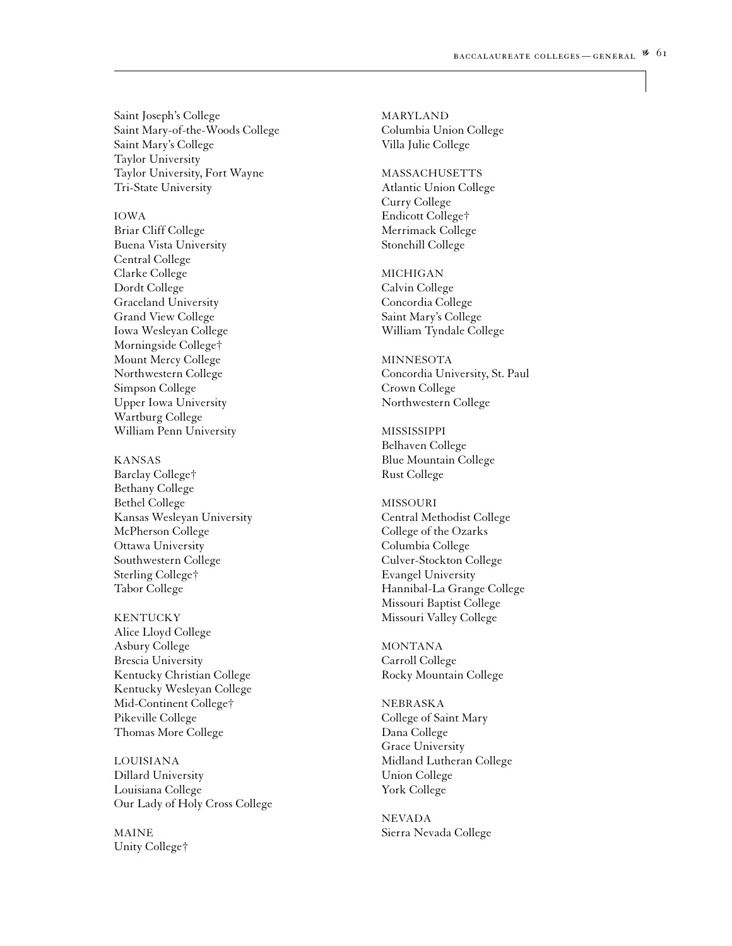Saint Joseph's College Saint Mary-of-the-Woods College Saint Mary's College Taylor University Taylor University, Fort Wayne Tri-State University

IOWA Briar Cliff College Buena Vista University Central College Clarke College Dordt College Graceland University Grand View College Iowa Wesleyan College Morningside College† Mount Mercy College Northwestern College Simpson College Upper Iowa University Wartburg College William Penn University

KANSAS Barclay College† Bethany College Bethel College Kansas Wesleyan University McPherson College Ottawa University Southwestern College Sterling College† Tabor College

KENTUCKY Alice Lloyd College Asbury College Brescia University Kentucky Christian College Kentucky Wesleyan College Mid-Continent College† Pikeville College Thomas More College

LOUISIANA Dillard University Louisiana College Our Lady of Holy Cross College

MAINE Unity College† MARYLAND Columbia Union College Villa Julie College

MASSACHUSETTS Atlantic Union College Curry College Endicott College† Merrimack College Stonehill College

MICHIGAN Calvin College Concordia College Saint Mary's College William Tyndale College

MINNESOTA Concordia University, St. Paul Crown College Northwestern College

MISSISSIPPI Belhaven College Blue Mountain College Rust College

MISSOURI Central Methodist College College of the Ozarks Columbia College Culver-Stockton College Evangel University Hannibal-La Grange College Missouri Baptist College Missouri Valley College

MONTANA Carroll College Rocky Mountain College

NEBRASKA College of Saint Mary Dana College Grace University Midland Lutheran College Union College York College

NEVADA Sierra Nevada College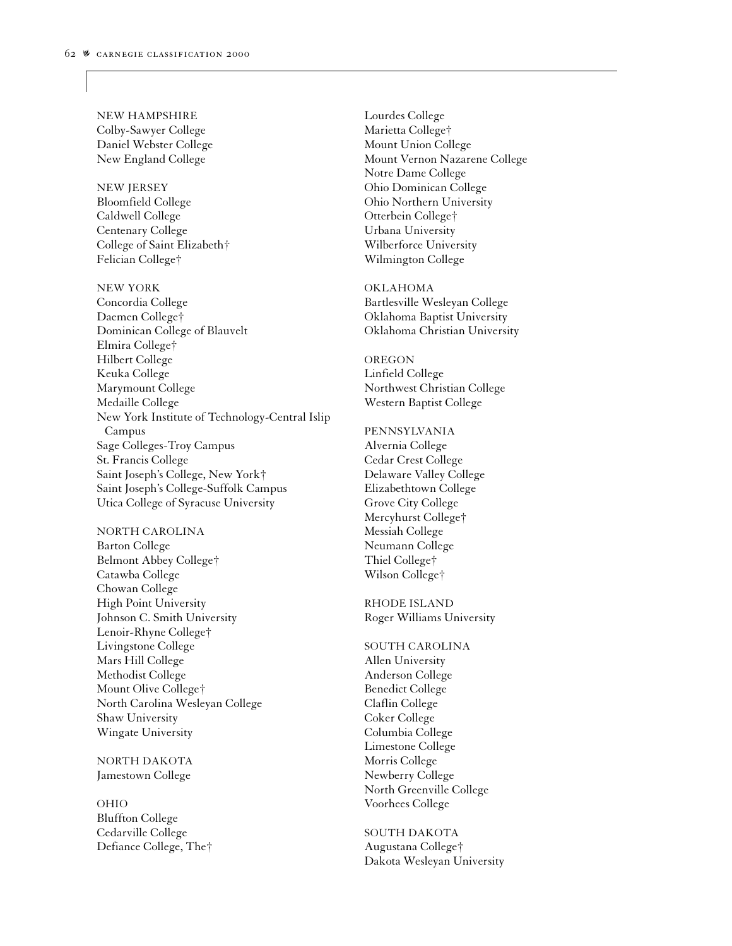NEW HAMPSHIRE Colby-Sawyer College Daniel Webster College New England College

NEW JERSEY Bloomfield College Caldwell College Centenary College College of Saint Elizabeth† Felician College†

NEW YORK Concordia College Daemen College† Dominican College of Blauvelt Elmira College† Hilbert College Keuka College Marymount College Medaille College New York Institute of Technology-Central Islip Campus Sage Colleges-Troy Campus St. Francis College Saint Joseph's College, New York† Saint Joseph's College-Suffolk Campus Utica College of Syracuse University

NORTH CAROLINA Barton College Belmont Abbey College† Catawba College Chowan College High Point University Johnson C. Smith University Lenoir-Rhyne College† Livingstone College Mars Hill College Methodist College Mount Olive College† North Carolina Wesleyan College Shaw University Wingate University

NORTH DAKOTA Jamestown College

OHIO Bluffton College Cedarville College Defiance College, The†

Lourdes College Marietta College† Mount Union College Mount Vernon Nazarene College Notre Dame College Ohio Dominican College Ohio Northern University Otterbein College† Urbana University Wilberforce University Wilmington College

OKLAHOMA Bartlesville Wesleyan College Oklahoma Baptist University Oklahoma Christian University

OREGON Linfield College Northwest Christian College Western Baptist College

PENNSYLVANIA Alvernia College Cedar Crest College Delaware Valley College Elizabethtown College Grove City College Mercyhurst College† Messiah College Neumann College Thiel College† Wilson College†

RHODE ISLAND Roger Williams University

SOUTH CAROLINA Allen University Anderson College Benedict College Claflin College Coker College Columbia College Limestone College Morris College Newberry College North Greenville College Voorhees College

SOUTH DAKOTA Augustana College† Dakota Wesleyan University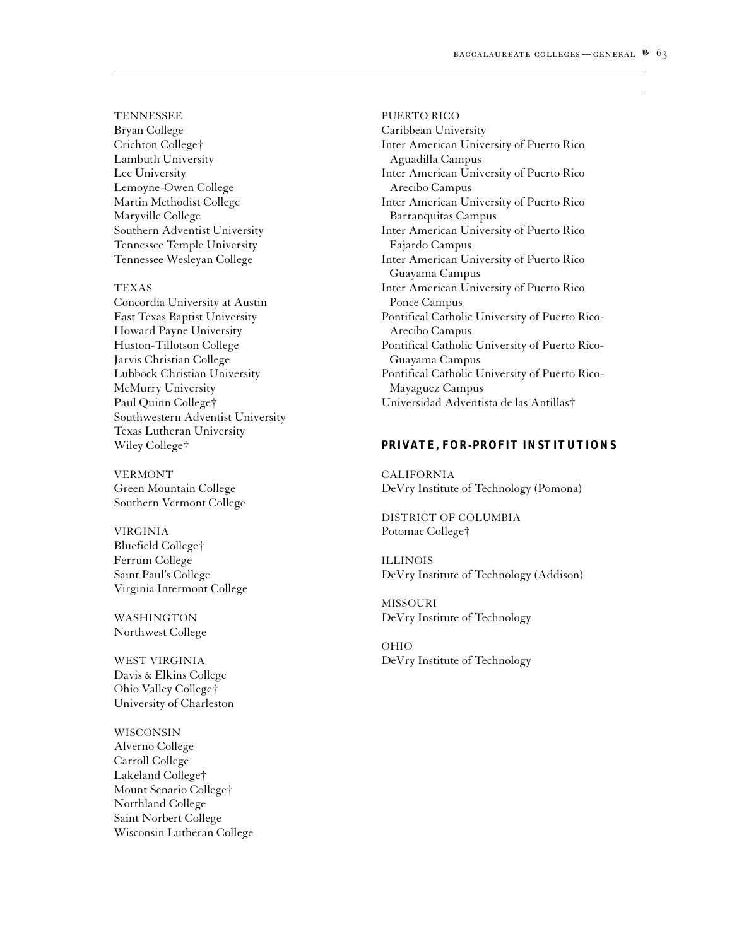TENNESSEE Bryan College Crichton College† Lambuth University Lee University Lemoyne-Owen College Martin Methodist College Maryville College Southern Adventist University Tennessee Temple University Tennessee Wesleyan College

#### TEXAS

Concordia University at Austin East Texas Baptist University Howard Payne University Huston-Tillotson College Jarvis Christian College Lubbock Christian University McMurry University Paul Quinn College† Southwestern Adventist University Texas Lutheran University Wiley College†

VERMONT Green Mountain College Southern Vermont College

VIRGINIA Bluefield College† Ferrum College Saint Paul's College Virginia Intermont College

WASHINGTON Northwest College

WEST VIRGINIA Davis & Elkins College Ohio Valley College† University of Charleston

WISCONSIN Alverno College Carroll College Lakeland College† Mount Senario College† Northland College Saint Norbert College Wisconsin Lutheran College PUERTO RICO Caribbean University Inter American University of Puerto Rico Aguadilla Campus Inter American University of Puerto Rico Arecibo Campus Inter American University of Puerto Rico Barranquitas Campus Inter American University of Puerto Rico Fajardo Campus Inter American University of Puerto Rico Guayama Campus Inter American University of Puerto Rico Ponce Campus Pontifical Catholic University of Puerto Rico-Arecibo Campus Pontifical Catholic University of Puerto Rico-Guayama Campus Pontifical Catholic University of Puerto Rico-Mayaguez Campus Universidad Adventista de las Antillas†

### **PRIVATE, FOR-PROFIT INSTITUTIONS**

CALIFORNIA DeVry Institute of Technology (Pomona)

DISTRICT OF COLUMBIA Potomac College†

ILLINOIS DeVry Institute of Technology (Addison)

MISSOURI DeVry Institute of Technology

OHIO DeVry Institute of Technology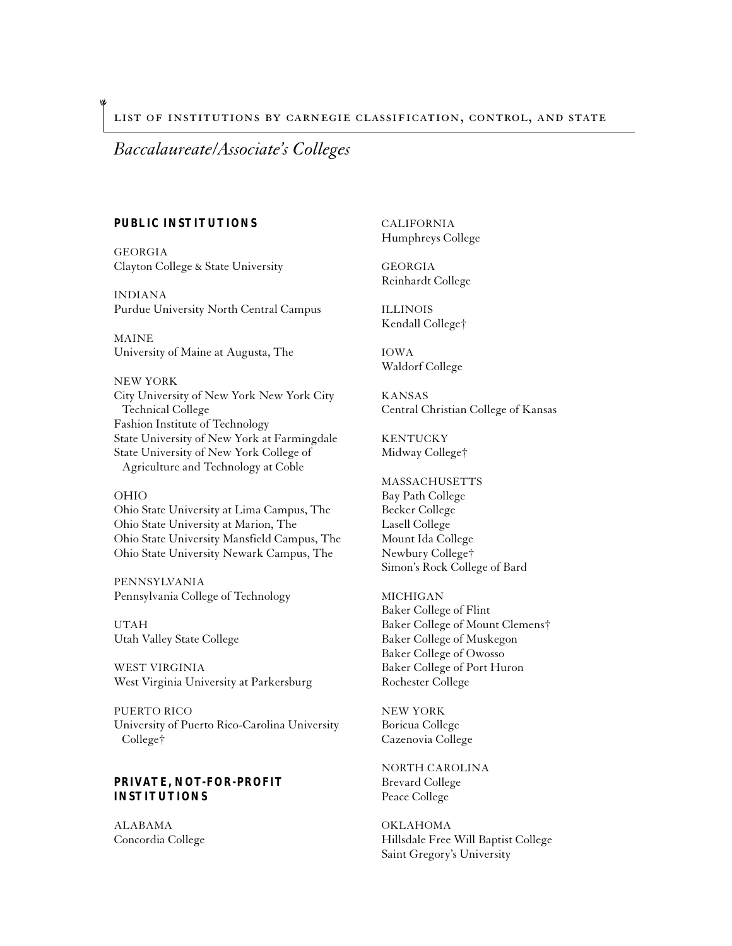# *Baccalaureate/Associate's Colleges*

### **PUBLIC INSTITUTIONS**

GEORGIA Clayton College & State University

INDIANA Purdue University North Central Campus

MAINE University of Maine at Augusta, The

#### NEW YORK

۴

City University of New York New York City Technical College Fashion Institute of Technology State University of New York at Farmingdale State University of New York College of Agriculture and Technology at Coble

#### OHIO

Ohio State University at Lima Campus, The Ohio State University at Marion, The Ohio State University Mansfield Campus, The Ohio State University Newark Campus, The

PENNSYLVANIA Pennsylvania College of Technology

UTAH Utah Valley State College

WEST VIRGINIA West Virginia University at Parkersburg

PUERTO RICO University of Puerto Rico-Carolina University College†

## **PRIVATE, NOT-FOR-PROFIT INSTITUTIONS**

ALABAMA Concordia College CALIFORNIA Humphreys College

GEORGIA Reinhardt College

ILLINOIS Kendall College†

IOWA Waldorf College

KANSAS Central Christian College of Kansas

KENTUCKY Midway College†

MASSACHUSETTS Bay Path College Becker College Lasell College Mount Ida College Newbury College† Simon's Rock College of Bard

MICHIGAN Baker College of Flint Baker College of Mount Clemens† Baker College of Muskegon Baker College of Owosso Baker College of Port Huron Rochester College

NEW YORK Boricua College Cazenovia College

NORTH CAROLINA Brevard College Peace College

OKLAHOMA Hillsdale Free Will Baptist College Saint Gregory's University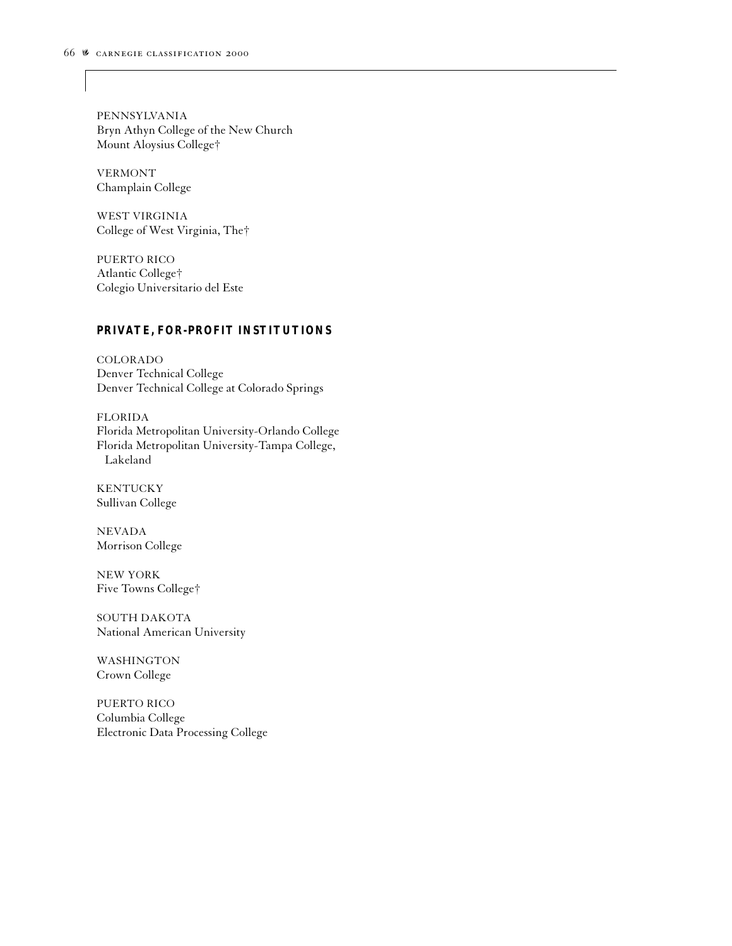PENNSYLVANIA Bryn Athyn College of the New Church Mount Aloysius College†

VERMONT Champlain College

WEST VIRGINIA College of West Virginia, The†

PUERTO RICO Atlantic College† Colegio Universitario del Este

# **PRIVATE, FOR-PROFIT INSTITUTIONS**

COLORADO Denver Technical College Denver Technical College at Colorado Springs

FLORIDA Florida Metropolitan University-Orlando College Florida Metropolitan University-Tampa College, Lakeland

KENTUCKY Sullivan College

NEVADA Morrison College

NEW YORK Five Towns College†

SOUTH DAKOTA National American University

WASHINGTON Crown College

PUERTO RICO Columbia College Electronic Data Processing College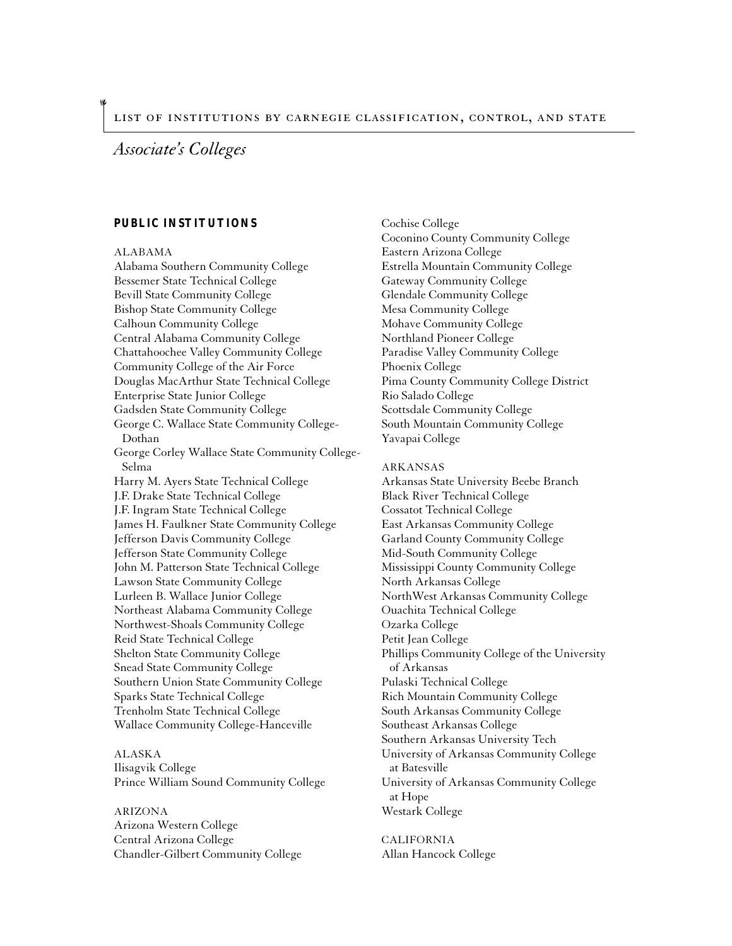# *Associate's Colleges*

### **PUBLIC INSTITUTIONS**

#### ALABAMA

۴

Alabama Southern Community College Bessemer State Technical College Bevill State Community College Bishop State Community College Calhoun Community College Central Alabama Community College Chattahoochee Valley Community College Community College of the Air Force Douglas MacArthur State Technical College Enterprise State Junior College Gadsden State Community College George C. Wallace State Community College-Dothan George Corley Wallace State Community College-Selma Harry M. Ayers State Technical College J.F. Drake State Technical College J.F. Ingram State Technical College James H. Faulkner State Community College Jefferson Davis Community College Jefferson State Community College John M. Patterson State Technical College Lawson State Community College Lurleen B. Wallace Junior College Northeast Alabama Community College Northwest-Shoals Community College Reid State Technical College Shelton State Community College Snead State Community College Southern Union State Community College Sparks State Technical College Trenholm State Technical College Wallace Community College-Hanceville

# ALASKA

Ilisagvik College Prince William Sound Community College

# ARIZONA

Arizona Western College Central Arizona College Chandler-Gilbert Community College Cochise College Coconino County Community College Eastern Arizona College Estrella Mountain Community College Gateway Community College Glendale Community College Mesa Community College Mohave Community College Northland Pioneer College Paradise Valley Community College Phoenix College Pima County Community College District Rio Salado College Scottsdale Community College South Mountain Community College Yavapai College

# ARKANSAS Arkansas State University Beebe Branch Black River Technical College Cossatot Technical College East Arkansas Community College Garland County Community College Mid-South Community College Mississippi County Community College North Arkansas College NorthWest Arkansas Community College Ouachita Technical College Ozarka College Petit Jean College Phillips Community College of the University of Arkansas Pulaski Technical College Rich Mountain Community College South Arkansas Community College Southeast Arkansas College Southern Arkansas University Tech University of Arkansas Community College at Batesville University of Arkansas Community College at Hope Westark College

## CALIFORNIA Allan Hancock College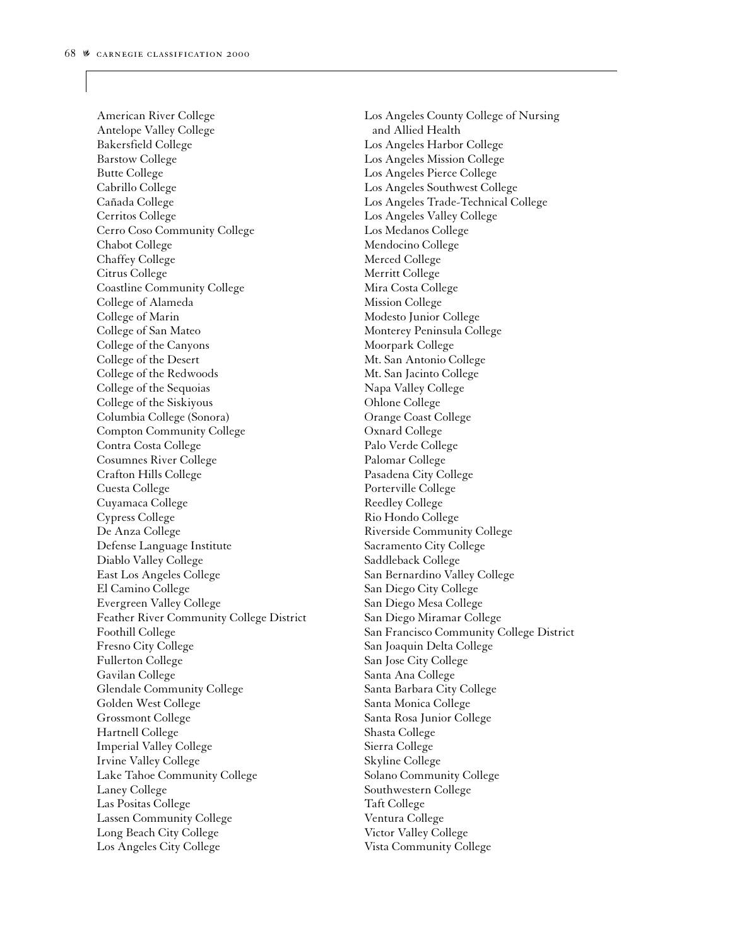American River College Antelope Valley College Bakersfield College Barstow College Butte College Cabrillo College Cañada College Cerritos College Cerro Coso Community College Chabot College Chaffey College Citrus College Coastline Community College College of Alameda College of Marin College of San Mateo College of the Canyons College of the Desert College of the Redwoods College of the Sequoias College of the Siskiyous Columbia College (Sonora) Compton Community College Contra Costa College Cosumnes River College Crafton Hills College Cuesta College Cuyamaca College Cypress College De Anza College Defense Language Institute Diablo Valley College East Los Angeles College El Camino College Evergreen Valley College Feather River Community College District Foothill College Fresno City College Fullerton College Gavilan College Glendale Community College Golden West College Grossmont College Hartnell College Imperial Valley College Irvine Valley College Lake Tahoe Community College Laney College Las Positas College Lassen Community College Long Beach City College Los Angeles City College

Los Angeles County College of Nursing and Allied Health Los Angeles Harbor College Los Angeles Mission College Los Angeles Pierce College Los Angeles Southwest College Los Angeles Trade-Technical College Los Angeles Valley College Los Medanos College Mendocino College Merced College Merritt College Mira Costa College Mission College Modesto Junior College Monterey Peninsula College Moorpark College Mt. San Antonio College Mt. San Jacinto College Napa Valley College Ohlone College Orange Coast College Oxnard College Palo Verde College Palomar College Pasadena City College Porterville College Reedley College Rio Hondo College Riverside Community College Sacramento City College Saddleback College San Bernardino Valley College San Diego City College San Diego Mesa College San Diego Miramar College San Francisco Community College District San Joaquin Delta College San Jose City College Santa Ana College Santa Barbara City College Santa Monica College Santa Rosa Junior College Shasta College Sierra College Skyline College Solano Community College Southwestern College Taft College Ventura College Victor Valley College Vista Community College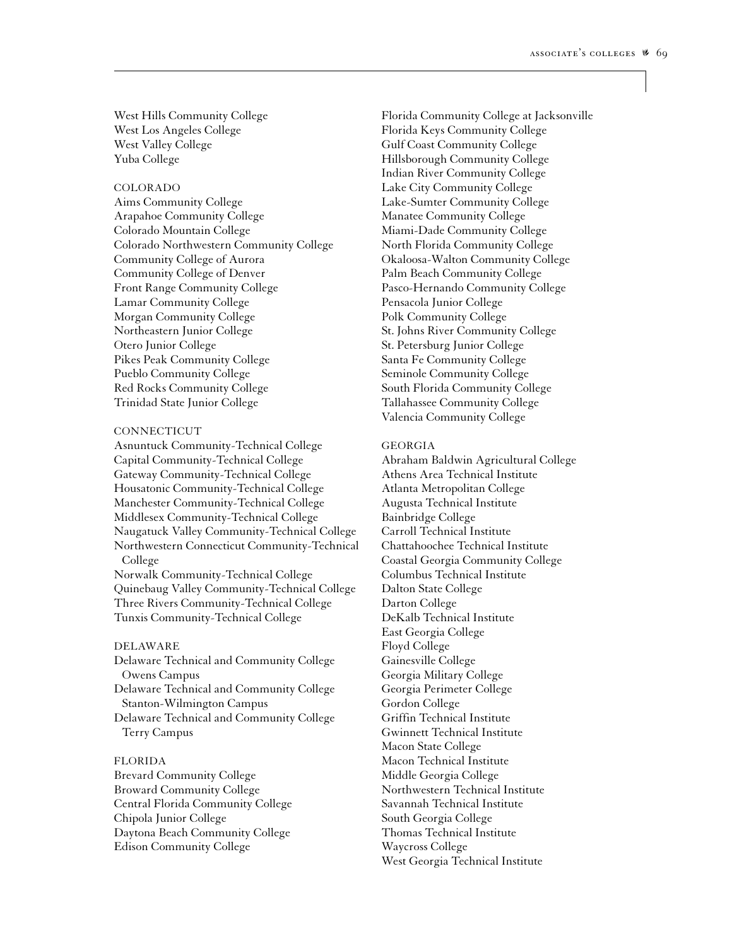West Hills Community College West Los Angeles College West Valley College Yuba College

#### COLORADO

Aims Community College Arapahoe Community College Colorado Mountain College Colorado Northwestern Community College Community College of Aurora Community College of Denver Front Range Community College Lamar Community College Morgan Community College Northeastern Junior College Otero Junior College Pikes Peak Community College Pueblo Community College Red Rocks Community College Trinidad State Junior College

#### CONNECTICUT

Asnuntuck Community-Technical College Capital Community-Technical College Gateway Community-Technical College Housatonic Community-Technical College Manchester Community-Technical College Middlesex Community-Technical College Naugatuck Valley Community-Technical College Northwestern Connecticut Community-Technical College Norwalk Community-Technical College Quinebaug Valley Community-Technical College Three Rivers Community-Technical College Tunxis Community-Technical College

#### DELAWARE

Delaware Technical and Community College Owens Campus Delaware Technical and Community College Stanton-Wilmington Campus Delaware Technical and Community College Terry Campus

FLORIDA Brevard Community College Broward Community College Central Florida Community College Chipola Junior College Daytona Beach Community College Edison Community College

Florida Community College at Jacksonville Florida Keys Community College Gulf Coast Community College Hillsborough Community College Indian River Community College Lake City Community College Lake-Sumter Community College Manatee Community College Miami-Dade Community College North Florida Community College Okaloosa-Walton Community College Palm Beach Community College Pasco-Hernando Community College Pensacola Junior College Polk Community College St. Johns River Community College St. Petersburg Junior College Santa Fe Community College Seminole Community College South Florida Community College Tallahassee Community College Valencia Community College

#### GEORGIA

Abraham Baldwin Agricultural College Athens Area Technical Institute Atlanta Metropolitan College Augusta Technical Institute Bainbridge College Carroll Technical Institute Chattahoochee Technical Institute Coastal Georgia Community College Columbus Technical Institute Dalton State College Darton College DeKalb Technical Institute East Georgia College Floyd College Gainesville College Georgia Military College Georgia Perimeter College Gordon College Griffin Technical Institute Gwinnett Technical Institute Macon State College Macon Technical Institute Middle Georgia College Northwestern Technical Institute Savannah Technical Institute South Georgia College Thomas Technical Institute Waycross College

West Georgia Technical Institute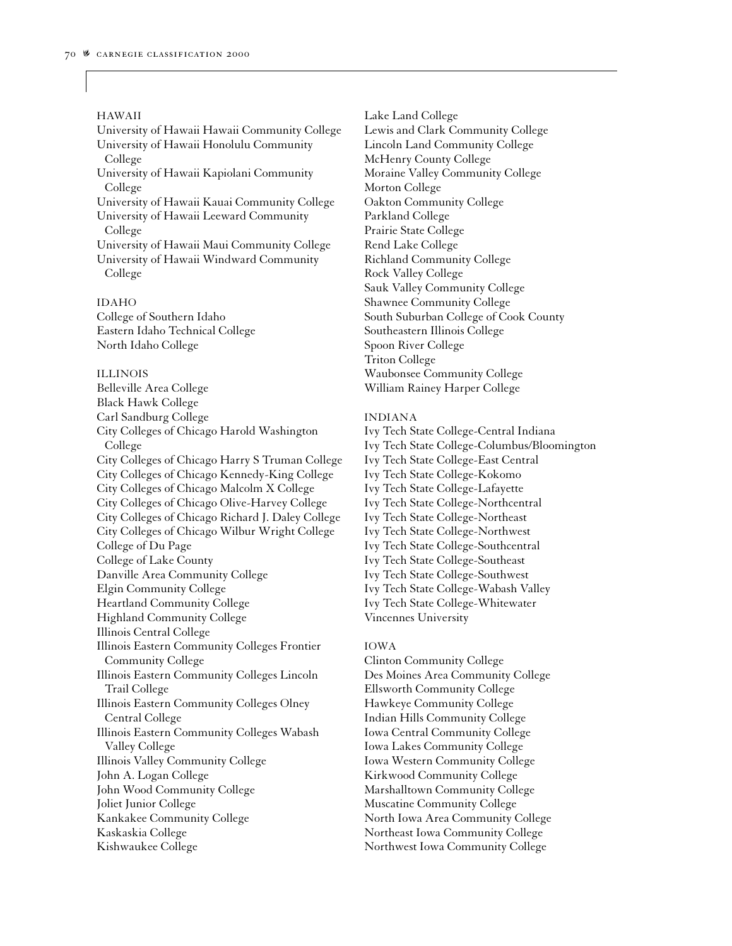### HAWAII

University of Hawaii Hawaii Community College University of Hawaii Honolulu Community College University of Hawaii Kapiolani Community College University of Hawaii Kauai Community College University of Hawaii Leeward Community College University of Hawaii Maui Community College University of Hawaii Windward Community College IDAHO College of Southern Idaho Eastern Idaho Technical College North Idaho College ILLINOIS Belleville Area College Black Hawk College Carl Sandburg College City Colleges of Chicago Harold Washington College City Colleges of Chicago Harry S Truman College City Colleges of Chicago Kennedy-King College City Colleges of Chicago Malcolm X College City Colleges of Chicago Olive-Harvey College City Colleges of Chicago Richard J. Daley College City Colleges of Chicago Wilbur Wright College College of Du Page College of Lake County Danville Area Community College Elgin Community College Heartland Community College Highland Community College Illinois Central College Illinois Eastern Community Colleges Frontier Community College Illinois Eastern Community Colleges Lincoln Trail College Illinois Eastern Community Colleges Olney Central College Illinois Eastern Community Colleges Wabash Valley College Illinois Valley Community College John A. Logan College John Wood Community College Joliet Junior College Kankakee Community College

Kaskaskia College

Kishwaukee College

Lake Land College Lewis and Clark Community College Lincoln Land Community College McHenry County College Moraine Valley Community College Morton College Oakton Community College Parkland College Prairie State College Rend Lake College Richland Community College Rock Valley College Sauk Valley Community College Shawnee Community College South Suburban College of Cook County Southeastern Illinois College Spoon River College Triton College Waubonsee Community College William Rainey Harper College

### INDIANA

Ivy Tech State College-Central Indiana Ivy Tech State College-Columbus/Bloomington Ivy Tech State College-East Central Ivy Tech State College-Kokomo Ivy Tech State College-Lafayette Ivy Tech State College-Northcentral Ivy Tech State College-Northeast Ivy Tech State College-Northwest Ivy Tech State College-Southcentral Ivy Tech State College-Southeast Ivy Tech State College-Southwest Ivy Tech State College-Wabash Valley Ivy Tech State College-Whitewater Vincennes University

#### IOWA

Clinton Community College Des Moines Area Community College Ellsworth Community College Hawkeye Community College Indian Hills Community College Iowa Central Community College Iowa Lakes Community College Iowa Western Community College Kirkwood Community College Marshalltown Community College Muscatine Community College North Iowa Area Community College Northeast Iowa Community College Northwest Iowa Community College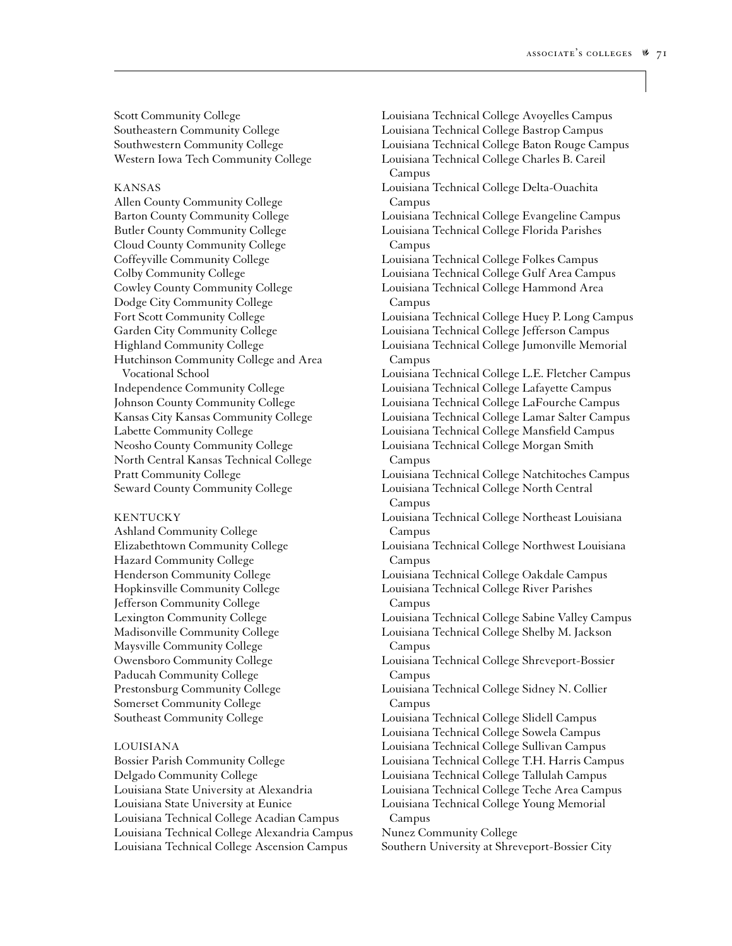Scott Community College Southeastern Community College Southwestern Community College Western Iowa Tech Community College

#### KANSAS

Allen County Community College Barton County Community College Butler County Community College Cloud County Community College Coffeyville Community College Colby Community College Cowley County Community College Dodge City Community College Fort Scott Community College Garden City Community College Highland Community College Hutchinson Community College and Area Vocational School Independence Community College Johnson County Community College Kansas City Kansas Community College Labette Community College Neosho County Community College North Central Kansas Technical College Pratt Community College Seward County Community College

### **KENTUCKY**

Ashland Community College Elizabethtown Community College Hazard Community College Henderson Community College Hopkinsville Community College Jefferson Community College Lexington Community College Madisonville Community College Maysville Community College Owensboro Community College Paducah Community College Prestonsburg Community College Somerset Community College Southeast Community College

#### LOUISIANA

Bossier Parish Community College Delgado Community College Louisiana State University at Alexandria Louisiana State University at Eunice Louisiana Technical College Acadian Campus Louisiana Technical College Alexandria Campus Louisiana Technical College Ascension Campus

Louisiana Technical College Avoyelles Campus Louisiana Technical College Bastrop Campus Louisiana Technical College Baton Rouge Campus Louisiana Technical College Charles B. Careil Campus Louisiana Technical College Delta-Ouachita Campus Louisiana Technical College Evangeline Campus Louisiana Technical College Florida Parishes Campus Louisiana Technical College Folkes Campus Louisiana Technical College Gulf Area Campus Louisiana Technical College Hammond Area Campus Louisiana Technical College Huey P. Long Campus Louisiana Technical College Jefferson Campus Louisiana Technical College Jumonville Memorial Campus Louisiana Technical College L.E. Fletcher Campus Louisiana Technical College Lafayette Campus Louisiana Technical College LaFourche Campus Louisiana Technical College Lamar Salter Campus Louisiana Technical College Mansfield Campus Louisiana Technical College Morgan Smith Campus Louisiana Technical College Natchitoches Campus Louisiana Technical College North Central Campus Louisiana Technical College Northeast Louisiana Campus Louisiana Technical College Northwest Louisiana Campus Louisiana Technical College Oakdale Campus Louisiana Technical College River Parishes Campus Louisiana Technical College Sabine Valley Campus Louisiana Technical College Shelby M. Jackson Campus Louisiana Technical College Shreveport-Bossier Campus Louisiana Technical College Sidney N. Collier Campus Louisiana Technical College Slidell Campus Louisiana Technical College Sowela Campus Louisiana Technical College Sullivan Campus Louisiana Technical College T.H. Harris Campus Louisiana Technical College Tallulah Campus Louisiana Technical College Teche Area Campus Louisiana Technical College Young Memorial Campus Nunez Community College Southern University at Shreveport-Bossier City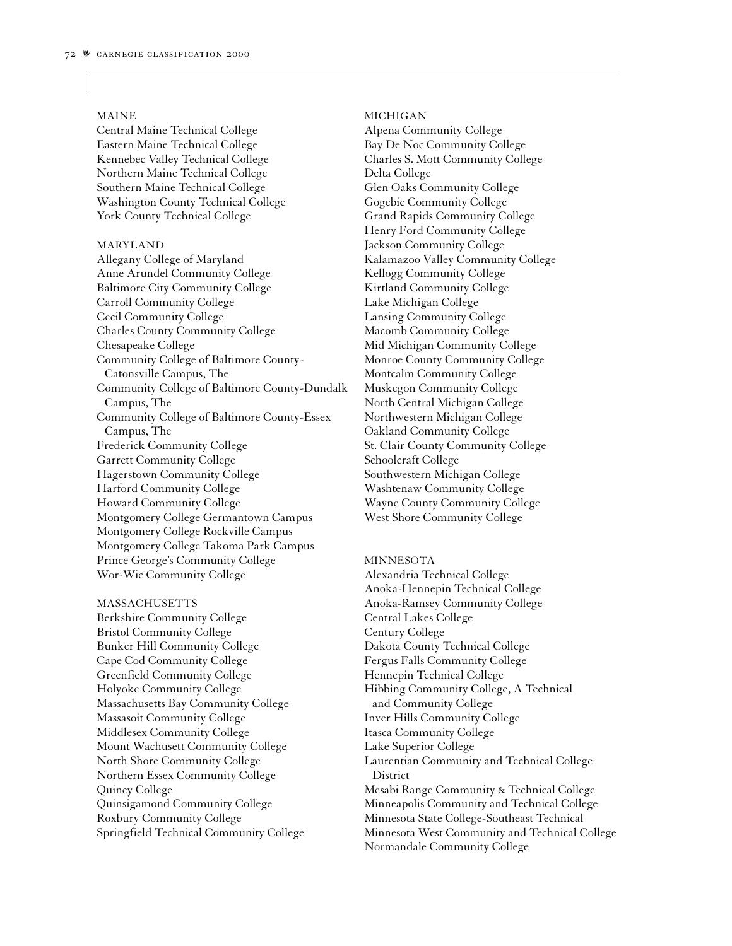#### MAINE

Central Maine Technical College Eastern Maine Technical College Kennebec Valley Technical College Northern Maine Technical College Southern Maine Technical College Washington County Technical College York County Technical College

#### MARYLAND

Allegany College of Maryland Anne Arundel Community College Baltimore City Community College Carroll Community College Cecil Community College Charles County Community College Chesapeake College Community College of Baltimore County-Catonsville Campus, The Community College of Baltimore County-Dundalk Campus, The Community College of Baltimore County-Essex Campus, The Frederick Community College Garrett Community College Hagerstown Community College Harford Community College Howard Community College Montgomery College Germantown Campus Montgomery College Rockville Campus Montgomery College Takoma Park Campus Prince George's Community College Wor-Wic Community College

MASSACHUSETTS Berkshire Community College Bristol Community College Bunker Hill Community College Cape Cod Community College Greenfield Community College Holyoke Community College Massachusetts Bay Community College Massasoit Community College Middlesex Community College Mount Wachusett Community College North Shore Community College Northern Essex Community College Quincy College Quinsigamond Community College Roxbury Community College Springfield Technical Community College

#### MICHIGAN

Alpena Community College Bay De Noc Community College Charles S. Mott Community College Delta College Glen Oaks Community College Gogebic Community College Grand Rapids Community College Henry Ford Community College Jackson Community College Kalamazoo Valley Community College Kellogg Community College Kirtland Community College Lake Michigan College Lansing Community College Macomb Community College Mid Michigan Community College Monroe County Community College Montcalm Community College Muskegon Community College North Central Michigan College Northwestern Michigan College Oakland Community College St. Clair County Community College Schoolcraft College Southwestern Michigan College Washtenaw Community College Wayne County Community College West Shore Community College

#### MINNESOTA

Alexandria Technical College Anoka-Hennepin Technical College Anoka-Ramsey Community College Central Lakes College Century College Dakota County Technical College Fergus Falls Community College Hennepin Technical College Hibbing Community College, A Technical and Community College Inver Hills Community College Itasca Community College Lake Superior College Laurentian Community and Technical College District Mesabi Range Community & Technical College Minneapolis Community and Technical College Minnesota State College-Southeast Technical Minnesota West Community and Technical College Normandale Community College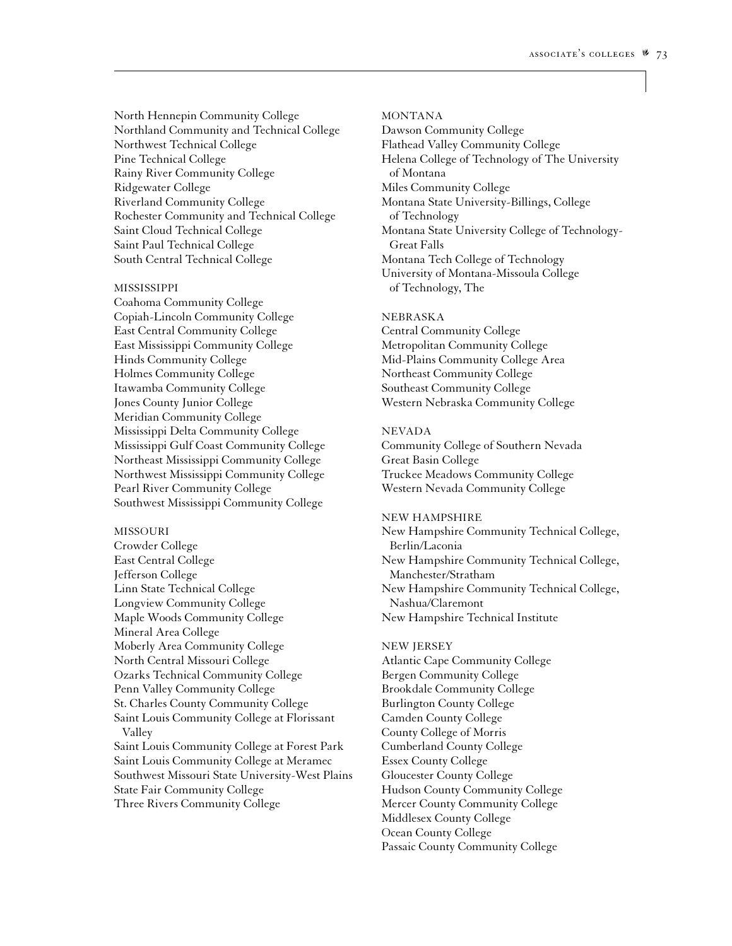North Hennepin Community College Northland Community and Technical College Northwest Technical College Pine Technical College Rainy River Community College Ridgewater College Riverland Community College Rochester Community and Technical College Saint Cloud Technical College Saint Paul Technical College South Central Technical College

#### MISSISSIPPI

Coahoma Community College Copiah-Lincoln Community College East Central Community College East Mississippi Community College Hinds Community College Holmes Community College Itawamba Community College Jones County Junior College Meridian Community College Mississippi Delta Community College Mississippi Gulf Coast Community College Northeast Mississippi Community College Northwest Mississippi Community College Pearl River Community College Southwest Mississippi Community College

#### MISSOURI

Crowder College East Central College Jefferson College Linn State Technical College Longview Community College Maple Woods Community College Mineral Area College Moberly Area Community College North Central Missouri College Ozarks Technical Community College Penn Valley Community College St. Charles County Community College Saint Louis Community College at Florissant Valley Saint Louis Community College at Forest Park Saint Louis Community College at Meramec Southwest Missouri State University-West Plains State Fair Community College Three Rivers Community College

MONTANA Dawson Community College Flathead Valley Community College Helena College of Technology of The University of Montana Miles Community College Montana State University-Billings, College of Technology Montana State University College of Technology-Great Falls Montana Tech College of Technology University of Montana-Missoula College of Technology, The

#### NEBRASKA

Central Community College Metropolitan Community College Mid-Plains Community College Area Northeast Community College Southeast Community College Western Nebraska Community College

#### NEVADA

Community College of Southern Nevada Great Basin College Truckee Meadows Community College Western Nevada Community College

#### NEW HAMPSHIRE

New Hampshire Community Technical College, Berlin/Laconia New Hampshire Community Technical College, Manchester/Stratham New Hampshire Community Technical College, Nashua/Claremont New Hampshire Technical Institute

#### NEW JERSEY

Atlantic Cape Community College Bergen Community College Brookdale Community College Burlington County College Camden County College County College of Morris Cumberland County College Essex County College Gloucester County College Hudson County Community College Mercer County Community College Middlesex County College Ocean County College Passaic County Community College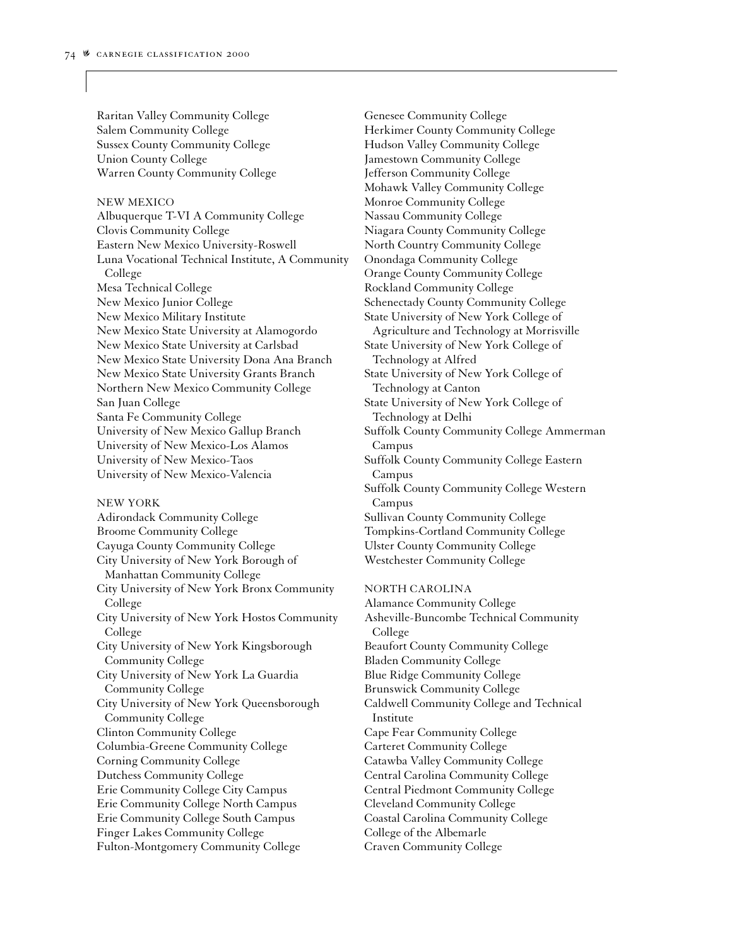Raritan Valley Community College Salem Community College Sussex County Community College Union County College Warren County Community College

NEW MEXICO

Albuquerque T-VI A Community College Clovis Community College Eastern New Mexico University-Roswell Luna Vocational Technical Institute, A Community College Mesa Technical College New Mexico Junior College New Mexico Military Institute New Mexico State University at Alamogordo New Mexico State University at Carlsbad New Mexico State University Dona Ana Branch New Mexico State University Grants Branch Northern New Mexico Community College San Juan College Santa Fe Community College University of New Mexico Gallup Branch University of New Mexico-Los Alamos University of New Mexico-Taos University of New Mexico-Valencia

NEW YORK Adirondack Community College Broome Community College Cayuga County Community College City University of New York Borough of Manhattan Community College City University of New York Bronx Community College City University of New York Hostos Community College City University of New York Kingsborough Community College City University of New York La Guardia Community College City University of New York Queensborough Community College Clinton Community College Columbia-Greene Community College Corning Community College Dutchess Community College Erie Community College City Campus Erie Community College North Campus Erie Community College South Campus Finger Lakes Community College Fulton-Montgomery Community College

Genesee Community College Herkimer County Community College Hudson Valley Community College Jamestown Community College Jefferson Community College Mohawk Valley Community College Monroe Community College Nassau Community College Niagara County Community College North Country Community College Onondaga Community College Orange County Community College Rockland Community College Schenectady County Community College State University of New York College of Agriculture and Technology at Morrisville State University of New York College of Technology at Alfred State University of New York College of Technology at Canton State University of New York College of Technology at Delhi Suffolk County Community College Ammerman Campus Suffolk County Community College Eastern Campus Suffolk County Community College Western Campus Sullivan County Community College Tompkins-Cortland Community College Ulster County Community College Westchester Community College

NORTH CAROLINA

Alamance Community College Asheville-Buncombe Technical Community College Beaufort County Community College Bladen Community College Blue Ridge Community College Brunswick Community College Caldwell Community College and Technical Institute Cape Fear Community College Carteret Community College Catawba Valley Community College Central Carolina Community College Central Piedmont Community College Cleveland Community College Coastal Carolina Community College College of the Albemarle Craven Community College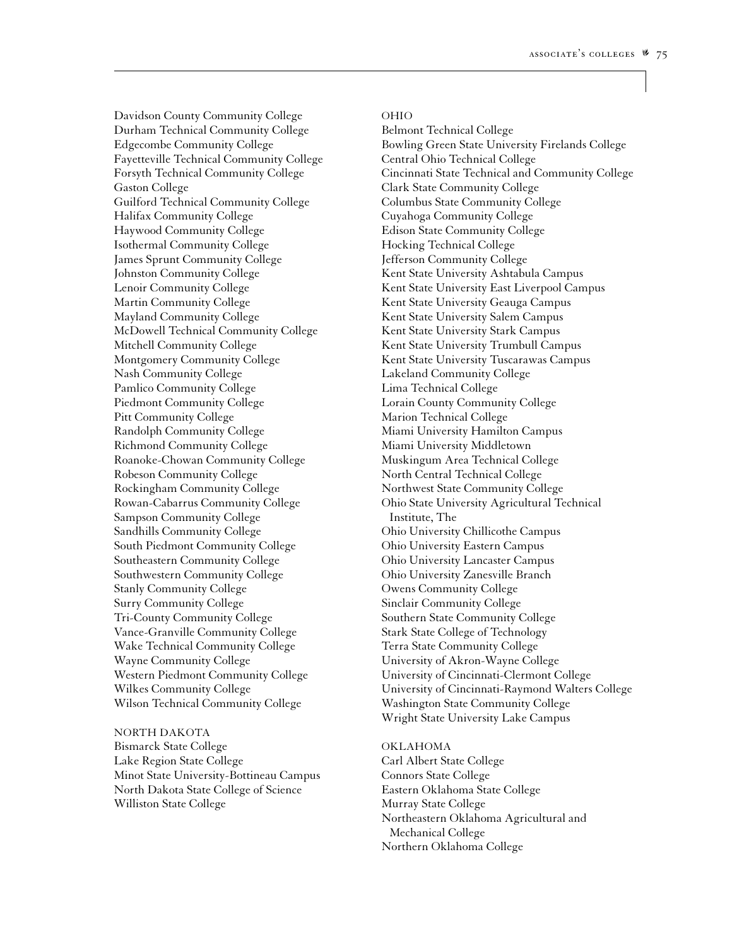Davidson County Community College Durham Technical Community College Edgecombe Community College Fayetteville Technical Community College Forsyth Technical Community College Gaston College Guilford Technical Community College Halifax Community College Haywood Community College Isothermal Community College James Sprunt Community College Johnston Community College Lenoir Community College Martin Community College Mayland Community College McDowell Technical Community College Mitchell Community College Montgomery Community College Nash Community College Pamlico Community College Piedmont Community College Pitt Community College Randolph Community College Richmond Community College Roanoke-Chowan Community College Robeson Community College Rockingham Community College Rowan-Cabarrus Community College Sampson Community College Sandhills Community College South Piedmont Community College Southeastern Community College Southwestern Community College Stanly Community College Surry Community College Tri-County Community College Vance-Granville Community College Wake Technical Community College Wayne Community College Western Piedmont Community College Wilkes Community College Wilson Technical Community College

NORTH DAKOTA Bismarck State College Lake Region State College Minot State University-Bottineau Campus North Dakota State College of Science Williston State College

OHIO

Belmont Technical College Bowling Green State University Firelands College Central Ohio Technical College Cincinnati State Technical and Community College Clark State Community College Columbus State Community College Cuyahoga Community College Edison State Community College Hocking Technical College Jefferson Community College Kent State University Ashtabula Campus Kent State University East Liverpool Campus Kent State University Geauga Campus Kent State University Salem Campus Kent State University Stark Campus Kent State University Trumbull Campus Kent State University Tuscarawas Campus Lakeland Community College Lima Technical College Lorain County Community College Marion Technical College Miami University Hamilton Campus Miami University Middletown Muskingum Area Technical College North Central Technical College Northwest State Community College Ohio State University Agricultural Technical Institute, The Ohio University Chillicothe Campus Ohio University Eastern Campus Ohio University Lancaster Campus Ohio University Zanesville Branch Owens Community College Sinclair Community College Southern State Community College Stark State College of Technology Terra State Community College University of Akron-Wayne College University of Cincinnati-Clermont College University of Cincinnati-Raymond Walters College Washington State Community College Wright State University Lake Campus

OKLAHOMA Carl Albert State College Connors State College Eastern Oklahoma State College Murray State College Northeastern Oklahoma Agricultural and Mechanical College Northern Oklahoma College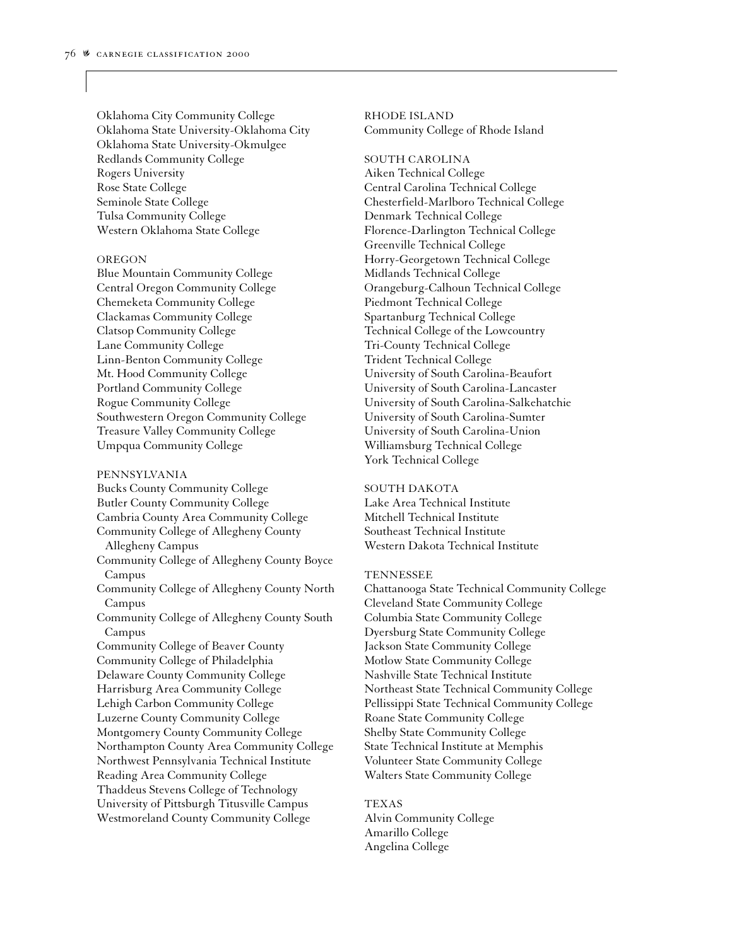Oklahoma City Community College Oklahoma State University-Oklahoma City Oklahoma State University-Okmulgee Redlands Community College Rogers University Rose State College Seminole State College Tulsa Community College Western Oklahoma State College

#### OREGON

Blue Mountain Community College Central Oregon Community College Chemeketa Community College Clackamas Community College Clatsop Community College Lane Community College Linn-Benton Community College Mt. Hood Community College Portland Community College Rogue Community College Southwestern Oregon Community College Treasure Valley Community College Umpqua Community College

PENNSYLVANIA Bucks County Community College Butler County Community College Cambria County Area Community College Community College of Allegheny County Allegheny Campus Community College of Allegheny County Boyce Campus Community College of Allegheny County North Campus Community College of Allegheny County South Campus Community College of Beaver County Community College of Philadelphia Delaware County Community College Harrisburg Area Community College Lehigh Carbon Community College Luzerne County Community College Montgomery County Community College Northampton County Area Community College Northwest Pennsylvania Technical Institute Reading Area Community College Thaddeus Stevens College of Technology University of Pittsburgh Titusville Campus

Westmoreland County Community College

RHODE ISLAND Community College of Rhode Island

SOUTH CAROLINA Aiken Technical College Central Carolina Technical College Chesterfield-Marlboro Technical College Denmark Technical College Florence-Darlington Technical College Greenville Technical College Horry-Georgetown Technical College Midlands Technical College Orangeburg-Calhoun Technical College Piedmont Technical College Spartanburg Technical College Technical College of the Lowcountry Tri-County Technical College Trident Technical College University of South Carolina-Beaufort University of South Carolina-Lancaster University of South Carolina-Salkehatchie University of South Carolina-Sumter University of South Carolina-Union Williamsburg Technical College York Technical College

#### SOUTH DAKOTA

Lake Area Technical Institute Mitchell Technical Institute Southeast Technical Institute Western Dakota Technical Institute

#### TENNESSEE

Chattanooga State Technical Community College Cleveland State Community College Columbia State Community College Dyersburg State Community College Jackson State Community College Motlow State Community College Nashville State Technical Institute Northeast State Technical Community College Pellissippi State Technical Community College Roane State Community College Shelby State Community College State Technical Institute at Memphis Volunteer State Community College Walters State Community College

#### TEXAS

Alvin Community College Amarillo College Angelina College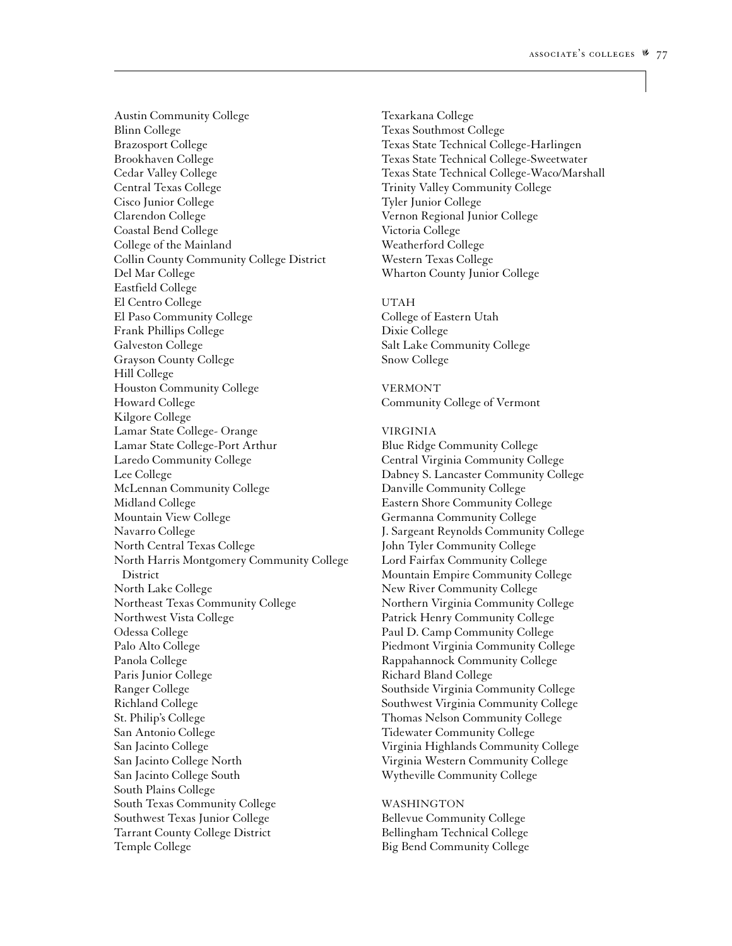Austin Community College Blinn College Brazosport College Brookhaven College Cedar Valley College Central Texas College Cisco Junior College Clarendon College Coastal Bend College College of the Mainland Collin County Community College District Del Mar College Eastfield College El Centro College El Paso Community College Frank Phillips College Galveston College Grayson County College Hill College Houston Community College Howard College Kilgore College Lamar State College- Orange Lamar State College-Port Arthur Laredo Community College Lee College McLennan Community College Midland College Mountain View College Navarro College North Central Texas College North Harris Montgomery Community College **District** North Lake College Northeast Texas Community College Northwest Vista College Odessa College Palo Alto College Panola College Paris Junior College Ranger College Richland College St. Philip's College San Antonio College San Jacinto College San Jacinto College North San Jacinto College South South Plains College South Texas Community College Southwest Texas Junior College Tarrant County College District Temple College

Texarkana College Texas Southmost College Texas State Technical College-Harlingen Texas State Technical College-Sweetwater Texas State Technical College-Waco/Marshall Trinity Valley Community College Tyler Junior College Vernon Regional Junior College Victoria College Weatherford College Western Texas College Wharton County Junior College UTAH College of Eastern Utah Dixie College Salt Lake Community College Snow College VERMONT Community College of Vermont VIRGINIA Blue Ridge Community College Central Virginia Community College Dabney S. Lancaster Community College Danville Community College Eastern Shore Community College Germanna Community College J. Sargeant Reynolds Community College

John Tyler Community College Lord Fairfax Community College Mountain Empire Community College New River Community College Northern Virginia Community College Patrick Henry Community College Paul D. Camp Community College Piedmont Virginia Community College Rappahannock Community College Richard Bland College Southside Virginia Community College Southwest Virginia Community College Thomas Nelson Community College Tidewater Community College Virginia Highlands Community College Virginia Western Community College Wytheville Community College

WASHINGTON Bellevue Community College Bellingham Technical College Big Bend Community College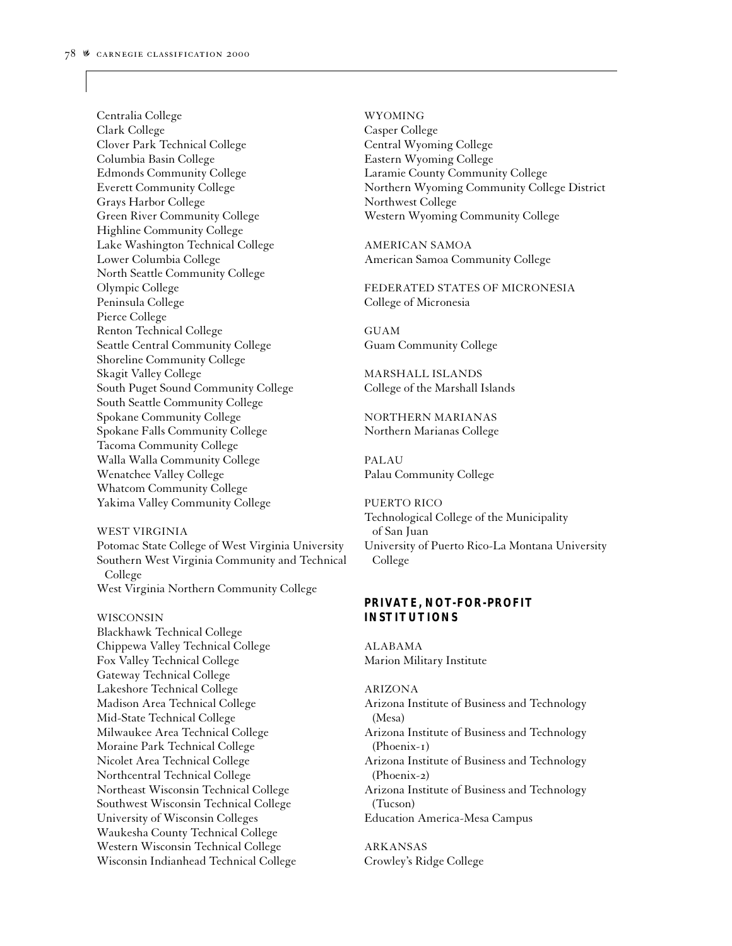Centralia College Clark College Clover Park Technical College Columbia Basin College Edmonds Community College Everett Community College Grays Harbor College Green River Community College Highline Community College Lake Washington Technical College Lower Columbia College North Seattle Community College Olympic College Peninsula College Pierce College Renton Technical College Seattle Central Community College Shoreline Community College Skagit Valley College South Puget Sound Community College South Seattle Community College Spokane Community College Spokane Falls Community College Tacoma Community College Walla Walla Community College Wenatchee Valley College Whatcom Community College Yakima Valley Community College

WEST VIRGINIA Potomac State College of West Virginia University Southern West Virginia Community and Technical College West Virginia Northern Community College

WISCONSIN Blackhawk Technical College Chippewa Valley Technical College Fox Valley Technical College Gateway Technical College Lakeshore Technical College Madison Area Technical College Mid-State Technical College Milwaukee Area Technical College Moraine Park Technical College Nicolet Area Technical College Northcentral Technical College Northeast Wisconsin Technical College Southwest Wisconsin Technical College University of Wisconsin Colleges Waukesha County Technical College Western Wisconsin Technical College Wisconsin Indianhead Technical College

WYOMING Casper College Central Wyoming College Eastern Wyoming College Laramie County Community College Northern Wyoming Community College District Northwest College Western Wyoming Community College

AMERICAN SAMOA American Samoa Community College

FEDERATED STATES OF MICRONESIA College of Micronesia

GUAM Guam Community College

MARSHALL ISLANDS College of the Marshall Islands

NORTHERN MARIANAS Northern Marianas College

PALAU Palau Community College

PUERTO RICO Technological College of the Municipality of San Juan University of Puerto Rico-La Montana University College

## **PRIVATE, NOT-FOR-PROFIT INSTITUTIONS**

ALABAMA Marion Military Institute

ARIZONA Arizona Institute of Business and Technology (Mesa) Arizona Institute of Business and Technology (Phoenix-1) Arizona Institute of Business and Technology (Phoenix-2) Arizona Institute of Business and Technology (Tucson) Education America-Mesa Campus

ARKANSAS Crowley's Ridge College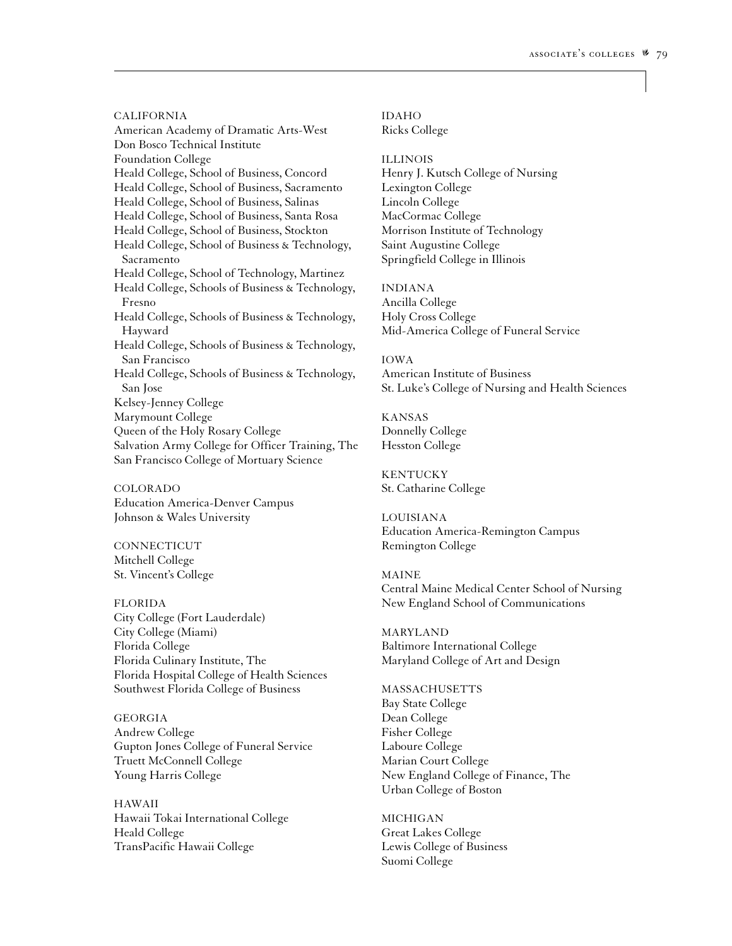CALIFORNIA American Academy of Dramatic Arts-West Don Bosco Technical Institute Foundation College Heald College, School of Business, Concord Heald College, School of Business, Sacramento Heald College, School of Business, Salinas Heald College, School of Business, Santa Rosa Heald College, School of Business, Stockton Heald College, School of Business & Technology, Sacramento Heald College, School of Technology, Martinez Heald College, Schools of Business & Technology, Fresno Heald College, Schools of Business & Technology, Hayward Heald College, Schools of Business & Technology, San Francisco Heald College, Schools of Business & Technology, San Jose Kelsey-Jenney College Marymount College Queen of the Holy Rosary College Salvation Army College for Officer Training, The San Francisco College of Mortuary Science

COLORADO Education America-Denver Campus Johnson & Wales University

**CONNECTICUT** Mitchell College St. Vincent's College

FLORIDA City College (Fort Lauderdale) City College (Miami) Florida College Florida Culinary Institute, The Florida Hospital College of Health Sciences Southwest Florida College of Business

GEORGIA Andrew College Gupton Jones College of Funeral Service Truett McConnell College Young Harris College

HAWAII Hawaii Tokai International College Heald College TransPacific Hawaii College

IDAHO

Ricks College

ILLINOIS Henry J. Kutsch College of Nursing Lexington College Lincoln College MacCormac College Morrison Institute of Technology Saint Augustine College Springfield College in Illinois

INDIANA Ancilla College Holy Cross College Mid-America College of Funeral Service

IOWA American Institute of Business St. Luke's College of Nursing and Health Sciences

KANSAS Donnelly College Hesston College

KENTUCKY St. Catharine College

LOUISIANA Education America-Remington Campus Remington College

MAINE Central Maine Medical Center School of Nursing New England School of Communications

MARYLAND Baltimore International College Maryland College of Art and Design

MASSACHUSETTS Bay State College Dean College Fisher College Laboure College Marian Court College New England College of Finance, The Urban College of Boston

MICHIGAN Great Lakes College Lewis College of Business Suomi College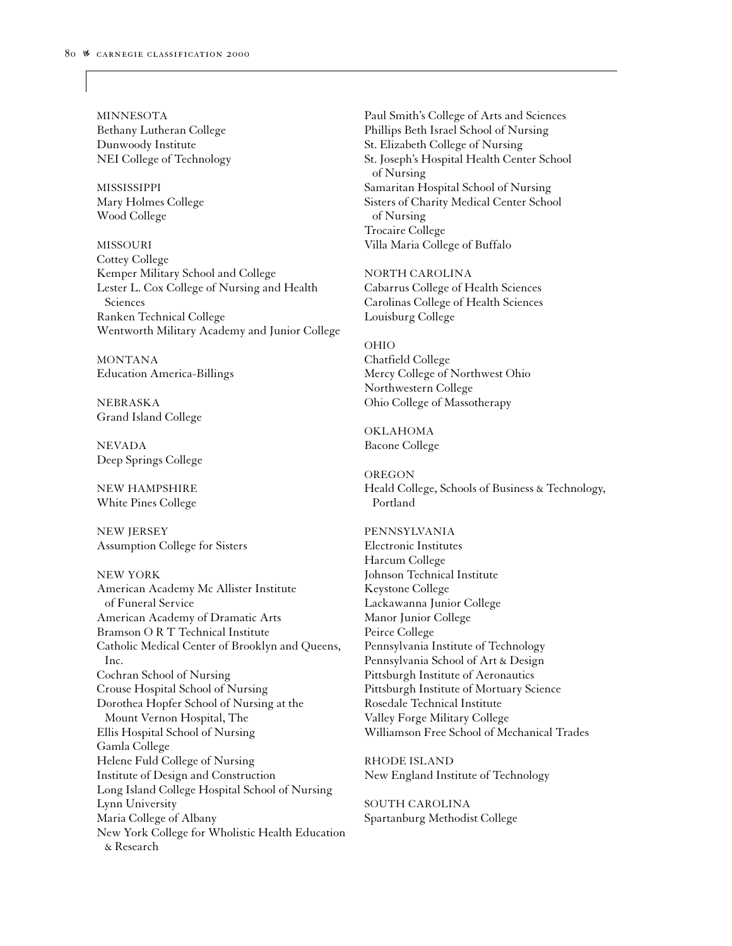MINNESOTA Bethany Lutheran College Dunwoody Institute NEI College of Technology

MISSISSIPPI Mary Holmes College Wood College

MISSOURI Cottey College Kemper Military School and College Lester L. Cox College of Nursing and Health Sciences Ranken Technical College Wentworth Military Academy and Junior College

MONTANA Education America-Billings

NEBRASKA Grand Island College

NEVADA Deep Springs College

NEW HAMPSHIRE White Pines College

NEW JERSEY Assumption College for Sisters

NEW YORK

American Academy Mc Allister Institute of Funeral Service American Academy of Dramatic Arts Bramson O R T Technical Institute Catholic Medical Center of Brooklyn and Queens, Inc. Cochran School of Nursing Crouse Hospital School of Nursing Dorothea Hopfer School of Nursing at the Mount Vernon Hospital, The Ellis Hospital School of Nursing Gamla College Helene Fuld College of Nursing Institute of Design and Construction Long Island College Hospital School of Nursing Lynn University Maria College of Albany New York College for Wholistic Health Education & Research

Paul Smith's College of Arts and Sciences Phillips Beth Israel School of Nursing St. Elizabeth College of Nursing St. Joseph's Hospital Health Center School of Nursing Samaritan Hospital School of Nursing Sisters of Charity Medical Center School of Nursing Trocaire College Villa Maria College of Buffalo

NORTH CAROLINA Cabarrus College of Health Sciences Carolinas College of Health Sciences Louisburg College

OHIO Chatfield College Mercy College of Northwest Ohio Northwestern College Ohio College of Massotherapy

OKLAHOMA Bacone College

OREGON Heald College, Schools of Business & Technology, Portland

PENNSYLVANIA Electronic Institutes Harcum College Johnson Technical Institute Keystone College Lackawanna Junior College Manor Junior College Peirce College Pennsylvania Institute of Technology Pennsylvania School of Art & Design Pittsburgh Institute of Aeronautics Pittsburgh Institute of Mortuary Science Rosedale Technical Institute Valley Forge Military College Williamson Free School of Mechanical Trades

RHODE ISLAND New England Institute of Technology

SOUTH CAROLINA Spartanburg Methodist College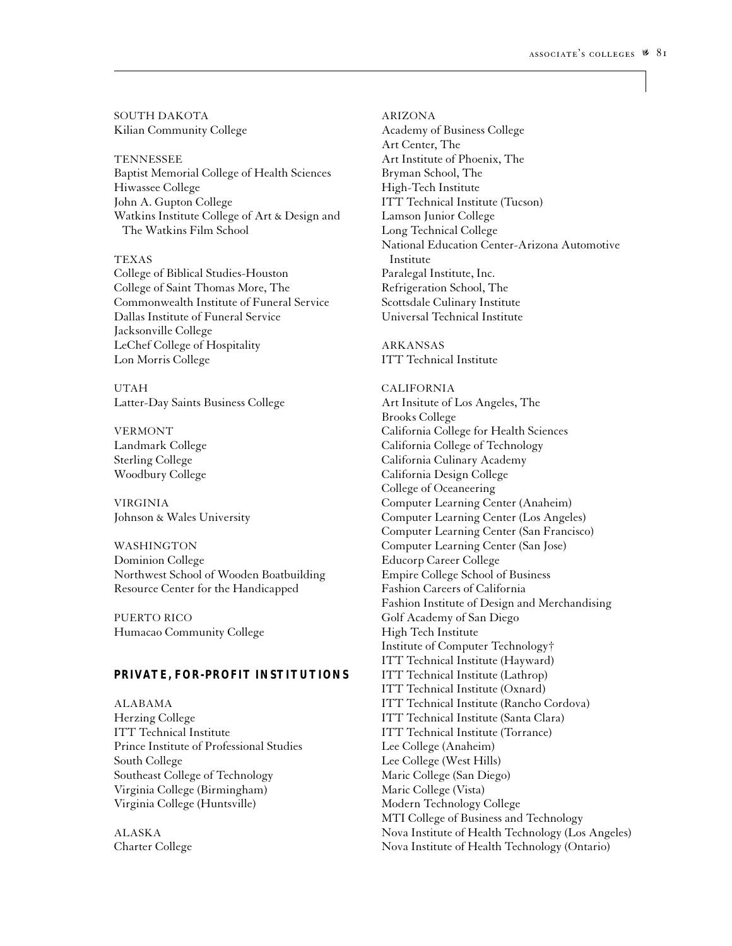SOUTH DAKOTA Kilian Community College

TENNESSEE Baptist Memorial College of Health Sciences Hiwassee College John A. Gupton College Watkins Institute College of Art & Design and The Watkins Film School

TEXAS

College of Biblical Studies-Houston College of Saint Thomas More, The Commonwealth Institute of Funeral Service Dallas Institute of Funeral Service Jacksonville College LeChef College of Hospitality Lon Morris College

UTAH Latter-Day Saints Business College

VERMONT Landmark College Sterling College Woodbury College

VIRGINIA Johnson & Wales University

WASHINGTON Dominion College Northwest School of Wooden Boatbuilding Resource Center for the Handicapped

PUERTO RICO Humacao Community College

#### **PRIVATE, FOR-PROFIT INSTITUTIONS**

ALABAMA Herzing College ITT Technical Institute Prince Institute of Professional Studies South College Southeast College of Technology Virginia College (Birmingham) Virginia College (Huntsville)

ALASKA Charter College ARIZONA Academy of Business College Art Center, The Art Institute of Phoenix, The Bryman School, The High-Tech Institute ITT Technical Institute (Tucson) Lamson Junior College Long Technical College National Education Center-Arizona Automotive Institute Paralegal Institute, Inc. Refrigeration School, The Scottsdale Culinary Institute Universal Technical Institute

ARKANSAS ITT Technical Institute

#### CALIFORNIA

Art Insitute of Los Angeles, The Brooks College California College for Health Sciences California College of Technology California Culinary Academy California Design College College of Oceaneering Computer Learning Center (Anaheim) Computer Learning Center (Los Angeles) Computer Learning Center (San Francisco) Computer Learning Center (San Jose) Educorp Career College Empire College School of Business Fashion Careers of California Fashion Institute of Design and Merchandising Golf Academy of San Diego High Tech Institute Institute of Computer Technology† ITT Technical Institute (Hayward) ITT Technical Institute (Lathrop) ITT Technical Institute (Oxnard) ITT Technical Institute (Rancho Cordova) ITT Technical Institute (Santa Clara) ITT Technical Institute (Torrance) Lee College (Anaheim) Lee College (West Hills) Maric College (San Diego) Maric College (Vista) Modern Technology College MTI College of Business and Technology Nova Institute of Health Technology (Los Angeles) Nova Institute of Health Technology (Ontario)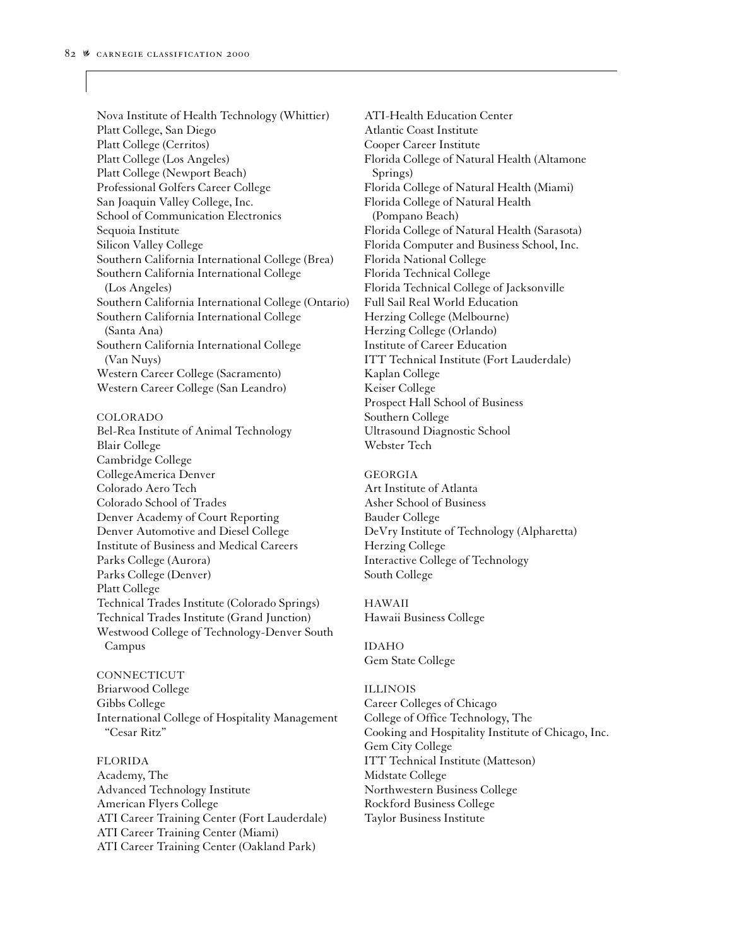Nova Institute of Health Technology (Whittier) Platt College, San Diego Platt College (Cerritos) Platt College (Los Angeles) Platt College (Newport Beach) Professional Golfers Career College San Joaquin Valley College, Inc. School of Communication Electronics Sequoia Institute Silicon Valley College Southern California International College (Brea) Southern California International College (Los Angeles) Southern California International College (Ontario) Southern California International College (Santa Ana) Southern California International College (Van Nuys) Western Career College (Sacramento) Western Career College (San Leandro)

COLORADO Bel-Rea Institute of Animal Technology Blair College Cambridge College CollegeAmerica Denver Colorado Aero Tech Colorado School of Trades Denver Academy of Court Reporting Denver Automotive and Diesel College Institute of Business and Medical Careers Parks College (Aurora) Parks College (Denver) Platt College Technical Trades Institute (Colorado Springs) Technical Trades Institute (Grand Junction) Westwood College of Technology-Denver South Campus

CONNECTICUT Briarwood College Gibbs College International College of Hospitality Management "Cesar Ritz"

FLORIDA Academy, The Advanced Technology Institute American Flyers College ATI Career Training Center (Fort Lauderdale) ATI Career Training Center (Miami) ATI Career Training Center (Oakland Park)

ATI-Health Education Center Atlantic Coast Institute Cooper Career Institute Florida College of Natural Health (Altamone Springs) Florida College of Natural Health (Miami) Florida College of Natural Health (Pompano Beach) Florida College of Natural Health (Sarasota) Florida Computer and Business School, Inc. Florida National College Florida Technical College Florida Technical College of Jacksonville Full Sail Real World Education Herzing College (Melbourne) Herzing College (Orlando) Institute of Career Education ITT Technical Institute (Fort Lauderdale) Kaplan College Keiser College Prospect Hall School of Business Southern College Ultrasound Diagnostic School Webster Tech

GEORGIA Art Institute of Atlanta Asher School of Business Bauder College DeVry Institute of Technology (Alpharetta) Herzing College Interactive College of Technology South College

HAWAII Hawaii Business College

IDAHO Gem State College

ILLINOIS Career Colleges of Chicago College of Office Technology, The Cooking and Hospitality Institute of Chicago, Inc. Gem City College ITT Technical Institute (Matteson) Midstate College Northwestern Business College Rockford Business College Taylor Business Institute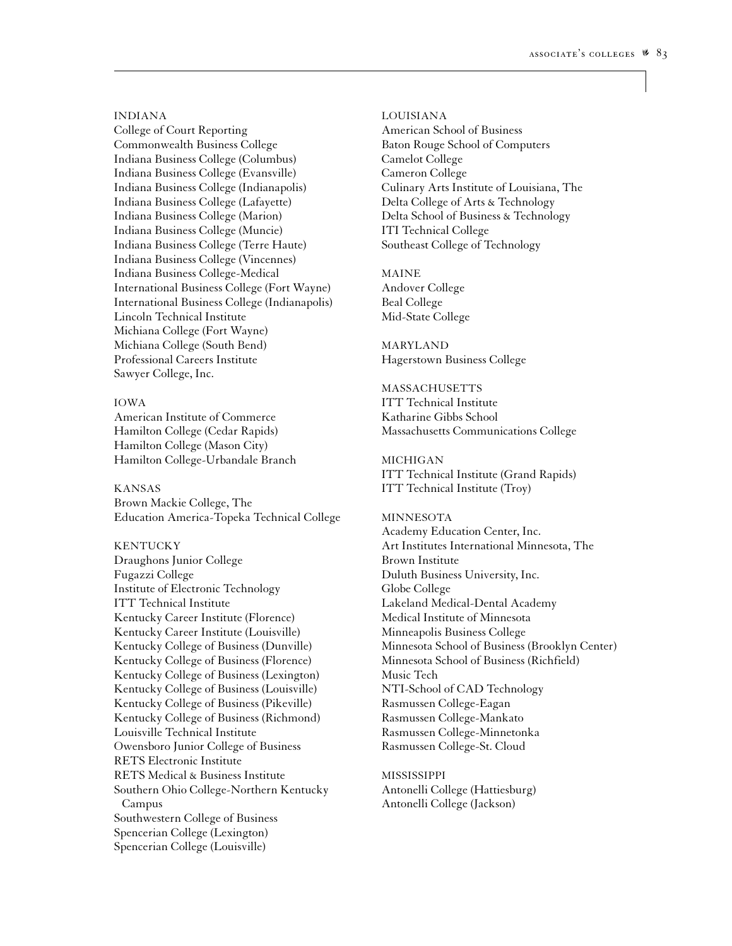#### INDIANA

College of Court Reporting Commonwealth Business College Indiana Business College (Columbus) Indiana Business College (Evansville) Indiana Business College (Indianapolis) Indiana Business College (Lafayette) Indiana Business College (Marion) Indiana Business College (Muncie) Indiana Business College (Terre Haute) Indiana Business College (Vincennes) Indiana Business College-Medical International Business College (Fort Wayne) International Business College (Indianapolis) Lincoln Technical Institute Michiana College (Fort Wayne) Michiana College (South Bend) Professional Careers Institute Sawyer College, Inc.

#### IOWA

American Institute of Commerce Hamilton College (Cedar Rapids) Hamilton College (Mason City) Hamilton College-Urbandale Branch

#### KANSAS

Brown Mackie College, The Education America-Topeka Technical College

#### KENTUCKY

Draughons Junior College Fugazzi College Institute of Electronic Technology ITT Technical Institute Kentucky Career Institute (Florence) Kentucky Career Institute (Louisville) Kentucky College of Business (Dunville) Kentucky College of Business (Florence) Kentucky College of Business (Lexington) Kentucky College of Business (Louisville) Kentucky College of Business (Pikeville) Kentucky College of Business (Richmond) Louisville Technical Institute Owensboro Junior College of Business RETS Electronic Institute RETS Medical & Business Institute Southern Ohio College-Northern Kentucky Campus Southwestern College of Business Spencerian College (Lexington) Spencerian College (Louisville)

#### LOUISIANA

American School of Business Baton Rouge School of Computers Camelot College Cameron College Culinary Arts Institute of Louisiana, The Delta College of Arts & Technology Delta School of Business & Technology ITI Technical College Southeast College of Technology

MAINE Andover College Beal College Mid-State College

MARYLAND Hagerstown Business College

# MASSACHUSETTS

ITT Technical Institute Katharine Gibbs School Massachusetts Communications College

#### MICHIGAN

ITT Technical Institute (Grand Rapids) ITT Technical Institute (Troy)

MINNESOTA Academy Education Center, Inc. Art Institutes International Minnesota, The Brown Institute Duluth Business University, Inc. Globe College Lakeland Medical-Dental Academy Medical Institute of Minnesota Minneapolis Business College Minnesota School of Business (Brooklyn Center) Minnesota School of Business (Richfield) Music Tech NTI-School of CAD Technology Rasmussen College-Eagan Rasmussen College-Mankato Rasmussen College-Minnetonka Rasmussen College-St. Cloud

MISSISSIPPI Antonelli College (Hattiesburg) Antonelli College (Jackson)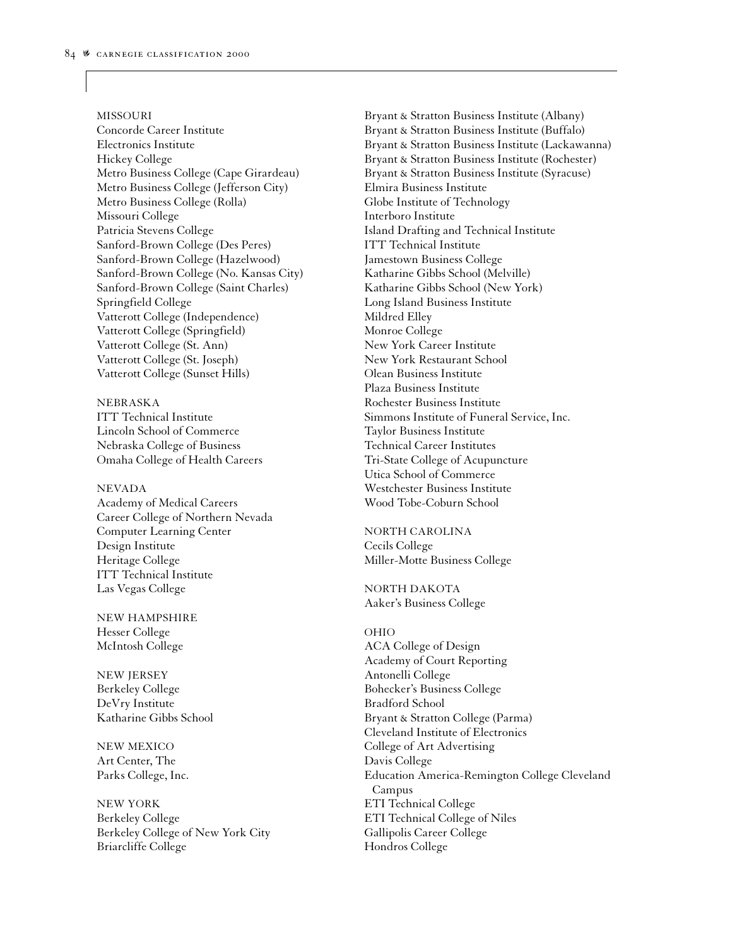MISSOURI Concorde Career Institute Electronics Institute Hickey College Metro Business College (Cape Girardeau) Metro Business College (Jefferson City) Metro Business College (Rolla) Missouri College Patricia Stevens College Sanford-Brown College (Des Peres) Sanford-Brown College (Hazelwood) Sanford-Brown College (No. Kansas City) Sanford-Brown College (Saint Charles) Springfield College Vatterott College (Independence) Vatterott College (Springfield) Vatterott College (St. Ann) Vatterott College (St. Joseph) Vatterott College (Sunset Hills)

NEBRASKA ITT Technical Institute Lincoln School of Commerce Nebraska College of Business Omaha College of Health Careers

# NEVADA Academy of Medical Careers Career College of Northern Nevada Computer Learning Center Design Institute Heritage College ITT Technical Institute Las Vegas College

NEW HAMPSHIRE Hesser College McIntosh College

NEW JERSEY Berkeley College DeVry Institute Katharine Gibbs School

NEW MEXICO Art Center, The Parks College, Inc.

NEW YORK Berkeley College Berkeley College of New York City Briarcliffe College

Bryant & Stratton Business Institute (Albany) Bryant & Stratton Business Institute (Buffalo) Bryant & Stratton Business Institute (Lackawanna) Bryant & Stratton Business Institute (Rochester) Bryant & Stratton Business Institute (Syracuse) Elmira Business Institute Globe Institute of Technology Interboro Institute Island Drafting and Technical Institute ITT Technical Institute Jamestown Business College Katharine Gibbs School (Melville) Katharine Gibbs School (New York) Long Island Business Institute Mildred Elley Monroe College New York Career Institute New York Restaurant School Olean Business Institute Plaza Business Institute Rochester Business Institute Simmons Institute of Funeral Service, Inc. Taylor Business Institute Technical Career Institutes Tri-State College of Acupuncture Utica School of Commerce Westchester Business Institute Wood Tobe-Coburn School

NORTH CAROLINA Cecils College Miller-Motte Business College

NORTH DAKOTA Aaker's Business College

OHIO ACA College of Design Academy of Court Reporting Antonelli College Bohecker's Business College Bradford School Bryant & Stratton College (Parma) Cleveland Institute of Electronics College of Art Advertising Davis College Education America-Remington College Cleveland Campus ETI Technical College ETI Technical College of Niles Gallipolis Career College Hondros College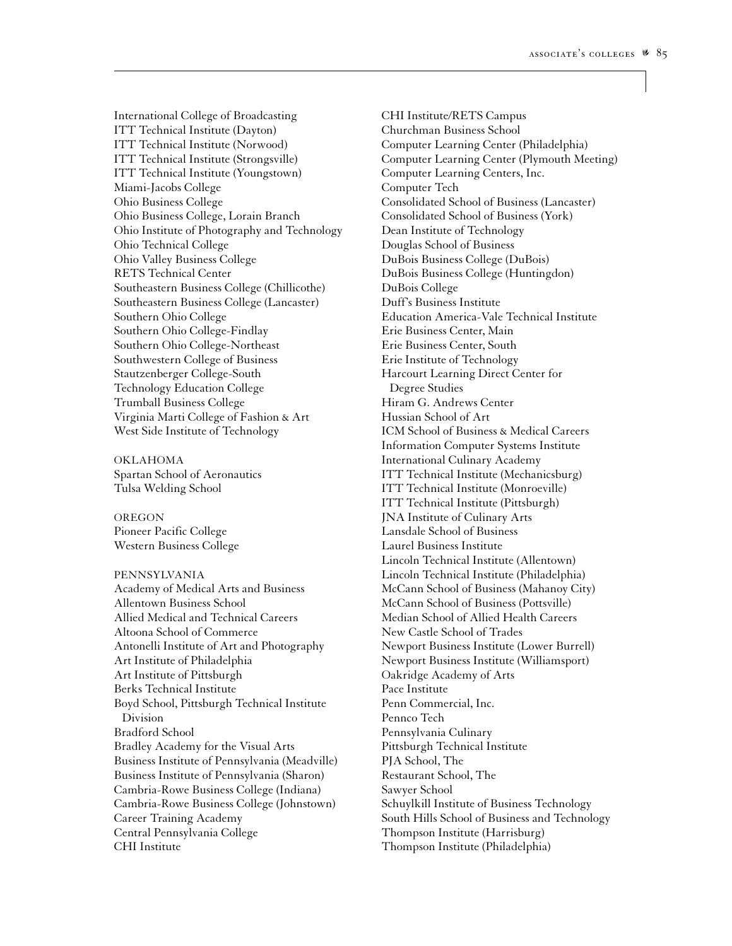International College of Broadcasting ITT Technical Institute (Dayton) ITT Technical Institute (Norwood) ITT Technical Institute (Strongsville) ITT Technical Institute (Youngstown) Miami-Jacobs College Ohio Business College Ohio Business College, Lorain Branch Ohio Institute of Photography and Technology Ohio Technical College Ohio Valley Business College RETS Technical Center Southeastern Business College (Chillicothe) Southeastern Business College (Lancaster) Southern Ohio College Southern Ohio College-Findlay Southern Ohio College-Northeast Southwestern College of Business Stautzenberger College-South Technology Education College Trumball Business College Virginia Marti College of Fashion & Art West Side Institute of Technology

OKLAHOMA Spartan School of Aeronautics Tulsa Welding School

OREGON Pioneer Pacific College Western Business College

#### PENNSYLVANIA

Academy of Medical Arts and Business Allentown Business School Allied Medical and Technical Careers Altoona School of Commerce Antonelli Institute of Art and Photography Art Institute of Philadelphia Art Institute of Pittsburgh Berks Technical Institute Boyd School, Pittsburgh Technical Institute Division Bradford School Bradley Academy for the Visual Arts Business Institute of Pennsylvania (Meadville) Business Institute of Pennsylvania (Sharon) Cambria-Rowe Business College (Indiana) Cambria-Rowe Business College (Johnstown) Career Training Academy Central Pennsylvania College CHI Institute

CHI Institute/RETS Campus Churchman Business School Computer Learning Center (Philadelphia) Computer Learning Center (Plymouth Meeting) Computer Learning Centers, Inc. Computer Tech Consolidated School of Business (Lancaster) Consolidated School of Business (York) Dean Institute of Technology Douglas School of Business DuBois Business College (DuBois) DuBois Business College (Huntingdon) DuBois College Duff's Business Institute Education America-Vale Technical Institute Erie Business Center, Main Erie Business Center, South Erie Institute of Technology Harcourt Learning Direct Center for Degree Studies Hiram G. Andrews Center Hussian School of Art ICM School of Business & Medical Careers Information Computer Systems Institute International Culinary Academy ITT Technical Institute (Mechanicsburg) ITT Technical Institute (Monroeville) ITT Technical Institute (Pittsburgh) JNA Institute of Culinary Arts Lansdale School of Business Laurel Business Institute Lincoln Technical Institute (Allentown) Lincoln Technical Institute (Philadelphia) McCann School of Business (Mahanoy City) McCann School of Business (Pottsville) Median School of Allied Health Careers New Castle School of Trades Newport Business Institute (Lower Burrell) Newport Business Institute (Williamsport) Oakridge Academy of Arts Pace Institute Penn Commercial, Inc. Pennco Tech Pennsylvania Culinary Pittsburgh Technical Institute PJA School, The Restaurant School, The Sawyer School Schuylkill Institute of Business Technology South Hills School of Business and Technology Thompson Institute (Harrisburg) Thompson Institute (Philadelphia)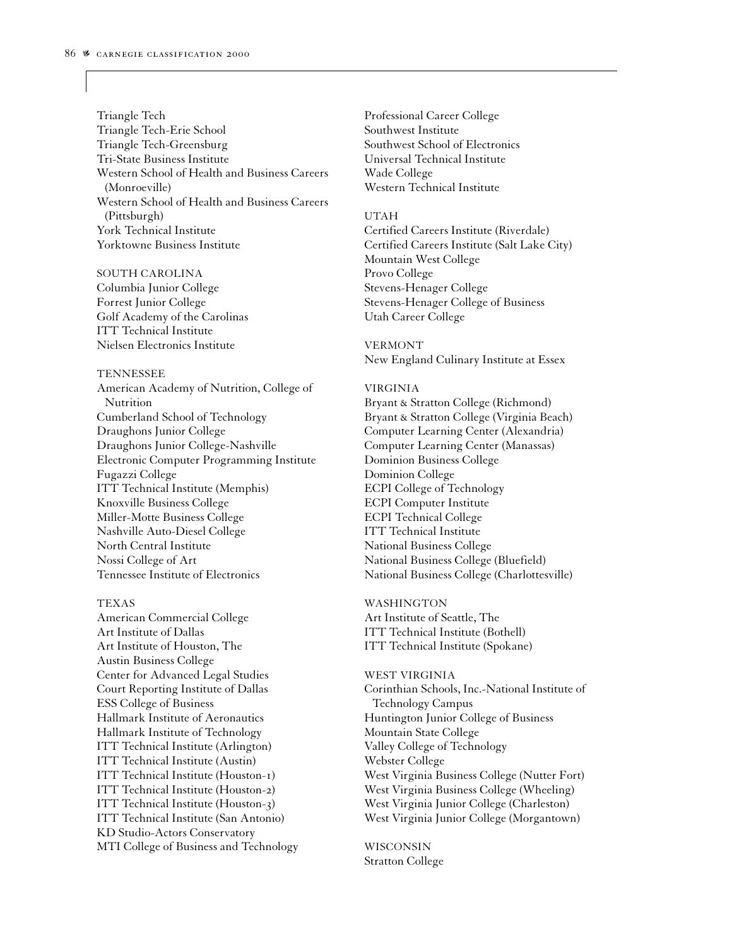Triangle Tech Triangle Tech-Erie School Triangle Tech-Greensburg Tri-State Business Institute Western School of Health and Business Careers (Monroeville) Western School of Health and Business Careers (Pittsburgh) York Technical Institute Yorktowne Business Institute

SOUTH CAROLINA Columbia Junior College Forrest Junior College Golf Academy of the Carolinas ITT Technical Institute Nielsen Electronics Institute

#### TENNESSEE

American Academy of Nutrition, College of Nutrition Cumberland School of Technology Draughons Junior College Draughons Junior College-Nashville Electronic Computer Programming Institute Fugazzi College ITT Technical Institute (Memphis) Knoxville Business College Miller-Motte Business College Nashville Auto-Diesel College North Central Institute Nossi College of Art Tennessee Institute of Electronics

#### TEXAS

American Commercial College Art Institute of Dallas Art Institute of Houston, The Austin Business College Center for Advanced Legal Studies Court Reporting Institute of Dallas ESS College of Business Hallmark Institute of Aeronautics Hallmark Institute of Technology ITT Technical Institute (Arlington) ITT Technical Institute (Austin) ITT Technical Institute (Houston-1) ITT Technical Institute (Houston-2) ITT Technical Institute (Houston-3) ITT Technical Institute (San Antonio) KD Studio-Actors Conservatory MTI College of Business and Technology

Professional Career College Southwest Institute Southwest School of Electronics Universal Technical Institute Wade College Western Technical Institute

## UTAH

Certified Careers Institute (Riverdale) Certified Careers Institute (Salt Lake City) Mountain West College Provo College Stevens-Henager College Stevens-Henager College of Business Utah Career College

VERMONT New England Culinary Institute at Essex

#### VIRGINIA

Bryant & Stratton College (Richmond) Bryant & Stratton College (Virginia Beach) Computer Learning Center (Alexandria) Computer Learning Center (Manassas) Dominion Business College Dominion College ECPI College of Technology ECPI Computer Institute ECPI Technical College ITT Technical Institute National Business College National Business College (Bluefield) National Business College (Charlottesville)

WASHINGTON Art Institute of Seattle, The

ITT Technical Institute (Bothell) ITT Technical Institute (Spokane)

WEST VIRGINIA Corinthian Schools, Inc.-National Institute of Technology Campus Huntington Junior College of Business Mountain State College Valley College of Technology Webster College West Virginia Business College (Nutter Fort) West Virginia Business College (Wheeling) West Virginia Junior College (Charleston) West Virginia Junior College (Morgantown)

WISCONSIN Stratton College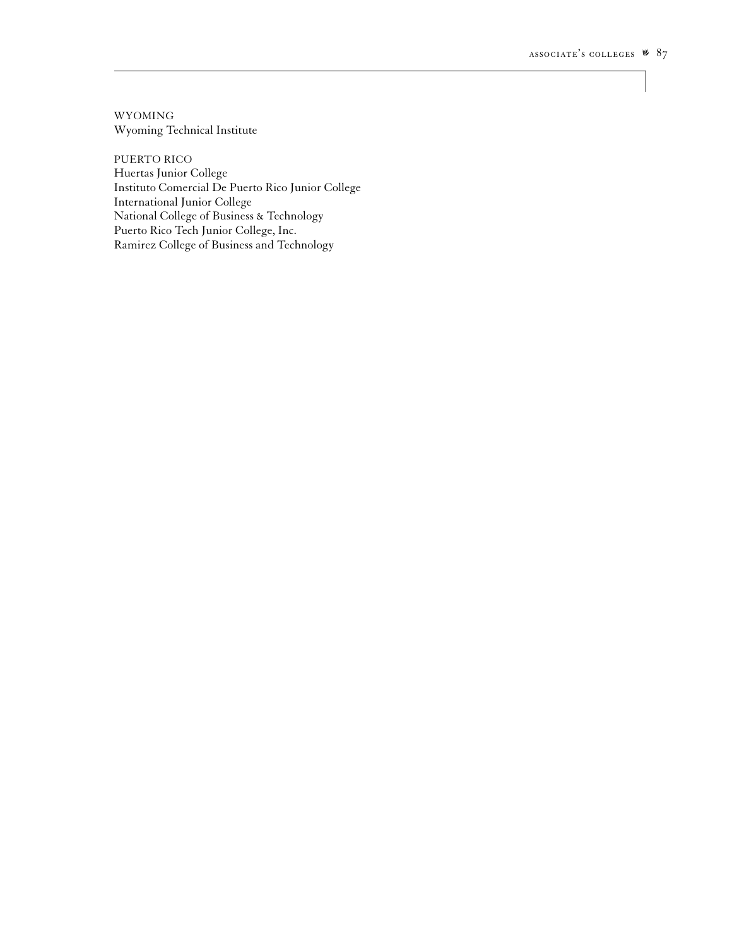WYOMING Wyoming Technical Institute

PUERTO RICO Huertas Junior College Instituto Comercial De Puerto Rico Junior College International Junior College National College of Business & Technology Puerto Rico Tech Junior College, Inc. Ramirez College of Business and Technology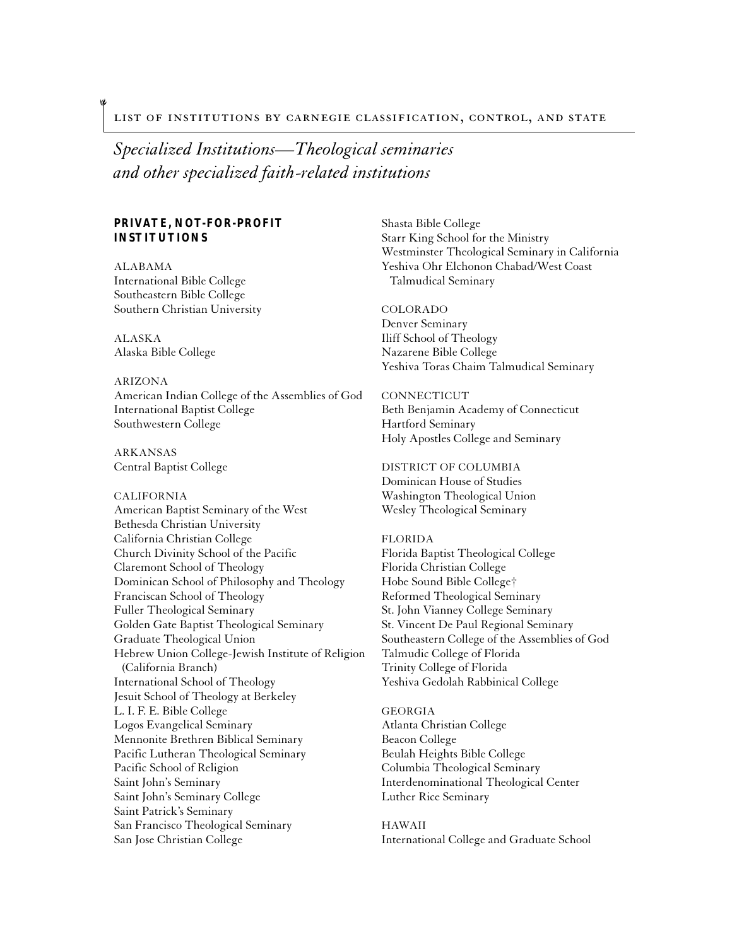## list of institutions by carnegie classification, control, and state

*Specialized Institutions—Theological seminaries and other specialized faith-related institutions*

## **PRIVATE, NOT-FOR-PROFIT INSTITUTIONS**

ALABAMA International Bible College Southeastern Bible College Southern Christian University

ALASKA Alaska Bible College

### ARIZONA

۴

American Indian College of the Assemblies of God International Baptist College Southwestern College

ARKANSAS Central Baptist College

#### CALIFORNIA

American Baptist Seminary of the West Bethesda Christian University California Christian College Church Divinity School of the Pacific Claremont School of Theology Dominican School of Philosophy and Theology Franciscan School of Theology Fuller Theological Seminary Golden Gate Baptist Theological Seminary Graduate Theological Union Hebrew Union College-Jewish Institute of Religion (California Branch) International School of Theology Jesuit School of Theology at Berkeley L. I. F. E. Bible College Logos Evangelical Seminary Mennonite Brethren Biblical Seminary Pacific Lutheran Theological Seminary Pacific School of Religion Saint John's Seminary Saint John's Seminary College Saint Patrick's Seminary San Francisco Theological Seminary San Jose Christian College

Shasta Bible College Starr King School for the Ministry Westminster Theological Seminary in California Yeshiva Ohr Elchonon Chabad/West Coast Talmudical Seminary

COLORADO Denver Seminary Iliff School of Theology Nazarene Bible College Yeshiva Toras Chaim Talmudical Seminary

CONNECTICUT Beth Benjamin Academy of Connecticut Hartford Seminary Holy Apostles College and Seminary

DISTRICT OF COLUMBIA Dominican House of Studies Washington Theological Union Wesley Theological Seminary

# FLORIDA Florida Baptist Theological College Florida Christian College Hobe Sound Bible College† Reformed Theological Seminary St. John Vianney College Seminary St. Vincent De Paul Regional Seminary Southeastern College of the Assemblies of God Talmudic College of Florida Trinity College of Florida Yeshiva Gedolah Rabbinical College

GEORGIA Atlanta Christian College Beacon College Beulah Heights Bible College Columbia Theological Seminary Interdenominational Theological Center Luther Rice Seminary

HAWAII International College and Graduate School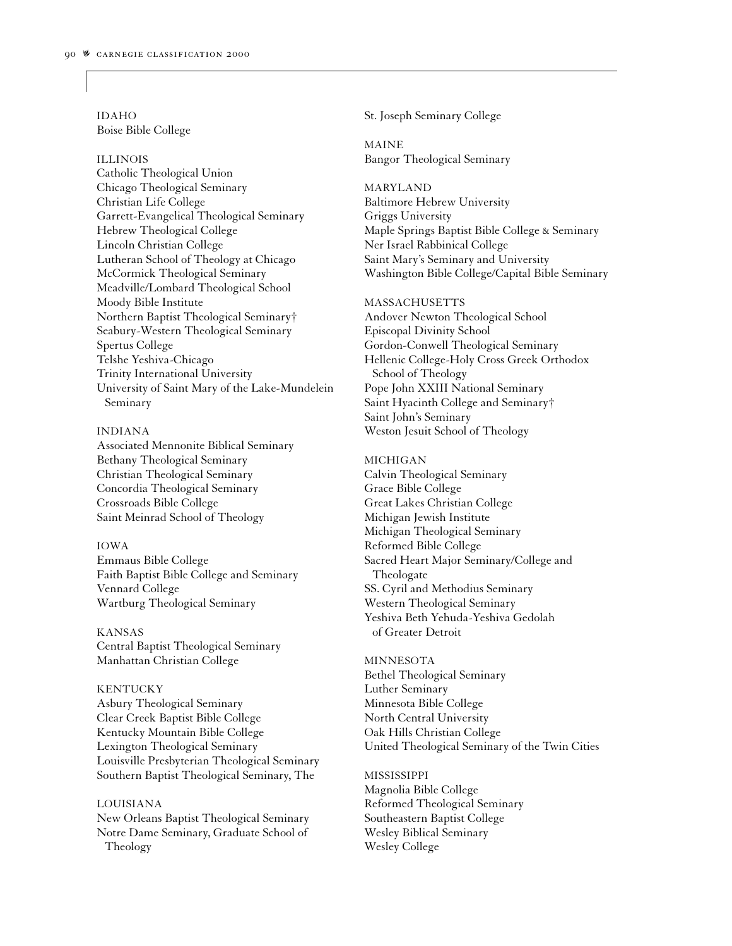IDAHO Boise Bible College

ILLINOIS Catholic Theological Union Chicago Theological Seminary Christian Life College Garrett-Evangelical Theological Seminary Hebrew Theological College Lincoln Christian College Lutheran School of Theology at Chicago McCormick Theological Seminary Meadville/Lombard Theological School Moody Bible Institute Northern Baptist Theological Seminary† Seabury-Western Theological Seminary Spertus College Telshe Yeshiva-Chicago Trinity International University University of Saint Mary of the Lake-Mundelein Seminary

INDIANA Associated Mennonite Biblical Seminary Bethany Theological Seminary Christian Theological Seminary Concordia Theological Seminary Crossroads Bible College Saint Meinrad School of Theology

## IOWA Emmaus Bible College Faith Baptist Bible College and Seminary Vennard College Wartburg Theological Seminary

KANSAS Central Baptist Theological Seminary Manhattan Christian College

#### KENTUCKY

Asbury Theological Seminary Clear Creek Baptist Bible College Kentucky Mountain Bible College Lexington Theological Seminary Louisville Presbyterian Theological Seminary Southern Baptist Theological Seminary, The

LOUISIANA New Orleans Baptist Theological Seminary Notre Dame Seminary, Graduate School of Theology

St. Joseph Seminary College

MAINE Bangor Theological Seminary

MARYLAND Baltimore Hebrew University Griggs University Maple Springs Baptist Bible College & Seminary Ner Israel Rabbinical College Saint Mary's Seminary and University Washington Bible College/Capital Bible Seminary

MASSACHUSETTS

Andover Newton Theological School Episcopal Divinity School Gordon-Conwell Theological Seminary Hellenic College-Holy Cross Greek Orthodox School of Theology Pope John XXIII National Seminary Saint Hyacinth College and Seminary† Saint John's Seminary Weston Jesuit School of Theology

MICHIGAN

Calvin Theological Seminary Grace Bible College Great Lakes Christian College Michigan Jewish Institute Michigan Theological Seminary Reformed Bible College Sacred Heart Major Seminary/College and Theologate SS. Cyril and Methodius Seminary Western Theological Seminary Yeshiva Beth Yehuda-Yeshiva Gedolah of Greater Detroit

MINNESOTA Bethel Theological Seminary Luther Seminary Minnesota Bible College North Central University Oak Hills Christian College United Theological Seminary of the Twin Cities

MISSISSIPPI Magnolia Bible College Reformed Theological Seminary Southeastern Baptist College Wesley Biblical Seminary Wesley College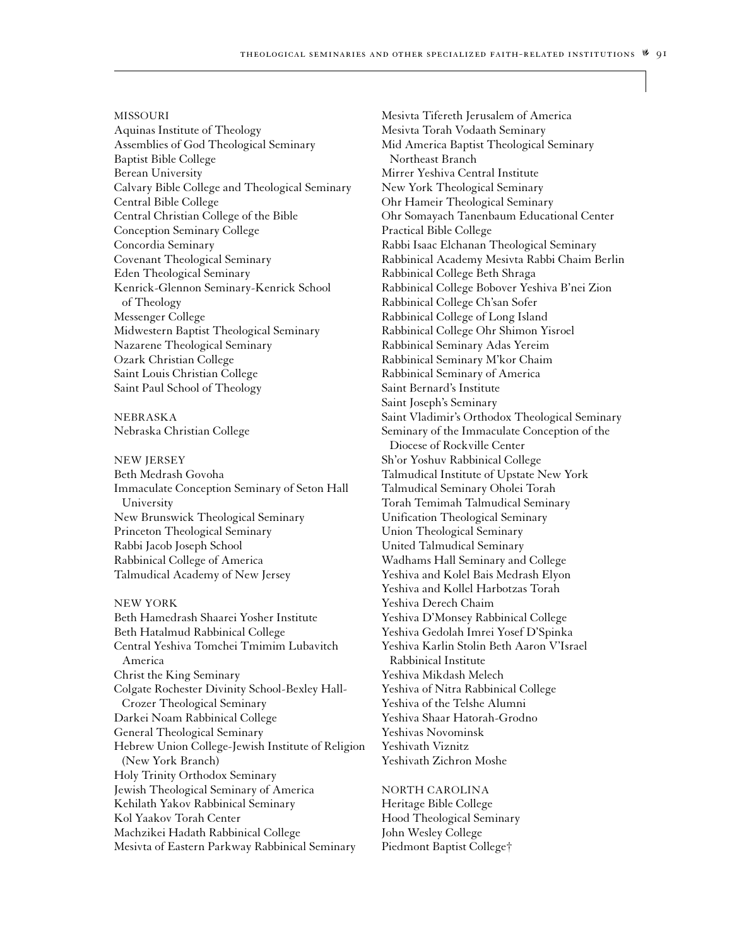MISSOURI Aquinas Institute of Theology Assemblies of God Theological Seminary Baptist Bible College Berean University Calvary Bible College and Theological Seminary Central Bible College Central Christian College of the Bible Conception Seminary College Concordia Seminary Covenant Theological Seminary Eden Theological Seminary Kenrick-Glennon Seminary-Kenrick School of Theology Messenger College Midwestern Baptist Theological Seminary Nazarene Theological Seminary Ozark Christian College Saint Louis Christian College Saint Paul School of Theology

# NEBRASKA

Nebraska Christian College

NEW JERSEY

Beth Medrash Govoha Immaculate Conception Seminary of Seton Hall University New Brunswick Theological Seminary Princeton Theological Seminary Rabbi Jacob Joseph School Rabbinical College of America Talmudical Academy of New Jersey

NEW YORK Beth Hamedrash Shaarei Yosher Institute Beth Hatalmud Rabbinical College Central Yeshiva Tomchei Tmimim Lubavitch America Christ the King Seminary Colgate Rochester Divinity School-Bexley Hall-Crozer Theological Seminary Darkei Noam Rabbinical College General Theological Seminary Hebrew Union College-Jewish Institute of Religion (New York Branch) Holy Trinity Orthodox Seminary Jewish Theological Seminary of America Kehilath Yakov Rabbinical Seminary Kol Yaakov Torah Center Machzikei Hadath Rabbinical College Mesivta of Eastern Parkway Rabbinical Seminary

Mesivta Tifereth Jerusalem of America Mesivta Torah Vodaath Seminary Mid America Baptist Theological Seminary Northeast Branch Mirrer Yeshiva Central Institute New York Theological Seminary Ohr Hameir Theological Seminary Ohr Somayach Tanenbaum Educational Center Practical Bible College Rabbi Isaac Elchanan Theological Seminary Rabbinical Academy Mesivta Rabbi Chaim Berlin Rabbinical College Beth Shraga Rabbinical College Bobover Yeshiva B'nei Zion Rabbinical College Ch'san Sofer Rabbinical College of Long Island Rabbinical College Ohr Shimon Yisroel Rabbinical Seminary Adas Yereim Rabbinical Seminary M'kor Chaim Rabbinical Seminary of America Saint Bernard's Institute Saint Joseph's Seminary Saint Vladimir's Orthodox Theological Seminary Seminary of the Immaculate Conception of the Diocese of Rockville Center Sh'or Yoshuv Rabbinical College Talmudical Institute of Upstate New York Talmudical Seminary Oholei Torah Torah Temimah Talmudical Seminary Unification Theological Seminary Union Theological Seminary United Talmudical Seminary Wadhams Hall Seminary and College Yeshiva and Kolel Bais Medrash Elyon Yeshiva and Kollel Harbotzas Torah Yeshiva Derech Chaim Yeshiva D'Monsey Rabbinical College Yeshiva Gedolah Imrei Yosef D'Spinka Yeshiva Karlin Stolin Beth Aaron V'Israel Rabbinical Institute Yeshiva Mikdash Melech Yeshiva of Nitra Rabbinical College Yeshiva of the Telshe Alumni Yeshiva Shaar Hatorah-Grodno Yeshivas Novominsk Yeshivath Viznitz Yeshivath Zichron Moshe

NORTH CAROLINA Heritage Bible College Hood Theological Seminary John Wesley College Piedmont Baptist College†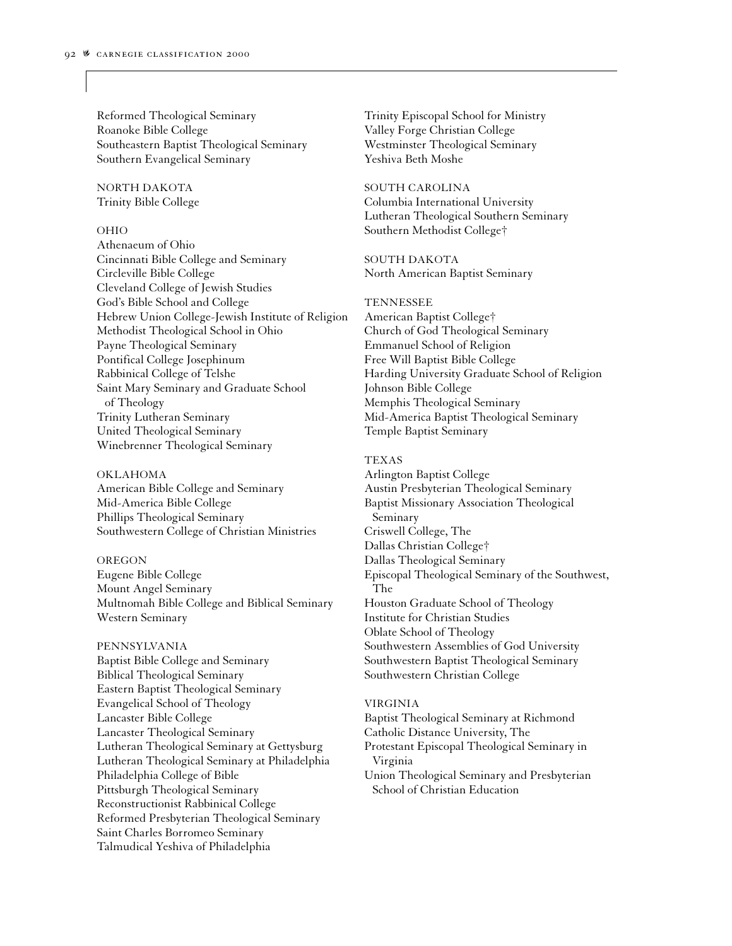Reformed Theological Seminary Roanoke Bible College Southeastern Baptist Theological Seminary Southern Evangelical Seminary

NORTH DAKOTA Trinity Bible College

#### OHIO

Athenaeum of Ohio Cincinnati Bible College and Seminary Circleville Bible College Cleveland College of Jewish Studies God's Bible School and College Hebrew Union College-Jewish Institute of Religion Methodist Theological School in Ohio Payne Theological Seminary Pontifical College Josephinum Rabbinical College of Telshe Saint Mary Seminary and Graduate School of Theology Trinity Lutheran Seminary United Theological Seminary Winebrenner Theological Seminary

OKLAHOMA

American Bible College and Seminary Mid-America Bible College Phillips Theological Seminary Southwestern College of Christian Ministries

#### OREGON

Eugene Bible College Mount Angel Seminary Multnomah Bible College and Biblical Seminary Western Seminary

PENNSYLVANIA Baptist Bible College and Seminary Biblical Theological Seminary Eastern Baptist Theological Seminary Evangelical School of Theology Lancaster Bible College Lancaster Theological Seminary Lutheran Theological Seminary at Gettysburg Lutheran Theological Seminary at Philadelphia Philadelphia College of Bible Pittsburgh Theological Seminary Reconstructionist Rabbinical College Reformed Presbyterian Theological Seminary Saint Charles Borromeo Seminary Talmudical Yeshiva of Philadelphia

Trinity Episcopal School for Ministry Valley Forge Christian College Westminster Theological Seminary Yeshiva Beth Moshe

SOUTH CAROLINA Columbia International University Lutheran Theological Southern Seminary Southern Methodist College†

SOUTH DAKOTA North American Baptist Seminary

#### TENNESSEE

American Baptist College† Church of God Theological Seminary Emmanuel School of Religion Free Will Baptist Bible College Harding University Graduate School of Religion Johnson Bible College Memphis Theological Seminary Mid-America Baptist Theological Seminary Temple Baptist Seminary

#### TEXAS

Arlington Baptist College Austin Presbyterian Theological Seminary Baptist Missionary Association Theological Seminary Criswell College, The Dallas Christian College† Dallas Theological Seminary Episcopal Theological Seminary of the Southwest, The Houston Graduate School of Theology Institute for Christian Studies Oblate School of Theology Southwestern Assemblies of God University Southwestern Baptist Theological Seminary Southwestern Christian College

#### VIRGINIA

Baptist Theological Seminary at Richmond Catholic Distance University, The Protestant Episcopal Theological Seminary in Virginia Union Theological Seminary and Presbyterian School of Christian Education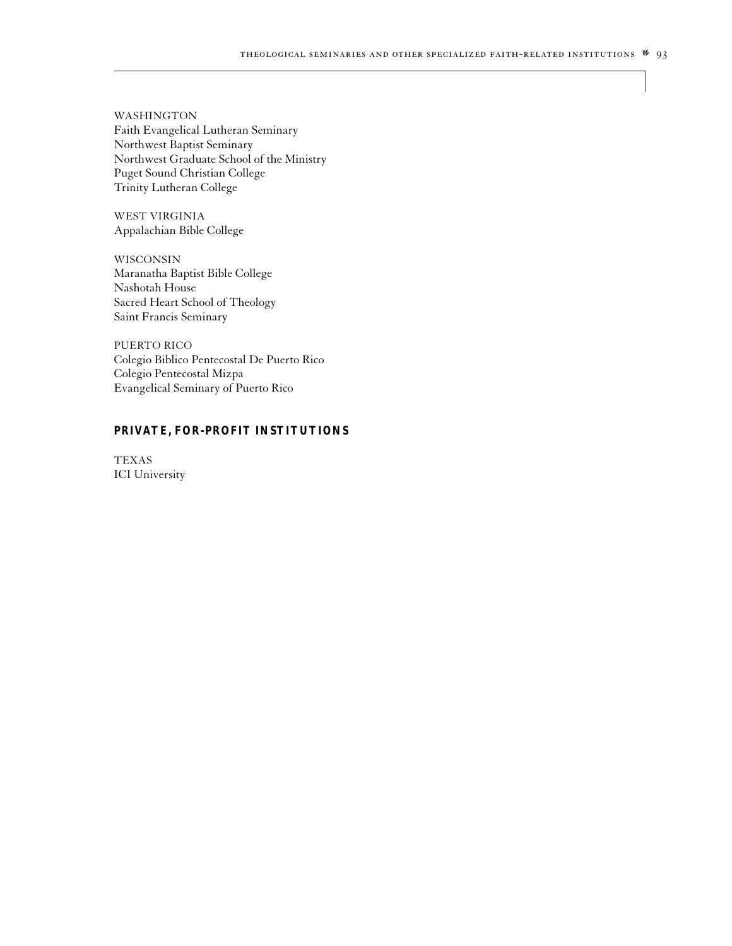WASHINGTON Faith Evangelical Lutheran Seminary Northwest Baptist Seminary Northwest Graduate School of the Ministry Puget Sound Christian College Trinity Lutheran College

WEST VIRGINIA Appalachian Bible College

WISCONSIN Maranatha Baptist Bible College Nashotah House Sacred Heart School of Theology Saint Francis Seminary

PUERTO RICO Colegio Biblico Pentecostal De Puerto Rico Colegio Pentecostal Mizpa Evangelical Seminary of Puerto Rico

# **PRIVATE, FOR-PROFIT INSTITUTIONS**

TEXAS ICI University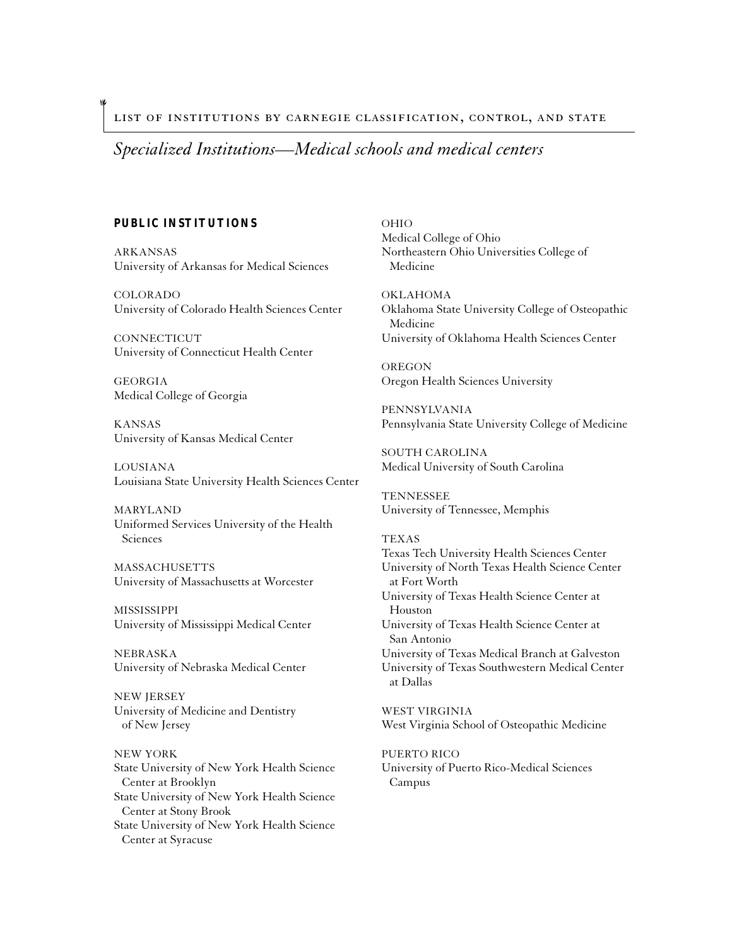# *Specialized Institutions—Medical schools and medical centers*

# **PUBLIC INSTITUTIONS**

۴

ARKANSAS University of Arkansas for Medical Sciences

COLORADO University of Colorado Health Sciences Center

**CONNECTICUT** University of Connecticut Health Center

GEORGIA Medical College of Georgia

KANSAS University of Kansas Medical Center

LOUSIANA Louisiana State University Health Sciences Center

MARYLAND Uniformed Services University of the Health Sciences

MASSACHUSETTS University of Massachusetts at Worcester

MISSISSIPPI University of Mississippi Medical Center

NEBRASKA University of Nebraska Medical Center

NEW JERSEY University of Medicine and Dentistry of New Jersey

NEW YORK State University of New York Health Science Center at Brooklyn State University of New York Health Science Center at Stony Brook State University of New York Health Science Center at Syracuse

OHIO Medical College of Ohio Northeastern Ohio Universities College of Medicine

OKLAHOMA Oklahoma State University College of Osteopathic Medicine University of Oklahoma Health Sciences Center

OREGON Oregon Health Sciences University

PENNSYLVANIA Pennsylvania State University College of Medicine

SOUTH CAROLINA Medical University of South Carolina

TENNESSEE University of Tennessee, Memphis

TEXAS Texas Tech University Health Sciences Center University of North Texas Health Science Center at Fort Worth University of Texas Health Science Center at Houston University of Texas Health Science Center at San Antonio University of Texas Medical Branch at Galveston University of Texas Southwestern Medical Center at Dallas

WEST VIRGINIA West Virginia School of Osteopathic Medicine

PUERTO RICO University of Puerto Rico-Medical Sciences Campus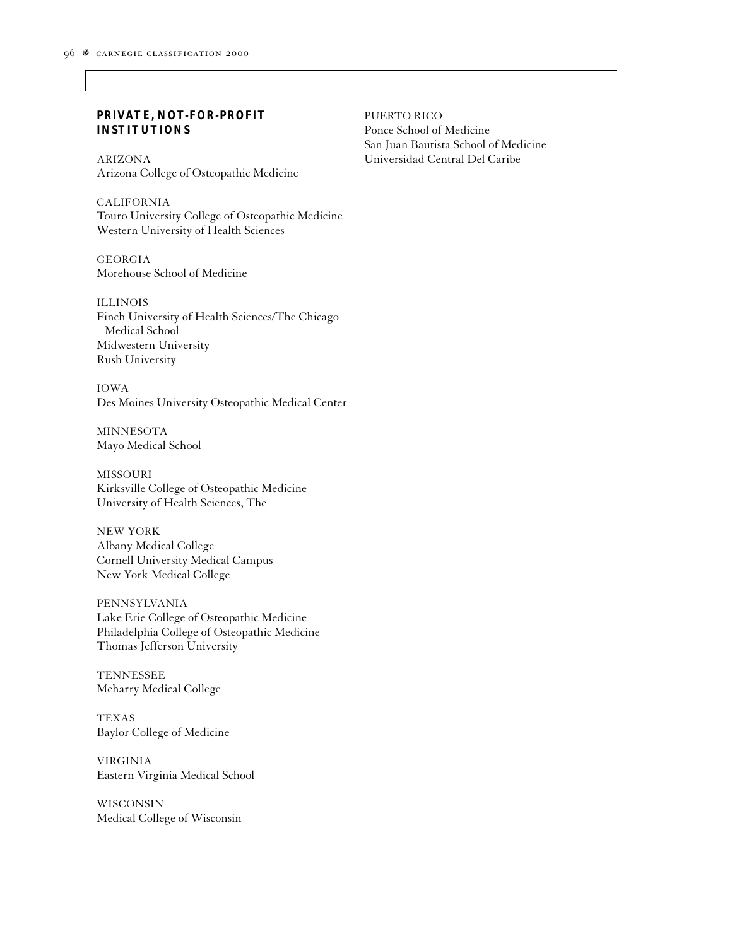# **PRIVATE, NOT-FOR-PROFIT INSTITUTIONS**

ARIZONA Arizona College of Osteopathic Medicine

CALIFORNIA Touro University College of Osteopathic Medicine Western University of Health Sciences

GEORGIA Morehouse School of Medicine

ILLINOIS Finch University of Health Sciences/The Chicago Medical School Midwestern University Rush University

IOWA Des Moines University Osteopathic Medical Center

MINNESOTA Mayo Medical School

MISSOURI Kirksville College of Osteopathic Medicine University of Health Sciences, The

NEW YORK Albany Medical College Cornell University Medical Campus New York Medical College

PENNSYLVANIA Lake Erie College of Osteopathic Medicine Philadelphia College of Osteopathic Medicine Thomas Jefferson University

TENNESSEE Meharry Medical College

TEXAS Baylor College of Medicine

VIRGINIA Eastern Virginia Medical School

WISCONSIN Medical College of Wisconsin PUERTO RICO Ponce School of Medicine San Juan Bautista School of Medicine Universidad Central Del Caribe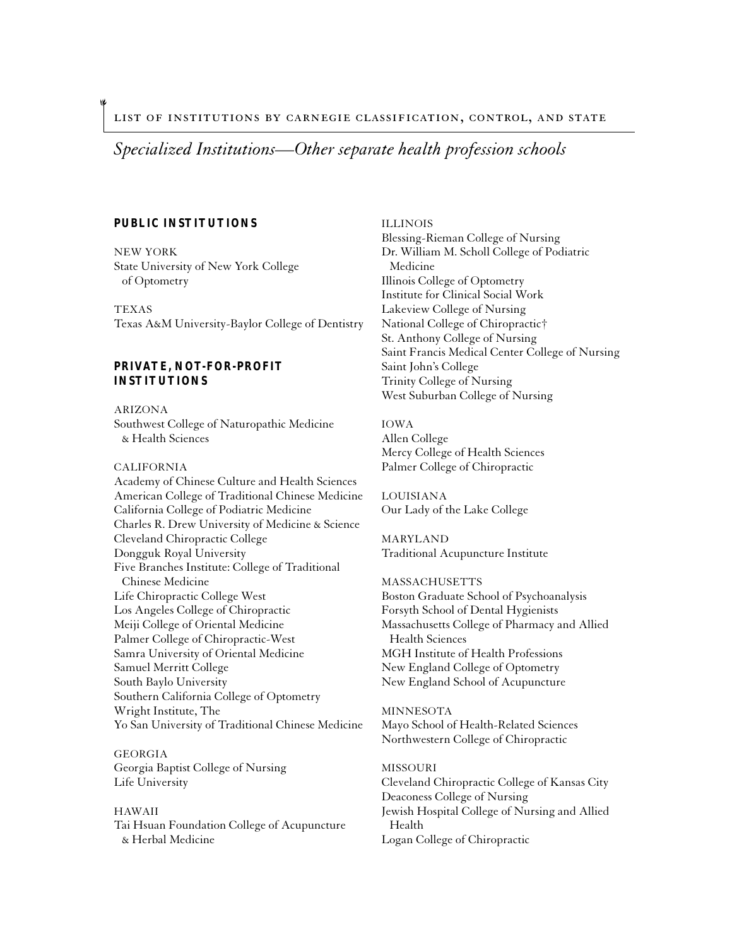# *Specialized Institutions—Other separate health profession schools*

### **PUBLIC INSTITUTIONS**

۴

NEW YORK State University of New York College of Optometry

TEXAS Texas A&M University-Baylor College of Dentistry

# **PRIVATE, NOT-FOR-PROFIT INSTITUTIONS**

ARIZONA Southwest College of Naturopathic Medicine & Health Sciences

## CALIFORNIA

Academy of Chinese Culture and Health Sciences American College of Traditional Chinese Medicine California College of Podiatric Medicine Charles R. Drew University of Medicine & Science Cleveland Chiropractic College Dongguk Royal University Five Branches Institute: College of Traditional Chinese Medicine Life Chiropractic College West Los Angeles College of Chiropractic Meiji College of Oriental Medicine Palmer College of Chiropractic-West Samra University of Oriental Medicine Samuel Merritt College South Baylo University Southern California College of Optometry Wright Institute, The Yo San University of Traditional Chinese Medicine

GEORGIA Georgia Baptist College of Nursing Life University

HAWAII Tai Hsuan Foundation College of Acupuncture & Herbal Medicine

ILLINOIS Blessing-Rieman College of Nursing Dr. William M. Scholl College of Podiatric Medicine Illinois College of Optometry Institute for Clinical Social Work Lakeview College of Nursing National College of Chiropractic† St. Anthony College of Nursing Saint Francis Medical Center College of Nursing Saint John's College Trinity College of Nursing West Suburban College of Nursing

IOWA Allen College Mercy College of Health Sciences Palmer College of Chiropractic

LOUISIANA Our Lady of the Lake College

MARYLAND Traditional Acupuncture Institute

MASSACHUSETTS Boston Graduate School of Psychoanalysis Forsyth School of Dental Hygienists Massachusetts College of Pharmacy and Allied Health Sciences MGH Institute of Health Professions New England College of Optometry New England School of Acupuncture

MINNESOTA Mayo School of Health-Related Sciences Northwestern College of Chiropractic

MISSOURI Cleveland Chiropractic College of Kansas City Deaconess College of Nursing Jewish Hospital College of Nursing and Allied Health Logan College of Chiropractic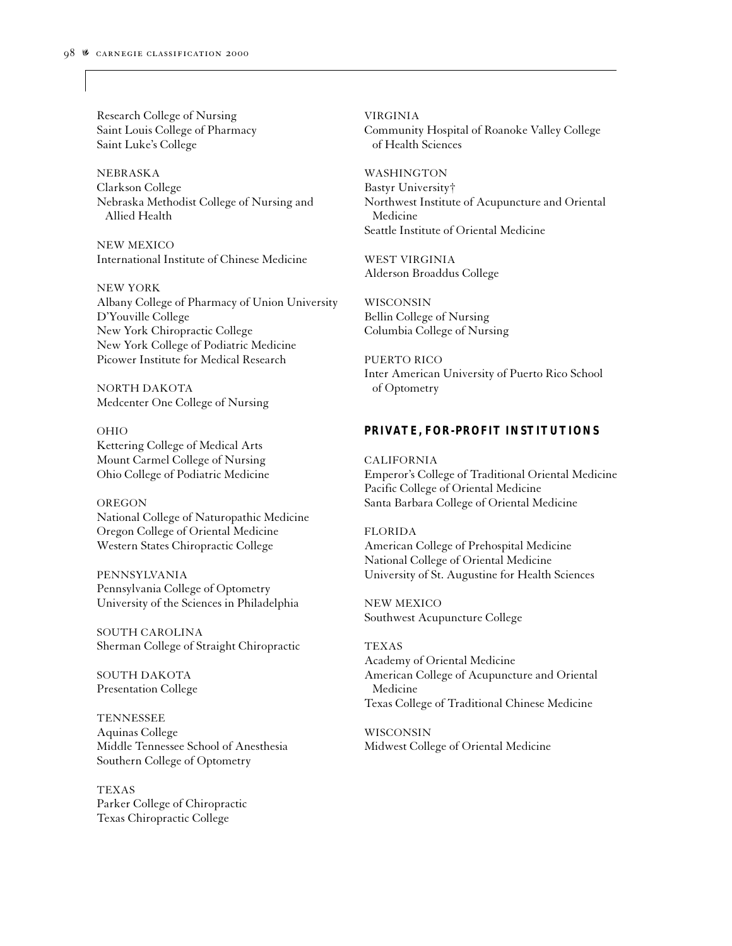Research College of Nursing Saint Louis College of Pharmacy Saint Luke's College

NEBRASKA Clarkson College Nebraska Methodist College of Nursing and Allied Health

NEW MEXICO International Institute of Chinese Medicine

NEW YORK Albany College of Pharmacy of Union University D'Youville College New York Chiropractic College New York College of Podiatric Medicine Picower Institute for Medical Research

NORTH DAKOTA Medcenter One College of Nursing

OHIO Kettering College of Medical Arts Mount Carmel College of Nursing Ohio College of Podiatric Medicine

OREGON National College of Naturopathic Medicine Oregon College of Oriental Medicine Western States Chiropractic College

PENNSYLVANIA Pennsylvania College of Optometry University of the Sciences in Philadelphia

SOUTH CAROLINA Sherman College of Straight Chiropractic

SOUTH DAKOTA Presentation College

TENNESSEE Aquinas College Middle Tennessee School of Anesthesia Southern College of Optometry

TEXAS Parker College of Chiropractic Texas Chiropractic College

VIRGINIA Community Hospital of Roanoke Valley College of Health Sciences

WASHINGTON Bastyr University† Northwest Institute of Acupuncture and Oriental Medicine Seattle Institute of Oriental Medicine

WEST VIRGINIA Alderson Broaddus College

WISCONSIN Bellin College of Nursing Columbia College of Nursing

PUERTO RICO Inter American University of Puerto Rico School of Optometry

### **PRIVATE, FOR-PROFIT INSTITUTIONS**

CALIFORNIA Emperor's College of Traditional Oriental Medicine Pacific College of Oriental Medicine Santa Barbara College of Oriental Medicine

FLORIDA American College of Prehospital Medicine National College of Oriental Medicine University of St. Augustine for Health Sciences

NEW MEXICO Southwest Acupuncture College

TEXAS Academy of Oriental Medicine American College of Acupuncture and Oriental Medicine Texas College of Traditional Chinese Medicine

WISCONSIN Midwest College of Oriental Medicine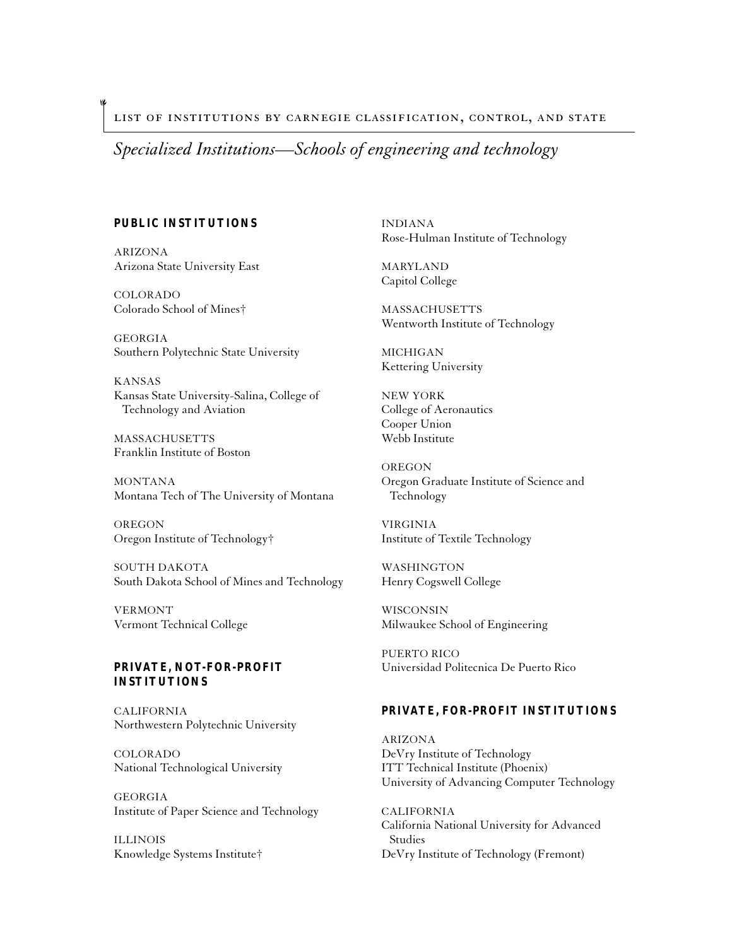# *Specialized Institutions—Schools of engineering and technology*

## **PUBLIC INSTITUTIONS**

۴

ARIZONA Arizona State University East

COLORADO Colorado School of Mines†

GEORGIA Southern Polytechnic State University

KANSAS Kansas State University-Salina, College of Technology and Aviation

MASSACHUSETTS Franklin Institute of Boston

MONTANA Montana Tech of The University of Montana

OREGON Oregon Institute of Technology†

SOUTH DAKOTA South Dakota School of Mines and Technology

VERMONT Vermont Technical College

## **PRIVATE, NOT-FOR-PROFIT INSTITUTIONS**

CALIFORNIA Northwestern Polytechnic University

COLORADO National Technological University

GEORGIA Institute of Paper Science and Technology

ILLINOIS Knowledge Systems Institute† INDIANA Rose-Hulman Institute of Technology

MARYLAND Capitol College

MASSACHUSETTS Wentworth Institute of Technology

MICHIGAN Kettering University

NEW YORK College of Aeronautics Cooper Union Webb Institute

OREGON Oregon Graduate Institute of Science and Technology

VIRGINIA Institute of Textile Technology

WASHINGTON Henry Cogswell College

WISCONSIN Milwaukee School of Engineering

PUERTO RICO Universidad Politecnica De Puerto Rico

# **PRIVATE, FOR-PROFIT INSTITUTIONS**

ARIZONA DeVry Institute of Technology ITT Technical Institute (Phoenix) University of Advancing Computer Technology

CALIFORNIA California National University for Advanced Studies DeVry Institute of Technology (Fremont)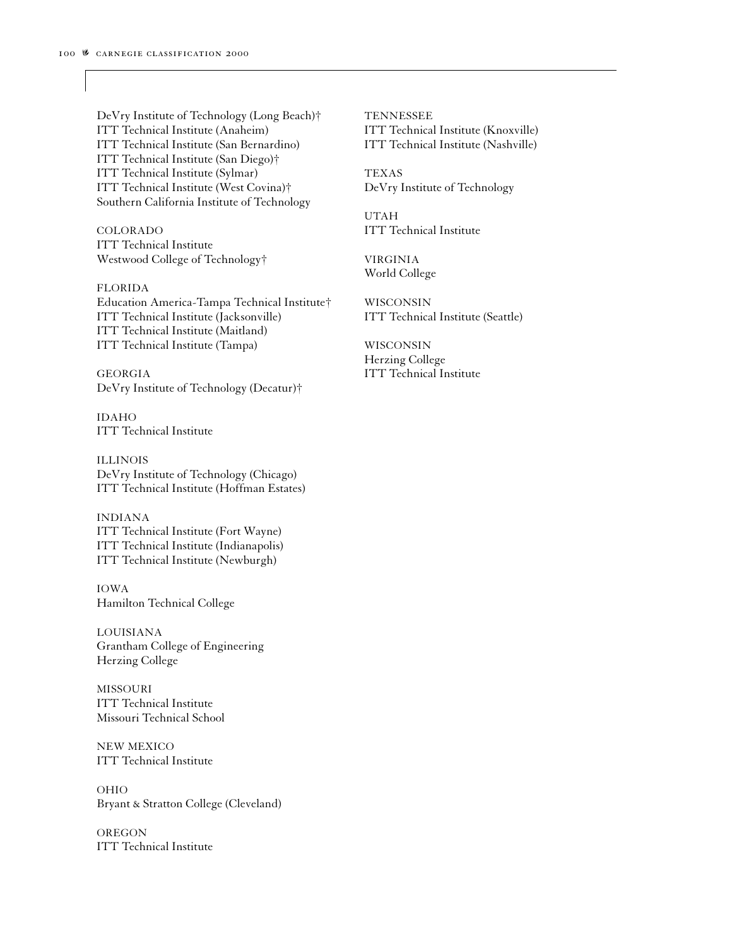DeVry Institute of Technology (Long Beach)† ITT Technical Institute (Anaheim) ITT Technical Institute (San Bernardino) ITT Technical Institute (San Diego)† ITT Technical Institute (Sylmar) ITT Technical Institute (West Covina)† Southern California Institute of Technology

COLORADO ITT Technical Institute Westwood College of Technology†

FLORIDA Education America-Tampa Technical Institute† ITT Technical Institute (Jacksonville) ITT Technical Institute (Maitland) ITT Technical Institute (Tampa)

GEORGIA DeVry Institute of Technology (Decatur)†

IDAHO ITT Technical Institute

ILLINOIS DeVry Institute of Technology (Chicago) ITT Technical Institute (Hoffman Estates)

INDIANA ITT Technical Institute (Fort Wayne) ITT Technical Institute (Indianapolis) ITT Technical Institute (Newburgh)

IOWA Hamilton Technical College

LOUISIANA Grantham College of Engineering Herzing College

MISSOURI ITT Technical Institute Missouri Technical School

NEW MEXICO ITT Technical Institute

OHIO Bryant & Stratton College (Cleveland)

OREGON ITT Technical Institute TENNESSEE ITT Technical Institute (Knoxville) ITT Technical Institute (Nashville)

TEXAS DeVry Institute of Technology

UTAH ITT Technical Institute

VIRGINIA World College

WISCONSIN ITT Technical Institute (Seattle)

WISCONSIN Herzing College ITT Technical Institute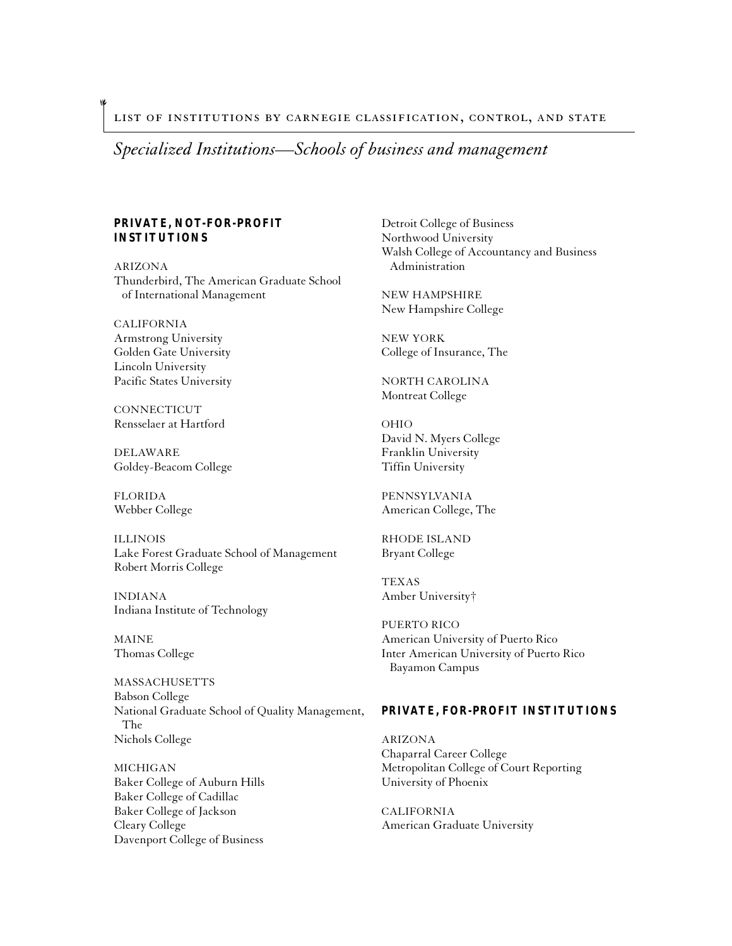# *Specialized Institutions—Schools of business and management*

### **PRIVATE, NOT-FOR-PROFIT INSTITUTIONS**

ARIZONA Thunderbird, The American Graduate School of International Management

CALIFORNIA Armstrong University Golden Gate University Lincoln University Pacific States University

۴

CONNECTICUT Rensselaer at Hartford

DELAWARE Goldey-Beacom College

FLORIDA Webber College

ILLINOIS Lake Forest Graduate School of Management Robert Morris College

INDIANA Indiana Institute of Technology

MAINE Thomas College

MASSACHUSETTS Babson College National Graduate School of Quality Management, The Nichols College

MICHIGAN Baker College of Auburn Hills Baker College of Cadillac Baker College of Jackson Cleary College Davenport College of Business

Detroit College of Business Northwood University Walsh College of Accountancy and Business Administration

NEW HAMPSHIRE New Hampshire College

NEW YORK College of Insurance, The

NORTH CAROLINA Montreat College

OHIO David N. Myers College Franklin University Tiffin University

PENNSYLVANIA American College, The

RHODE ISLAND Bryant College

TEXAS Amber University†

PUERTO RICO American University of Puerto Rico Inter American University of Puerto Rico Bayamon Campus

# **PRIVATE, FOR-PROFIT INSTITUTIONS**

ARIZONA Chaparral Career College Metropolitan College of Court Reporting University of Phoenix

CALIFORNIA American Graduate University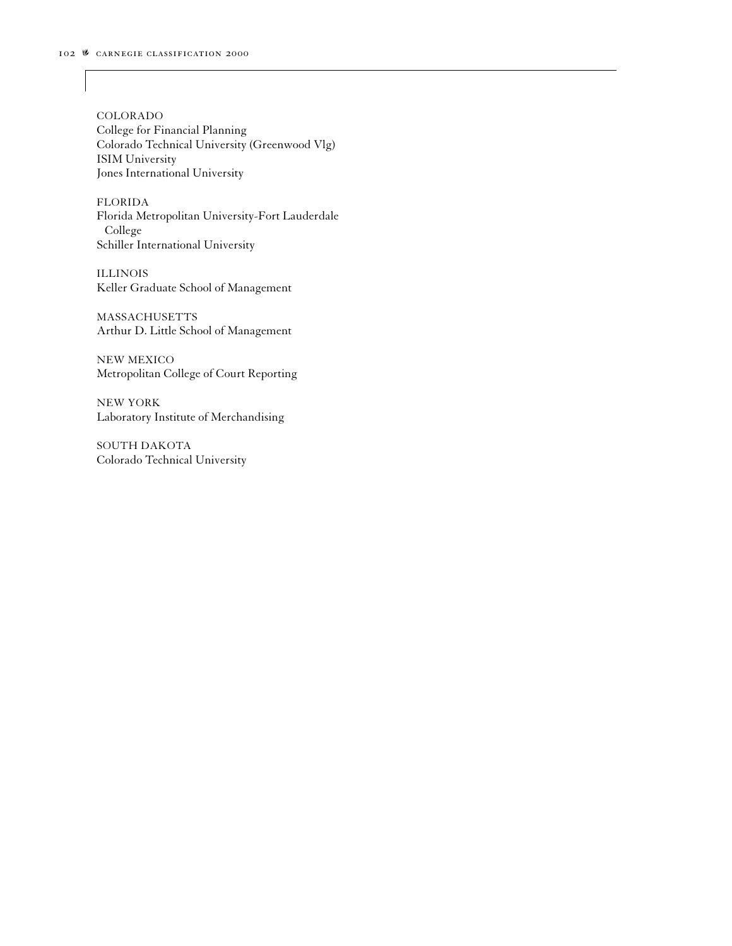COLORADO College for Financial Planning Colorado Technical University (Greenwood Vlg) ISIM University Jones International University

FLORIDA Florida Metropolitan University-Fort Lauderdale College Schiller International University

ILLINOIS Keller Graduate School of Management

MASSACHUSETTS Arthur D. Little School of Management

NEW MEXICO Metropolitan College of Court Reporting

NEW YORK Laboratory Institute of Merchandising

SOUTH DAKOTA Colorado Technical University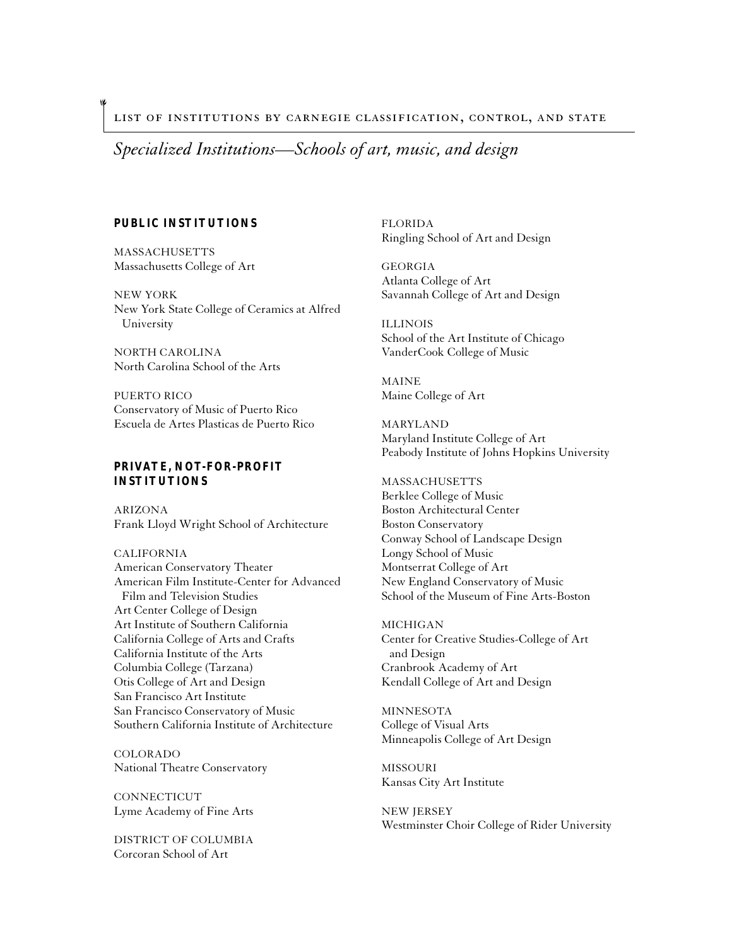# *Specialized Institutions—Schools of art, music, and design*

## **PUBLIC INSTITUTIONS**

۴

MASSACHUSETTS Massachusetts College of Art

NEW YORK New York State College of Ceramics at Alfred University

NORTH CAROLINA North Carolina School of the Arts

PUERTO RICO Conservatory of Music of Puerto Rico Escuela de Artes Plasticas de Puerto Rico

## **PRIVATE, NOT-FOR-PROFIT INSTITUTIONS**

ARIZONA Frank Lloyd Wright School of Architecture

CALIFORNIA American Conservatory Theater American Film Institute-Center for Advanced Film and Television Studies Art Center College of Design Art Institute of Southern California California College of Arts and Crafts California Institute of the Arts Columbia College (Tarzana) Otis College of Art and Design San Francisco Art Institute San Francisco Conservatory of Music Southern California Institute of Architecture

COLORADO National Theatre Conservatory

CONNECTICUT Lyme Academy of Fine Arts

DISTRICT OF COLUMBIA Corcoran School of Art

FLORIDA Ringling School of Art and Design

GEORGIA Atlanta College of Art Savannah College of Art and Design

ILLINOIS School of the Art Institute of Chicago VanderCook College of Music

MAINE Maine College of Art

MARYLAND Maryland Institute College of Art Peabody Institute of Johns Hopkins University

MASSACHUSETTS Berklee College of Music Boston Architectural Center Boston Conservatory Conway School of Landscape Design Longy School of Music Montserrat College of Art New England Conservatory of Music School of the Museum of Fine Arts-Boston

MICHIGAN Center for Creative Studies-College of Art and Design Cranbrook Academy of Art Kendall College of Art and Design

MINNESOTA College of Visual Arts Minneapolis College of Art Design

MISSOURI Kansas City Art Institute

NEW JERSEY Westminster Choir College of Rider University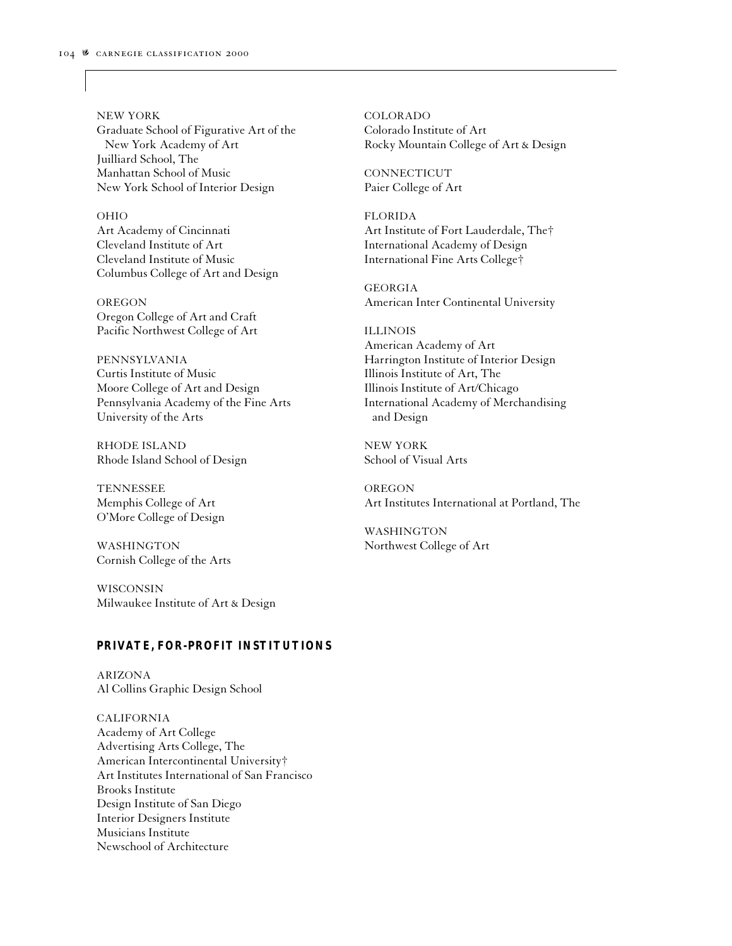NEW YORK Graduate School of Figurative Art of the New York Academy of Art Juilliard School, The Manhattan School of Music New York School of Interior Design

OHIO Art Academy of Cincinnati Cleveland Institute of Art Cleveland Institute of Music Columbus College of Art and Design

OREGON Oregon College of Art and Craft Pacific Northwest College of Art

PENNSYLVANIA Curtis Institute of Music Moore College of Art and Design Pennsylvania Academy of the Fine Arts University of the Arts

RHODE ISLAND Rhode Island School of Design

TENNESSEE Memphis College of Art O'More College of Design

WASHINGTON Cornish College of the Arts

WISCONSIN Milwaukee Institute of Art & Design

# **PRIVATE, FOR-PROFIT INSTITUTIONS**

ARIZONA Al Collins Graphic Design School

CALIFORNIA Academy of Art College Advertising Arts College, The American Intercontinental University† Art Institutes International of San Francisco Brooks Institute Design Institute of San Diego Interior Designers Institute Musicians Institute Newschool of Architecture

COLORADO Colorado Institute of Art Rocky Mountain College of Art & Design

CONNECTICUT Paier College of Art

FLORIDA Art Institute of Fort Lauderdale, The† International Academy of Design International Fine Arts College†

GEORGIA American Inter Continental University

ILLINOIS American Academy of Art Harrington Institute of Interior Design Illinois Institute of Art, The Illinois Institute of Art/Chicago International Academy of Merchandising and Design

NEW YORK School of Visual Arts

OREGON Art Institutes International at Portland, The

WASHINGTON Northwest College of Art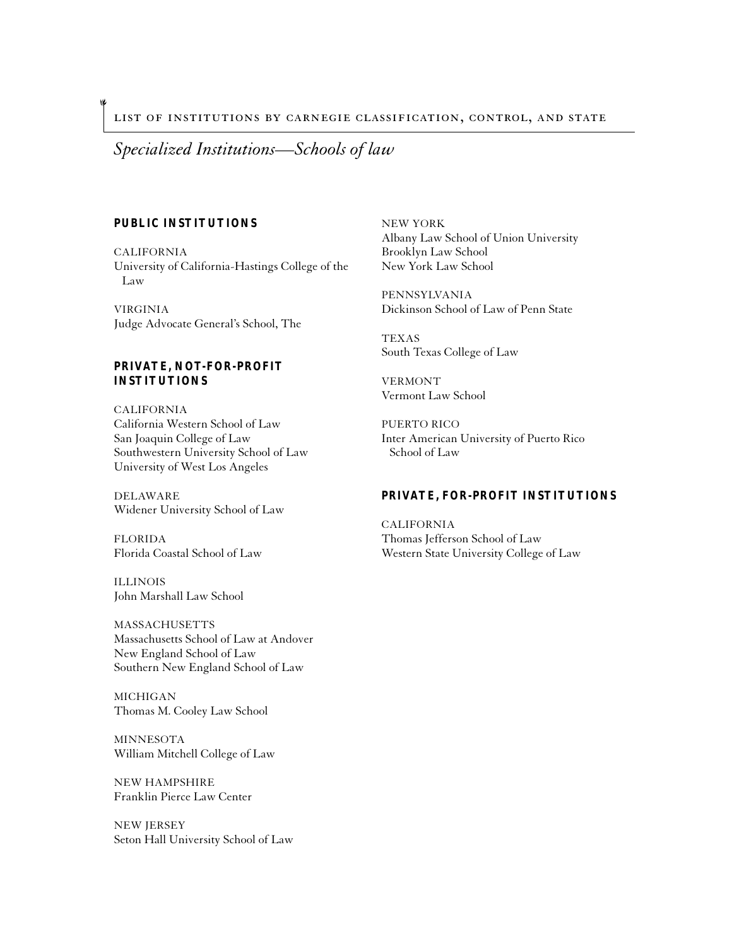list of institutions by carnegie classification, control, and state

# *Specialized Institutions—Schools of law*

# **PUBLIC INSTITUTIONS**

۴

CALIFORNIA University of California-Hastings College of the Law

VIRGINIA Judge Advocate General's School, The

## **PRIVATE, NOT-FOR-PROFIT INSTITUTIONS**

CALIFORNIA California Western School of Law San Joaquin College of Law Southwestern University School of Law University of West Los Angeles

DELAWARE Widener University School of Law

FLORIDA Florida Coastal School of Law

ILLINOIS John Marshall Law School

MASSACHUSETTS Massachusetts School of Law at Andover New England School of Law Southern New England School of Law

MICHIGAN Thomas M. Cooley Law School

MINNESOTA William Mitchell College of Law

NEW HAMPSHIRE Franklin Pierce Law Center

NEW JERSEY Seton Hall University School of Law NEW YORK Albany Law School of Union University Brooklyn Law School New York Law School

PENNSYLVANIA Dickinson School of Law of Penn State

TEXAS South Texas College of Law

VERMONT Vermont Law School

PUERTO RICO Inter American University of Puerto Rico School of Law

## **PRIVATE, FOR-PROFIT INSTITUTIONS**

CALIFORNIA Thomas Jefferson School of Law Western State University College of Law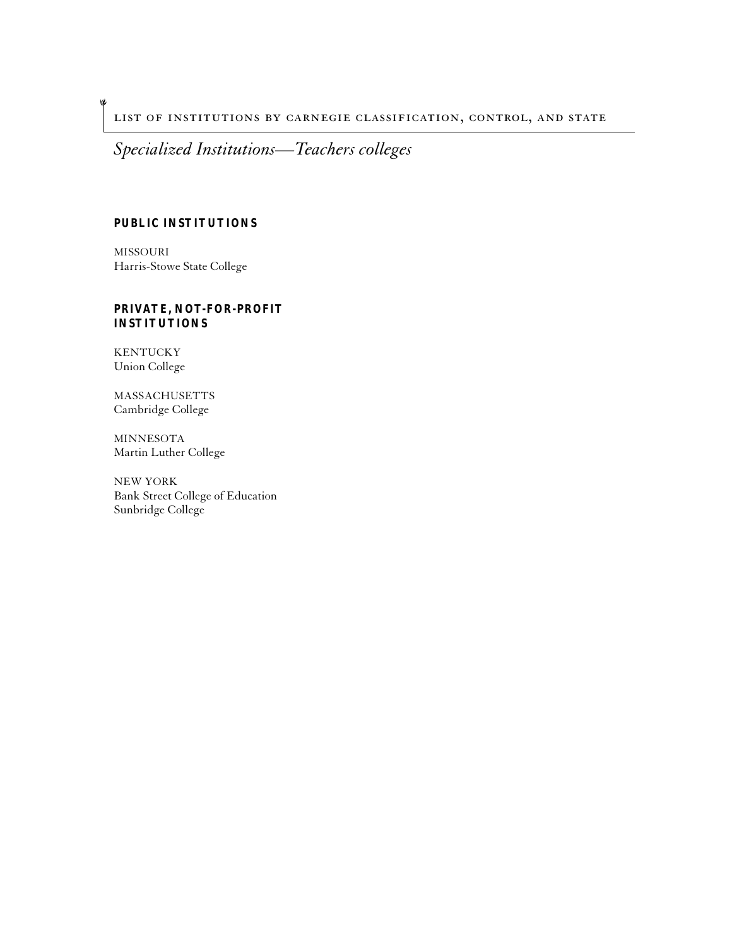list of institutions by carnegie classification, control, and state

*Specialized Institutions—Teachers colleges*

# **PUBLIC INSTITUTIONS**

MISSOURI Harris-Stowe State College

# **PRIVATE, NOT-FOR-PROFIT INSTITUTIONS**

KENTUCKY Union College

۴

MASSACHUSETTS Cambridge College

MINNESOTA Martin Luther College

NEW YORK Bank Street College of Education Sunbridge College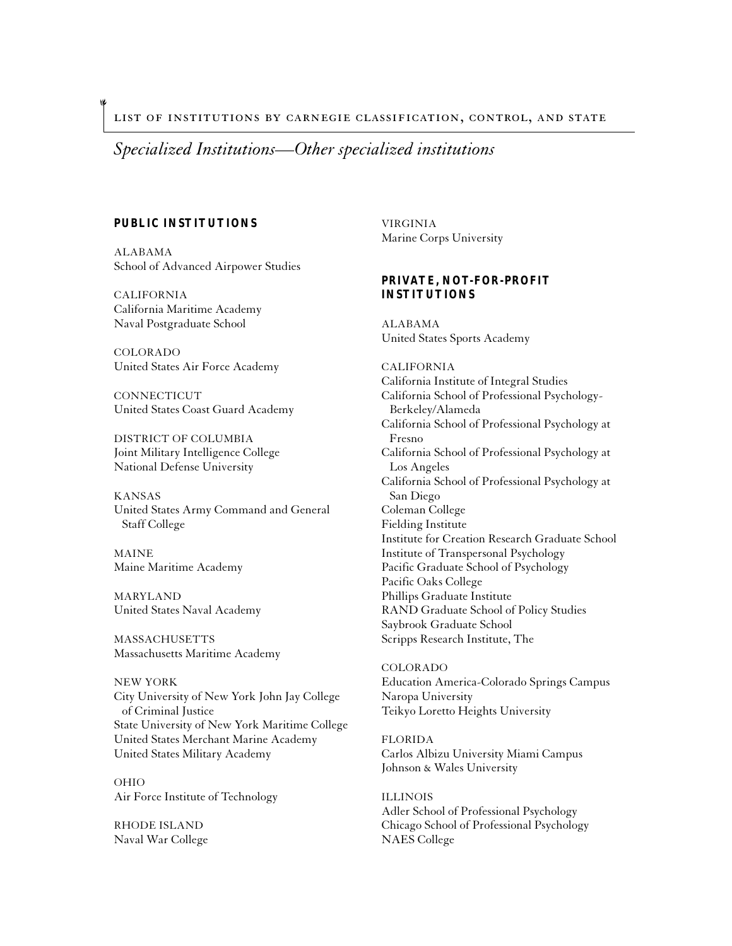# *Specialized Institutions—Other specialized institutions*

# **PUBLIC INSTITUTIONS**

۴

ALABAMA School of Advanced Airpower Studies

CALIFORNIA California Maritime Academy Naval Postgraduate School

COLORADO United States Air Force Academy

CONNECTICUT United States Coast Guard Academy

DISTRICT OF COLUMBIA Joint Military Intelligence College National Defense University

KANSAS United States Army Command and General Staff College

MAINE Maine Maritime Academy

MARYLAND United States Naval Academy

MASSACHUSETTS Massachusetts Maritime Academy

NEW YORK City University of New York John Jay College of Criminal Justice State University of New York Maritime College United States Merchant Marine Academy United States Military Academy

OHIO Air Force Institute of Technology

RHODE ISLAND Naval War College VIRGINIA Marine Corps University

## **PRIVATE, NOT-FOR-PROFIT INSTITUTIONS**

ALABAMA United States Sports Academy

CALIFORNIA California Institute of Integral Studies California School of Professional Psychology-Berkeley/Alameda California School of Professional Psychology at Fresno California School of Professional Psychology at Los Angeles California School of Professional Psychology at San Diego Coleman College Fielding Institute Institute for Creation Research Graduate School Institute of Transpersonal Psychology Pacific Graduate School of Psychology Pacific Oaks College Phillips Graduate Institute RAND Graduate School of Policy Studies Saybrook Graduate School Scripps Research Institute, The

COLORADO Education America-Colorado Springs Campus Naropa University Teikyo Loretto Heights University

FLORIDA Carlos Albizu University Miami Campus Johnson & Wales University

ILLINOIS Adler School of Professional Psychology Chicago School of Professional Psychology NAES College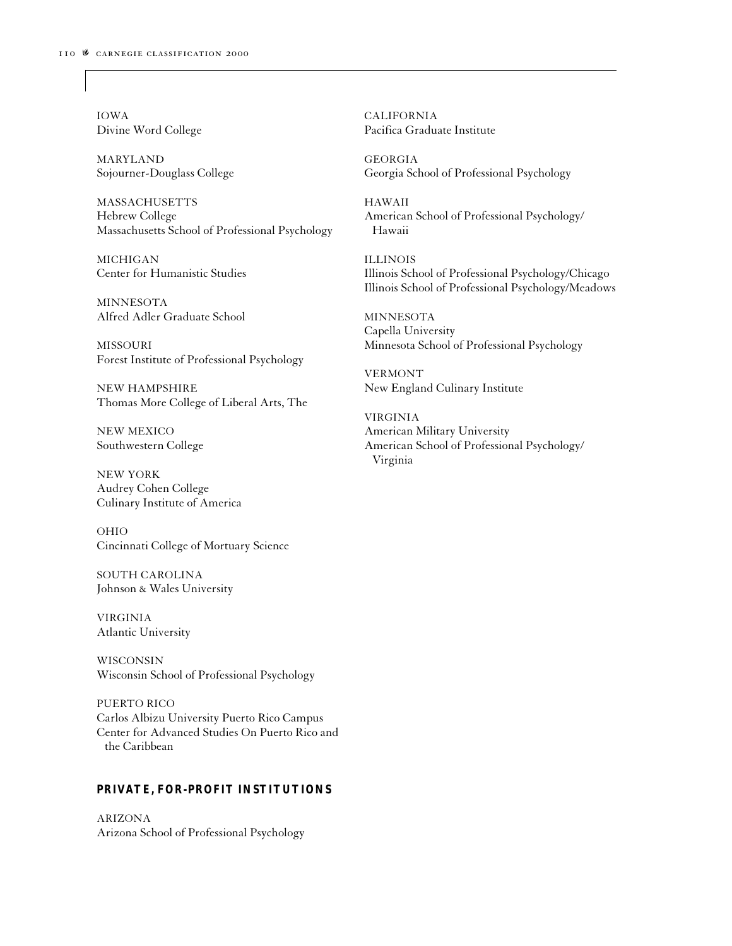IOWA Divine Word College

MARYLAND Sojourner-Douglass College

MASSACHUSETTS Hebrew College Massachusetts School of Professional Psychology

MICHIGAN Center for Humanistic Studies

MINNESOTA Alfred Adler Graduate School

MISSOURI Forest Institute of Professional Psychology

NEW HAMPSHIRE Thomas More College of Liberal Arts, The

NEW MEXICO Southwestern College

NEW YORK Audrey Cohen College Culinary Institute of America

OHIO Cincinnati College of Mortuary Science

SOUTH CAROLINA Johnson & Wales University

VIRGINIA Atlantic University

WISCONSIN Wisconsin School of Professional Psychology

PUERTO RICO Carlos Albizu University Puerto Rico Campus Center for Advanced Studies On Puerto Rico and the Caribbean

## **PRIVATE, FOR-PROFIT INSTITUTIONS**

ARIZONA Arizona School of Professional Psychology CALIFORNIA Pacifica Graduate Institute

GEORGIA Georgia School of Professional Psychology

HAWAII American School of Professional Psychology/ Hawaii

ILLINOIS Illinois School of Professional Psychology/Chicago Illinois School of Professional Psychology/Meadows

MINNESOTA Capella University Minnesota School of Professional Psychology

VERMONT New England Culinary Institute

VIRGINIA American Military University American School of Professional Psychology/ Virginia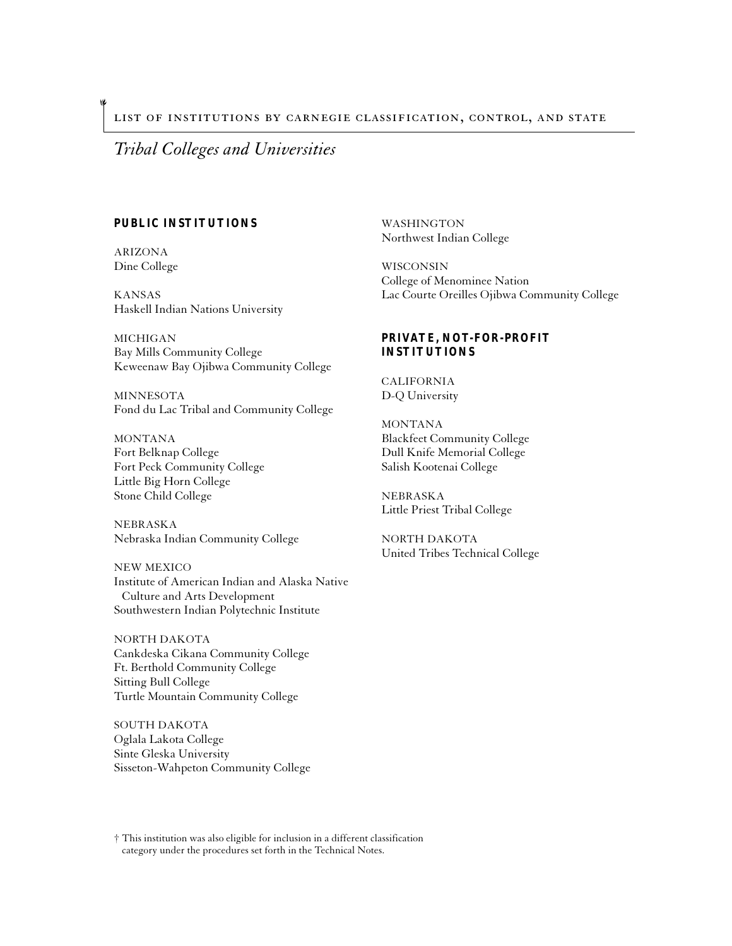# *Tribal Colleges and Universities*

# **PUBLIC INSTITUTIONS**

ARIZONA Dine College

۴

KANSAS Haskell Indian Nations University

MICHIGAN Bay Mills Community College Keweenaw Bay Ojibwa Community College

MINNESOTA Fond du Lac Tribal and Community College

MONTANA Fort Belknap College Fort Peck Community College Little Big Horn College Stone Child College

NEBRASKA Nebraska Indian Community College

NEW MEXICO Institute of American Indian and Alaska Native Culture and Arts Development Southwestern Indian Polytechnic Institute

NORTH DAKOTA Cankdeska Cikana Community College Ft. Berthold Community College Sitting Bull College Turtle Mountain Community College

SOUTH DAKOTA Oglala Lakota College Sinte Gleska University Sisseton-Wahpeton Community College WASHINGTON Northwest Indian College

WISCONSIN College of Menominee Nation Lac Courte Oreilles Ojibwa Community College

## **PRIVATE, NOT-FOR-PROFIT INSTITUTIONS**

CALIFORNIA D-Q University

MONTANA Blackfeet Community College Dull Knife Memorial College Salish Kootenai College

NEBRASKA Little Priest Tribal College

NORTH DAKOTA United Tribes Technical College

† This institution was also eligible for inclusion in a different classification category under the procedures set forth in the Technical Notes.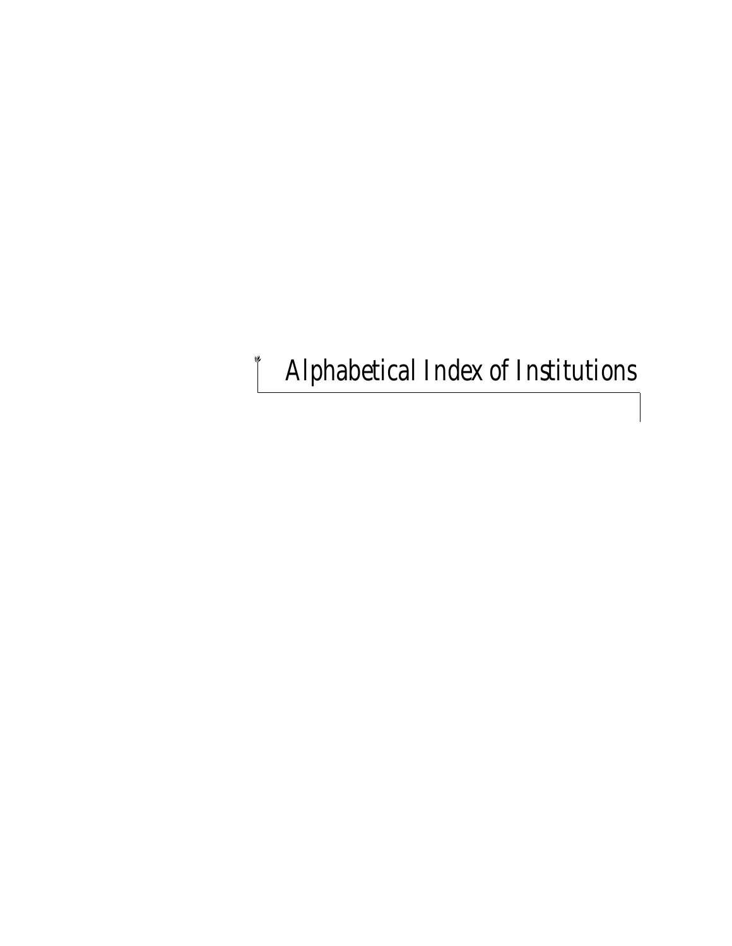$\int_{0}^{\infty}$ *Alphabetical Index of Institutions*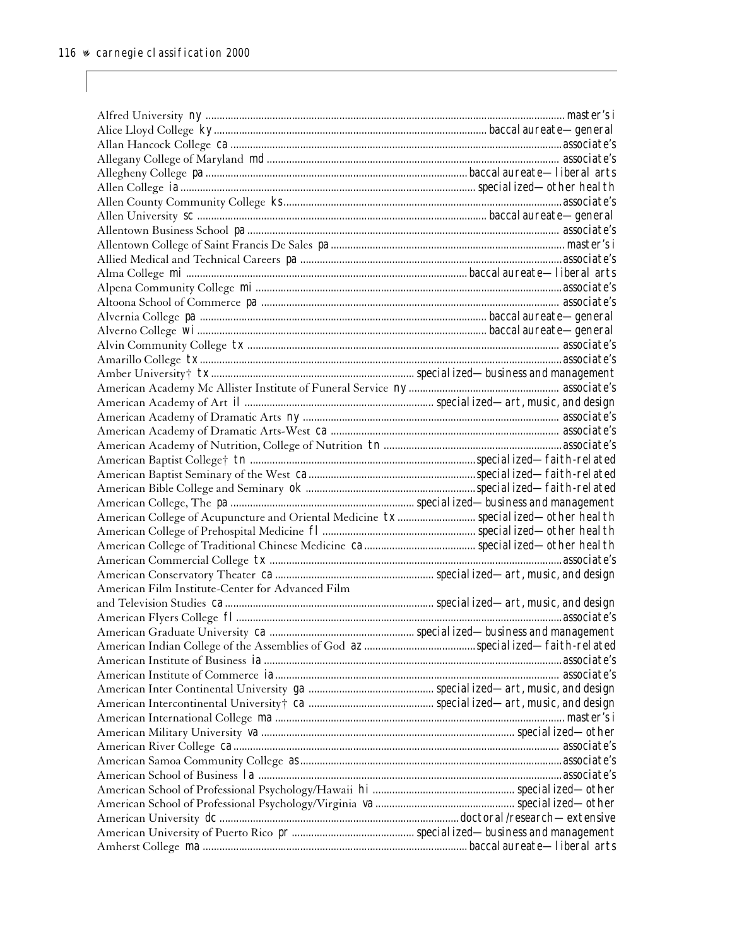| American College of Acupuncture and Oriental Medicine tx specialized-other health |  |
|-----------------------------------------------------------------------------------|--|
|                                                                                   |  |
|                                                                                   |  |
|                                                                                   |  |
|                                                                                   |  |
| American Film Institute-Center for Advanced Film                                  |  |
|                                                                                   |  |
|                                                                                   |  |
|                                                                                   |  |
|                                                                                   |  |
|                                                                                   |  |
|                                                                                   |  |
|                                                                                   |  |
|                                                                                   |  |
|                                                                                   |  |
|                                                                                   |  |
|                                                                                   |  |
|                                                                                   |  |
|                                                                                   |  |
|                                                                                   |  |
|                                                                                   |  |
|                                                                                   |  |
|                                                                                   |  |
|                                                                                   |  |
|                                                                                   |  |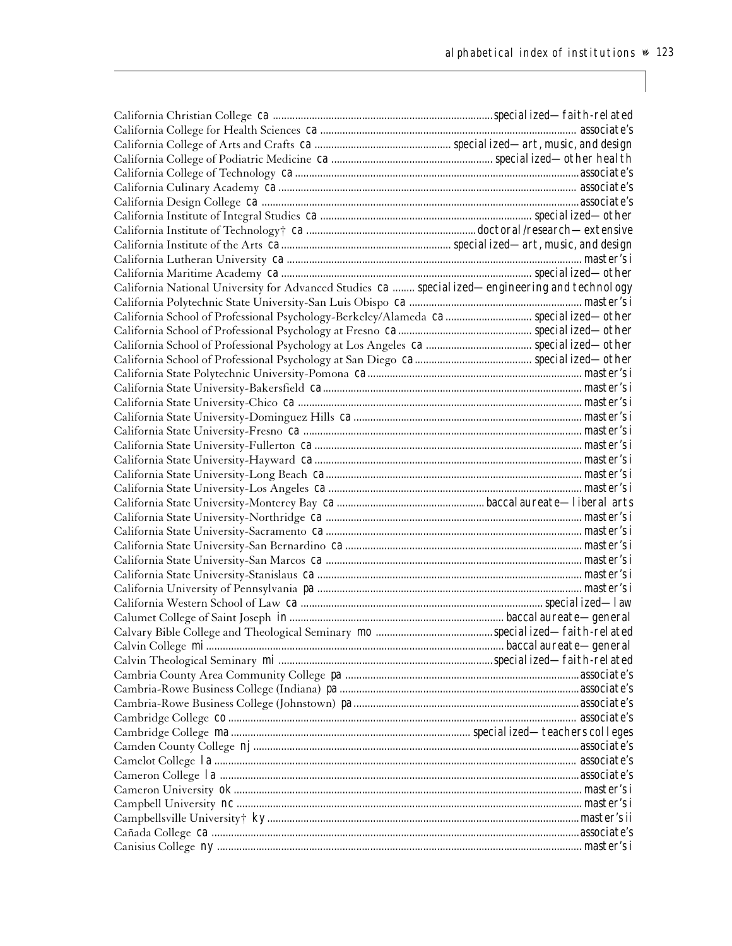| California National University for Advanced Studies ca  specialized-engineering and technology |  |
|------------------------------------------------------------------------------------------------|--|
|                                                                                                |  |
| California School of Professional Psychology-Berkeley/Alameda ca specialized-other             |  |
|                                                                                                |  |
|                                                                                                |  |
|                                                                                                |  |
|                                                                                                |  |
|                                                                                                |  |
|                                                                                                |  |
|                                                                                                |  |
|                                                                                                |  |
|                                                                                                |  |
|                                                                                                |  |
|                                                                                                |  |
|                                                                                                |  |
|                                                                                                |  |
|                                                                                                |  |
|                                                                                                |  |
|                                                                                                |  |
|                                                                                                |  |
|                                                                                                |  |
|                                                                                                |  |
|                                                                                                |  |
|                                                                                                |  |
|                                                                                                |  |
|                                                                                                |  |
|                                                                                                |  |
|                                                                                                |  |
|                                                                                                |  |
|                                                                                                |  |
|                                                                                                |  |
|                                                                                                |  |
|                                                                                                |  |
|                                                                                                |  |
|                                                                                                |  |
|                                                                                                |  |
|                                                                                                |  |
|                                                                                                |  |
|                                                                                                |  |
|                                                                                                |  |
|                                                                                                |  |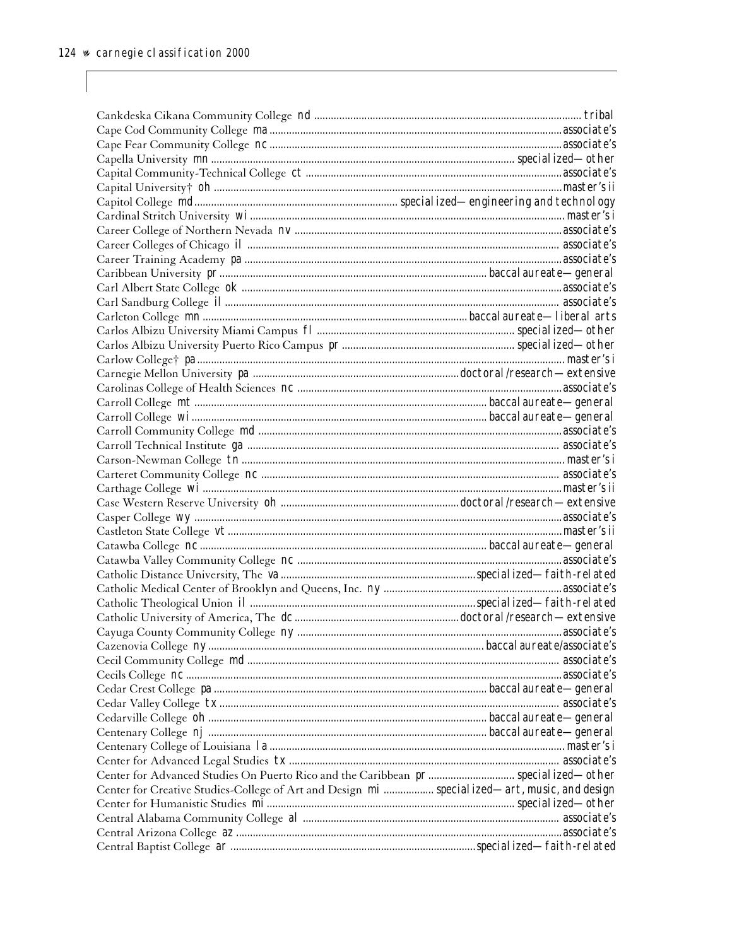| Center for Advanced Studies On Puerto Rico and the Caribbean pr specialized—other            |  |
|----------------------------------------------------------------------------------------------|--|
| Center for Creative Studies-College of Art and Design mi  specialized-art, music, and design |  |
|                                                                                              |  |
|                                                                                              |  |
|                                                                                              |  |
|                                                                                              |  |
|                                                                                              |  |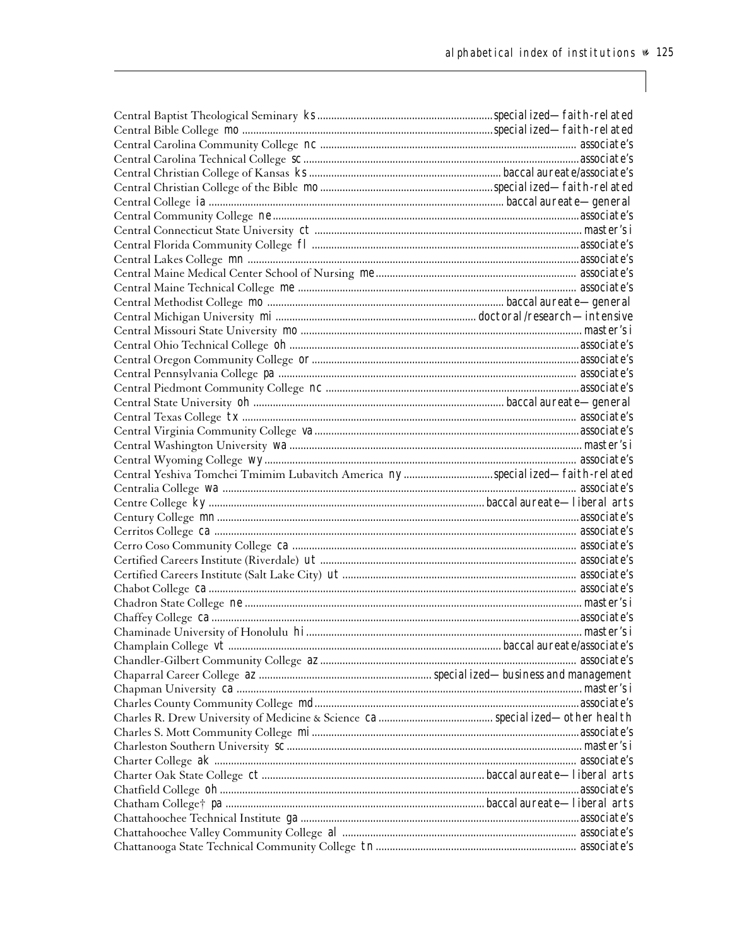| Central Yeshiva Tomchei Tmimim Lubavitch America ny specialized-faith-related |  |
|-------------------------------------------------------------------------------|--|
|                                                                               |  |
|                                                                               |  |
|                                                                               |  |
|                                                                               |  |
|                                                                               |  |
|                                                                               |  |
|                                                                               |  |
|                                                                               |  |
|                                                                               |  |
|                                                                               |  |
|                                                                               |  |
|                                                                               |  |
|                                                                               |  |
|                                                                               |  |
|                                                                               |  |
|                                                                               |  |
|                                                                               |  |
|                                                                               |  |
|                                                                               |  |
|                                                                               |  |
|                                                                               |  |
|                                                                               |  |
|                                                                               |  |
|                                                                               |  |
|                                                                               |  |
|                                                                               |  |
|                                                                               |  |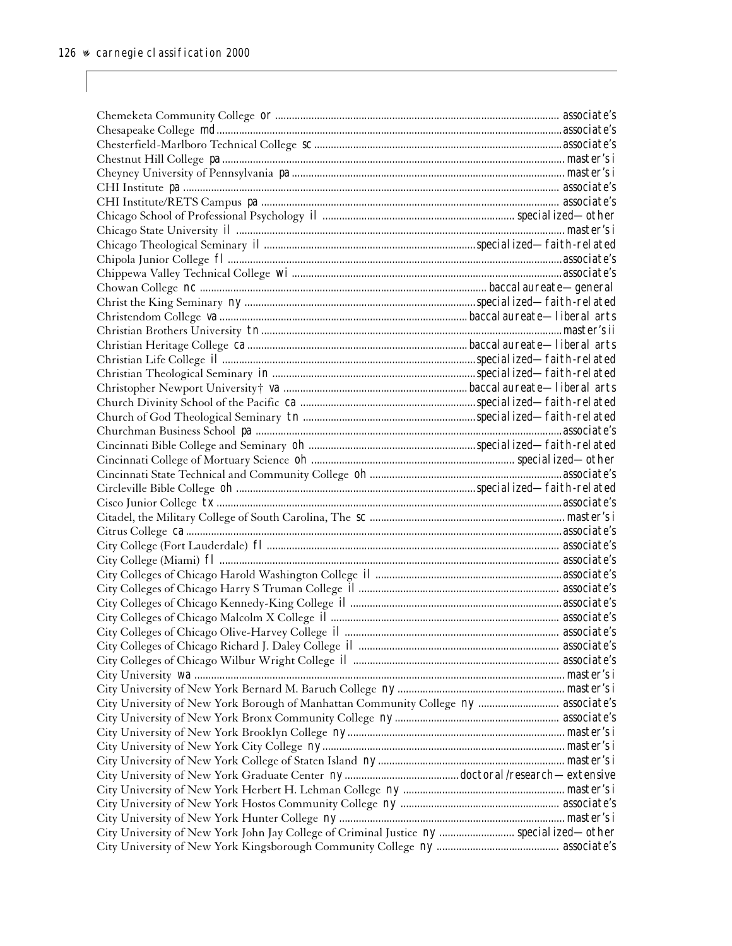| City University of New York Borough of Manhattan Community College ny  associate's     |  |
|----------------------------------------------------------------------------------------|--|
|                                                                                        |  |
|                                                                                        |  |
|                                                                                        |  |
|                                                                                        |  |
|                                                                                        |  |
|                                                                                        |  |
|                                                                                        |  |
|                                                                                        |  |
| City University of New York John Jay College of Criminal Justice ny  specialized-other |  |
|                                                                                        |  |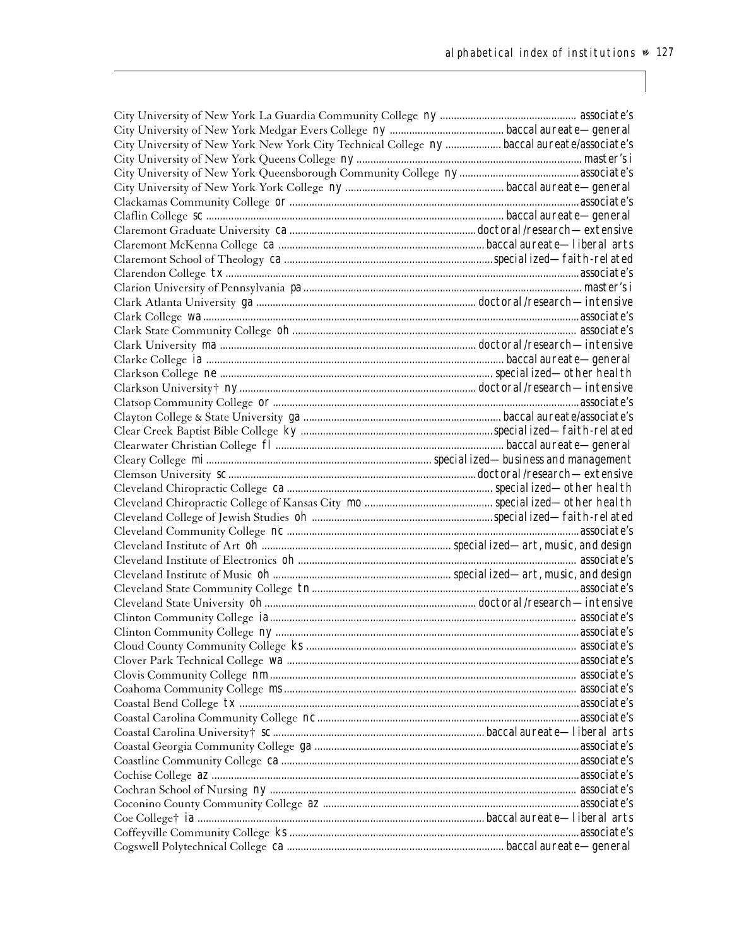| City University of New York New York City Technical College ny  baccalaureate/associate's |  |
|-------------------------------------------------------------------------------------------|--|
|                                                                                           |  |
|                                                                                           |  |
|                                                                                           |  |
|                                                                                           |  |
|                                                                                           |  |
|                                                                                           |  |
|                                                                                           |  |
|                                                                                           |  |
|                                                                                           |  |
|                                                                                           |  |
|                                                                                           |  |
|                                                                                           |  |
|                                                                                           |  |
|                                                                                           |  |
|                                                                                           |  |
|                                                                                           |  |
|                                                                                           |  |
|                                                                                           |  |
|                                                                                           |  |
|                                                                                           |  |
|                                                                                           |  |
|                                                                                           |  |
|                                                                                           |  |
|                                                                                           |  |
|                                                                                           |  |
|                                                                                           |  |
|                                                                                           |  |
|                                                                                           |  |
|                                                                                           |  |
|                                                                                           |  |
|                                                                                           |  |
|                                                                                           |  |
|                                                                                           |  |
|                                                                                           |  |
|                                                                                           |  |
|                                                                                           |  |
|                                                                                           |  |
|                                                                                           |  |
|                                                                                           |  |
|                                                                                           |  |
|                                                                                           |  |
|                                                                                           |  |
|                                                                                           |  |
|                                                                                           |  |
|                                                                                           |  |
|                                                                                           |  |
|                                                                                           |  |
|                                                                                           |  |
|                                                                                           |  |
|                                                                                           |  |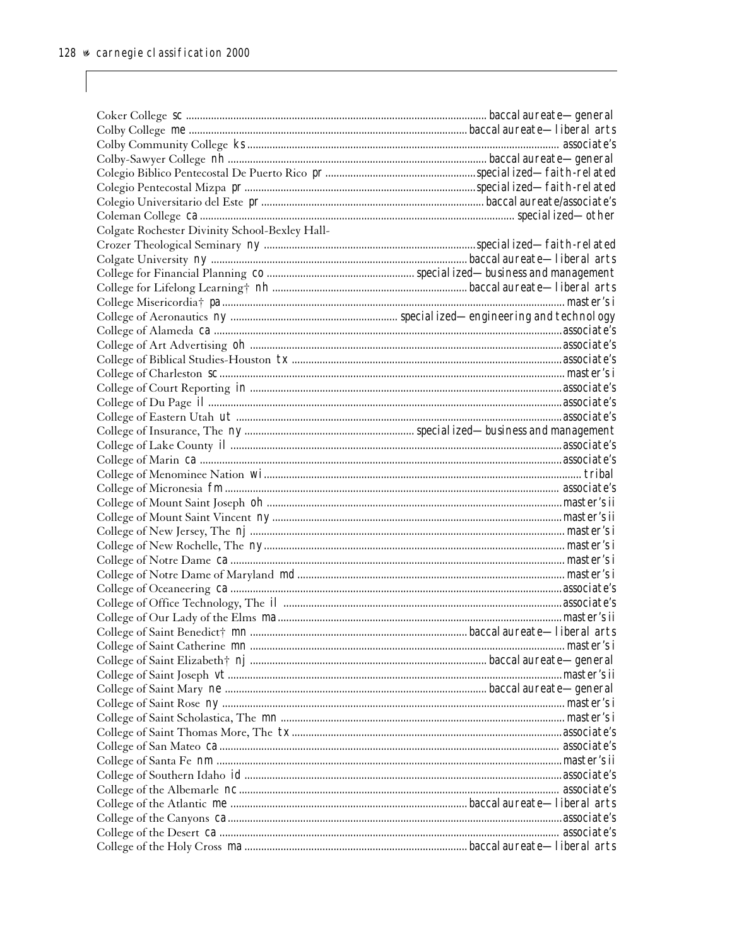| Colgate Rochester Divinity School-Bexley Hall- |  |
|------------------------------------------------|--|
|                                                |  |
|                                                |  |
|                                                |  |
|                                                |  |
|                                                |  |
|                                                |  |
|                                                |  |
|                                                |  |
|                                                |  |
|                                                |  |
|                                                |  |
|                                                |  |
|                                                |  |
|                                                |  |
|                                                |  |
|                                                |  |
|                                                |  |
|                                                |  |
|                                                |  |
|                                                |  |
|                                                |  |
|                                                |  |
|                                                |  |
|                                                |  |
|                                                |  |
|                                                |  |
|                                                |  |
|                                                |  |
|                                                |  |
|                                                |  |
|                                                |  |
|                                                |  |
|                                                |  |
|                                                |  |
|                                                |  |
|                                                |  |
|                                                |  |
|                                                |  |
|                                                |  |
|                                                |  |
|                                                |  |
|                                                |  |
|                                                |  |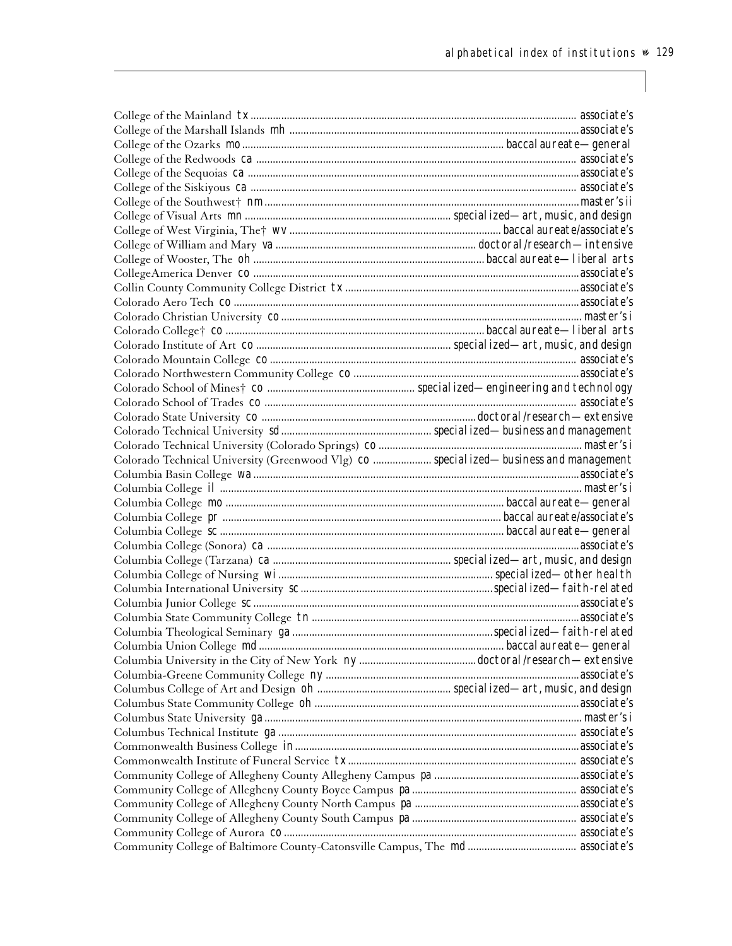| Colorado Technical University (Greenwood Vlg) co  specialized-business and management |  |
|---------------------------------------------------------------------------------------|--|
|                                                                                       |  |
|                                                                                       |  |
|                                                                                       |  |
|                                                                                       |  |
|                                                                                       |  |
|                                                                                       |  |
|                                                                                       |  |
|                                                                                       |  |
|                                                                                       |  |
|                                                                                       |  |
|                                                                                       |  |
|                                                                                       |  |
|                                                                                       |  |
|                                                                                       |  |
|                                                                                       |  |
|                                                                                       |  |
|                                                                                       |  |
|                                                                                       |  |
|                                                                                       |  |
|                                                                                       |  |
|                                                                                       |  |
|                                                                                       |  |
|                                                                                       |  |
|                                                                                       |  |
|                                                                                       |  |
|                                                                                       |  |
|                                                                                       |  |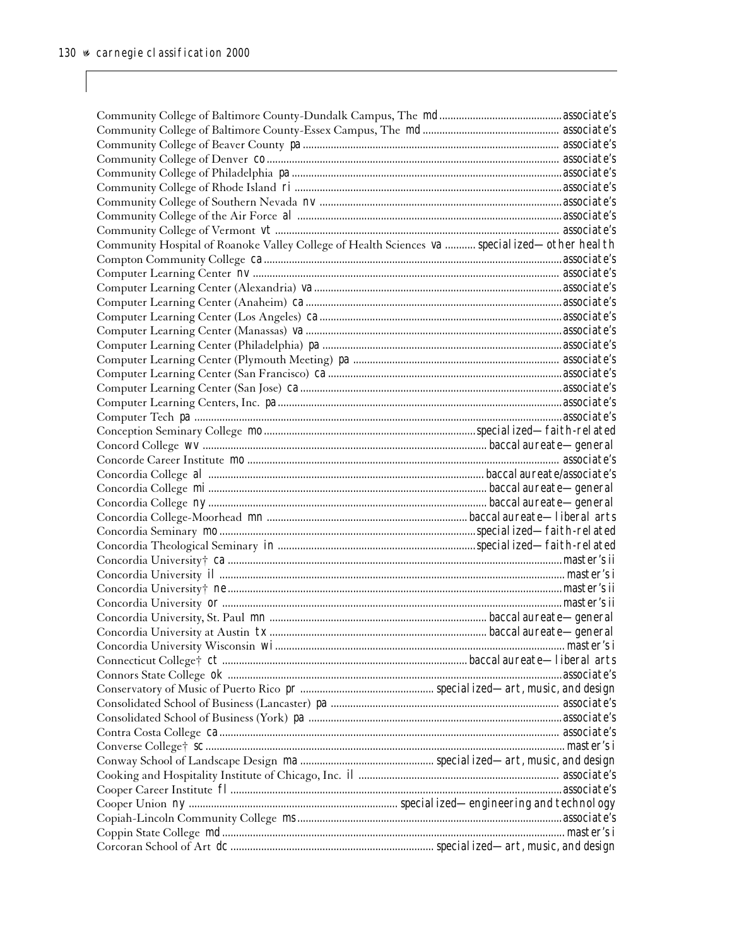| Community Hospital of Roanoke Valley College of Health Sciences va  specialized-other health |  |
|----------------------------------------------------------------------------------------------|--|
|                                                                                              |  |
|                                                                                              |  |
|                                                                                              |  |
|                                                                                              |  |
|                                                                                              |  |
|                                                                                              |  |
|                                                                                              |  |
|                                                                                              |  |
|                                                                                              |  |
|                                                                                              |  |
|                                                                                              |  |
|                                                                                              |  |
|                                                                                              |  |
|                                                                                              |  |
|                                                                                              |  |
|                                                                                              |  |
|                                                                                              |  |
|                                                                                              |  |
|                                                                                              |  |
|                                                                                              |  |
|                                                                                              |  |
|                                                                                              |  |
|                                                                                              |  |
|                                                                                              |  |
|                                                                                              |  |
|                                                                                              |  |
|                                                                                              |  |
|                                                                                              |  |
|                                                                                              |  |
|                                                                                              |  |
|                                                                                              |  |
|                                                                                              |  |
|                                                                                              |  |
|                                                                                              |  |
|                                                                                              |  |
|                                                                                              |  |
|                                                                                              |  |
|                                                                                              |  |
|                                                                                              |  |
|                                                                                              |  |
|                                                                                              |  |
|                                                                                              |  |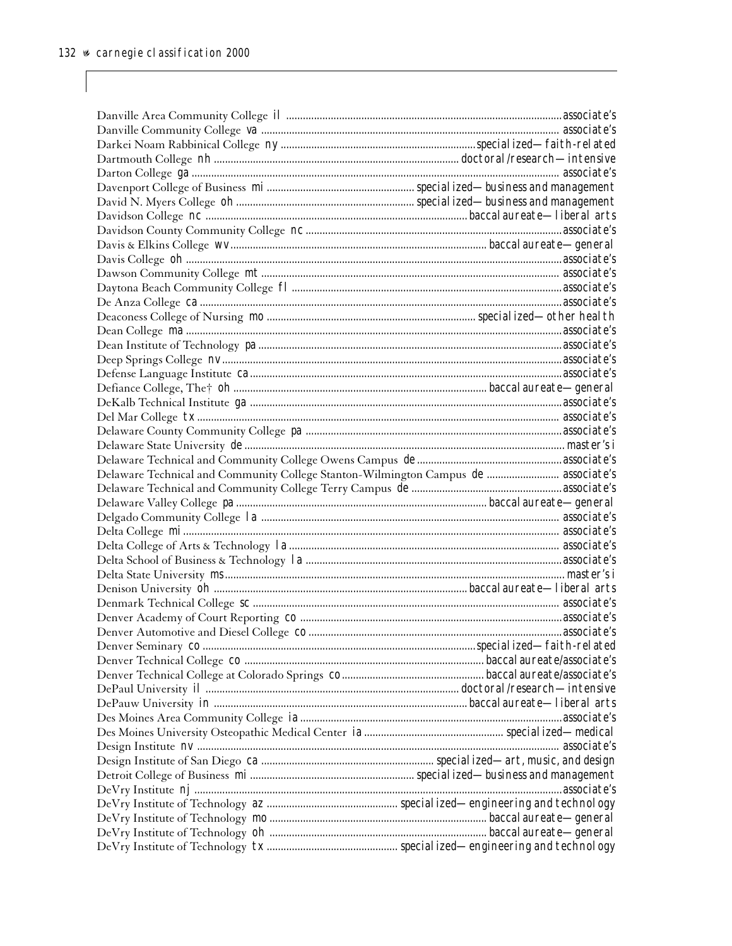| Delaware Technical and Community College Stanton-Wilmington Campus de  associate's |  |
|------------------------------------------------------------------------------------|--|
|                                                                                    |  |
|                                                                                    |  |
|                                                                                    |  |
|                                                                                    |  |
|                                                                                    |  |
|                                                                                    |  |
|                                                                                    |  |
|                                                                                    |  |
|                                                                                    |  |
|                                                                                    |  |
|                                                                                    |  |
|                                                                                    |  |
|                                                                                    |  |
|                                                                                    |  |
|                                                                                    |  |
|                                                                                    |  |
|                                                                                    |  |
|                                                                                    |  |
|                                                                                    |  |
|                                                                                    |  |
|                                                                                    |  |
|                                                                                    |  |
|                                                                                    |  |
|                                                                                    |  |
|                                                                                    |  |
|                                                                                    |  |
|                                                                                    |  |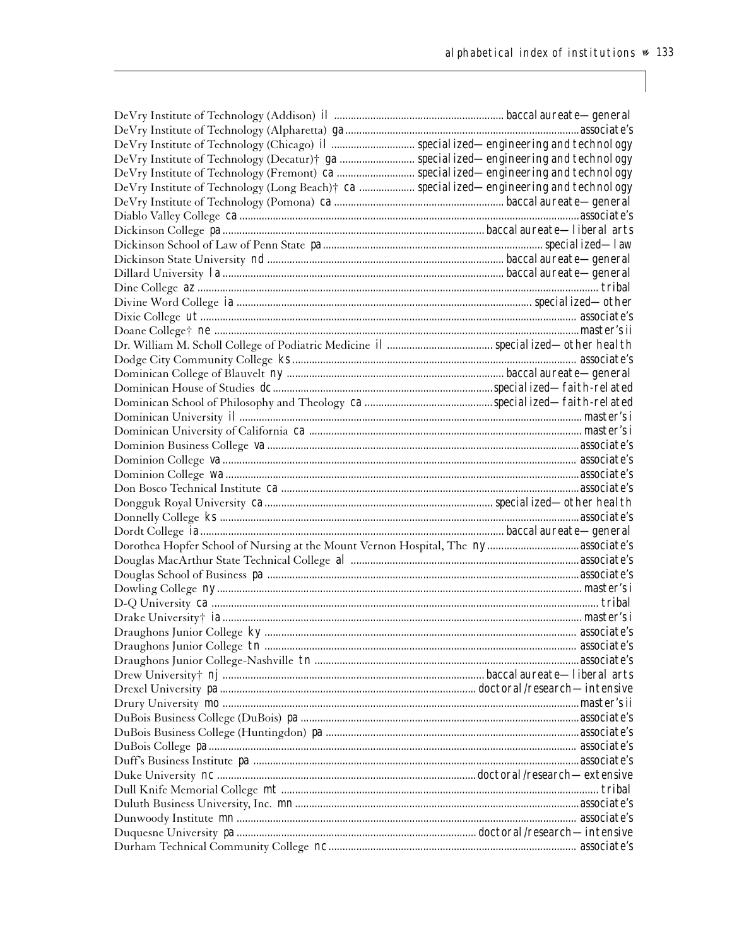| DeVry Institute of Technology (Decatur) <sup>†</sup> ga  specialized—engineering and technology    |  |
|----------------------------------------------------------------------------------------------------|--|
| DeVry Institute of Technology (Fremont) ca  specialized-engineering and technology                 |  |
| DeVry Institute of Technology (Long Beach) <sup>†</sup> ca  specialized—engineering and technology |  |
|                                                                                                    |  |
|                                                                                                    |  |
|                                                                                                    |  |
|                                                                                                    |  |
|                                                                                                    |  |
|                                                                                                    |  |
|                                                                                                    |  |
|                                                                                                    |  |
|                                                                                                    |  |
|                                                                                                    |  |
|                                                                                                    |  |
|                                                                                                    |  |
|                                                                                                    |  |
|                                                                                                    |  |
|                                                                                                    |  |
|                                                                                                    |  |
|                                                                                                    |  |
|                                                                                                    |  |
|                                                                                                    |  |
|                                                                                                    |  |
|                                                                                                    |  |
|                                                                                                    |  |
|                                                                                                    |  |
|                                                                                                    |  |
|                                                                                                    |  |
|                                                                                                    |  |
|                                                                                                    |  |
|                                                                                                    |  |
|                                                                                                    |  |
|                                                                                                    |  |
|                                                                                                    |  |
|                                                                                                    |  |
|                                                                                                    |  |
|                                                                                                    |  |
|                                                                                                    |  |
|                                                                                                    |  |
|                                                                                                    |  |
|                                                                                                    |  |
|                                                                                                    |  |
|                                                                                                    |  |
|                                                                                                    |  |
|                                                                                                    |  |
|                                                                                                    |  |
|                                                                                                    |  |
|                                                                                                    |  |
|                                                                                                    |  |
|                                                                                                    |  |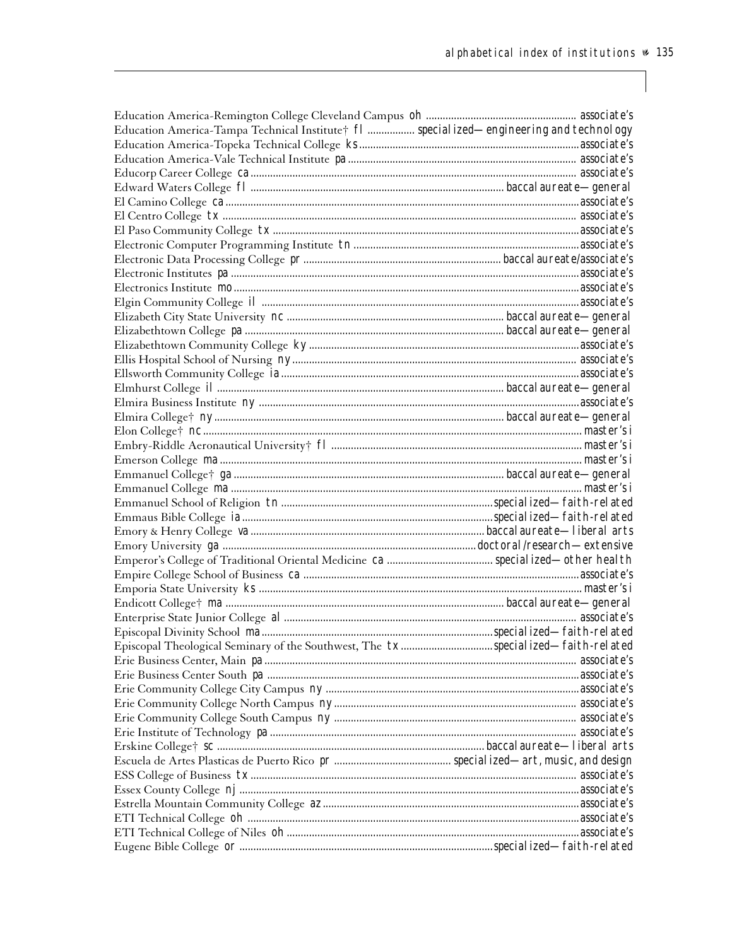| Education America-Tampa Technical Institute <sup>+</sup> fl  specialized—engineering and technology |  |
|-----------------------------------------------------------------------------------------------------|--|
|                                                                                                     |  |
|                                                                                                     |  |
|                                                                                                     |  |
|                                                                                                     |  |
|                                                                                                     |  |
|                                                                                                     |  |
|                                                                                                     |  |
|                                                                                                     |  |
|                                                                                                     |  |
|                                                                                                     |  |
|                                                                                                     |  |
|                                                                                                     |  |
|                                                                                                     |  |
|                                                                                                     |  |
|                                                                                                     |  |
|                                                                                                     |  |
|                                                                                                     |  |
|                                                                                                     |  |
|                                                                                                     |  |
|                                                                                                     |  |
|                                                                                                     |  |
|                                                                                                     |  |
|                                                                                                     |  |
|                                                                                                     |  |
|                                                                                                     |  |
|                                                                                                     |  |
|                                                                                                     |  |
|                                                                                                     |  |
|                                                                                                     |  |
|                                                                                                     |  |
|                                                                                                     |  |
|                                                                                                     |  |
|                                                                                                     |  |
|                                                                                                     |  |
|                                                                                                     |  |
|                                                                                                     |  |
|                                                                                                     |  |
|                                                                                                     |  |
|                                                                                                     |  |
|                                                                                                     |  |
|                                                                                                     |  |
|                                                                                                     |  |
|                                                                                                     |  |
|                                                                                                     |  |
|                                                                                                     |  |
|                                                                                                     |  |
|                                                                                                     |  |
|                                                                                                     |  |
|                                                                                                     |  |
|                                                                                                     |  |
|                                                                                                     |  |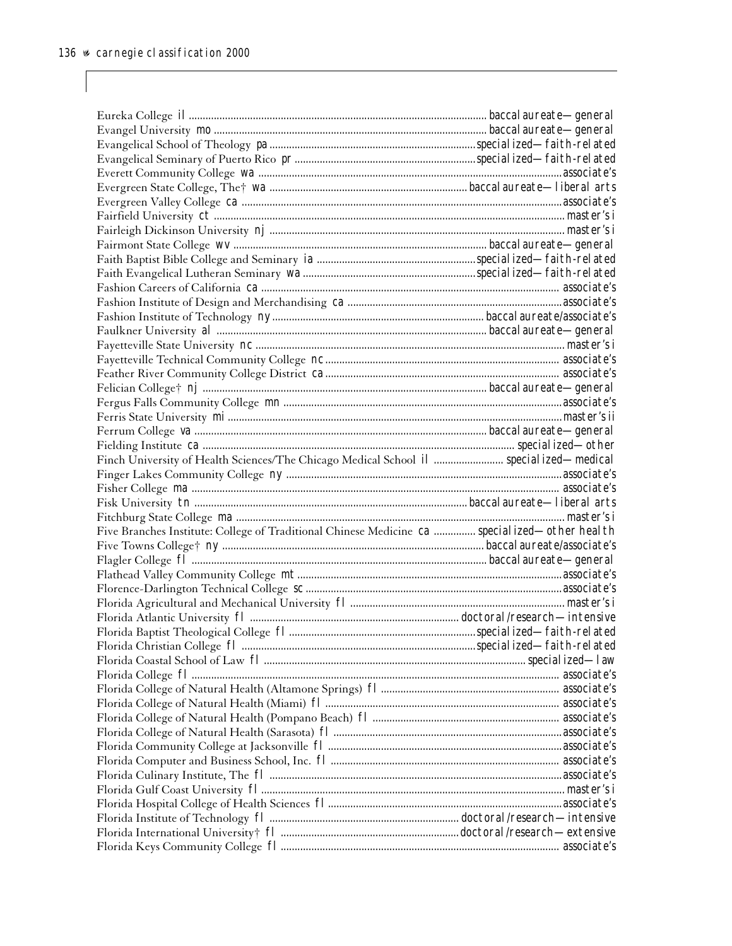| Finch University of Health Sciences/The Chicago Medical School il  specialized-medical        |  |
|-----------------------------------------------------------------------------------------------|--|
|                                                                                               |  |
|                                                                                               |  |
|                                                                                               |  |
|                                                                                               |  |
| Five Branches Institute: College of Traditional Chinese Medicine ca  specialized-other health |  |
|                                                                                               |  |
|                                                                                               |  |
|                                                                                               |  |
|                                                                                               |  |
|                                                                                               |  |
|                                                                                               |  |
|                                                                                               |  |
|                                                                                               |  |
|                                                                                               |  |
|                                                                                               |  |
|                                                                                               |  |
|                                                                                               |  |
|                                                                                               |  |
|                                                                                               |  |
|                                                                                               |  |
|                                                                                               |  |
|                                                                                               |  |
|                                                                                               |  |
|                                                                                               |  |
|                                                                                               |  |
|                                                                                               |  |
|                                                                                               |  |
|                                                                                               |  |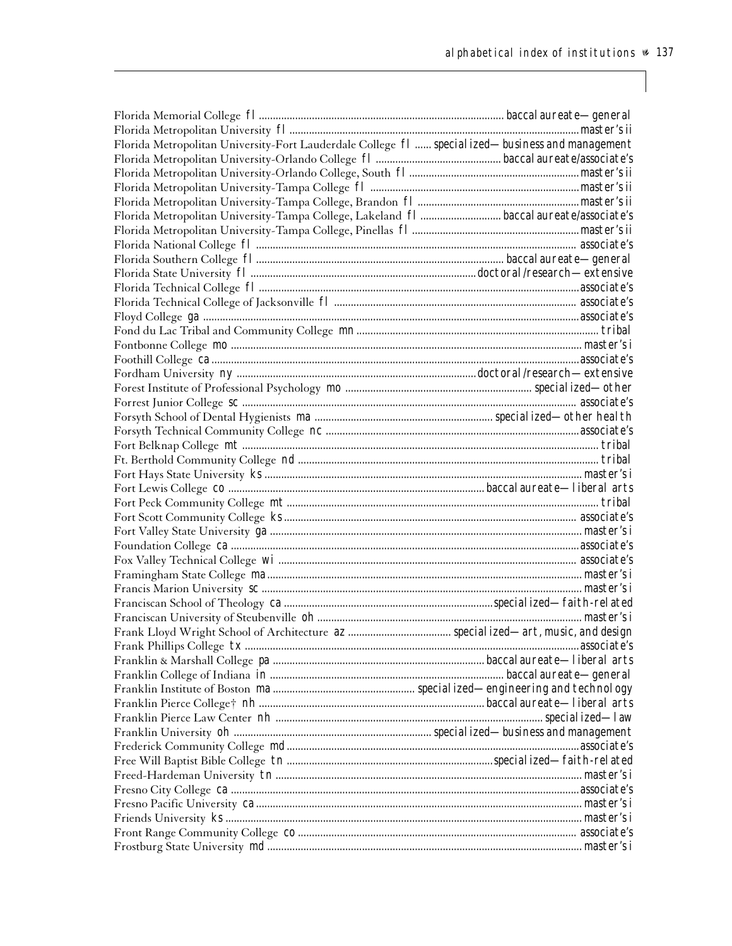| Florida Metropolitan University-Fort Lauderdale College fl  specialized-business and management |  |
|-------------------------------------------------------------------------------------------------|--|
|                                                                                                 |  |
|                                                                                                 |  |
|                                                                                                 |  |
|                                                                                                 |  |
| Florida Metropolitan University-Tampa College, Lakeland fl  baccalaureate/associate's           |  |
|                                                                                                 |  |
|                                                                                                 |  |
|                                                                                                 |  |
|                                                                                                 |  |
|                                                                                                 |  |
|                                                                                                 |  |
|                                                                                                 |  |
|                                                                                                 |  |
|                                                                                                 |  |
|                                                                                                 |  |
|                                                                                                 |  |
|                                                                                                 |  |
|                                                                                                 |  |
|                                                                                                 |  |
|                                                                                                 |  |
|                                                                                                 |  |
|                                                                                                 |  |
|                                                                                                 |  |
|                                                                                                 |  |
|                                                                                                 |  |
|                                                                                                 |  |
|                                                                                                 |  |
|                                                                                                 |  |
|                                                                                                 |  |
|                                                                                                 |  |
|                                                                                                 |  |
|                                                                                                 |  |
|                                                                                                 |  |
|                                                                                                 |  |
|                                                                                                 |  |
|                                                                                                 |  |
|                                                                                                 |  |
|                                                                                                 |  |
|                                                                                                 |  |
|                                                                                                 |  |
|                                                                                                 |  |
|                                                                                                 |  |
|                                                                                                 |  |
|                                                                                                 |  |
|                                                                                                 |  |
|                                                                                                 |  |
|                                                                                                 |  |
|                                                                                                 |  |
|                                                                                                 |  |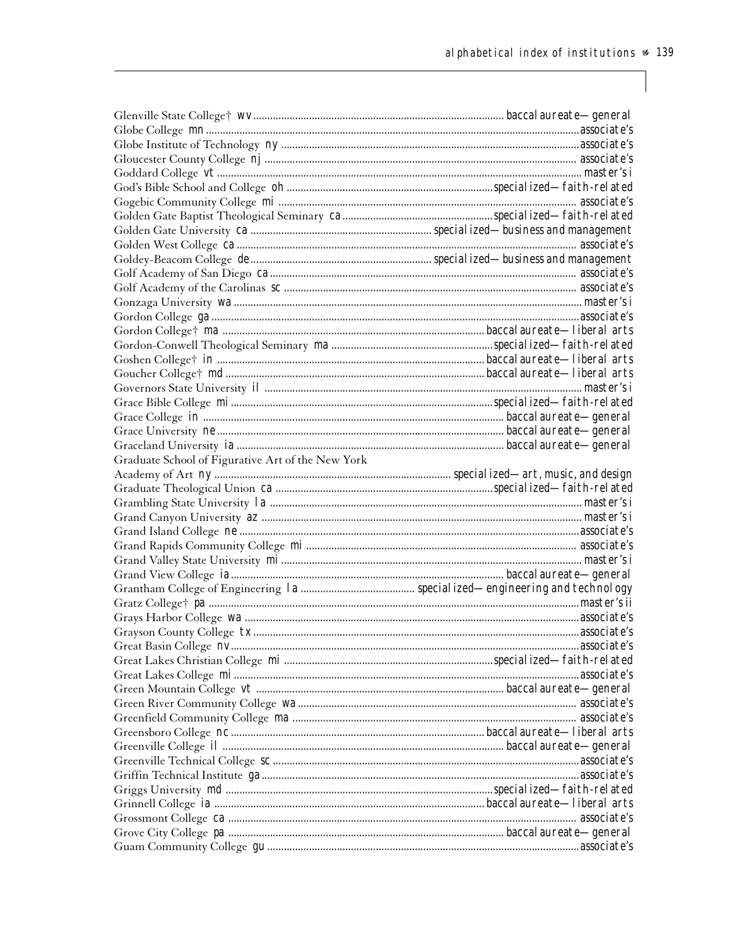| Graduate School of Figurative Art of the New York |  |
|---------------------------------------------------|--|
|                                                   |  |
|                                                   |  |
|                                                   |  |
|                                                   |  |
|                                                   |  |
|                                                   |  |
|                                                   |  |
|                                                   |  |
|                                                   |  |
|                                                   |  |
|                                                   |  |
|                                                   |  |
|                                                   |  |
|                                                   |  |
|                                                   |  |
|                                                   |  |
|                                                   |  |
|                                                   |  |
|                                                   |  |
|                                                   |  |
|                                                   |  |
|                                                   |  |
|                                                   |  |
|                                                   |  |
|                                                   |  |
|                                                   |  |
|                                                   |  |
|                                                   |  |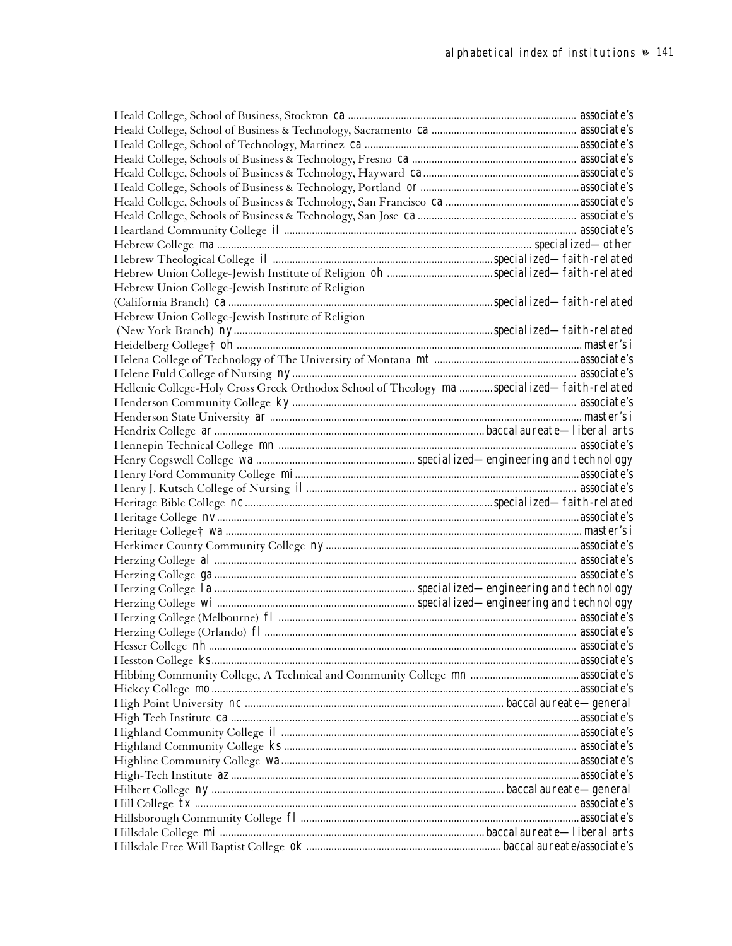| Hebrew Union College-Jewish Institute of Religion                                          |  |
|--------------------------------------------------------------------------------------------|--|
|                                                                                            |  |
| Hebrew Union College-Jewish Institute of Religion                                          |  |
|                                                                                            |  |
|                                                                                            |  |
|                                                                                            |  |
|                                                                                            |  |
| Hellenic College-Holy Cross Greek Orthodox School of Theology ma specialized-faith-related |  |
|                                                                                            |  |
|                                                                                            |  |
|                                                                                            |  |
|                                                                                            |  |
|                                                                                            |  |
|                                                                                            |  |
|                                                                                            |  |
|                                                                                            |  |
|                                                                                            |  |
|                                                                                            |  |
|                                                                                            |  |
|                                                                                            |  |
|                                                                                            |  |
|                                                                                            |  |
|                                                                                            |  |
|                                                                                            |  |
|                                                                                            |  |
|                                                                                            |  |
|                                                                                            |  |
|                                                                                            |  |
|                                                                                            |  |
|                                                                                            |  |
|                                                                                            |  |
|                                                                                            |  |
|                                                                                            |  |
|                                                                                            |  |
|                                                                                            |  |
|                                                                                            |  |
|                                                                                            |  |
|                                                                                            |  |
|                                                                                            |  |
|                                                                                            |  |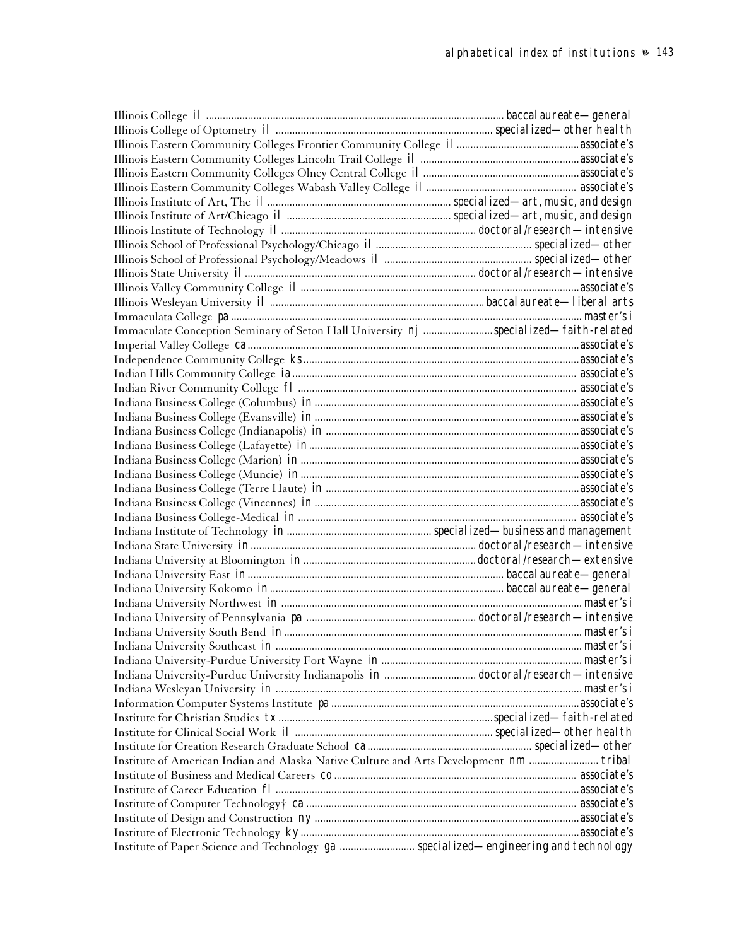| Immaculate Conception Seminary of Seton Hall University nj specialized-faith-related   |  |
|----------------------------------------------------------------------------------------|--|
|                                                                                        |  |
|                                                                                        |  |
|                                                                                        |  |
|                                                                                        |  |
|                                                                                        |  |
|                                                                                        |  |
|                                                                                        |  |
|                                                                                        |  |
|                                                                                        |  |
|                                                                                        |  |
|                                                                                        |  |
|                                                                                        |  |
|                                                                                        |  |
|                                                                                        |  |
|                                                                                        |  |
|                                                                                        |  |
|                                                                                        |  |
|                                                                                        |  |
|                                                                                        |  |
|                                                                                        |  |
|                                                                                        |  |
|                                                                                        |  |
|                                                                                        |  |
|                                                                                        |  |
|                                                                                        |  |
|                                                                                        |  |
|                                                                                        |  |
|                                                                                        |  |
|                                                                                        |  |
|                                                                                        |  |
| Institute of American Indian and Alaska Native Culture and Arts Development nm  tribal |  |
|                                                                                        |  |
|                                                                                        |  |
|                                                                                        |  |
|                                                                                        |  |
|                                                                                        |  |
| Institute of Paper Science and Technology ga  specialized—engineering and technology   |  |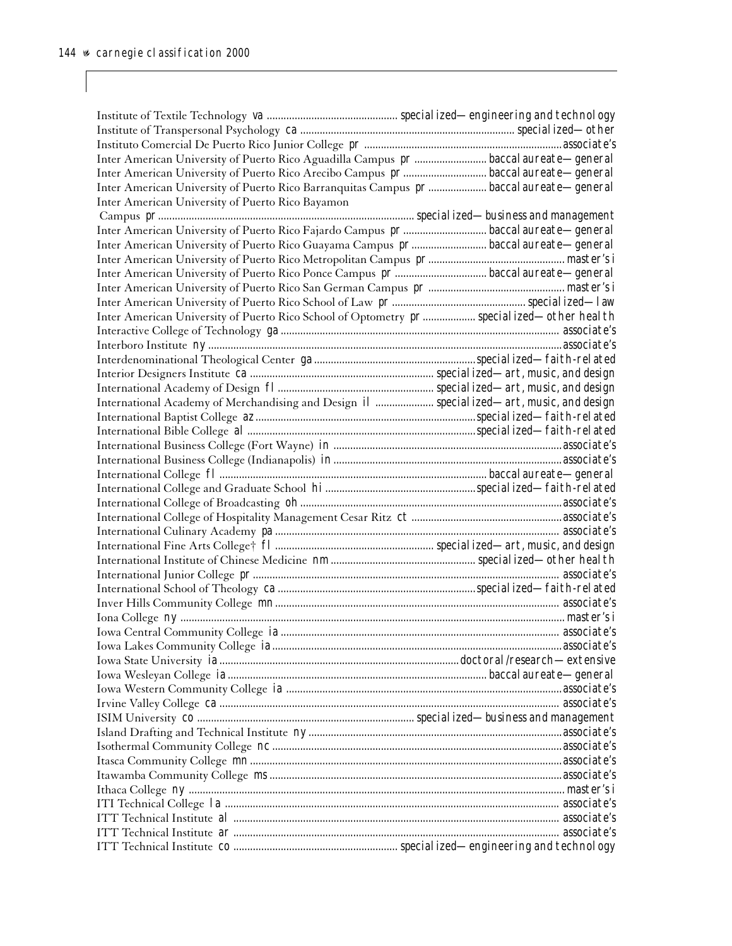| Inter American University of Puerto Rico Aguadilla Campus pr  baccalaureate-general       |  |
|-------------------------------------------------------------------------------------------|--|
| Inter American University of Puerto Rico Arecibo Campus pr baccalaureate-general          |  |
| Inter American University of Puerto Rico Barranquitas Campus pr  baccalaureate-general    |  |
| Inter American University of Puerto Rico Bayamon                                          |  |
|                                                                                           |  |
| Inter American University of Puerto Rico Fajardo Campus pr baccalaureate-general          |  |
| Inter American University of Puerto Rico Guayama Campus pr baccalaureate-general          |  |
|                                                                                           |  |
|                                                                                           |  |
|                                                                                           |  |
|                                                                                           |  |
| Inter American University of Puerto Rico School of Optometry pr  specialized-other health |  |
|                                                                                           |  |
|                                                                                           |  |
|                                                                                           |  |
|                                                                                           |  |
|                                                                                           |  |
| International Academy of Merchandising and Design il  specialized-art, music, and design  |  |
|                                                                                           |  |
|                                                                                           |  |
|                                                                                           |  |
|                                                                                           |  |
|                                                                                           |  |
|                                                                                           |  |
|                                                                                           |  |
|                                                                                           |  |
|                                                                                           |  |
|                                                                                           |  |
|                                                                                           |  |
|                                                                                           |  |
|                                                                                           |  |
|                                                                                           |  |
|                                                                                           |  |
|                                                                                           |  |
|                                                                                           |  |
|                                                                                           |  |
|                                                                                           |  |
|                                                                                           |  |
|                                                                                           |  |
|                                                                                           |  |
|                                                                                           |  |
|                                                                                           |  |
|                                                                                           |  |
|                                                                                           |  |
|                                                                                           |  |
|                                                                                           |  |
|                                                                                           |  |
|                                                                                           |  |
|                                                                                           |  |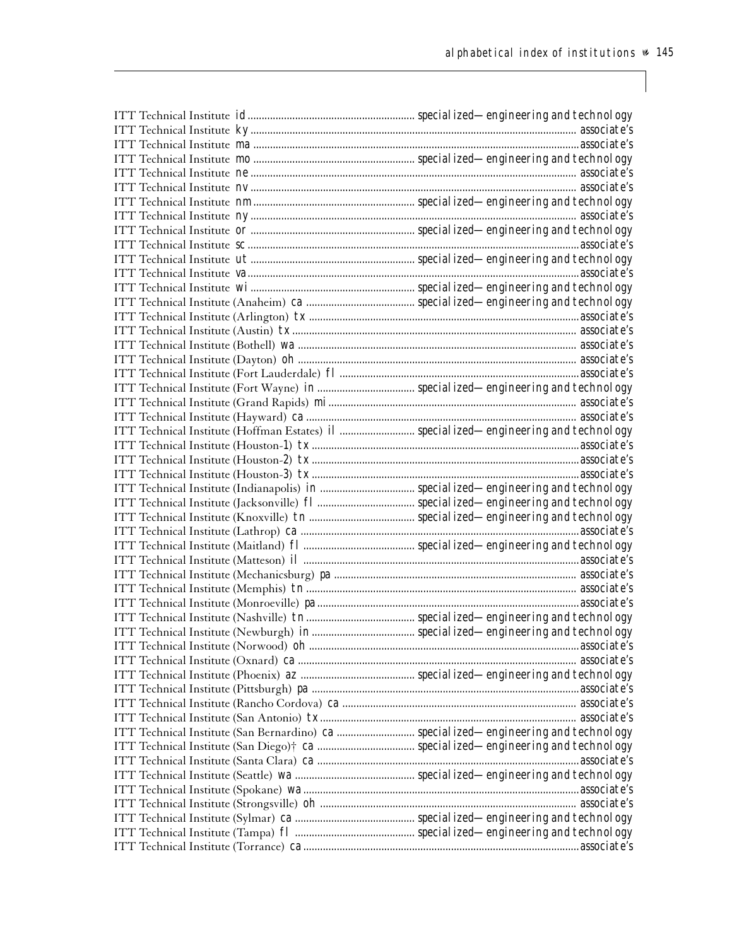| ITT Technical Institute (Hoffman Estates) il  specialized-engineering and technology |  |
|--------------------------------------------------------------------------------------|--|
|                                                                                      |  |
|                                                                                      |  |
|                                                                                      |  |
|                                                                                      |  |
|                                                                                      |  |
|                                                                                      |  |
|                                                                                      |  |
|                                                                                      |  |
|                                                                                      |  |
|                                                                                      |  |
|                                                                                      |  |
|                                                                                      |  |
|                                                                                      |  |
|                                                                                      |  |
|                                                                                      |  |
|                                                                                      |  |
|                                                                                      |  |
|                                                                                      |  |
|                                                                                      |  |
|                                                                                      |  |
|                                                                                      |  |
|                                                                                      |  |
|                                                                                      |  |
|                                                                                      |  |
|                                                                                      |  |
|                                                                                      |  |
|                                                                                      |  |
|                                                                                      |  |
|                                                                                      |  |
|                                                                                      |  |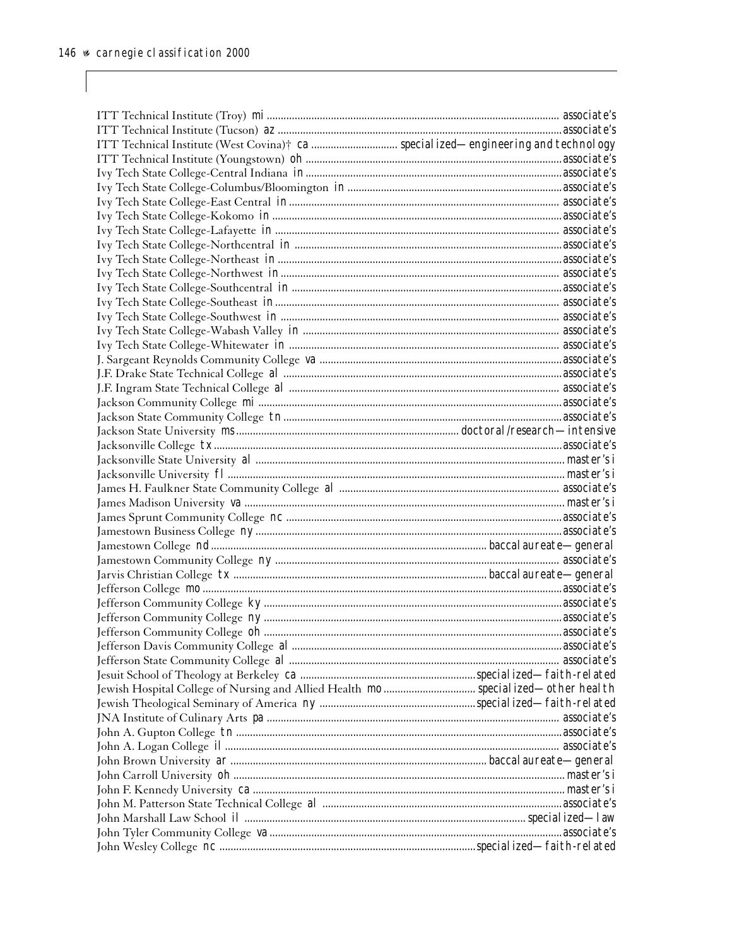| ITT Technical Institute (West Covina) <sup>†</sup> ca  specialized—engineering and technology |  |
|-----------------------------------------------------------------------------------------------|--|
|                                                                                               |  |
|                                                                                               |  |
|                                                                                               |  |
|                                                                                               |  |
|                                                                                               |  |
|                                                                                               |  |
|                                                                                               |  |
|                                                                                               |  |
|                                                                                               |  |
|                                                                                               |  |
|                                                                                               |  |
|                                                                                               |  |
|                                                                                               |  |
|                                                                                               |  |
|                                                                                               |  |
|                                                                                               |  |
|                                                                                               |  |
|                                                                                               |  |
|                                                                                               |  |
|                                                                                               |  |
|                                                                                               |  |
|                                                                                               |  |
|                                                                                               |  |
|                                                                                               |  |
|                                                                                               |  |
|                                                                                               |  |
|                                                                                               |  |
|                                                                                               |  |
|                                                                                               |  |
|                                                                                               |  |
|                                                                                               |  |
|                                                                                               |  |
|                                                                                               |  |
|                                                                                               |  |
|                                                                                               |  |
|                                                                                               |  |
|                                                                                               |  |
|                                                                                               |  |
|                                                                                               |  |
|                                                                                               |  |
|                                                                                               |  |
|                                                                                               |  |
|                                                                                               |  |
|                                                                                               |  |
|                                                                                               |  |
|                                                                                               |  |
|                                                                                               |  |
|                                                                                               |  |
|                                                                                               |  |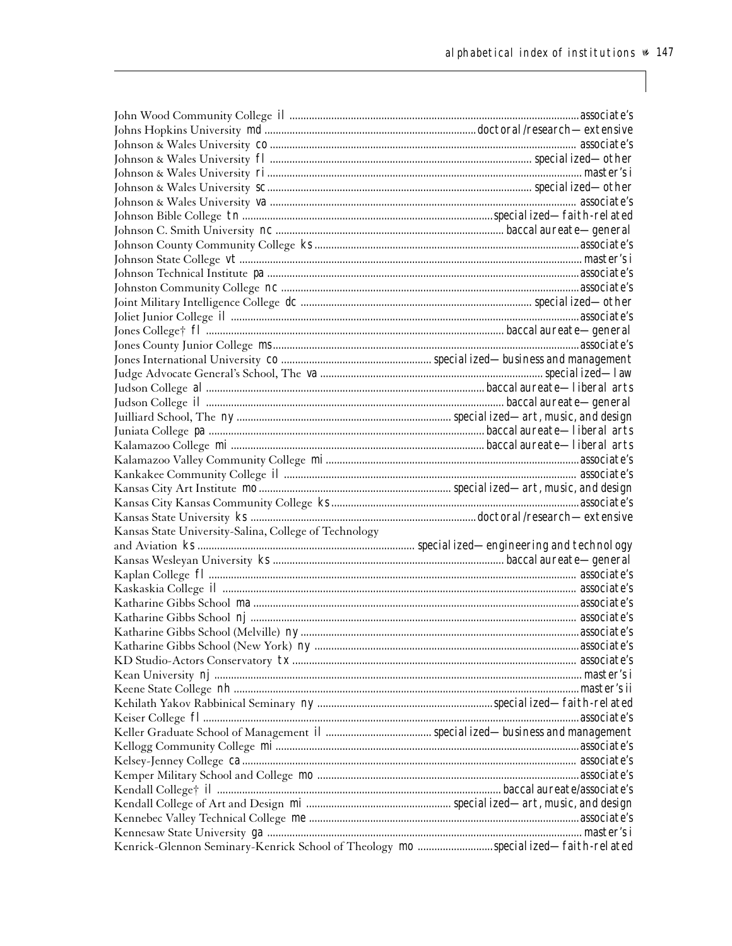| Kansas State University-Salina, College of Technology                            |  |
|----------------------------------------------------------------------------------|--|
|                                                                                  |  |
|                                                                                  |  |
|                                                                                  |  |
|                                                                                  |  |
|                                                                                  |  |
|                                                                                  |  |
|                                                                                  |  |
|                                                                                  |  |
|                                                                                  |  |
|                                                                                  |  |
|                                                                                  |  |
|                                                                                  |  |
|                                                                                  |  |
|                                                                                  |  |
|                                                                                  |  |
|                                                                                  |  |
|                                                                                  |  |
|                                                                                  |  |
|                                                                                  |  |
|                                                                                  |  |
|                                                                                  |  |
| Kenrick-Glennon Seminary-Kenrick School of Theology mo specialized-faith-related |  |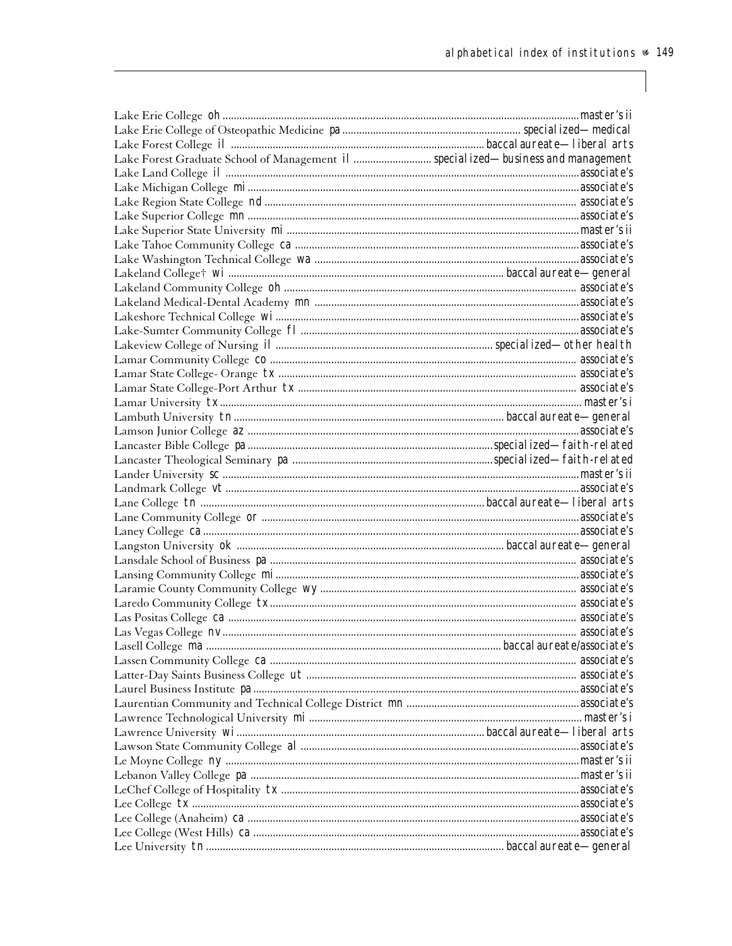| Lake Forest Graduate School of Management il  specialized-business and management |  |
|-----------------------------------------------------------------------------------|--|
|                                                                                   |  |
|                                                                                   |  |
|                                                                                   |  |
|                                                                                   |  |
|                                                                                   |  |
|                                                                                   |  |
|                                                                                   |  |
|                                                                                   |  |
|                                                                                   |  |
|                                                                                   |  |
|                                                                                   |  |
|                                                                                   |  |
|                                                                                   |  |
|                                                                                   |  |
|                                                                                   |  |
|                                                                                   |  |
|                                                                                   |  |
|                                                                                   |  |
|                                                                                   |  |
|                                                                                   |  |
|                                                                                   |  |
|                                                                                   |  |
|                                                                                   |  |
|                                                                                   |  |
|                                                                                   |  |
|                                                                                   |  |
|                                                                                   |  |
|                                                                                   |  |
|                                                                                   |  |
|                                                                                   |  |
|                                                                                   |  |
|                                                                                   |  |
|                                                                                   |  |
|                                                                                   |  |
|                                                                                   |  |
|                                                                                   |  |
|                                                                                   |  |
|                                                                                   |  |
|                                                                                   |  |
|                                                                                   |  |
|                                                                                   |  |
|                                                                                   |  |
|                                                                                   |  |
|                                                                                   |  |
|                                                                                   |  |
|                                                                                   |  |
|                                                                                   |  |
|                                                                                   |  |
|                                                                                   |  |
|                                                                                   |  |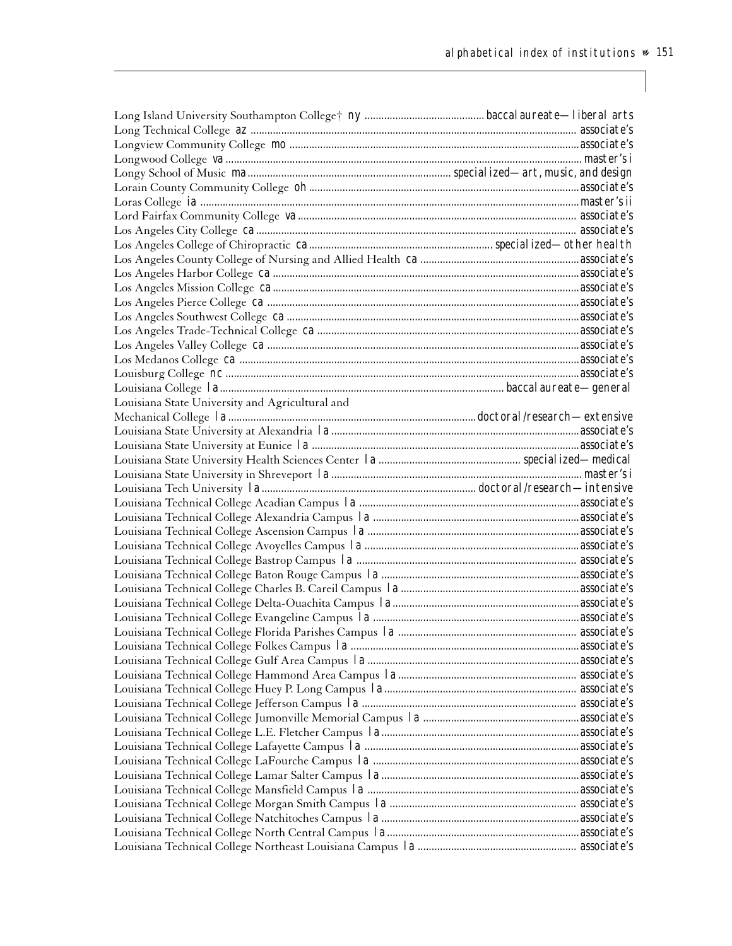| Louisiana State University and Agricultural and |  |
|-------------------------------------------------|--|
|                                                 |  |
|                                                 |  |
|                                                 |  |
|                                                 |  |
|                                                 |  |
|                                                 |  |
|                                                 |  |
|                                                 |  |
|                                                 |  |
|                                                 |  |
|                                                 |  |
|                                                 |  |
|                                                 |  |
|                                                 |  |
|                                                 |  |
|                                                 |  |
|                                                 |  |
|                                                 |  |
|                                                 |  |
|                                                 |  |
|                                                 |  |
|                                                 |  |
|                                                 |  |
|                                                 |  |
|                                                 |  |
|                                                 |  |
|                                                 |  |
|                                                 |  |
|                                                 |  |
|                                                 |  |
|                                                 |  |
|                                                 |  |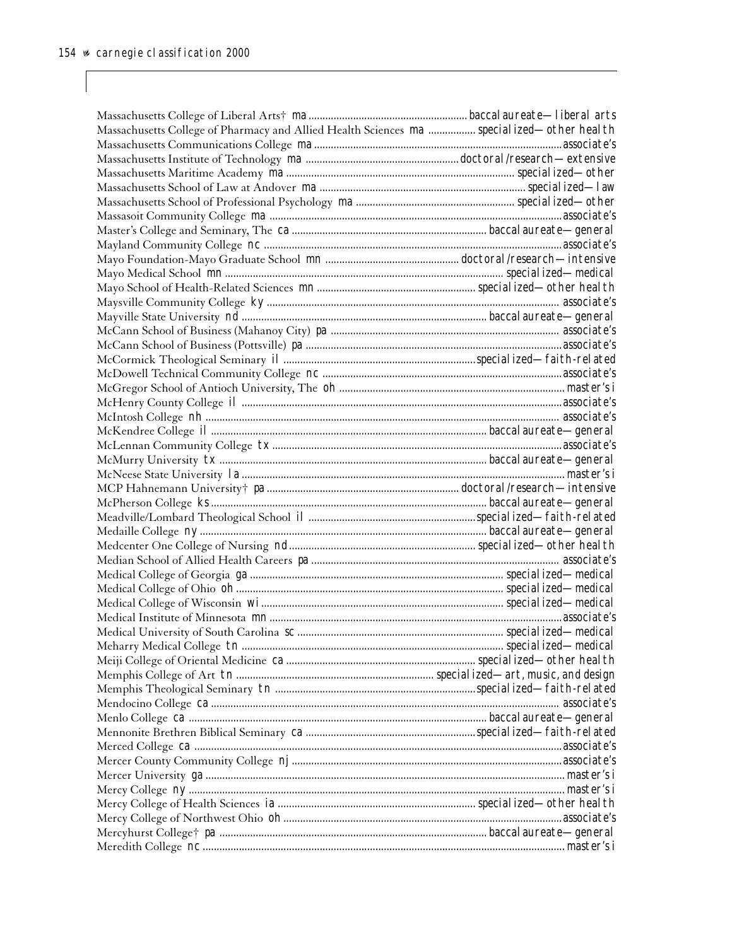| Massachusetts College of Pharmacy and Allied Health Sciences ma  specialized-other health |  |
|-------------------------------------------------------------------------------------------|--|
|                                                                                           |  |
|                                                                                           |  |
|                                                                                           |  |
|                                                                                           |  |
|                                                                                           |  |
|                                                                                           |  |
|                                                                                           |  |
|                                                                                           |  |
|                                                                                           |  |
|                                                                                           |  |
|                                                                                           |  |
|                                                                                           |  |
|                                                                                           |  |
|                                                                                           |  |
|                                                                                           |  |
|                                                                                           |  |
|                                                                                           |  |
|                                                                                           |  |
|                                                                                           |  |
|                                                                                           |  |
|                                                                                           |  |
|                                                                                           |  |
|                                                                                           |  |
|                                                                                           |  |
|                                                                                           |  |
|                                                                                           |  |
|                                                                                           |  |
|                                                                                           |  |
|                                                                                           |  |
|                                                                                           |  |
|                                                                                           |  |
|                                                                                           |  |
|                                                                                           |  |
|                                                                                           |  |
|                                                                                           |  |
|                                                                                           |  |
|                                                                                           |  |
|                                                                                           |  |
|                                                                                           |  |
|                                                                                           |  |
|                                                                                           |  |
|                                                                                           |  |
|                                                                                           |  |
|                                                                                           |  |
|                                                                                           |  |
|                                                                                           |  |
|                                                                                           |  |
|                                                                                           |  |
|                                                                                           |  |
|                                                                                           |  |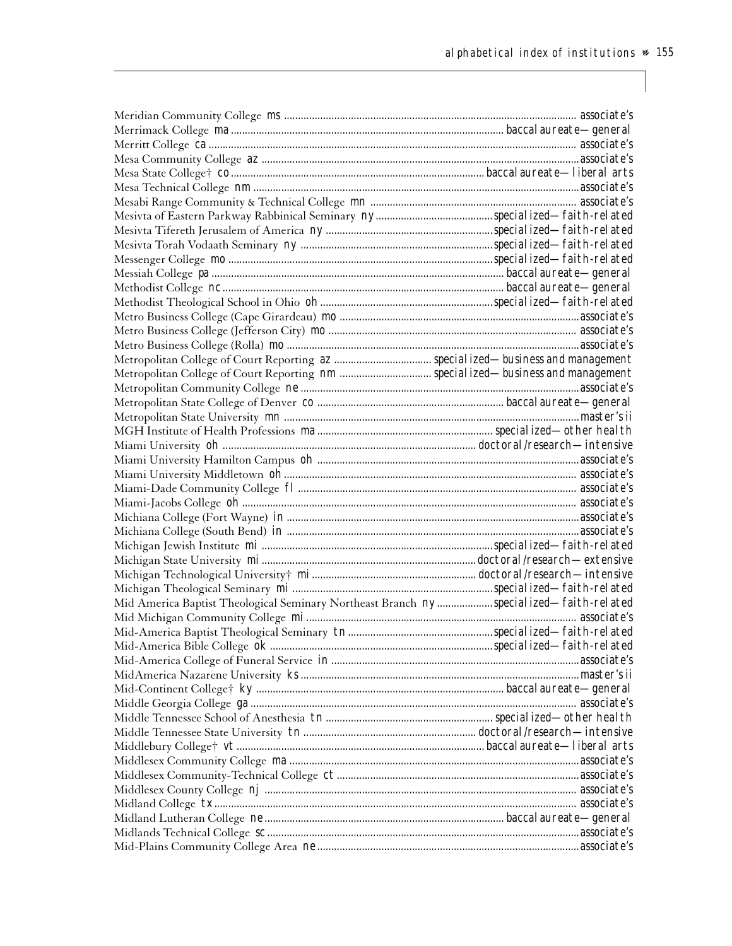| Mid America Baptist Theological Seminary Northeast Branch ny specialized-faith-related |  |
|----------------------------------------------------------------------------------------|--|
|                                                                                        |  |
|                                                                                        |  |
|                                                                                        |  |
|                                                                                        |  |
|                                                                                        |  |
|                                                                                        |  |
|                                                                                        |  |
|                                                                                        |  |
|                                                                                        |  |
|                                                                                        |  |
|                                                                                        |  |
|                                                                                        |  |
|                                                                                        |  |
|                                                                                        |  |
|                                                                                        |  |
|                                                                                        |  |
|                                                                                        |  |
|                                                                                        |  |
|                                                                                        |  |
|                                                                                        |  |
|                                                                                        |  |
|                                                                                        |  |
|                                                                                        |  |
|                                                                                        |  |
|                                                                                        |  |
|                                                                                        |  |
|                                                                                        |  |
|                                                                                        |  |
|                                                                                        |  |
|                                                                                        |  |
|                                                                                        |  |
|                                                                                        |  |
|                                                                                        |  |
|                                                                                        |  |
|                                                                                        |  |
|                                                                                        |  |
|                                                                                        |  |
|                                                                                        |  |
|                                                                                        |  |
|                                                                                        |  |
|                                                                                        |  |
|                                                                                        |  |
|                                                                                        |  |
|                                                                                        |  |
|                                                                                        |  |
|                                                                                        |  |
|                                                                                        |  |
|                                                                                        |  |
|                                                                                        |  |
|                                                                                        |  |
|                                                                                        |  |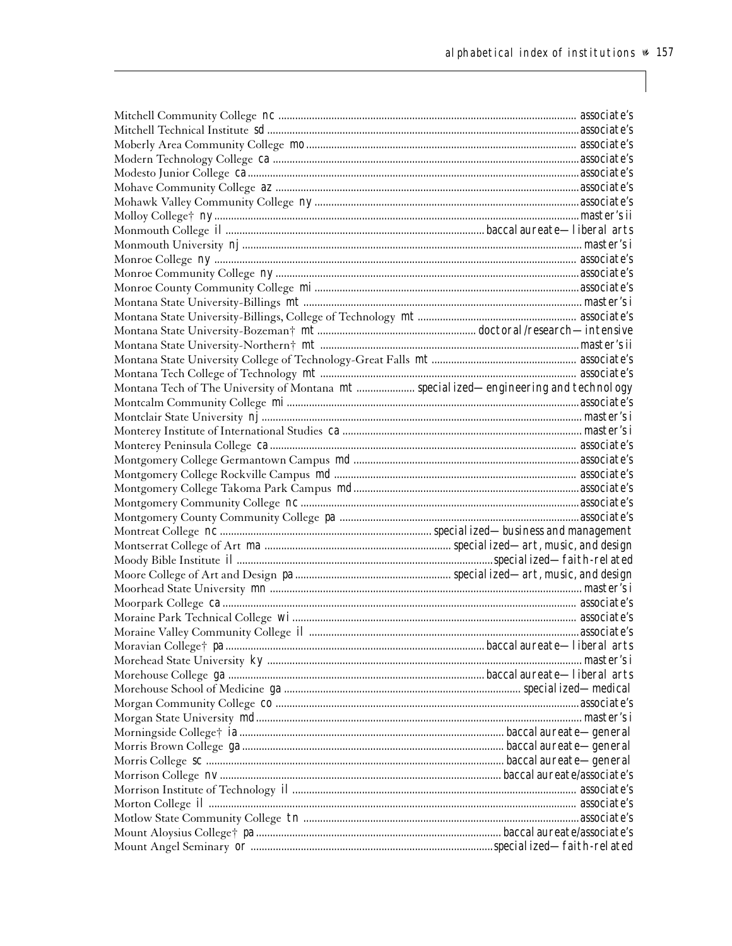| Montana Tech of The University of Montana mt  specialized—engineering and technology |  |
|--------------------------------------------------------------------------------------|--|
|                                                                                      |  |
|                                                                                      |  |
|                                                                                      |  |
|                                                                                      |  |
|                                                                                      |  |
|                                                                                      |  |
|                                                                                      |  |
|                                                                                      |  |
|                                                                                      |  |
|                                                                                      |  |
|                                                                                      |  |
|                                                                                      |  |
|                                                                                      |  |
|                                                                                      |  |
|                                                                                      |  |
|                                                                                      |  |
|                                                                                      |  |
|                                                                                      |  |
|                                                                                      |  |
|                                                                                      |  |
|                                                                                      |  |
|                                                                                      |  |
|                                                                                      |  |
|                                                                                      |  |
|                                                                                      |  |
|                                                                                      |  |
|                                                                                      |  |
|                                                                                      |  |
|                                                                                      |  |
|                                                                                      |  |
|                                                                                      |  |
|                                                                                      |  |
|                                                                                      |  |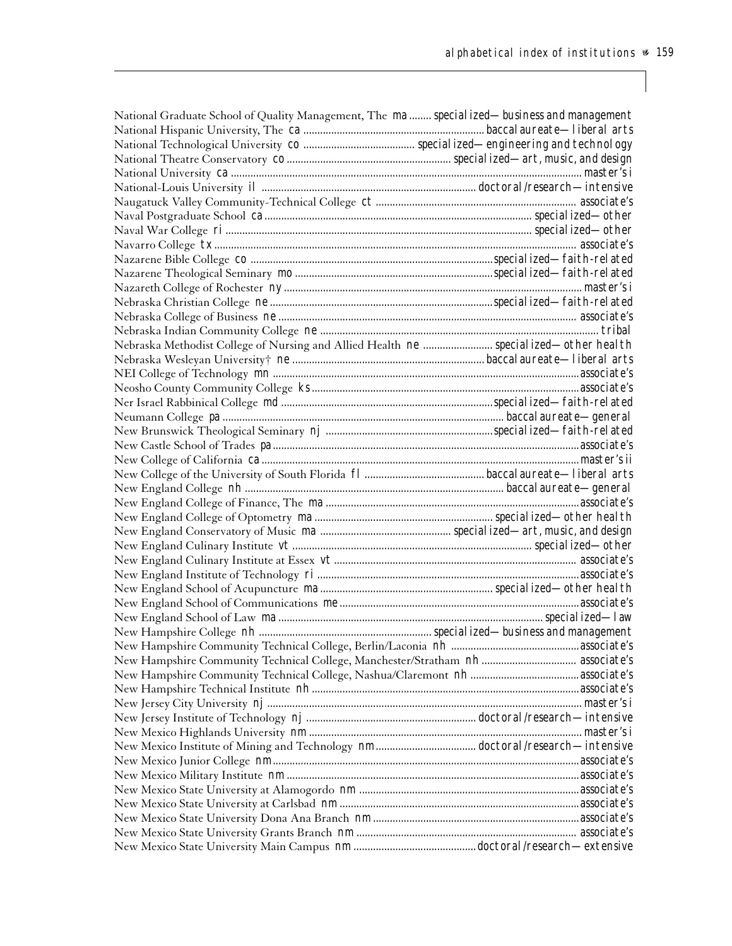| National Graduate School of Quality Management, The ma specialized—business and management |  |
|--------------------------------------------------------------------------------------------|--|
|                                                                                            |  |
|                                                                                            |  |
|                                                                                            |  |
|                                                                                            |  |
|                                                                                            |  |
|                                                                                            |  |
|                                                                                            |  |
|                                                                                            |  |
|                                                                                            |  |
|                                                                                            |  |
|                                                                                            |  |
|                                                                                            |  |
|                                                                                            |  |
|                                                                                            |  |
|                                                                                            |  |
| Nebraska Methodist College of Nursing and Allied Health ne  specialized-other health       |  |
|                                                                                            |  |
|                                                                                            |  |
|                                                                                            |  |
|                                                                                            |  |
|                                                                                            |  |
|                                                                                            |  |
|                                                                                            |  |
|                                                                                            |  |
|                                                                                            |  |
|                                                                                            |  |
|                                                                                            |  |
|                                                                                            |  |
|                                                                                            |  |
|                                                                                            |  |
|                                                                                            |  |
|                                                                                            |  |
|                                                                                            |  |
|                                                                                            |  |
|                                                                                            |  |
|                                                                                            |  |
|                                                                                            |  |
|                                                                                            |  |
|                                                                                            |  |
|                                                                                            |  |
|                                                                                            |  |
|                                                                                            |  |
|                                                                                            |  |
|                                                                                            |  |
|                                                                                            |  |
|                                                                                            |  |
|                                                                                            |  |
|                                                                                            |  |
|                                                                                            |  |
|                                                                                            |  |
|                                                                                            |  |
|                                                                                            |  |
|                                                                                            |  |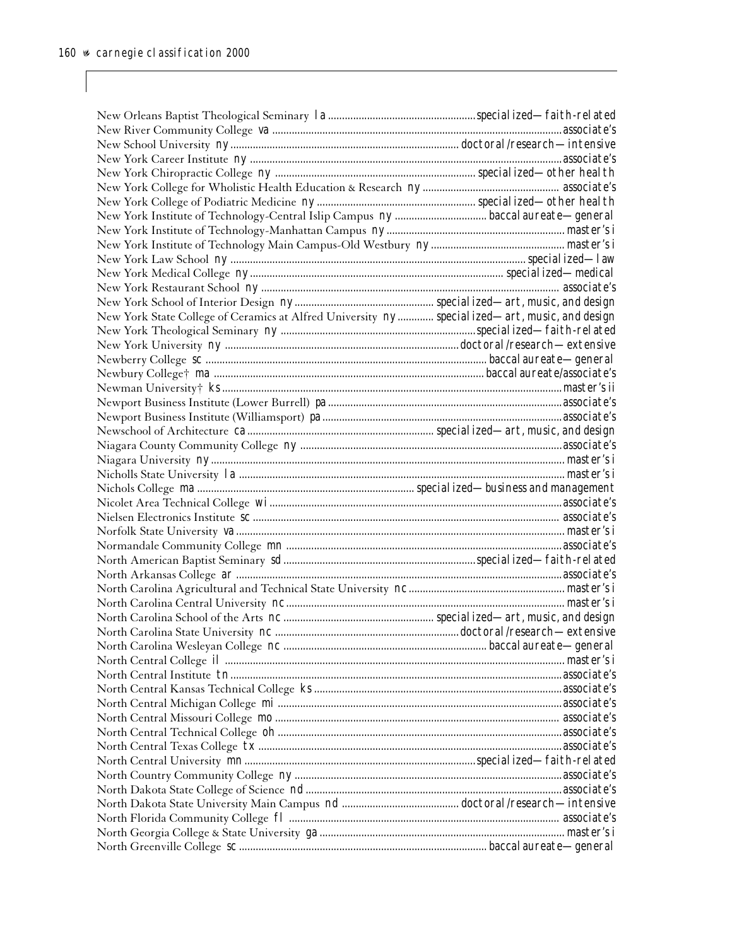| New York State College of Ceramics at Alfred University ny  specialized-art, music, and design |  |
|------------------------------------------------------------------------------------------------|--|
|                                                                                                |  |
|                                                                                                |  |
|                                                                                                |  |
|                                                                                                |  |
|                                                                                                |  |
|                                                                                                |  |
|                                                                                                |  |
|                                                                                                |  |
|                                                                                                |  |
|                                                                                                |  |
|                                                                                                |  |
|                                                                                                |  |
|                                                                                                |  |
|                                                                                                |  |
|                                                                                                |  |
|                                                                                                |  |
|                                                                                                |  |
|                                                                                                |  |
|                                                                                                |  |
|                                                                                                |  |
|                                                                                                |  |
|                                                                                                |  |
|                                                                                                |  |
|                                                                                                |  |
|                                                                                                |  |
|                                                                                                |  |
|                                                                                                |  |
|                                                                                                |  |
|                                                                                                |  |
|                                                                                                |  |
|                                                                                                |  |
|                                                                                                |  |
|                                                                                                |  |
|                                                                                                |  |
|                                                                                                |  |
|                                                                                                |  |
|                                                                                                |  |
|                                                                                                |  |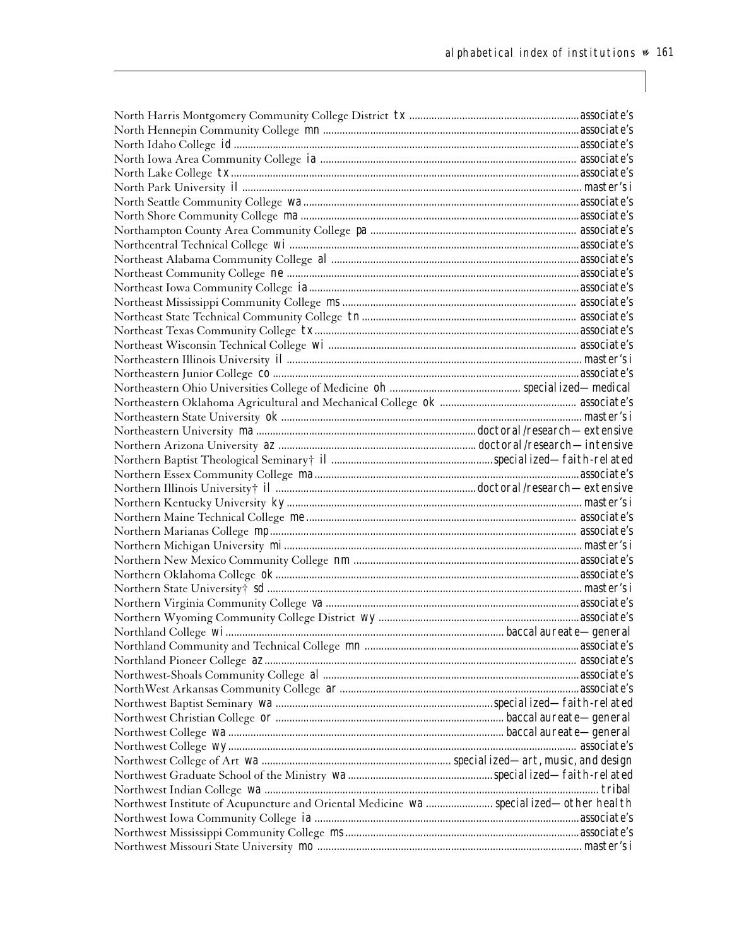| Northwest Institute of Acupuncture and Oriental Medicine wa  specialized-other health |  |
|---------------------------------------------------------------------------------------|--|
|                                                                                       |  |
|                                                                                       |  |
|                                                                                       |  |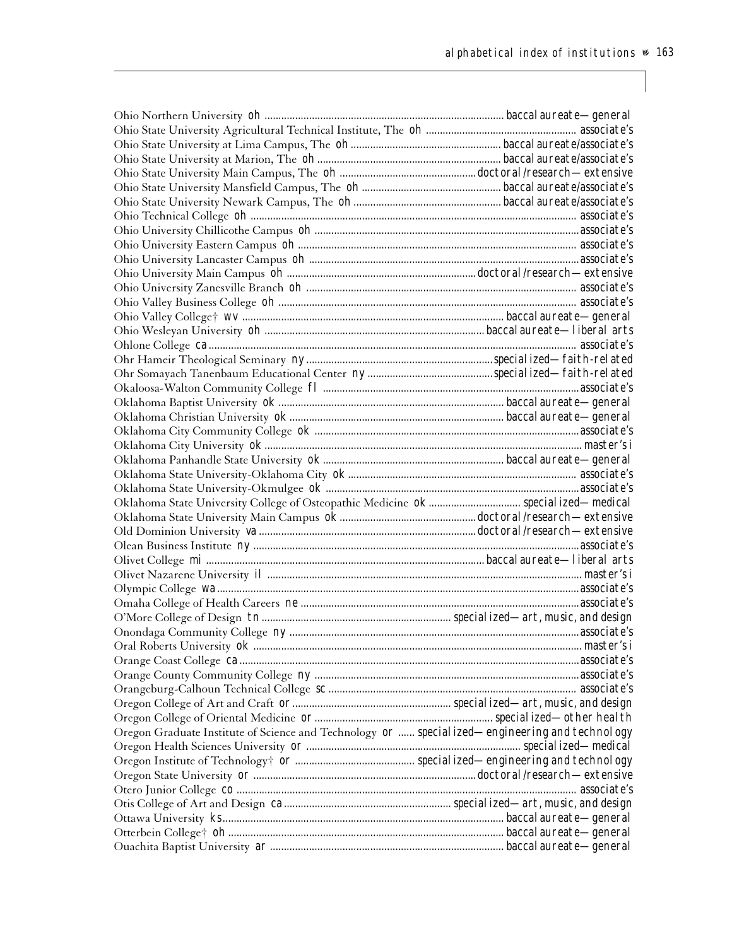| Oregon Graduate Institute of Science and Technology or  specialized-engineering and technology |  |
|------------------------------------------------------------------------------------------------|--|
|                                                                                                |  |
|                                                                                                |  |
|                                                                                                |  |
|                                                                                                |  |
|                                                                                                |  |
|                                                                                                |  |
|                                                                                                |  |
|                                                                                                |  |
|                                                                                                |  |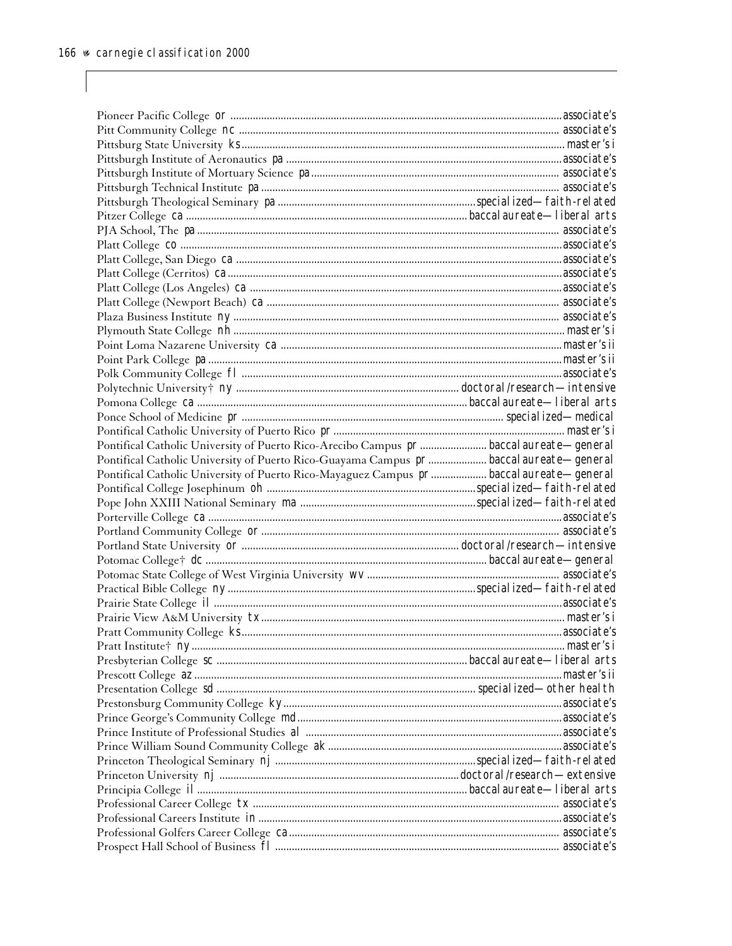| Pontifical Catholic University of Puerto Rico-Arecibo Campus pr  baccal aureate-general |  |
|-----------------------------------------------------------------------------------------|--|
| Pontifical Catholic University of Puerto Rico-Guayama Campus pr  baccal aureate-general |  |
| Pontifical Catholic University of Puerto Rico-Mayaguez Campus pr baccalaureate-general  |  |
|                                                                                         |  |
|                                                                                         |  |
|                                                                                         |  |
|                                                                                         |  |
|                                                                                         |  |
|                                                                                         |  |
|                                                                                         |  |
|                                                                                         |  |
|                                                                                         |  |
|                                                                                         |  |
|                                                                                         |  |
|                                                                                         |  |
|                                                                                         |  |
|                                                                                         |  |
|                                                                                         |  |
|                                                                                         |  |
|                                                                                         |  |
|                                                                                         |  |
|                                                                                         |  |
|                                                                                         |  |
|                                                                                         |  |
|                                                                                         |  |
|                                                                                         |  |
|                                                                                         |  |
|                                                                                         |  |
|                                                                                         |  |
|                                                                                         |  |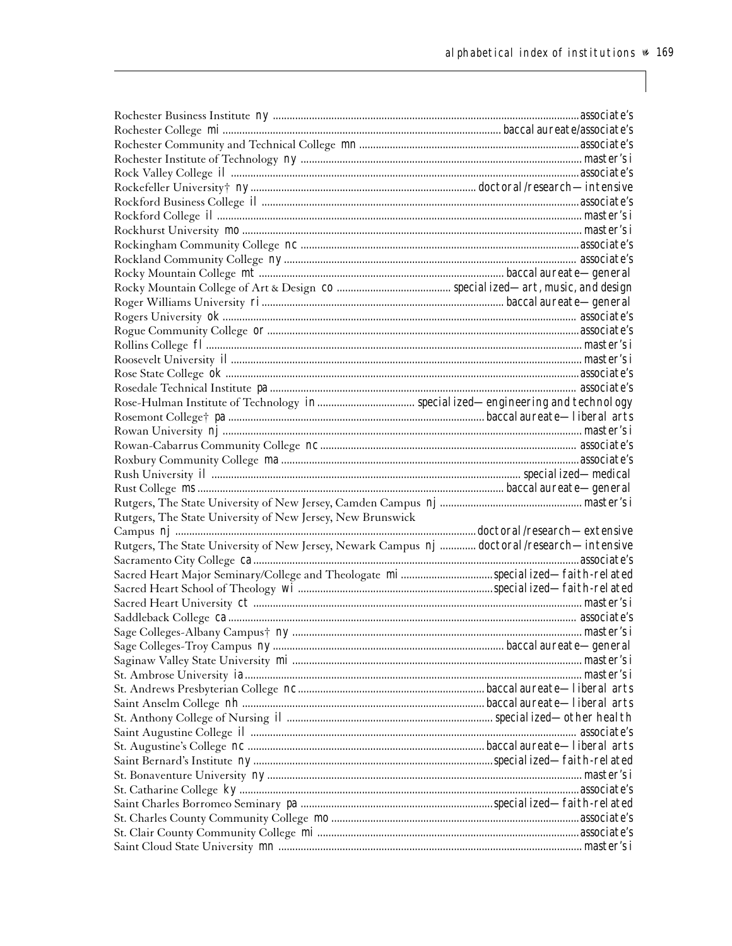| Rutgers, The State University of New Jersey, New Brunswick                                 |  |
|--------------------------------------------------------------------------------------------|--|
|                                                                                            |  |
| Rutgers, The State University of New Jersey, Newark Campus nj  doctoral/research-intensive |  |
|                                                                                            |  |
|                                                                                            |  |
|                                                                                            |  |
|                                                                                            |  |
|                                                                                            |  |
|                                                                                            |  |
|                                                                                            |  |
|                                                                                            |  |
|                                                                                            |  |
|                                                                                            |  |
|                                                                                            |  |
|                                                                                            |  |
|                                                                                            |  |
|                                                                                            |  |
|                                                                                            |  |
|                                                                                            |  |
|                                                                                            |  |
|                                                                                            |  |
|                                                                                            |  |
|                                                                                            |  |
|                                                                                            |  |
|                                                                                            |  |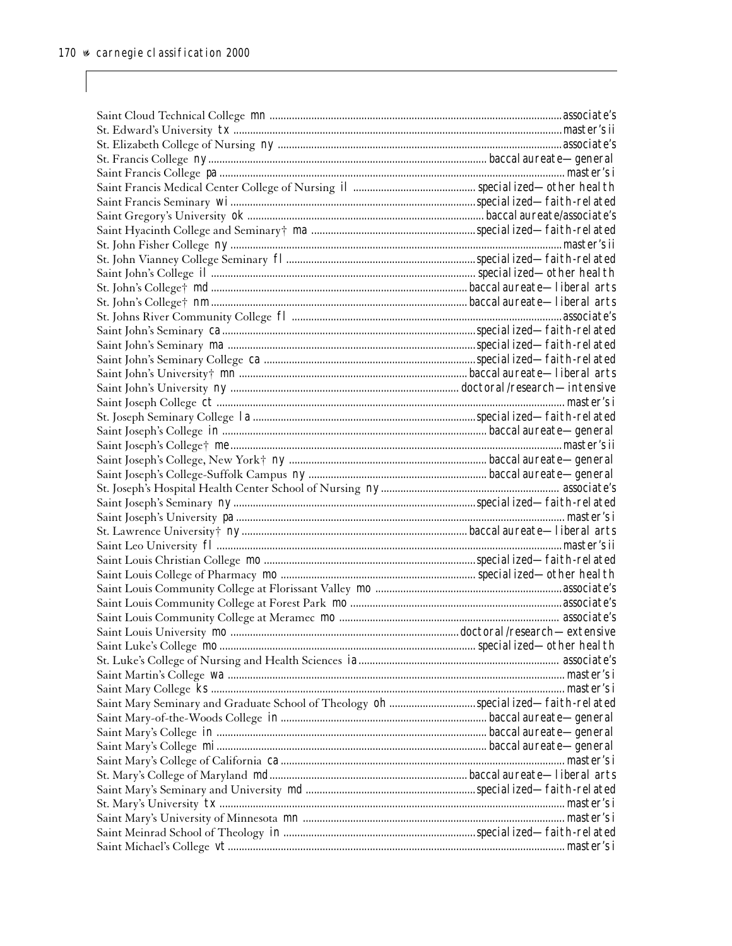| Saint Mary Seminary and Graduate School of Theology oh specialized-faith-related |  |
|----------------------------------------------------------------------------------|--|
|                                                                                  |  |
|                                                                                  |  |
|                                                                                  |  |
|                                                                                  |  |
|                                                                                  |  |
|                                                                                  |  |
|                                                                                  |  |
|                                                                                  |  |
|                                                                                  |  |
|                                                                                  |  |
|                                                                                  |  |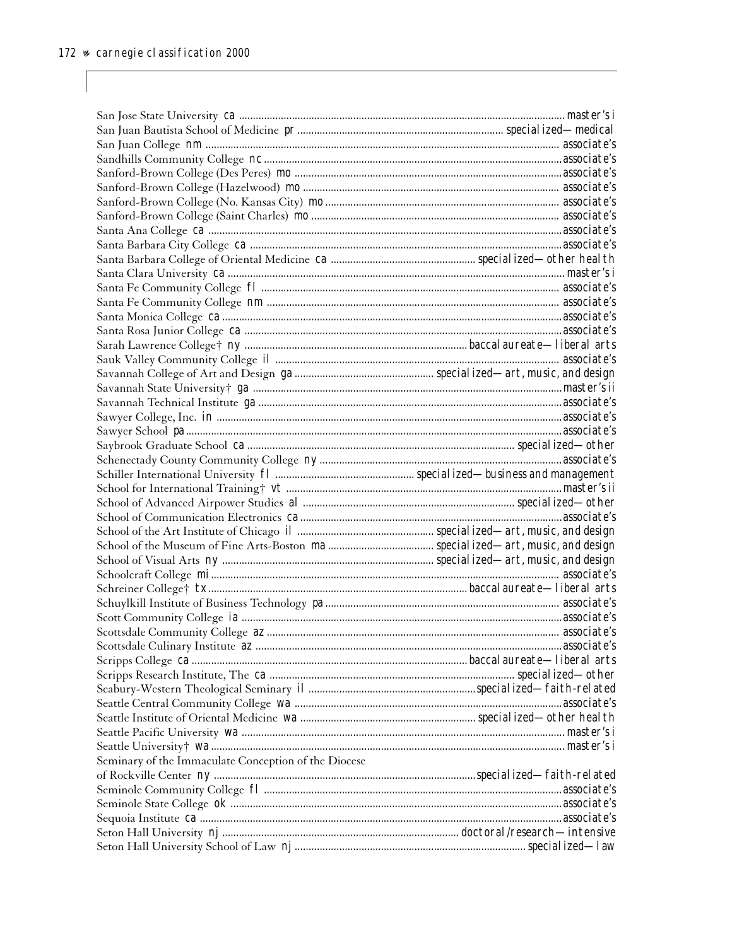| Seminary of the Immaculate Conception of the Diocese |  |
|------------------------------------------------------|--|
|                                                      |  |
|                                                      |  |
|                                                      |  |
|                                                      |  |
|                                                      |  |
|                                                      |  |
|                                                      |  |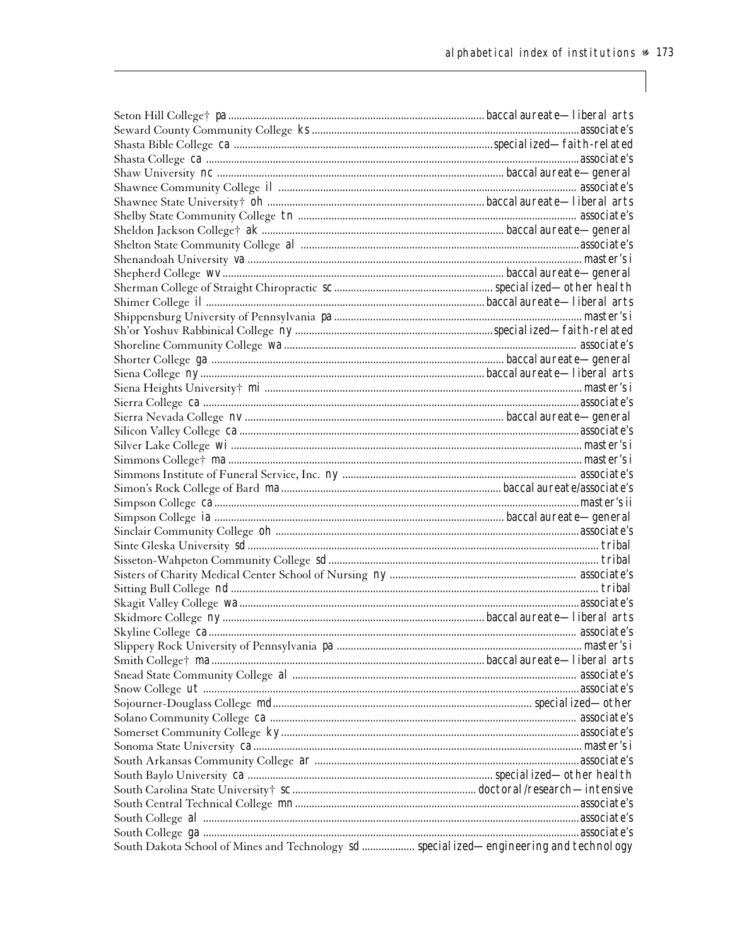| South Dakota School of Mines and Technology sd  specialized-engineering and technology |  |
|----------------------------------------------------------------------------------------|--|
|                                                                                        |  |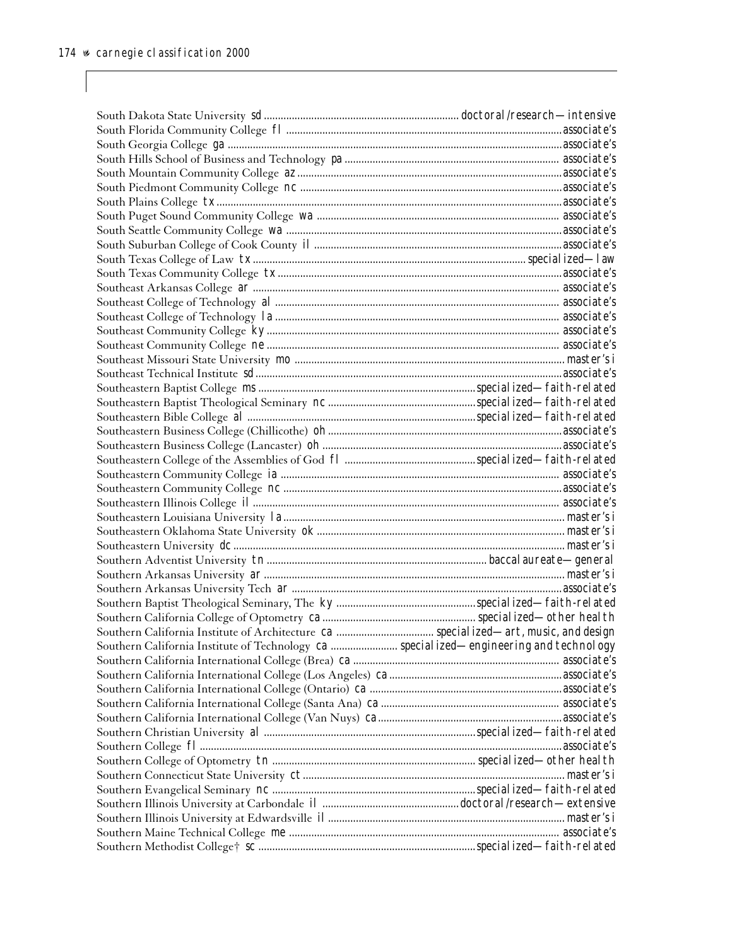| Southern California Institute of Technology ca  specialized-engineering and technology |  |
|----------------------------------------------------------------------------------------|--|
|                                                                                        |  |
|                                                                                        |  |
|                                                                                        |  |
|                                                                                        |  |
|                                                                                        |  |
|                                                                                        |  |
|                                                                                        |  |
|                                                                                        |  |
|                                                                                        |  |
|                                                                                        |  |
|                                                                                        |  |
|                                                                                        |  |
|                                                                                        |  |
|                                                                                        |  |
|                                                                                        |  |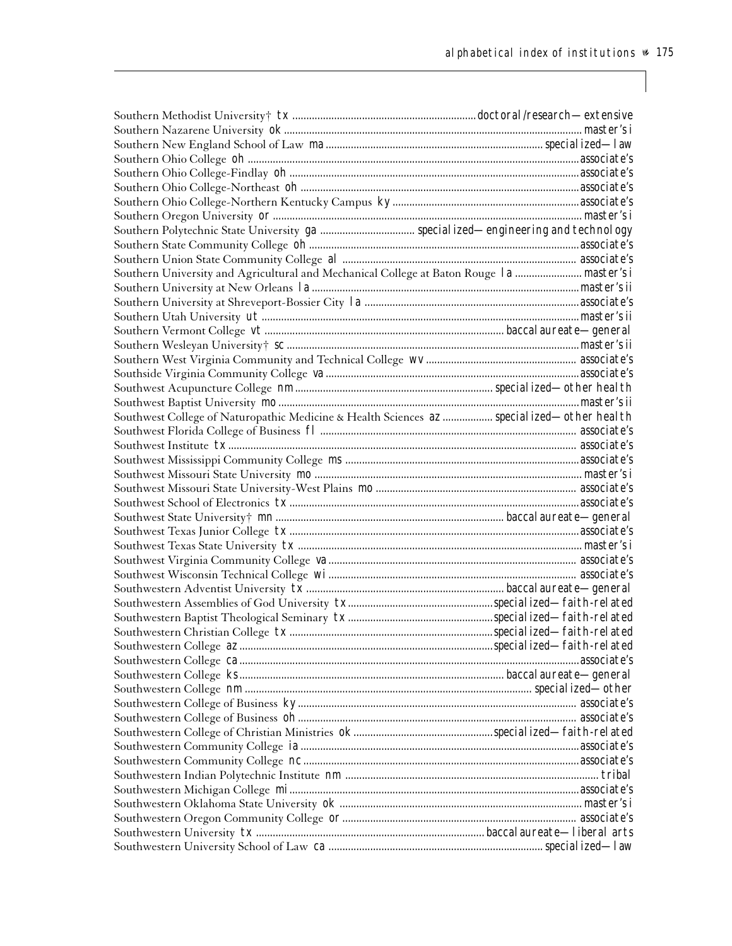| Southern University and Agricultural and Mechanical College at Baton Rouge la  master's i |  |
|-------------------------------------------------------------------------------------------|--|
|                                                                                           |  |
|                                                                                           |  |
|                                                                                           |  |
|                                                                                           |  |
|                                                                                           |  |
|                                                                                           |  |
|                                                                                           |  |
|                                                                                           |  |
|                                                                                           |  |
| Southwest College of Naturopathic Medicine & Health Sciences az  specialized-other health |  |
|                                                                                           |  |
|                                                                                           |  |
|                                                                                           |  |
|                                                                                           |  |
|                                                                                           |  |
|                                                                                           |  |
|                                                                                           |  |
|                                                                                           |  |
|                                                                                           |  |
|                                                                                           |  |
|                                                                                           |  |
|                                                                                           |  |
|                                                                                           |  |
|                                                                                           |  |
|                                                                                           |  |
|                                                                                           |  |
|                                                                                           |  |
|                                                                                           |  |
|                                                                                           |  |
|                                                                                           |  |
|                                                                                           |  |
|                                                                                           |  |
|                                                                                           |  |
|                                                                                           |  |
|                                                                                           |  |
|                                                                                           |  |
|                                                                                           |  |
|                                                                                           |  |
|                                                                                           |  |
|                                                                                           |  |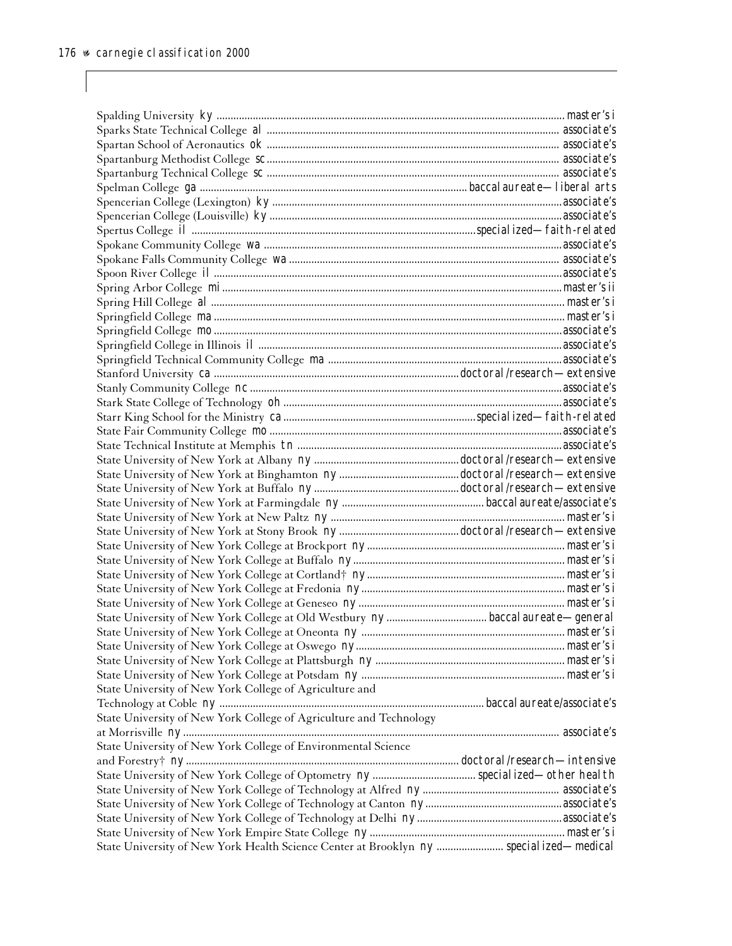| State University of New York College of Agriculture and                                |  |
|----------------------------------------------------------------------------------------|--|
|                                                                                        |  |
| State University of New York College of Agriculture and Technology                     |  |
|                                                                                        |  |
| State University of New York College of Environmental Science                          |  |
|                                                                                        |  |
|                                                                                        |  |
|                                                                                        |  |
|                                                                                        |  |
|                                                                                        |  |
|                                                                                        |  |
| State University of New York Health Science Center at Brooklyn ny  specialized-medical |  |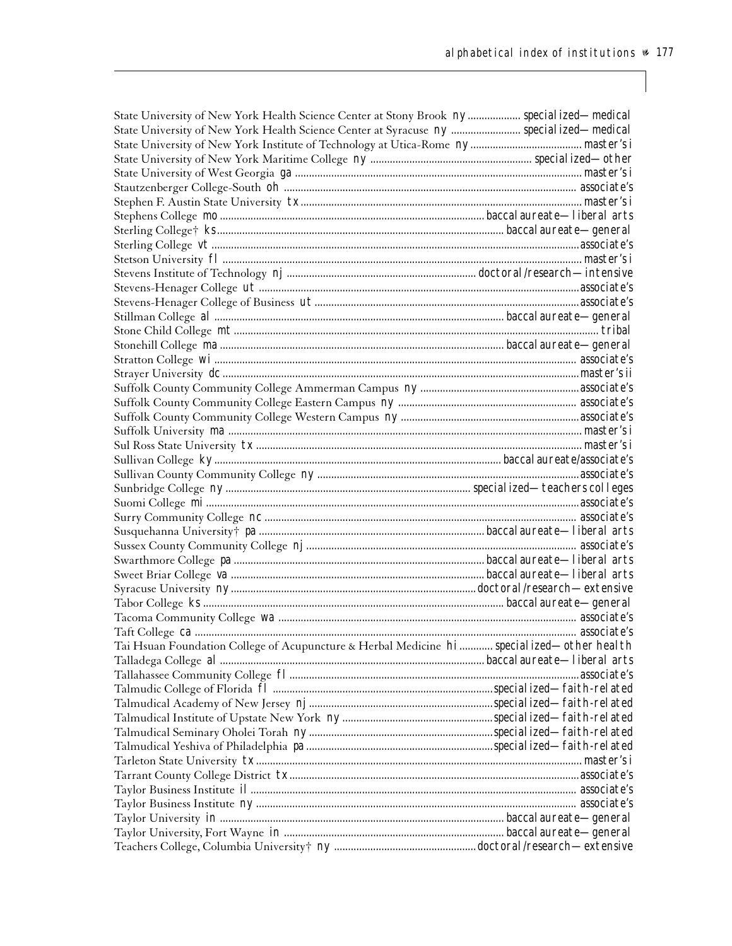| State University of New York Health Science Center at Stony Brook ny  specialized—medical  |  |
|--------------------------------------------------------------------------------------------|--|
| State University of New York Health Science Center at Syracuse ny  specialized—medical     |  |
|                                                                                            |  |
|                                                                                            |  |
|                                                                                            |  |
|                                                                                            |  |
|                                                                                            |  |
|                                                                                            |  |
|                                                                                            |  |
|                                                                                            |  |
|                                                                                            |  |
|                                                                                            |  |
|                                                                                            |  |
|                                                                                            |  |
|                                                                                            |  |
|                                                                                            |  |
|                                                                                            |  |
|                                                                                            |  |
|                                                                                            |  |
|                                                                                            |  |
|                                                                                            |  |
|                                                                                            |  |
|                                                                                            |  |
|                                                                                            |  |
|                                                                                            |  |
|                                                                                            |  |
|                                                                                            |  |
|                                                                                            |  |
|                                                                                            |  |
|                                                                                            |  |
|                                                                                            |  |
|                                                                                            |  |
|                                                                                            |  |
|                                                                                            |  |
|                                                                                            |  |
|                                                                                            |  |
|                                                                                            |  |
|                                                                                            |  |
| Tai Hsuan Foundation College of Acupuncture & Herbal Medicine hi  specialized-other health |  |
|                                                                                            |  |
|                                                                                            |  |
|                                                                                            |  |
|                                                                                            |  |
|                                                                                            |  |
|                                                                                            |  |
|                                                                                            |  |
|                                                                                            |  |
|                                                                                            |  |
|                                                                                            |  |
|                                                                                            |  |
|                                                                                            |  |
|                                                                                            |  |
|                                                                                            |  |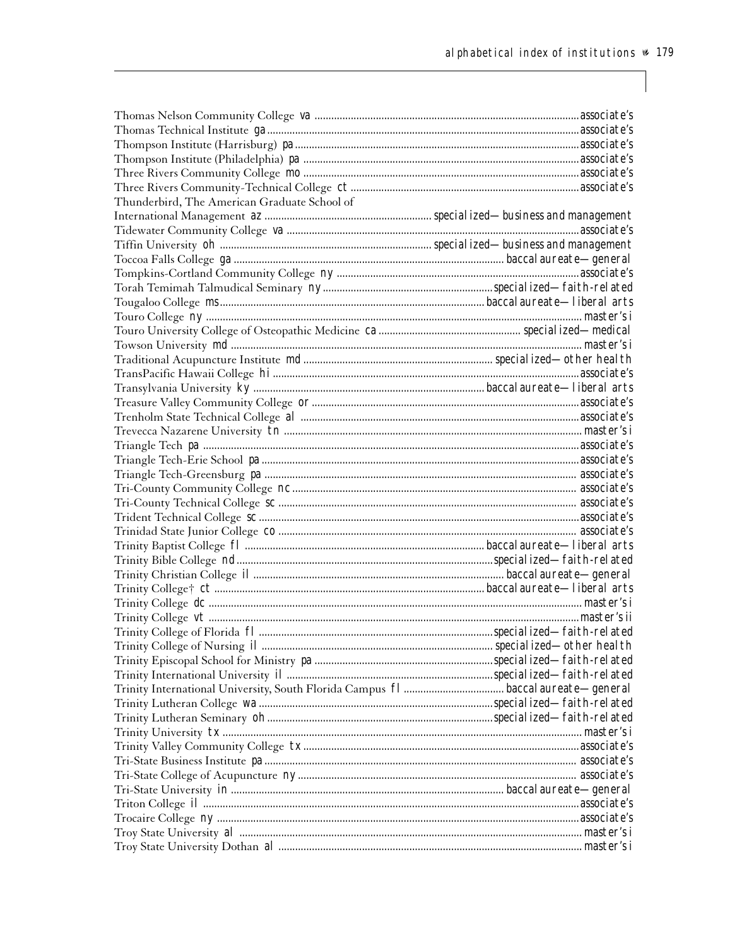| Thunderbird, The American Graduate School of |  |
|----------------------------------------------|--|
|                                              |  |
|                                              |  |
|                                              |  |
|                                              |  |
|                                              |  |
|                                              |  |
|                                              |  |
|                                              |  |
|                                              |  |
|                                              |  |
|                                              |  |
|                                              |  |
|                                              |  |
|                                              |  |
|                                              |  |
|                                              |  |
|                                              |  |
|                                              |  |
|                                              |  |
|                                              |  |
|                                              |  |
|                                              |  |
|                                              |  |
|                                              |  |
|                                              |  |
|                                              |  |
|                                              |  |
|                                              |  |
|                                              |  |
|                                              |  |
|                                              |  |
|                                              |  |
|                                              |  |
|                                              |  |
|                                              |  |
|                                              |  |
|                                              |  |
|                                              |  |
|                                              |  |
|                                              |  |
|                                              |  |
|                                              |  |
|                                              |  |
|                                              |  |
|                                              |  |
|                                              |  |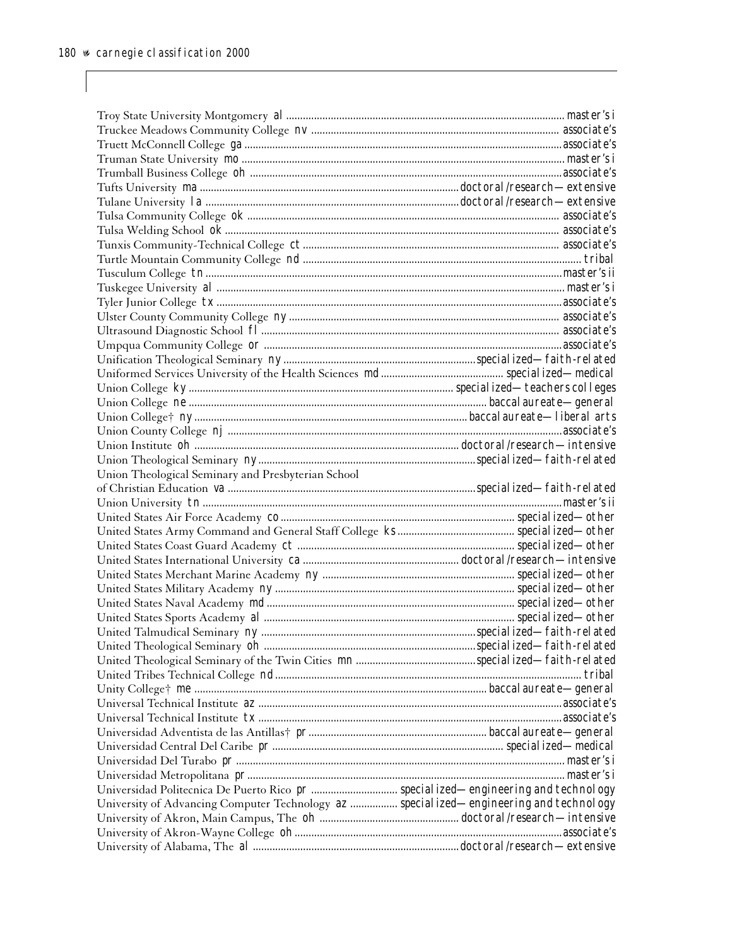| Union Theological Seminary and Presbyterian School                                     |  |
|----------------------------------------------------------------------------------------|--|
|                                                                                        |  |
|                                                                                        |  |
|                                                                                        |  |
|                                                                                        |  |
|                                                                                        |  |
|                                                                                        |  |
|                                                                                        |  |
|                                                                                        |  |
|                                                                                        |  |
|                                                                                        |  |
|                                                                                        |  |
|                                                                                        |  |
|                                                                                        |  |
|                                                                                        |  |
|                                                                                        |  |
|                                                                                        |  |
|                                                                                        |  |
|                                                                                        |  |
|                                                                                        |  |
|                                                                                        |  |
|                                                                                        |  |
|                                                                                        |  |
| University of Advancing Computer Technology az  specialized—engineering and technology |  |
|                                                                                        |  |
|                                                                                        |  |
|                                                                                        |  |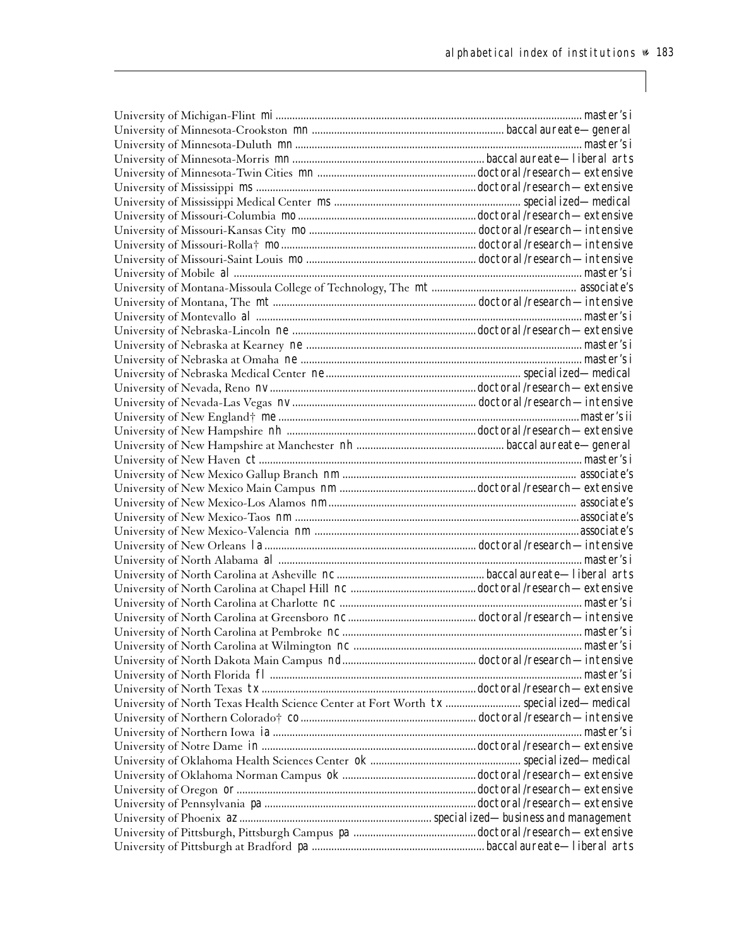| University of North Texas Health Science Center at Fort Worth tx  specialized—medical |  |
|---------------------------------------------------------------------------------------|--|
|                                                                                       |  |
|                                                                                       |  |
|                                                                                       |  |
|                                                                                       |  |
|                                                                                       |  |
|                                                                                       |  |
|                                                                                       |  |
|                                                                                       |  |
|                                                                                       |  |
|                                                                                       |  |
|                                                                                       |  |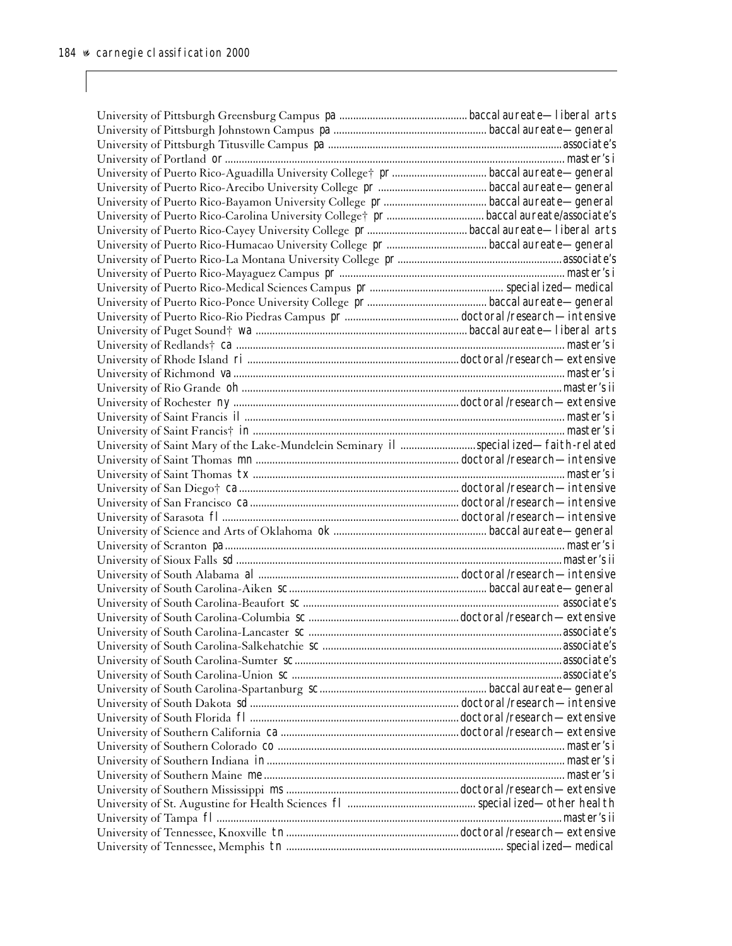| University of Saint Mary of the Lake-Mundelein Seminary il specialized-faith-related |  |
|--------------------------------------------------------------------------------------|--|
|                                                                                      |  |
|                                                                                      |  |
|                                                                                      |  |
|                                                                                      |  |
|                                                                                      |  |
|                                                                                      |  |
|                                                                                      |  |
|                                                                                      |  |
|                                                                                      |  |
|                                                                                      |  |
|                                                                                      |  |
|                                                                                      |  |
|                                                                                      |  |
|                                                                                      |  |
|                                                                                      |  |
|                                                                                      |  |
|                                                                                      |  |
|                                                                                      |  |
|                                                                                      |  |
|                                                                                      |  |
|                                                                                      |  |
|                                                                                      |  |
|                                                                                      |  |
|                                                                                      |  |
|                                                                                      |  |
|                                                                                      |  |
|                                                                                      |  |
|                                                                                      |  |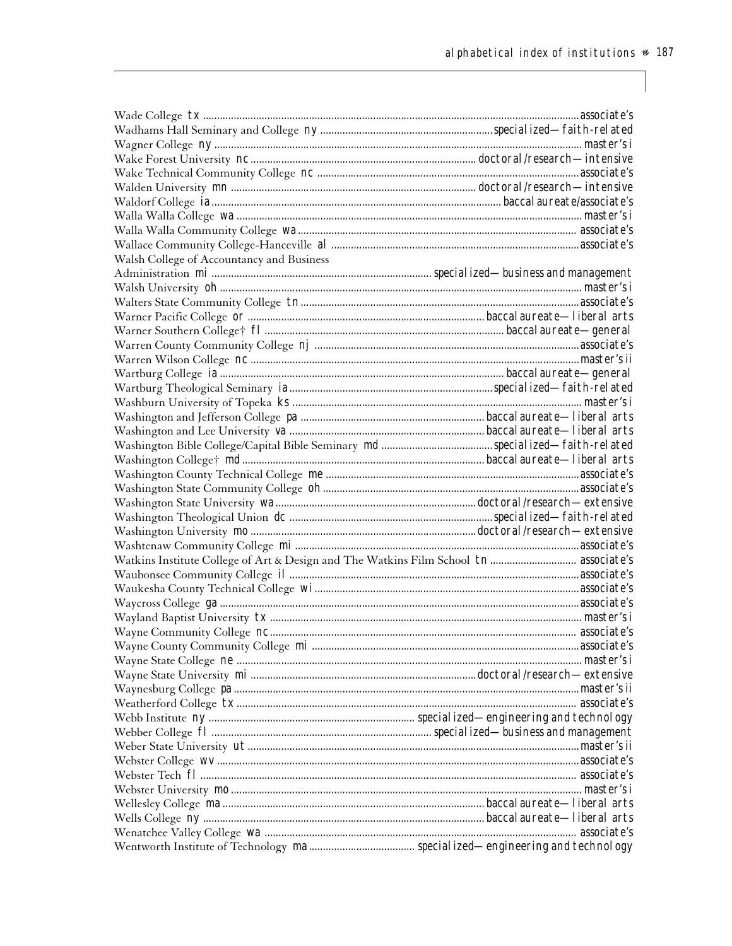I

| Walsh College of Accountancy and Business                                             |  |
|---------------------------------------------------------------------------------------|--|
|                                                                                       |  |
|                                                                                       |  |
|                                                                                       |  |
|                                                                                       |  |
|                                                                                       |  |
|                                                                                       |  |
|                                                                                       |  |
|                                                                                       |  |
|                                                                                       |  |
|                                                                                       |  |
|                                                                                       |  |
|                                                                                       |  |
|                                                                                       |  |
|                                                                                       |  |
|                                                                                       |  |
|                                                                                       |  |
|                                                                                       |  |
|                                                                                       |  |
|                                                                                       |  |
|                                                                                       |  |
| Watkins Institute College of Art & Design and The Watkins Film School tn  associate's |  |
|                                                                                       |  |
|                                                                                       |  |
|                                                                                       |  |
|                                                                                       |  |
|                                                                                       |  |
|                                                                                       |  |
|                                                                                       |  |
|                                                                                       |  |
|                                                                                       |  |
|                                                                                       |  |
|                                                                                       |  |
|                                                                                       |  |
|                                                                                       |  |
|                                                                                       |  |
|                                                                                       |  |
|                                                                                       |  |
|                                                                                       |  |
|                                                                                       |  |
|                                                                                       |  |
|                                                                                       |  |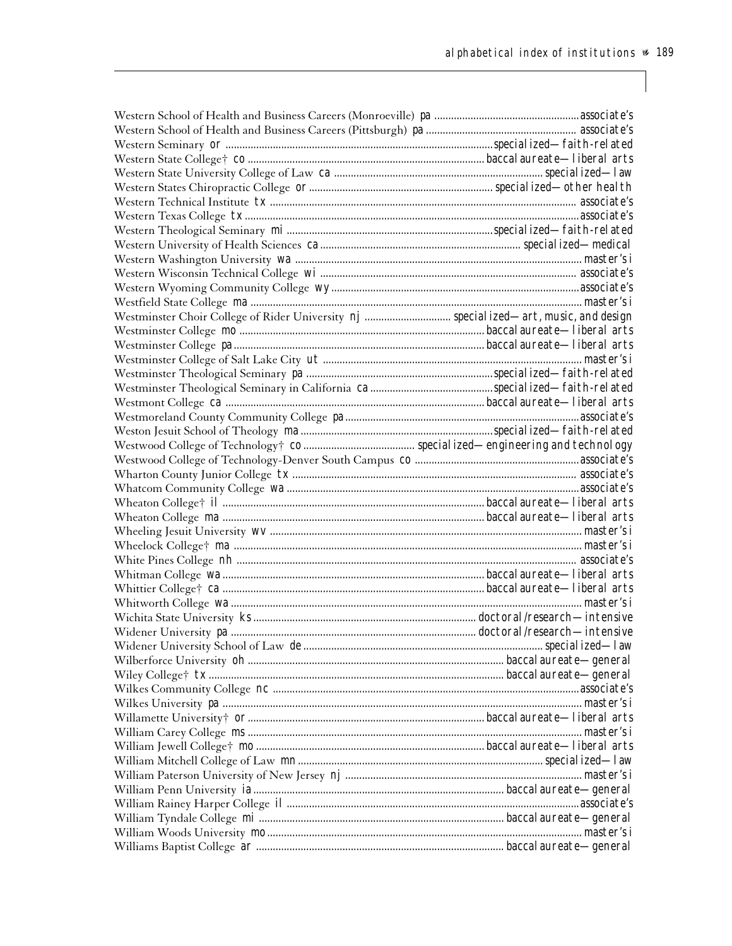$\overline{\phantom{a}}$ 

| Westminster Choir College of Rider University nj  specialized-art, music, and design |  |
|--------------------------------------------------------------------------------------|--|
|                                                                                      |  |
|                                                                                      |  |
|                                                                                      |  |
|                                                                                      |  |
|                                                                                      |  |
|                                                                                      |  |
|                                                                                      |  |
|                                                                                      |  |
|                                                                                      |  |
|                                                                                      |  |
|                                                                                      |  |
|                                                                                      |  |
|                                                                                      |  |
|                                                                                      |  |
|                                                                                      |  |
|                                                                                      |  |
|                                                                                      |  |
|                                                                                      |  |
|                                                                                      |  |
|                                                                                      |  |
|                                                                                      |  |
|                                                                                      |  |
|                                                                                      |  |
|                                                                                      |  |
|                                                                                      |  |
|                                                                                      |  |
|                                                                                      |  |
|                                                                                      |  |
|                                                                                      |  |
|                                                                                      |  |
|                                                                                      |  |
|                                                                                      |  |
|                                                                                      |  |
|                                                                                      |  |
|                                                                                      |  |
|                                                                                      |  |
|                                                                                      |  |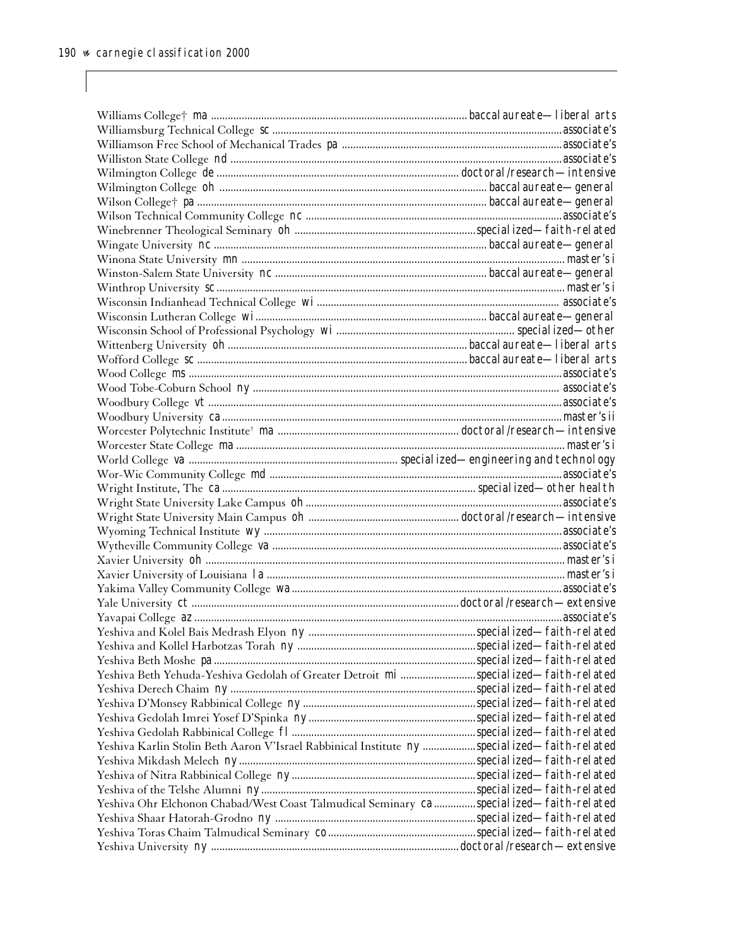| Yeshiva Beth Yehuda-Yeshiva Gedolah of Greater Detroit mi specialized-faith-related         |  |
|---------------------------------------------------------------------------------------------|--|
|                                                                                             |  |
|                                                                                             |  |
|                                                                                             |  |
|                                                                                             |  |
| Yeshiva Karlin Stolin Beth Aaron V'Israel Rabbinical Institute ny specialized-faith-related |  |
|                                                                                             |  |
|                                                                                             |  |
|                                                                                             |  |
| Yeshiva Ohr Elchonon Chabad/West Coast Talmudical Seminary ca specialized-faith-related     |  |
|                                                                                             |  |
|                                                                                             |  |
|                                                                                             |  |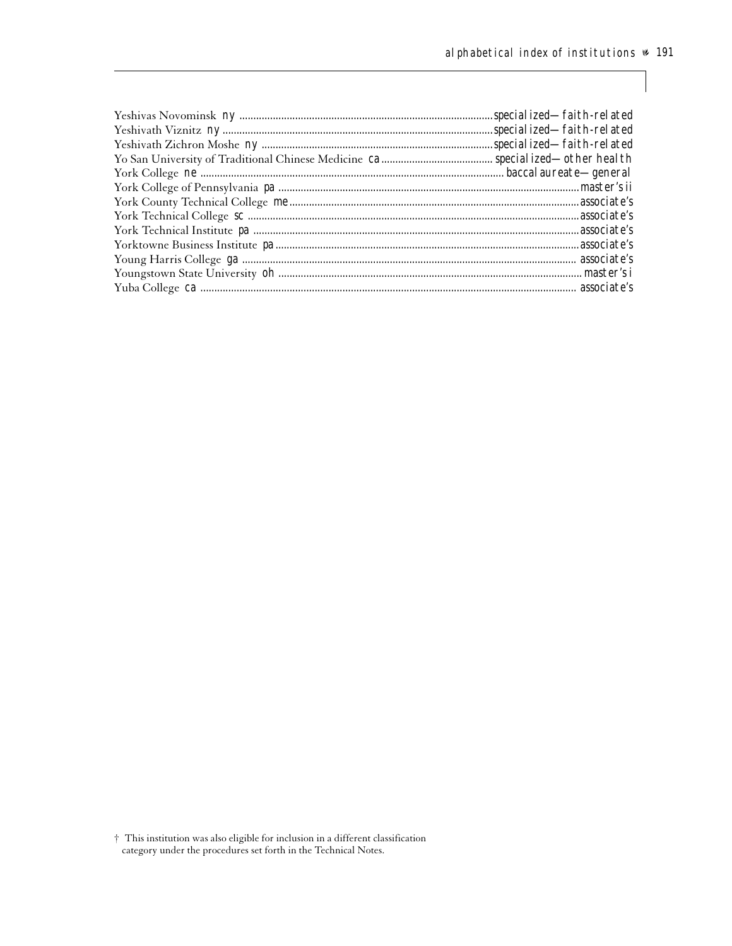† This institution was also eligible for inclusion in a different classification category under the procedures set forth in the Technical Notes.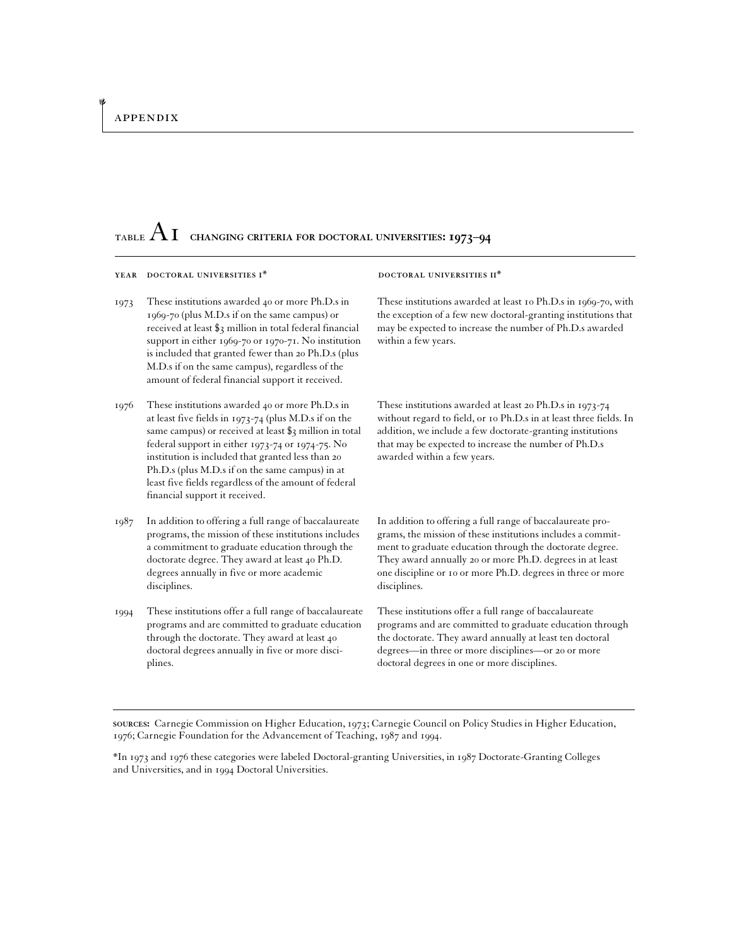١¢

## table A1 **CHANGING CRITERIA FOR DOCTORAL UNIVERSITIES: 1973–94**

### **YEAR DOCTORAL UNIVERSITIES <sup>I</sup>\* DOCTORAL UNIVERSITIES II\***

- These institutions awarded 40 or more Ph.D.s in 1969-70 (plus M.D.s if on the same campus) or received at least \$3 million in total federal financial support in either 1969-70 or 1970-71. No institution is included that granted fewer than 20 Ph.D.s (plus M.D.s if on the same campus), regardless of the amount of federal financial support it received. 1973
- These institutions awarded 40 or more Ph.D.s in at least five fields in 1973-74 (plus M.D.s if on the same campus) or received at least \$3 million in total federal support in either 1973-74 or 1974-75. No institution is included that granted less than 20 Ph.D.s (plus M.D.s if on the same campus) in at least five fields regardless of the amount of federal financial support it received. 1976
- In addition to offering a full range of baccalaureate programs, the mission of these institutions includes a commitment to graduate education through the doctorate degree. They award at least 40 Ph.D. degrees annually in five or more academic disciplines. 1987
- These institutions offer a full range of baccalaureate programs and are committed to graduate education through the doctorate. They award at least 40 doctoral degrees annually in five or more disciplines. 1994

These institutions awarded at least 10 Ph.D.s in 1969-70, with the exception of a few new doctoral-granting institutions that may be expected to increase the number of Ph.D.s awarded within a few years.

These institutions awarded at least 20 Ph.D.s in 1973-74 without regard to field, or 10 Ph.D.s in at least three fields. In addition, we include a few doctorate-granting institutions that may be expected to increase the number of Ph.D.s awarded within a few years.

In addition to offering a full range of baccalaureate programs, the mission of these institutions includes a commitment to graduate education through the doctorate degree. They award annually 20 or more Ph.D. degrees in at least one discipline or 10 or more Ph.D. degrees in three or more disciplines.

These institutions offer a full range of baccalaureate programs and are committed to graduate education through the doctorate. They award annually at least ten doctoral degrees—in three or more disciplines—or 20 or more doctoral degrees in one or more disciplines.

**SOURCES:** Carnegie Commission on Higher Education, 1973; Carnegie Council on Policy Studies in Higher Education, 1976; Carnegie Foundation for the Advancement of Teaching, 1987 and 1994.

\*In 1973 and 1976 these categories were labeled Doctoral-granting Universities, in 1987 Doctorate-Granting Colleges and Universities, and in 1994 Doctoral Universities.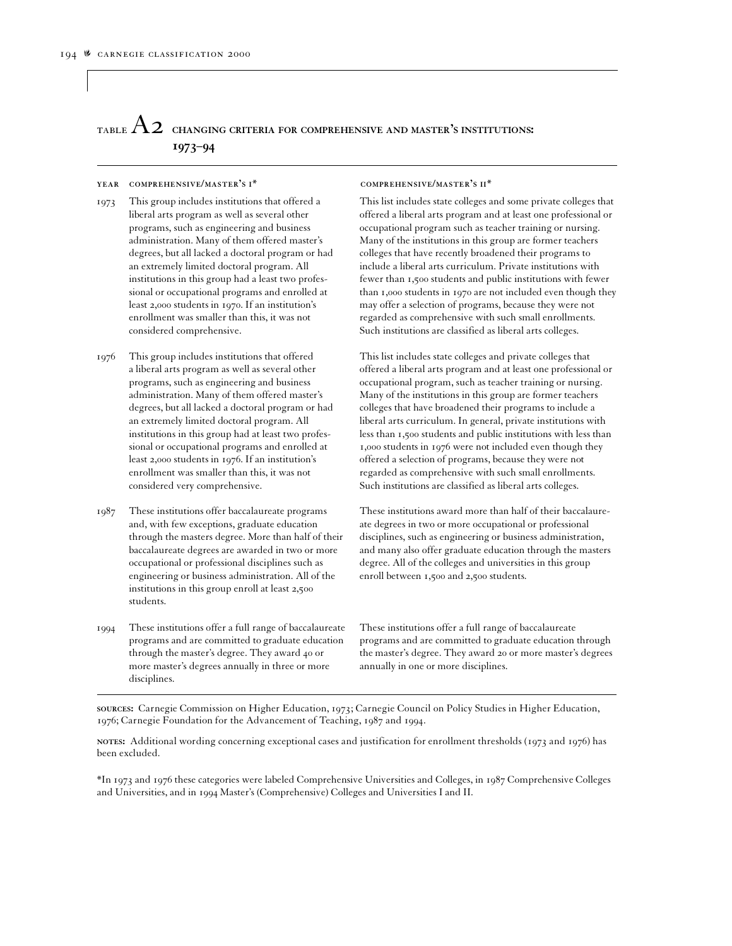## table A2 **CHANGING CRITERIA FOR COMPREHENSIVE AND MASTER'<sup>S</sup> INSTITUTIONS: 1973–94**

### **YEAR COMPREHENSIVE/MASTER'<sup>S</sup> <sup>I</sup>\* COMPREHENSIVE/MASTER'<sup>S</sup> II\***

- This group includes institutions that offered a liberal arts program as well as several other programs, such as engineering and business administration. Many of them offered master's degrees, but all lacked a doctoral program or had an extremely limited doctoral program. All institutions in this group had a least two professional or occupational programs and enrolled at least 2,000 students in 1970. If an institution's enrollment was smaller than this, it was not considered comprehensive. 1973
- This group includes institutions that offered a liberal arts program as well as several other programs, such as engineering and business administration. Many of them offered master's degrees, but all lacked a doctoral program or had an extremely limited doctoral program. All institutions in this group had at least two professional or occupational programs and enrolled at least 2,000 students in 1976. If an institution's enrollment was smaller than this, it was not considered very comprehensive. 1976
- These institutions offer baccalaureate programs and, with few exceptions, graduate education through the masters degree. More than half of their baccalaureate degrees are awarded in two or more occupational or professional disciplines such as engineering or business administration. All of the institutions in this group enroll at least 2,500 students. 1987
- These institutions offer a full range of baccalaureate programs and are committed to graduate education through the master's degree. They award 40 or more master's degrees annually in three or more disciplines. 1994

This list includes state colleges and some private colleges that offered a liberal arts program and at least one professional or occupational program such as teacher training or nursing. Many of the institutions in this group are former teachers colleges that have recently broadened their programs to include a liberal arts curriculum. Private institutions with fewer than 1,500 students and public institutions with fewer than 1,000 students in 1970 are not included even though they may offer a selection of programs, because they were not regarded as comprehensive with such small enrollments. Such institutions are classified as liberal arts colleges.

This list includes state colleges and private colleges that offered a liberal arts program and at least one professional or occupational program, such as teacher training or nursing. Many of the institutions in this group are former teachers colleges that have broadened their programs to include a liberal arts curriculum. In general, private institutions with less than 1,500 students and public institutions with less than 1,000 students in 1976 were not included even though they offered a selection of programs, because they were not regarded as comprehensive with such small enrollments. Such institutions are classified as liberal arts colleges.

These institutions award more than half of their baccalaureate degrees in two or more occupational or professional disciplines, such as engineering or business administration, and many also offer graduate education through the masters degree. All of the colleges and universities in this group enroll between 1,500 and 2,500 students.

These institutions offer a full range of baccalaureate programs and are committed to graduate education through the master's degree. They award 20 or more master's degrees annually in one or more disciplines.

**SOURCES:** Carnegie Commission on Higher Education, 1973; Carnegie Council on Policy Studies in Higher Education, 1976; Carnegie Foundation for the Advancement of Teaching, 1987 and 1994.

**NOTES:** Additional wording concerning exceptional cases and justification for enrollment thresholds (1973 and 1976) has been excluded.

\*In 1973 and 1976 these categories were labeled Comprehensive Universities and Colleges, in 1987 Comprehensive Colleges and Universities, and in 1994 Master's (Comprehensive) Colleges and Universities I and II.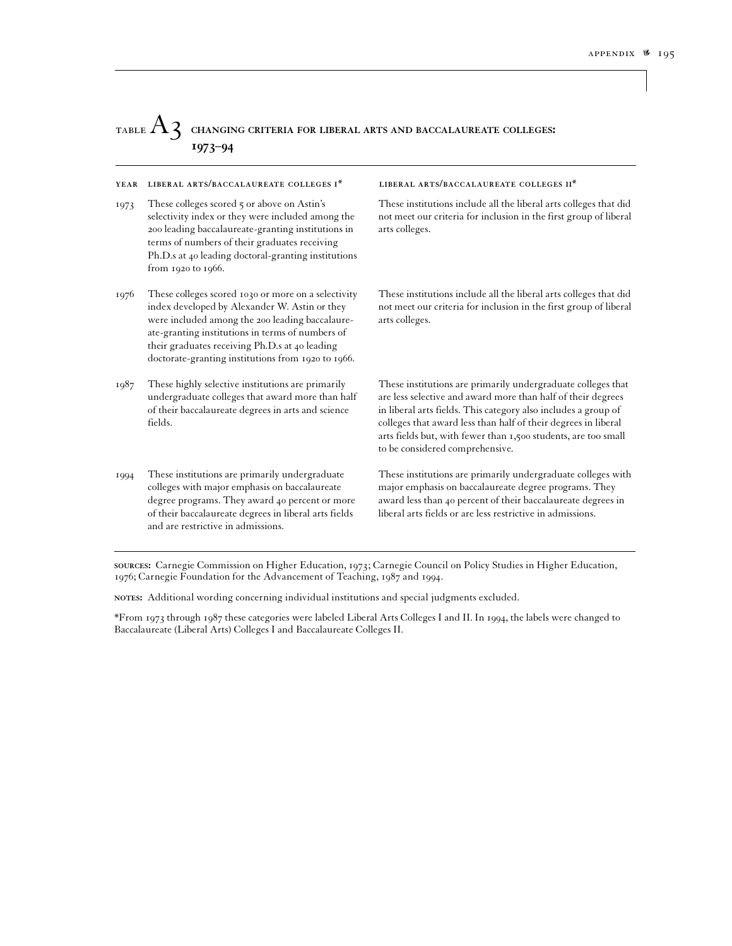## table A3 **CHANGING CRITERIA FOR LIBERAL ARTS AND BACCALAUREATE COLLEGES: 1973–94**

### **YEAR LIBERAL ARTS/BACCALAUREATE COLLEGES <sup>I</sup>\* LIBERAL ARTS/BACCALAUREATE COLLEGES II\***

- These colleges scored 5 or above on Astin's selectivity index or they were included among the 200 leading baccalaureate-granting institutions in terms of numbers of their graduates receiving Ph.D.s at 40 leading doctoral-granting institutions from 1920 to 1966. 1973
- These colleges scored 1030 or more on a selectivity index developed by Alexander W. Astin or they were included among the 200 leading baccalaureate-granting institutions in terms of numbers of their graduates receiving Ph.D.s at 40 leading doctorate-granting institutions from 1920 to 1966. 1976
- These highly selective institutions are primarily undergraduate colleges that award more than half of their baccalaureate degrees in arts and science fields. 1987
- These institutions are primarily undergraduate colleges with major emphasis on baccalaureate degree programs. They award 40 percent or more of their baccalaureate degrees in liberal arts fields and are restrictive in admissions. 1994

These institutions include all the liberal arts colleges that did not meet our criteria for inclusion in the first group of liberal arts colleges.

These institutions include all the liberal arts colleges that did not meet our criteria for inclusion in the first group of liberal arts colleges.

These institutions are primarily undergraduate colleges that are less selective and award more than half of their degrees in liberal arts fields. This category also includes a group of colleges that award less than half of their degrees in liberal arts fields but, with fewer than 1,500 students, are too small to be considered comprehensive.

These institutions are primarily undergraduate colleges with major emphasis on baccalaureate degree programs. They award less than 40 percent of their baccalaureate degrees in liberal arts fields or are less restrictive in admissions.

**SOURCES:** Carnegie Commission on Higher Education, 1973; Carnegie Council on Policy Studies in Higher Education, 1976; Carnegie Foundation for the Advancement of Teaching, 1987 and 1994.

**NOTES:** Additional wording concerning individual institutions and special judgments excluded.

\*From 1973 through 1987 these categories were labeled Liberal Arts Colleges I and II. In 1994, the labels were changed to Baccalaureate (Liberal Arts) Colleges I and Baccalaureate Colleges II.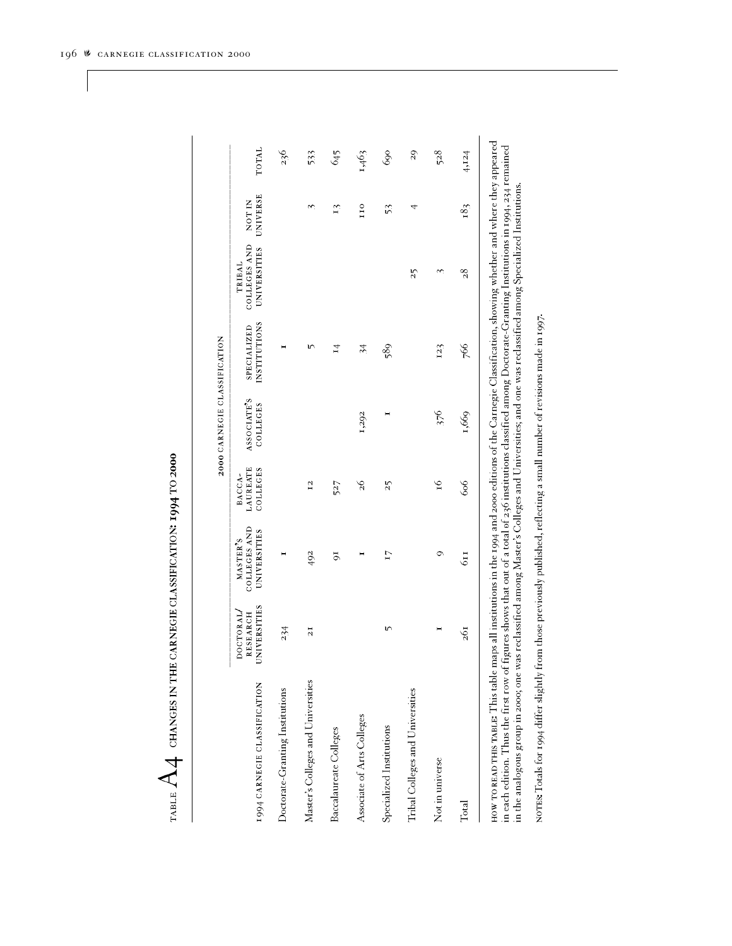| 1994 CARNEGIE CLASSIFICATION       | UNIVERSITIES<br><b>DOCTORAL</b><br><b>RESEARCH</b> | <b>COLLEGES AND</b><br>UNIVERSITIES<br>MASTER'S | LAUREATE<br>COLLEGES<br>BACCA- | ASSOCIATE'S<br>COLLEGES | <b>INSTITUTIONS</b><br>SPECIALIZED | COLLEGES AND<br>UNIVERSITIES<br>TRIBAL | UNIVERSE<br><b>NOT IN</b> | TOTAL |
|------------------------------------|----------------------------------------------------|-------------------------------------------------|--------------------------------|-------------------------|------------------------------------|----------------------------------------|---------------------------|-------|
| Doctorate-Granting Institutions    | 234                                                |                                                 |                                |                         |                                    |                                        |                           | 236   |
| Master's Colleges and Universities | 21                                                 | 492                                             | $\overline{12}$                |                         | r                                  |                                        | 3                         | 533   |
| Baccalaureate Colleges             |                                                    | $\overline{5}$                                  | 527                            |                         | 14                                 |                                        | 13                        | 645   |
| Associate of Arts Colleges         |                                                    |                                                 | 26                             | 1,292                   | $\ddot{34}$                        |                                        | 10                        | 1,463 |
| Specialized Institutions           | S                                                  | 17                                              | 25                             |                         | 589                                |                                        | 53                        | 690   |
| Tribal Colleges and Universities   |                                                    |                                                 |                                |                         |                                    | 25                                     | 4                         | 29    |
| Not in universe                    |                                                    | $\circ$                                         | $\mathcal{L}_{\mathbf{I}}$     | 376                     | 123                                | $\sim$                                 |                           | $528$ |
| Total                              | 26 <sub>I</sub>                                    | 611                                             | 606                            | 1,669                   | 994                                | 28                                     | 183                       | 4,124 |

table  $\Lambda_4$  changes in the carnege classification: 1994 to 2000

ŕ. ć, ¢  $\alpha$  is the strong only.

NOTES Totals for 1994 differ slightly from those previously published, reflecting a small number of revisions made in 1997.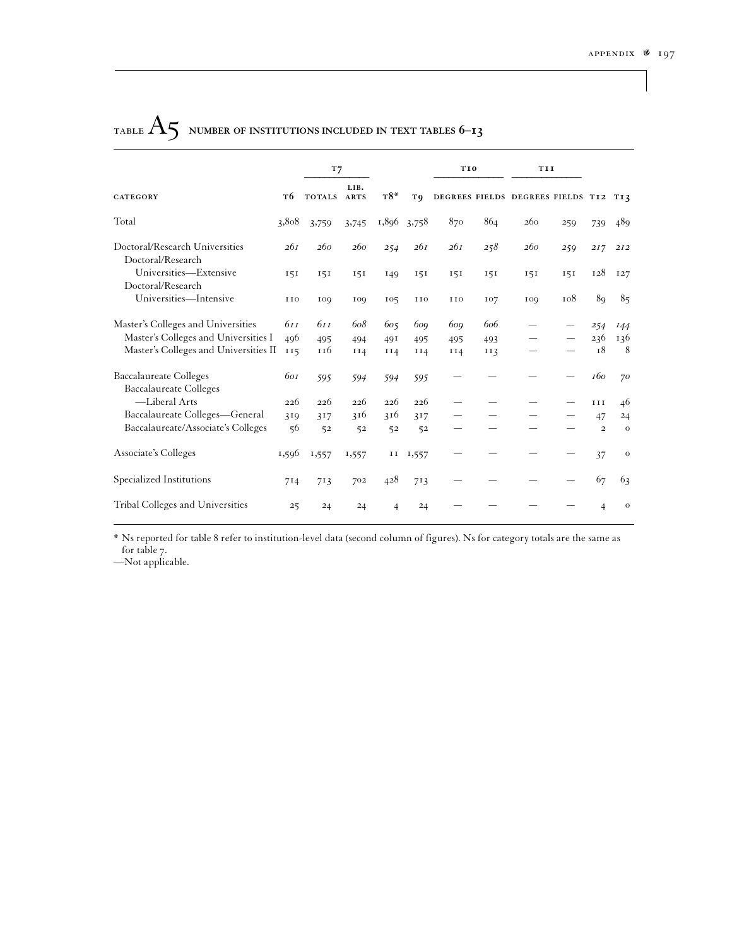|                                                     |                 | T7          |       |                |                | TI <sub>0</sub> |     | TII                                   |     |                  |              |
|-----------------------------------------------------|-----------------|-------------|-------|----------------|----------------|-----------------|-----|---------------------------------------|-----|------------------|--------------|
| CATEGORY                                            | т6              | TOTALS ARTS | LIB.  | $T8*$          | T <sub>Q</sub> |                 |     | DEGREES FIELDS DEGREES FIELDS TI2 TI3 |     |                  |              |
| Total                                               | 3,808           | 3,759       | 3,745 | 1,896          | 3,758          | 870             | 864 | 260                                   | 259 |                  | 739 489      |
| Doctoral/Research Universities<br>Doctoral/Research | 26I             | 260         | 260   | 254            | 261            | 26I             | 258 | 260                                   | 259 | 217              | 212          |
| Universities-Extensive<br>Doctoral/Research         | 151             | 151         | 151   | 149            | 151            | 151             | 151 | 151                                   | I5I | 128              | 127          |
| Universities-Intensive                              | 110             | 109         | 100   | 105            | 110            | 110             | 107 | 100                                   | 108 | 89               | 85           |
| Master's Colleges and Universities                  | 611             | 611         | 608   | 605            | 609            | 609             | 606 |                                       |     | 254              | 144          |
| Master's Colleges and Universities I                | 496             | 495         | 494   | 491            | 495            | 495             | 493 |                                       |     | 236              | 136          |
| Master's Colleges and Universities II               | II5             | 116         | II4   | II4            | II4            | II4             | II3 |                                       |     | T8               | 8            |
| Baccalaureate Colleges<br>Baccalaureate Colleges    | 60 I            | 595         | 594   | 594            | 595            |                 |     |                                       |     | 160              | 70           |
| -Liberal Arts                                       | 226             | 226         | 226   | 226            | 226            |                 |     |                                       |     | $\mathbf{I}$ I I | 46           |
| Baccalaureate Colleges-General                      | 319             | 317         | 316   | 316            | 317            |                 |     |                                       |     | 47               | 24           |
| Baccalaureate/Associate's Colleges                  | 56              | 52          | 52    | 52             | 52             |                 |     |                                       |     | $\overline{2}$   | $\Omega$     |
| Associate's Colleges                                | 1,596           | 1,557       | 1,557 |                | II 1,557       |                 |     |                                       |     | 37               | $\mathbf{O}$ |
| Specialized Institutions                            | 7 <sub>14</sub> | 713         | 702   | 428            | 713            |                 |     |                                       |     | 67               | 63           |
| Tribal Colleges and Universities                    | 25              | 24          | 24    | $\overline{4}$ | 24             |                 |     |                                       |     | $\overline{4}$   | $\mathbf{O}$ |

# table A5 **NUMBER OF INSTITUTIONS INCLUDED IN TEXT TABLES 6–13**

\* Ns reported for table 8 refer to institution-level data (second column of figures). Ns for category totals are the same as for table 7.

—Not applicable.